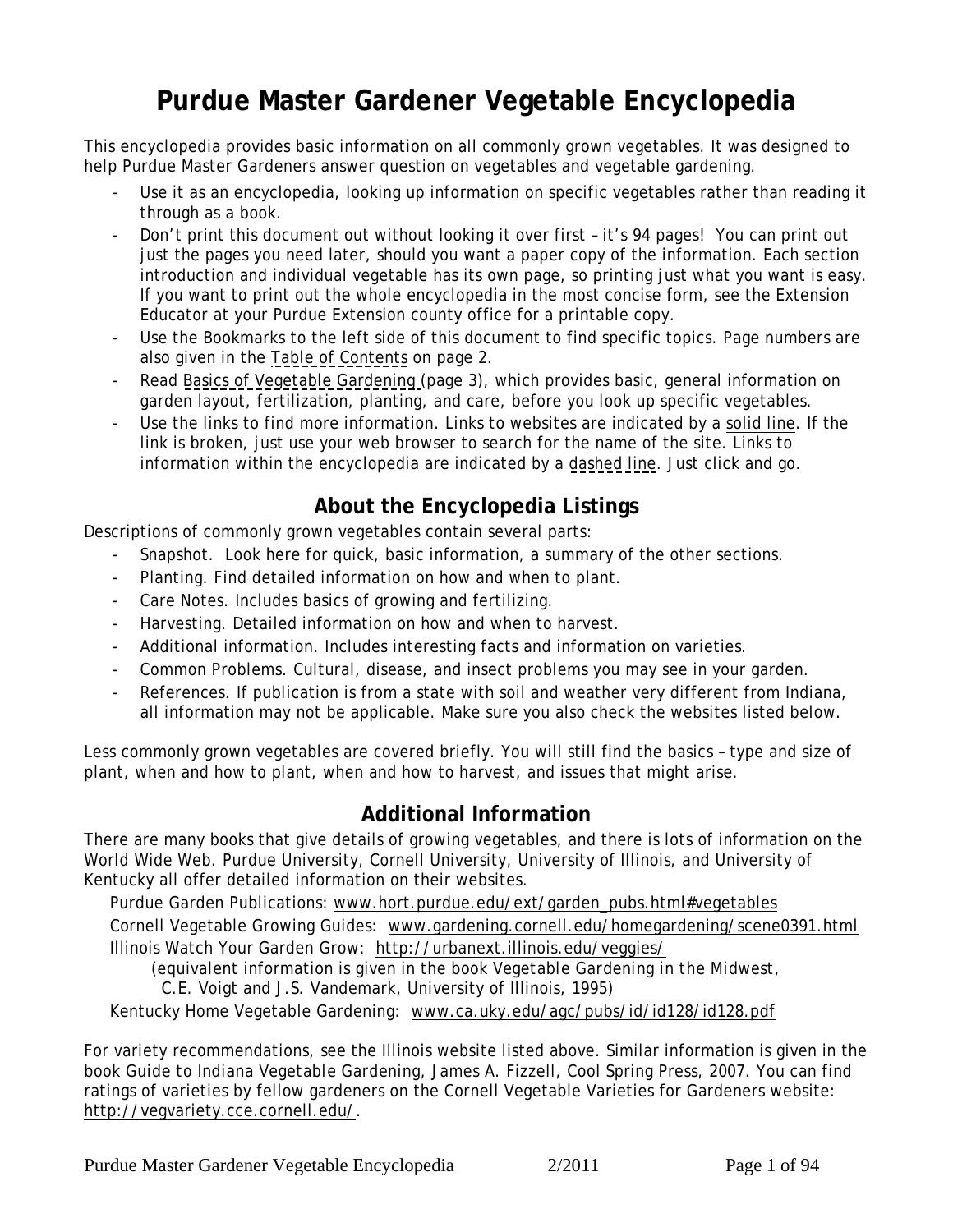# **Purdue Master Gardener Vegetable Encyclopedia**

This encyclopedia provides basic information on all commonly grown vegetables. It was designed to help Purdue Master Gardeners answer question on vegetables and vegetable gardening.

- Use it as an encyclopedia, looking up information on specific vegetables rather than reading it through as a book.
- Don't print this document out without looking it over first it's 94 pages! You can print out just the pages you need later, should you want a paper copy of the information. Each section introduction and individual vegetable has its own page, so printing just what you want is easy. If you want to print out the whole encyclopedia in the most concise form, see the Extension Educator at your Purdue Extension county office for a printable copy.
- Use the Bookmarks to the left side of this document to find specific topics. Page numbers are also given in the [Table of Contents](#page-1-0) on page 2.
- Read [Basics of Vegetable Gardening](#page-2-0) (page 3), which provides basic, general information on garden layout, fertilization, planting, and care, before you look up specific vegetables.
- Use the links to find more information. Links to websites are indicated by a solid line. If the link is broken, just use your web browser to search for the name of the site. Links to information within the encyclopedia are indicated by a dashed line. Just click and go.

## **About the Encyclopedia Listings**

Descriptions of commonly grown vegetables contain several parts:

- Snapshot. Look here for quick, basic information, a summary of the other sections.
- Planting. Find detailed information on how and when to plant.
- Care Notes. Includes basics of growing and fertilizing.
- Harvesting. Detailed information on how and when to harvest.
- Additional information. Includes interesting facts and information on varieties.
- Common Problems. Cultural, disease, and insect problems you may see in your garden.
- References. If publication is from a state with soil and weather very different from Indiana, all information may not be applicable. Make sure you also check the websites listed below.

Less commonly grown vegetables are covered briefly. You will still find the basics – type and size of plant, when and how to plant, when and how to harvest, and issues that might arise.

## **Additional Information**

There are many books that give details of growing vegetables, and there is lots of information on the World Wide Web. Purdue University, Cornell University, University of Illinois, and University of Kentucky all offer detailed information on their websites.

Purdue Garden Publications: www.hort.purdue.edu/ext/garden\_pubs.html#vegetables Cornell Vegetable Growing Guides: www.gardening.cornell.edu/homegardening/scene0391.html Illinois Watch Your Garden Grow: http://urbanext.illinois.edu/veggies/

(equivalent information is given in the book *Vegetable Gardening in the Midwest*,

C.E. Voigt and J.S. Vandemark, University of Illinois, 1995)

Kentucky Home Vegetable Gardening: www.ca.uky.edu/agc/pubs/id/id128/id128.pdf

For variety recommendations, see the Illinois website listed above. Similar information is given in the book *Guide to Indiana Vegetable Gardening*, James A. Fizzell, Cool Spring Press, 2007. You can find ratings of varieties by fellow gardeners on the Cornell Vegetable Varieties for Gardeners website: http://vegvariety.cce.cornell.edu/.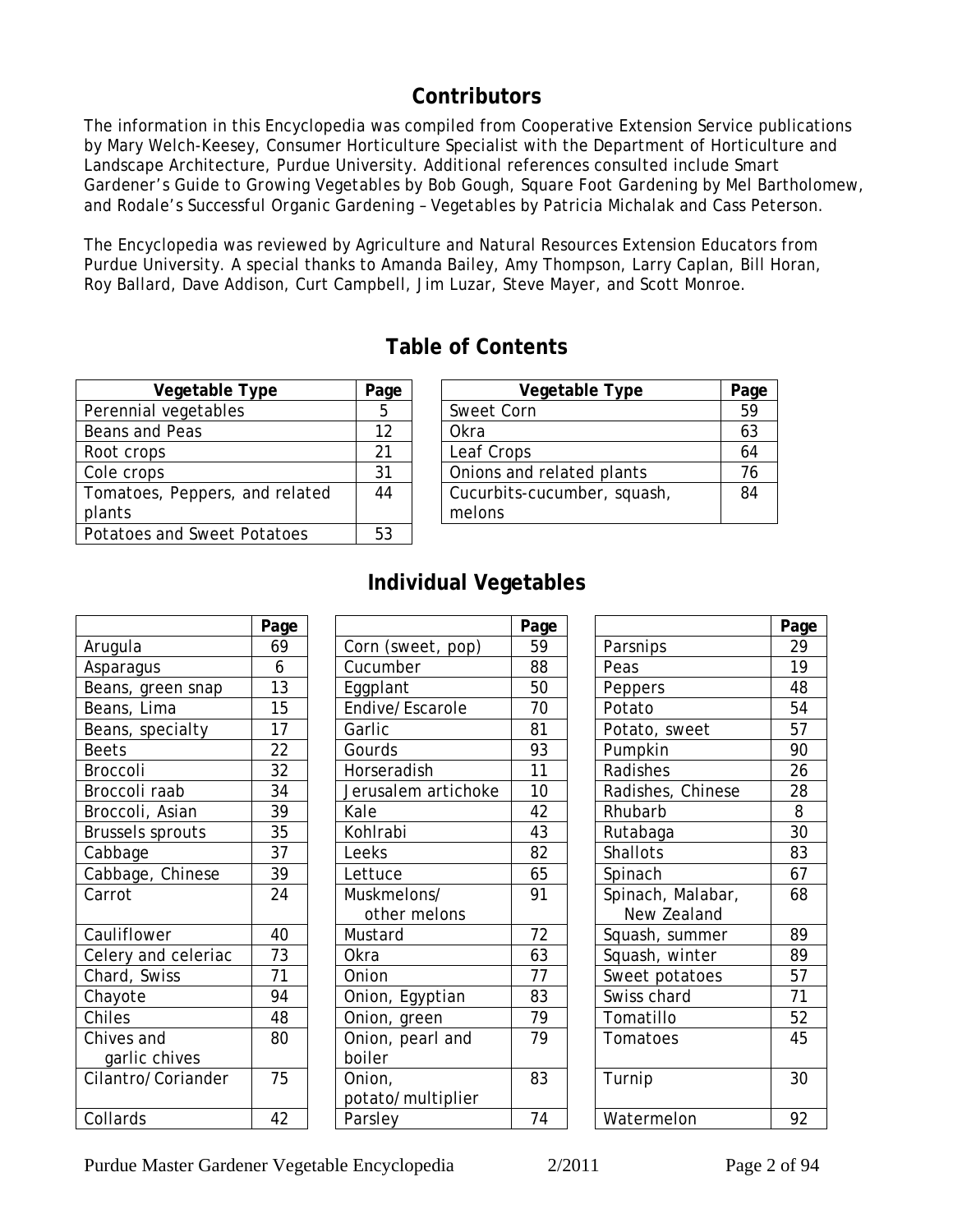## **Contributors**

<span id="page-1-0"></span>The information in this Encyclopedia was compiled from Cooperative Extension Service publications by Mary Welch-Keesey, Consumer Horticulture Specialist with the Department of Horticulture and Landscape Architecture, Purdue University. Additional references consulted include *Smart Gardener's Guide to Growing Vegetables* by Bob Gough, *Square Foot Gardening* by Mel Bartholomew, and *Rodale's Successful Organic Gardening – Vegetables* by Patricia Michalak and Cass Peterson.

**Table of Contents**

The Encyclopedia was reviewed by Agriculture and Natural Resources Extension Educators from Purdue University. A special thanks to Amanda Bailey, Amy Thompson, Larry Caplan, Bill Horan, Roy Ballard, Dave Addison, Curt Campbell, Jim Luzar, Steve Mayer, and Scott Monroe.

| Vegetable Type                 | Page | Vegetable Type              | Pag |
|--------------------------------|------|-----------------------------|-----|
| Perennial vegetables           | 5    | Sweet Corn                  | 59  |
| Beans and Peas                 | 12   | Okra                        | 63  |
| Root crops                     | 21   | Leaf Crops                  | 64  |
| Cole crops                     | 31   | Onions and related plants   | 76  |
| Tomatoes, Peppers, and related | 44   | Cucurbits-cucumber, squash, | 84  |
| plants                         |      | melons                      |     |
| Potatoes and Sweet Potatoes    | 53   |                             |     |
|                                |      |                             |     |

| Vegetable Type          | Page | Vegetable Type              | Page |
|-------------------------|------|-----------------------------|------|
| vegetables              |      | Sweet Corn                  | 59   |
| d Peas                  | 12   | Okra                        | 63   |
| )S                      | 21   | Leaf Crops                  | 64   |
| )S                      | 31   | Onions and related plants   |      |
| s, Peppers, and related | 44   | Cucurbits-cucumber, squash, | 84   |
|                         |      | melons                      |      |
|                         |      |                             |      |

## **Individual Vegetables**

|                         | Page |              |
|-------------------------|------|--------------|
| Arugula                 | 69   | Corn (sweet, |
| Asparagus               | 6    | Cucumber     |
| Beans, green snap       | 13   | Eggplant     |
| Beans, Lima             | 15   | Endive/Escar |
| Beans, specialty        | 17   | Garlic       |
| <b>Beets</b>            | 22   | Gourds       |
| Broccoli                | 32   | Horseradish  |
| Broccoli raab           | 34   | Jerusalem ar |
| Broccoli, Asian         | 39   | Kale         |
| <b>Brussels sprouts</b> | 35   | Kohlrabi     |
| Cabbage                 | 37   | Leeks        |
| Cabbage, Chinese        | 39   | Lettuce      |
| Carrot                  | 24   | Muskmelons/  |
|                         |      | other meld   |
| Cauliflower             | 40   | Mustard      |
| Celery and celeriac     | 73   | Okra         |
| Chard, Swiss            | 71   | Onion        |
| Chayote                 | 94   | Onion, Egypt |
| Chiles                  | 48   | Onion, green |
| Chives and              | 80   | Onion, pearl |
| garlic chives           |      | boiler       |
| Cilantro/Coriander      | 75   | Onion,       |
|                         |      | potato/multi |
| Collards                | 42   | Parsley      |

| Page |                             |                         |                   | Pag                           |
|------|-----------------------------|-------------------------|-------------------|-------------------------------|
| 69   | Corn (sweet, pop)           | 59                      | Parsnips          | 29                            |
| 6    | Cucumber                    | 88                      | Peas              | 19                            |
| 13   | Eggplant                    | 50                      | Peppers           | 48                            |
| 15   | Endive/Escarole             | 70                      | Potato            | 54                            |
| 17   | Garlic                      | 81                      | Potato, sweet     | 57                            |
| 22   | Gourds                      | 93                      | Pumpkin           | 90                            |
| 32   | Horseradish                 | 11                      | Radishes          | 26                            |
| 34   | Jerusalem artichoke         | 10                      | Radishes, Chinese | 28                            |
| 39   | Kale                        | 42                      | Rhubarb           | 8                             |
| 35   | Kohlrabi                    | 43                      | Rutabaga          | 30                            |
| 37   | Leeks                       | 82                      | Shallots          | 83                            |
| 39   | Lettuce                     | 65                      | Spinach           | 67                            |
| 24   | Muskmelons/                 | 91                      | Spinach, Malabar, | 68                            |
| 40   |                             | 72                      |                   | 89                            |
| 73   | Okra                        | 63                      | Squash, winter    | 89                            |
| 71   | Onion                       | 77                      | Sweet potatoes    | 57                            |
| 94   | Onion, Egyptian             | 83                      | Swiss chard       | 71                            |
| 48   | Onion, green                | 79                      | Tomatillo         | 52                            |
| 80   | Onion, pearl and<br>boiler  | 79                      | Tomatoes          | 45                            |
| 75   | Onion,<br>potato/multiplier | 83                      | Turnip            | 30                            |
| 42   | Parsley                     | 74                      | Watermelon        | 92                            |
|      |                             | other melons<br>Mustard | Page              | New Zealand<br>Squash, summer |

| Page |                     | Page |                   | Page |
|------|---------------------|------|-------------------|------|
| 69   | Corn (sweet, pop)   | 59   | Parsnips          | 29   |
| 6    | Cucumber            | 88   | Peas              | 19   |
| 13   | Eggplant            | 50   | Peppers           | 48   |
| 15   | Endive/Escarole     | 70   | Potato            | 54   |
| 17   | Garlic              | 81   | Potato, sweet     | 57   |
| 22   | Gourds              | 93   | Pumpkin           | 90   |
| 32   | Horseradish         | 11   | Radishes          | 26   |
| 34   | Jerusalem artichoke | 10   | Radishes, Chinese | 28   |
| 39   | Kale                | 42   | Rhubarb           | 8    |
| 35   | Kohlrabi            | 43   | Rutabaga          | 30   |
| 37   | Leeks               | 82   | Shallots          | 83   |
| 39   | Lettuce             | 65   | Spinach           | 67   |
| 24   | Muskmelons/         | 91   | Spinach, Malabar, | 68   |
|      | other melons        |      | New Zealand       |      |
| 40   | Mustard             | 72   | Squash, summer    | 89   |
| 73   | Okra                | 63   | Squash, winter    | 89   |
| 71   | Onion               | 77   | Sweet potatoes    | 57   |
| 94   | Onion, Egyptian     | 83   | Swiss chard       | 71   |
| 48   | Onion, green        | 79   | Tomatillo         | 52   |
| 80   | Onion, pearl and    | 79   | Tomatoes          | 45   |
|      | boiler              |      |                   |      |
| 75   | Onion,              | 83   | Turnip            | 30   |
|      | potato/multiplier   |      |                   |      |
| 42   | Parsley             | 74   | Watermelon        | 92   |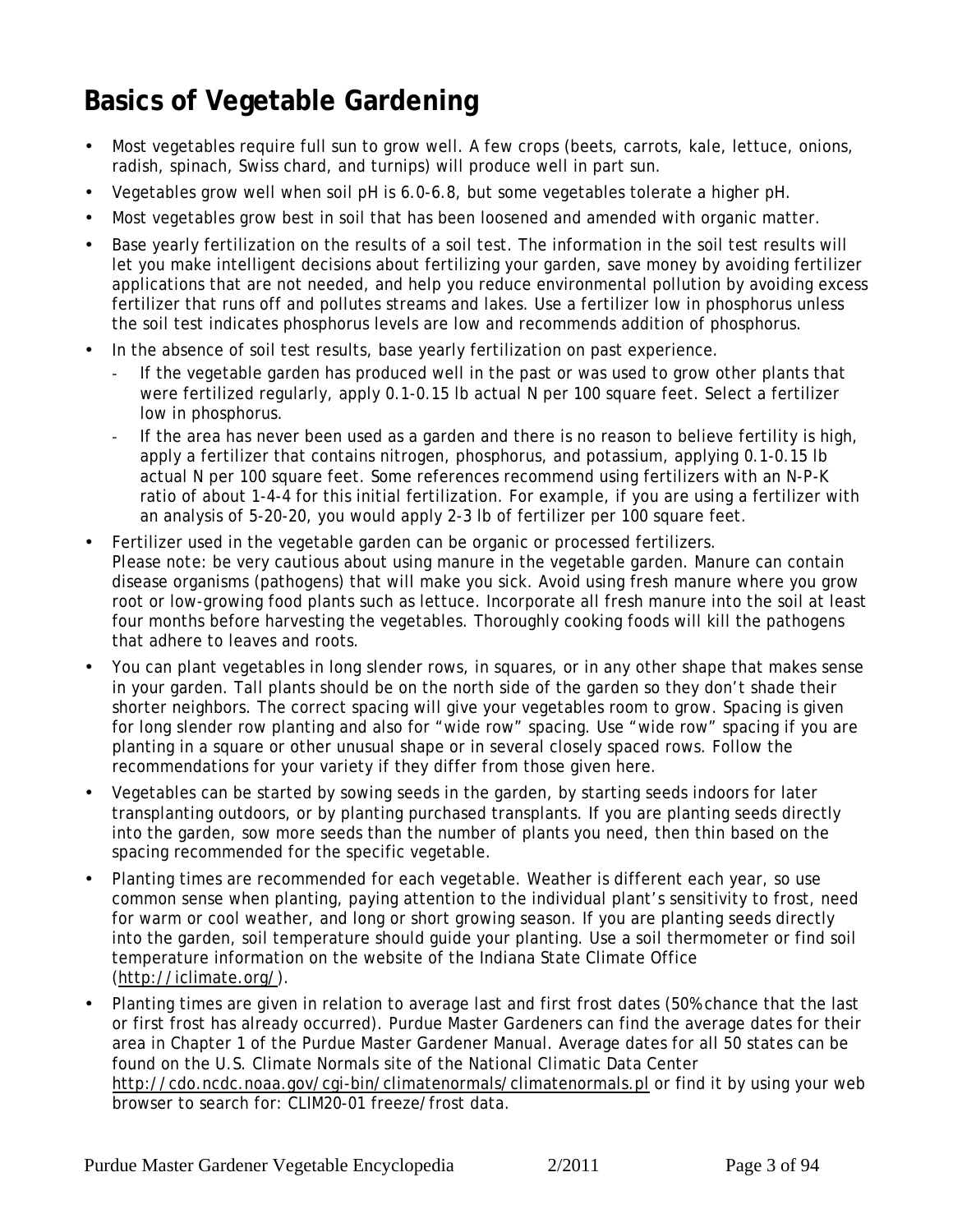# <span id="page-2-0"></span>**Basics of Vegetable Gardening**

- Most vegetables require full sun to grow well. A few crops (beets, carrots, kale, lettuce, onions, radish, spinach, Swiss chard, and turnips) will produce well in part sun.
- Vegetables grow well when soil pH is 6.0-6.8, but some vegetables tolerate a higher pH.
- Most vegetables grow best in soil that has been loosened and amended with organic matter.
- Base yearly fertilization on the results of a soil test. The information in the soil test results will let you make intelligent decisions about fertilizing your garden, save money by avoiding fertilizer applications that are not needed, and help you reduce environmental pollution by avoiding excess fertilizer that runs off and pollutes streams and lakes. Use a fertilizer low in phosphorus unless the soil test indicates phosphorus levels are low and recommends addition of phosphorus.
- In the absence of soil test results, base yearly fertilization on past experience.
	- ! If the vegetable garden has produced well in the past or was used to grow other plants that were fertilized regularly, apply 0.1-0.15 lb actual N per 100 square feet. Select a fertilizer low in phosphorus.
	- If the area has never been used as a garden and there is no reason to believe fertility is high, apply a fertilizer that contains nitrogen, phosphorus, and potassium, applying 0.1-0.15 lb actual N per 100 square feet. Some references recommend using fertilizers with an N-P-K ratio of about 1-4-4 for this initial fertilization. For example, if you are using a fertilizer with an analysis of 5-20-20, you would apply 2-3 lb of fertilizer per 100 square feet.
- Fertilizer used in the vegetable garden can be organic or processed fertilizers. *Please note:* be very cautious about using manure in the vegetable garden. Manure can contain disease organisms (pathogens) that will make you sick. Avoid using fresh manure where you grow root or low-growing food plants such as lettuce. Incorporate all fresh manure into the soil at least four months before harvesting the vegetables. Thoroughly cooking foods will kill the pathogens that adhere to leaves and roots.
- You can plant vegetables in long slender rows, in squares, or in any other shape that makes sense in your garden. Tall plants should be on the north side of the garden so they don't shade their shorter neighbors. The correct spacing will give your vegetables room to grow. Spacing is given for long slender row planting and also for "wide row" spacing. Use "wide row" spacing if you are planting in a square or other unusual shape or in several closely spaced rows. Follow the recommendations for your variety if they differ from those given here.
- Vegetables can be started by sowing seeds in the garden, by starting seeds indoors for later transplanting outdoors, or by planting purchased transplants. If you are planting seeds directly into the garden, sow more seeds than the number of plants you need, then thin based on the spacing recommended for the specific vegetable.
- Planting times are recommended for each vegetable. Weather is different each year, so use common sense when planting, paying attention to the individual plant's sensitivity to frost, need for warm or cool weather, and long or short growing season. If you are planting seeds directly into the garden, soil temperature should guide your planting. Use a soil thermometer or find soil temperature information on the website of the Indiana State Climate Office (http://iclimate.org/).
- Planting times are given in relation to average last and first frost dates (50% chance that the last or first frost has already occurred). Purdue Master Gardeners can find the average dates for their area in Chapter 1 of the Purdue Master Gardener Manual. Average dates for all 50 states can be found on the U.S. Climate Normals site of the National Climatic Data Center http://cdo.ncdc.noaa.gov/cgi-bin/climatenormals/climatenormals.pl or find it by using your web browser to search for: CLIM20-01 freeze/frost data.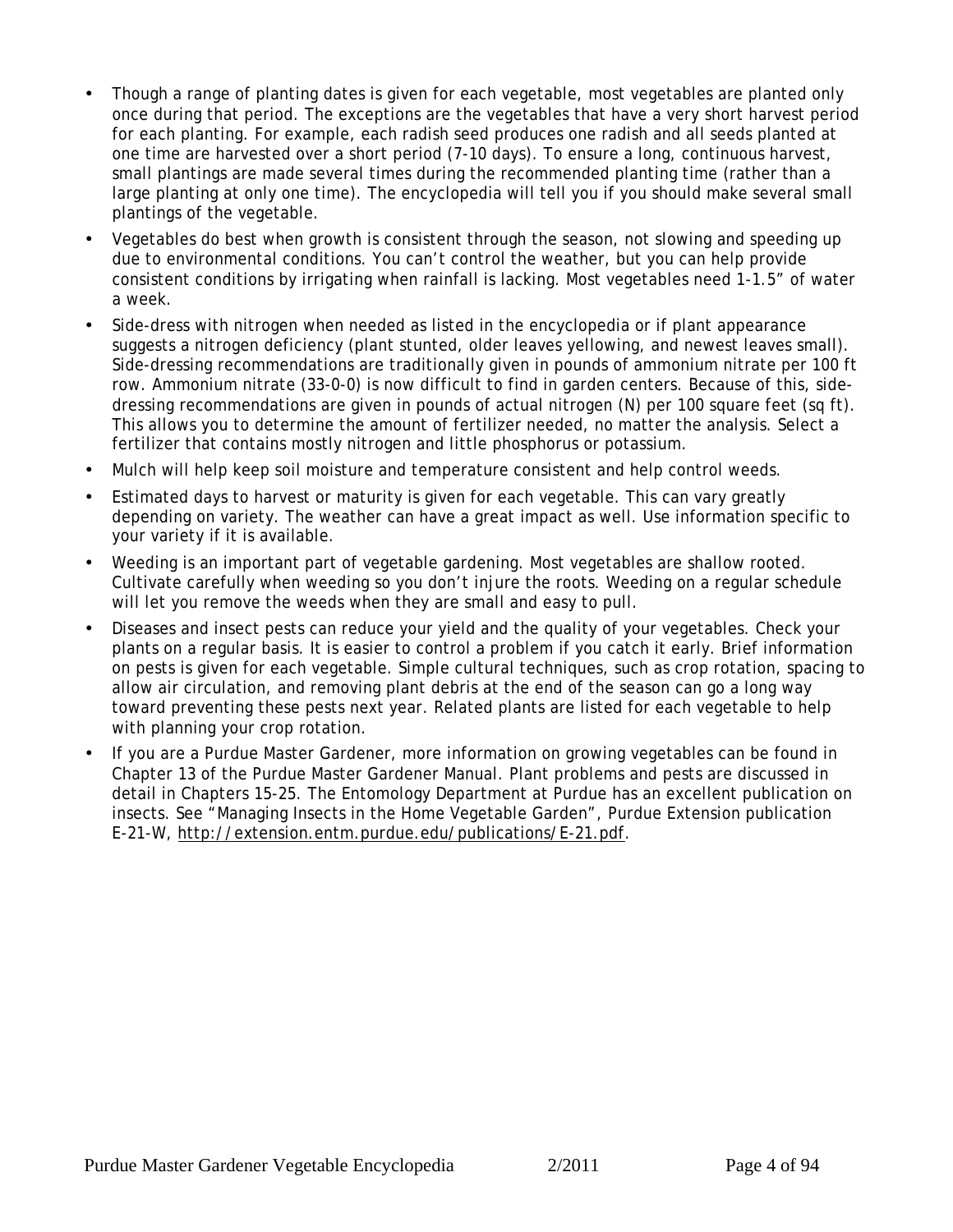- Though a range of planting dates is given for each vegetable, most vegetables are planted only once during that period. The exceptions are the vegetables that have a very short harvest period for each planting. For example, each radish seed produces one radish and all seeds planted at one time are harvested over a short period (7-10 days). To ensure a long, continuous harvest, small plantings are made several times during the recommended planting time (rather than a large planting at only one time). The encyclopedia will tell you if you should make several small plantings of the vegetable.
- Vegetables do best when growth is consistent through the season, not slowing and speeding up due to environmental conditions. You can't control the weather, but you can help provide consistent conditions by irrigating when rainfall is lacking. Most vegetables need 1-1.5" of water a week.
- Side-dress with nitrogen when needed as listed in the encyclopedia or if plant appearance suggests a nitrogen deficiency (plant stunted, older leaves yellowing, and newest leaves small). Side-dressing recommendations are traditionally given in pounds of ammonium nitrate per 100 ft row. Ammonium nitrate (33-0-0) is now difficult to find in garden centers. Because of this, sidedressing recommendations are given in pounds of actual nitrogen (N) per 100 square feet (sq ft). This allows you to determine the amount of fertilizer needed, no matter the analysis. Select a fertilizer that contains mostly nitrogen and little phosphorus or potassium.
- Mulch will help keep soil moisture and temperature consistent and help control weeds.
- Estimated days to harvest or maturity is given for each vegetable. This can vary greatly depending on variety. The weather can have a great impact as well. Use information specific to your variety if it is available.
- Weeding is an important part of vegetable gardening. Most vegetables are shallow rooted. Cultivate carefully when weeding so you don't injure the roots. Weeding on a regular schedule will let you remove the weeds when they are small and easy to pull.
- Diseases and insect pests can reduce your yield and the quality of your vegetables. Check your plants on a regular basis. It is easier to control a problem if you catch it early. Brief information on pests is given for each vegetable. Simple cultural techniques, such as crop rotation, spacing to allow air circulation, and removing plant debris at the end of the season can go a long way toward preventing these pests next year. Related plants are listed for each vegetable to help with planning your crop rotation.
- If you are a Purdue Master Gardener, more information on growing vegetables can be found in Chapter 13 of the Purdue Master Gardener Manual. Plant problems and pests are discussed in detail in Chapters 15-25. The Entomology Department at Purdue has an excellent publication on insects. See "Managing Insects in the Home Vegetable Garden", Purdue Extension publication E-21-W, http://extension.entm.purdue.edu/publications/E-21.pdf.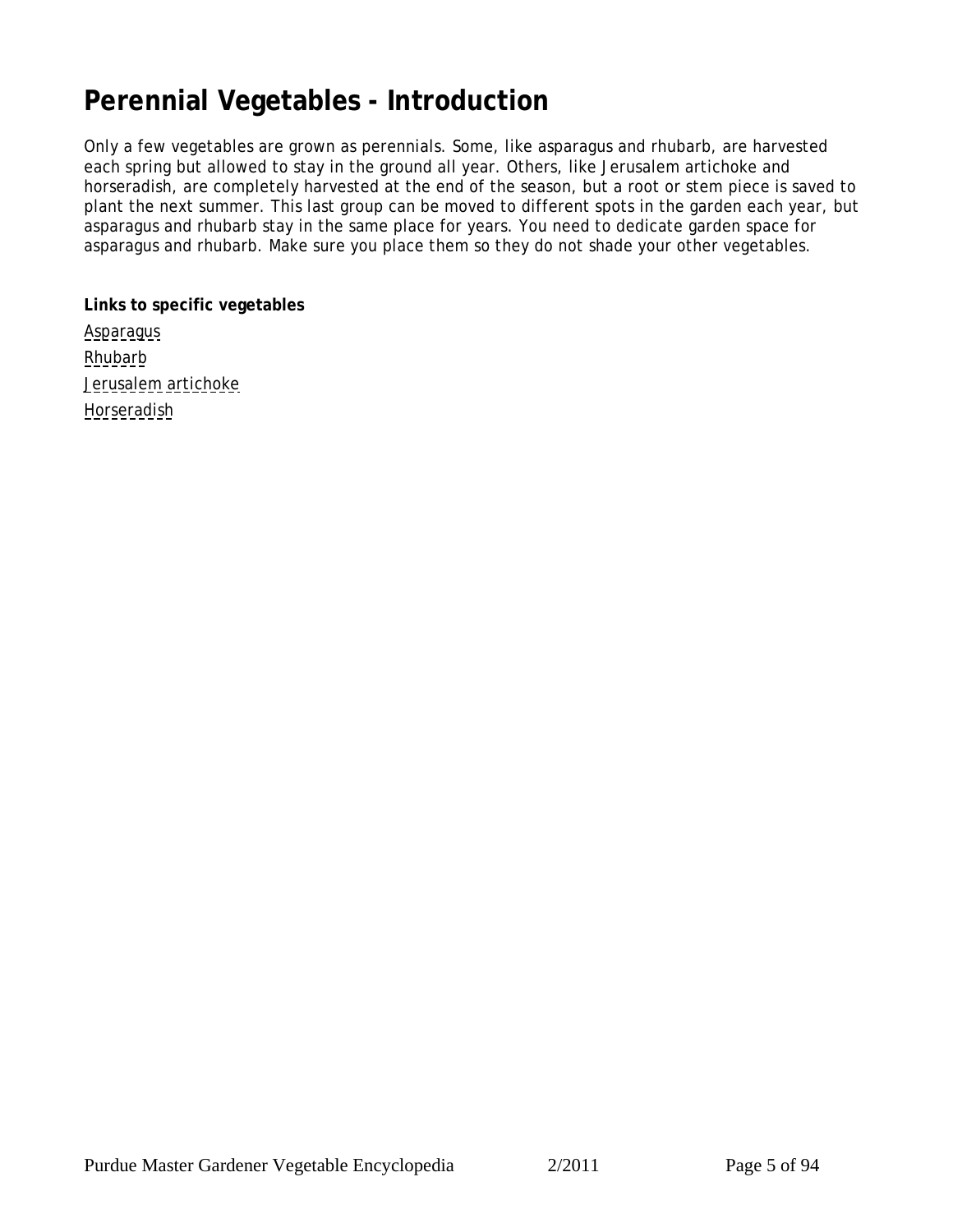# <span id="page-4-0"></span>**Perennial Vegetables - Introduction**

Only a few vegetables are grown as perennials. Some, like asparagus and rhubarb, are harvested each spring but allowed to stay in the ground all year. Others, like Jerusalem artichoke and horseradish, are completely harvested at the end of the season, but a root or stem piece is saved to plant the next summer. This last group can be moved to different spots in the garden each year, but asparagus and rhubarb stay in the same place for years. You need to dedicate garden space for asparagus and rhubarb. Make sure you place them so they do not shade your other vegetables.

**Links to specific vegetables [Asparagus](#page-5-0) [Rhubarb](#page-7-0)** [Jerusalem artichoke](#page-9-0) **[Horseradish](#page-10-0)**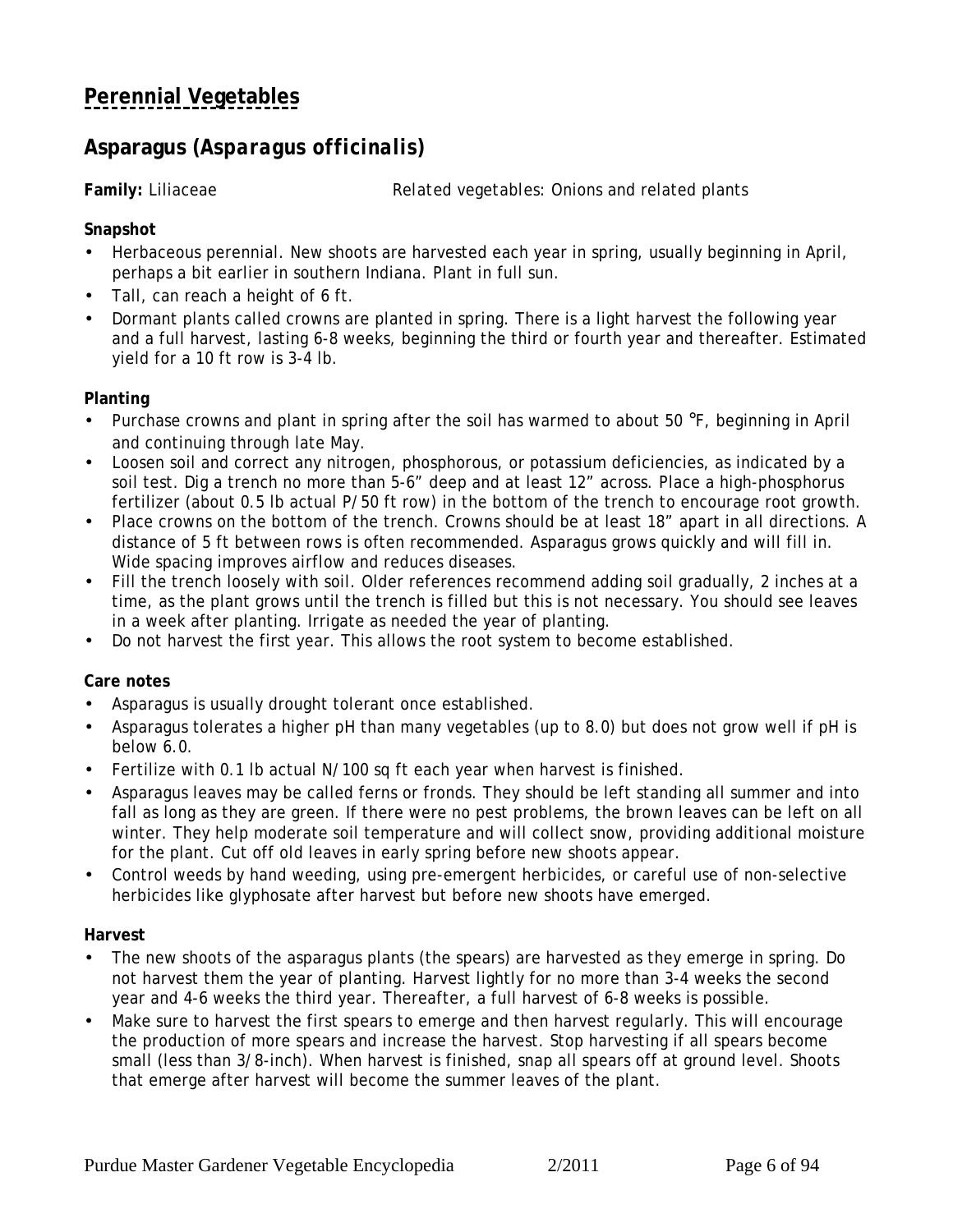## <span id="page-5-0"></span>**[Perennial Vegetables](#page-4-0)**

## **Asparagus (***Asparagus officinalis***)**

**Family:** Liliaceae *Related vegetables:* Onions and related plants

**Snapshot**

- Herbaceous perennial. New shoots are harvested each year in spring, usually beginning in April, perhaps a bit earlier in southern Indiana. Plant in full sun.
- Tall, can reach a height of 6 ft.
- Dormant plants called crowns are planted in spring. There is a light harvest the following year and a full harvest, lasting 6-8 weeks, beginning the third or fourth year and thereafter. Estimated yield for a 10 ft row is 3-4 lb.

### **Planting**

- Purchase crowns and plant in spring after the soil has warmed to about 50 °F, beginning in April and continuing through late May.
- Loosen soil and correct any nitrogen, phosphorous, or potassium deficiencies, as indicated by a soil test. Dig a trench no more than 5-6" deep and at least 12" across. Place a high-phosphorus fertilizer (about 0.5 lb actual P/50 ft row) in the bottom of the trench to encourage root growth.
- Place crowns on the bottom of the trench. Crowns should be at least 18" apart in all directions. A distance of 5 ft between rows is often recommended. Asparagus grows quickly and will fill in. Wide spacing improves airflow and reduces diseases.
- Fill the trench loosely with soil. Older references recommend adding soil gradually, 2 inches at a time, as the plant grows until the trench is filled but this is not necessary. You should see leaves in a week after planting. Irrigate as needed the year of planting.
- Do not harvest the first year. This allows the root system to become established.

**Care notes**

- Asparagus is usually drought tolerant once established.
- Asparagus tolerates a higher pH than many vegetables (up to 8.0) but does not grow well if pH is below 6.0.
- Fertilize with 0.1 lb actual N/100 sq ft each year when harvest is finished.
- Asparagus leaves may be called ferns or fronds. They should be left standing all summer and into fall as long as they are green. If there were no pest problems, the brown leaves can be left on all winter. They help moderate soil temperature and will collect snow, providing additional moisture for the plant. Cut off old leaves in early spring before new shoots appear.
- Control weeds by hand weeding, using pre-emergent herbicides, or careful use of non-selective herbicides like glyphosate after harvest but before new shoots have emerged.

### **Harvest**

- The new shoots of the asparagus plants (the spears) are harvested as they emerge in spring. Do not harvest them the year of planting. Harvest lightly for no more than 3-4 weeks the second year and 4-6 weeks the third year. Thereafter, a full harvest of 6-8 weeks is possible.
- Make sure to harvest the first spears to emerge and then harvest regularly. This will encourage the production of more spears and increase the harvest. Stop harvesting if all spears become small (less than 3/8-inch). When harvest is finished, snap all spears off at ground level. Shoots that emerge after harvest will become the summer leaves of the plant.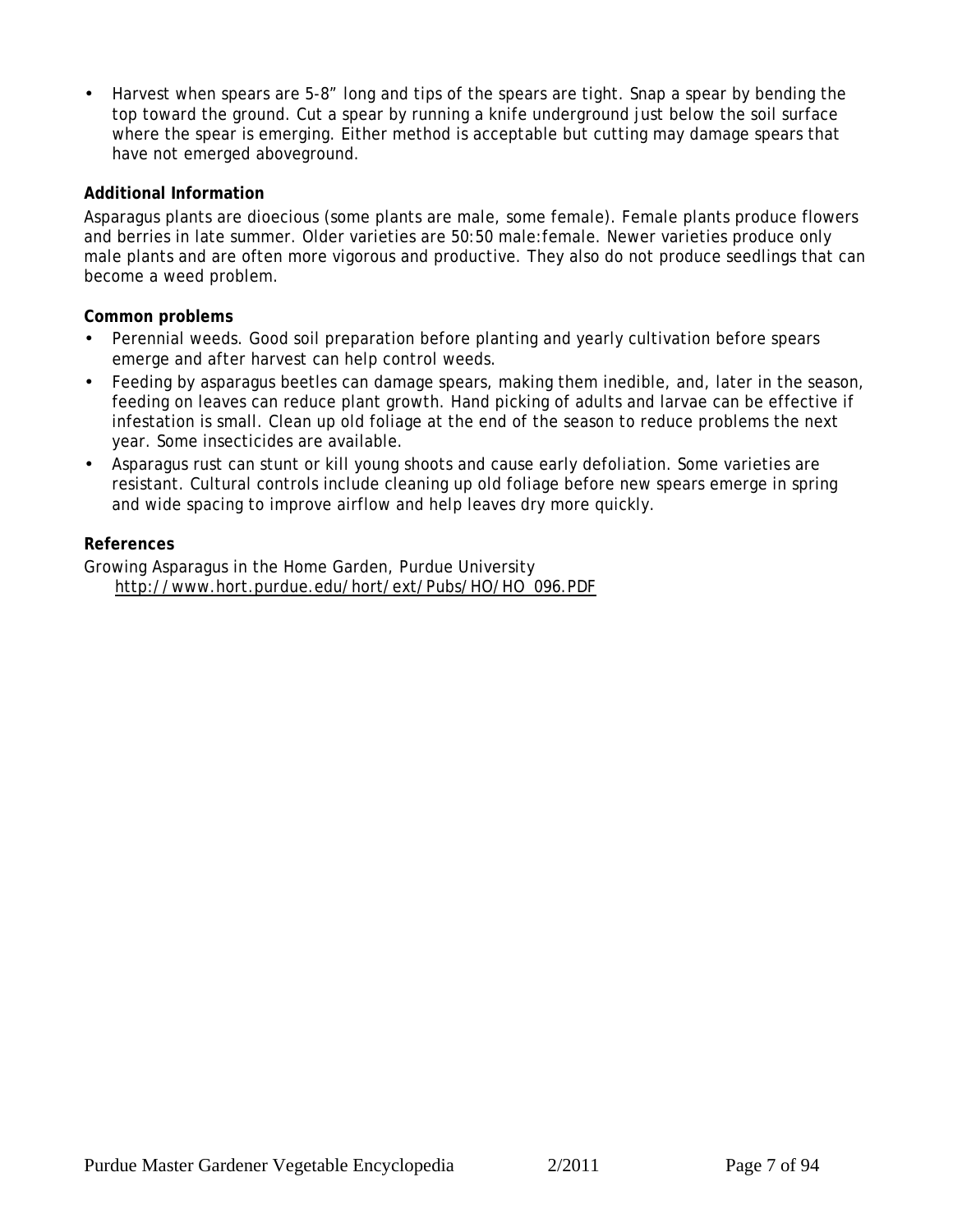• Harvest when spears are 5-8" long and tips of the spears are tight. Snap a spear by bending the top toward the ground. Cut a spear by running a knife underground just below the soil surface where the spear is emerging. Either method is acceptable but cutting may damage spears that have not emerged aboveground.

### **Additional Information**

Asparagus plants are dioecious (some plants are male, some female). Female plants produce flowers and berries in late summer. Older varieties are 50:50 male:female. Newer varieties produce only male plants and are often more vigorous and productive. They also do not produce seedlings that can become a weed problem.

**Common problems**

- Perennial weeds. Good soil preparation before planting and yearly cultivation before spears emerge and after harvest can help control weeds.
- Feeding by asparagus beetles can damage spears, making them inedible, and, later in the season, feeding on leaves can reduce plant growth. Hand picking of adults and larvae can be effective if infestation is small. Clean up old foliage at the end of the season to reduce problems the next year. Some insecticides are available.
- Asparagus rust can stunt or kill young shoots and cause early defoliation. Some varieties are resistant. Cultural controls include cleaning up old foliage before new spears emerge in spring and wide spacing to improve airflow and help leaves dry more quickly.

### **References**

Growing Asparagus in the Home Garden, Purdue University http://www.hort.purdue.edu/hort/ext/Pubs/HO/HO\_096.PDF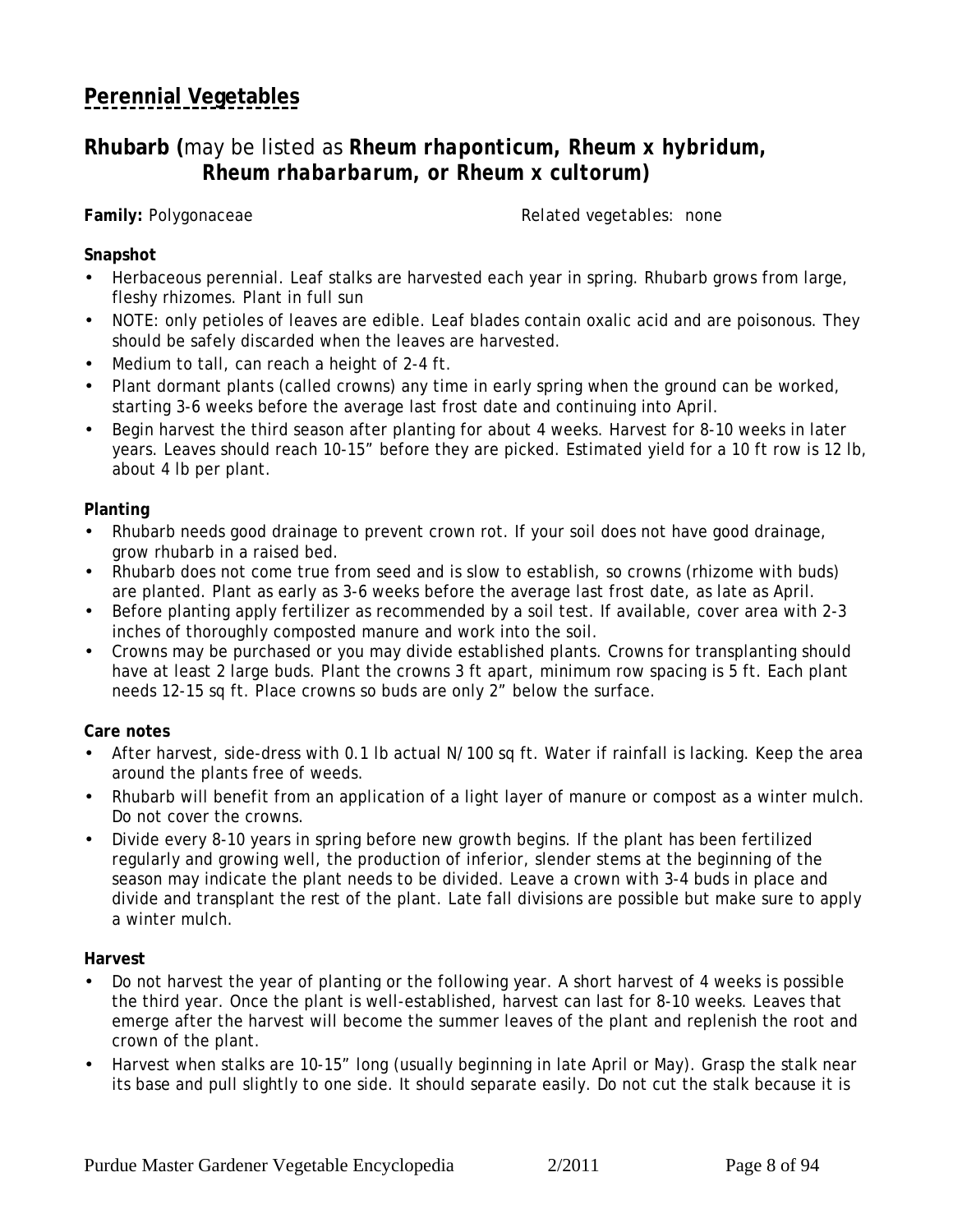# <span id="page-7-0"></span>**[Perennial Vegetables](#page-4-0)**

### **Rhubarb (**may be listed as *Rheum rhaponticum, Rheum x hybridum, Rheum rhabarbarum, or Rheum x cultorum***)**

**Family:** Polygonaceae *Related vegetables:* none

### **Snapshot**

- Herbaceous perennial. Leaf stalks are harvested each year in spring. Rhubarb grows from large, fleshy rhizomes. Plant in full sun
- NOTE: only petioles of leaves are edible. Leaf blades contain oxalic acid and are poisonous. They should be safely discarded when the leaves are harvested.
- Medium to tall, can reach a height of 2-4 ft.
- Plant dormant plants (called crowns) any time in early spring when the ground can be worked, starting 3-6 weeks before the average last frost date and continuing into April.
- Begin harvest the third season after planting for about 4 weeks. Harvest for 8-10 weeks in later years. Leaves should reach 10-15" before they are picked. Estimated yield for a 10 ft row is 12 lb, about 4 lb per plant.

### **Planting**

- Rhubarb needs good drainage to prevent crown rot. If your soil does not have good drainage, grow rhubarb in a raised bed.
- Rhubarb does not come true from seed and is slow to establish, so crowns (rhizome with buds) are planted. Plant as early as 3-6 weeks before the average last frost date, as late as April.
- Before planting apply fertilizer as recommended by a soil test. If available, cover area with 2-3 inches of thoroughly composted manure and work into the soil.
- Crowns may be purchased or you may divide established plants. Crowns for transplanting should have at least 2 large buds. Plant the crowns 3 ft apart, minimum row spacing is 5 ft. Each plant needs 12-15 sq ft. Place crowns so buds are only 2" below the surface.

### **Care notes**

- After harvest, side-dress with 0.1 lb actual N/100 sq ft. Water if rainfall is lacking. Keep the area around the plants free of weeds.
- Rhubarb will benefit from an application of a light layer of manure or compost as a winter mulch. Do not cover the crowns.
- Divide every 8-10 years in spring before new growth begins. If the plant has been fertilized regularly and growing well, the production of inferior, slender stems at the beginning of the season may indicate the plant needs to be divided. Leave a crown with 3-4 buds in place and divide and transplant the rest of the plant. Late fall divisions are possible but make sure to apply a winter mulch.

### **Harvest**

- Do not harvest the year of planting or the following year. A short harvest of 4 weeks is possible the third year. Once the plant is well-established, harvest can last for 8-10 weeks. Leaves that emerge after the harvest will become the summer leaves of the plant and replenish the root and crown of the plant.
- Harvest when stalks are 10-15" long (usually beginning in late April or May). Grasp the stalk near its base and pull slightly to one side. It should separate easily. Do not cut the stalk because it is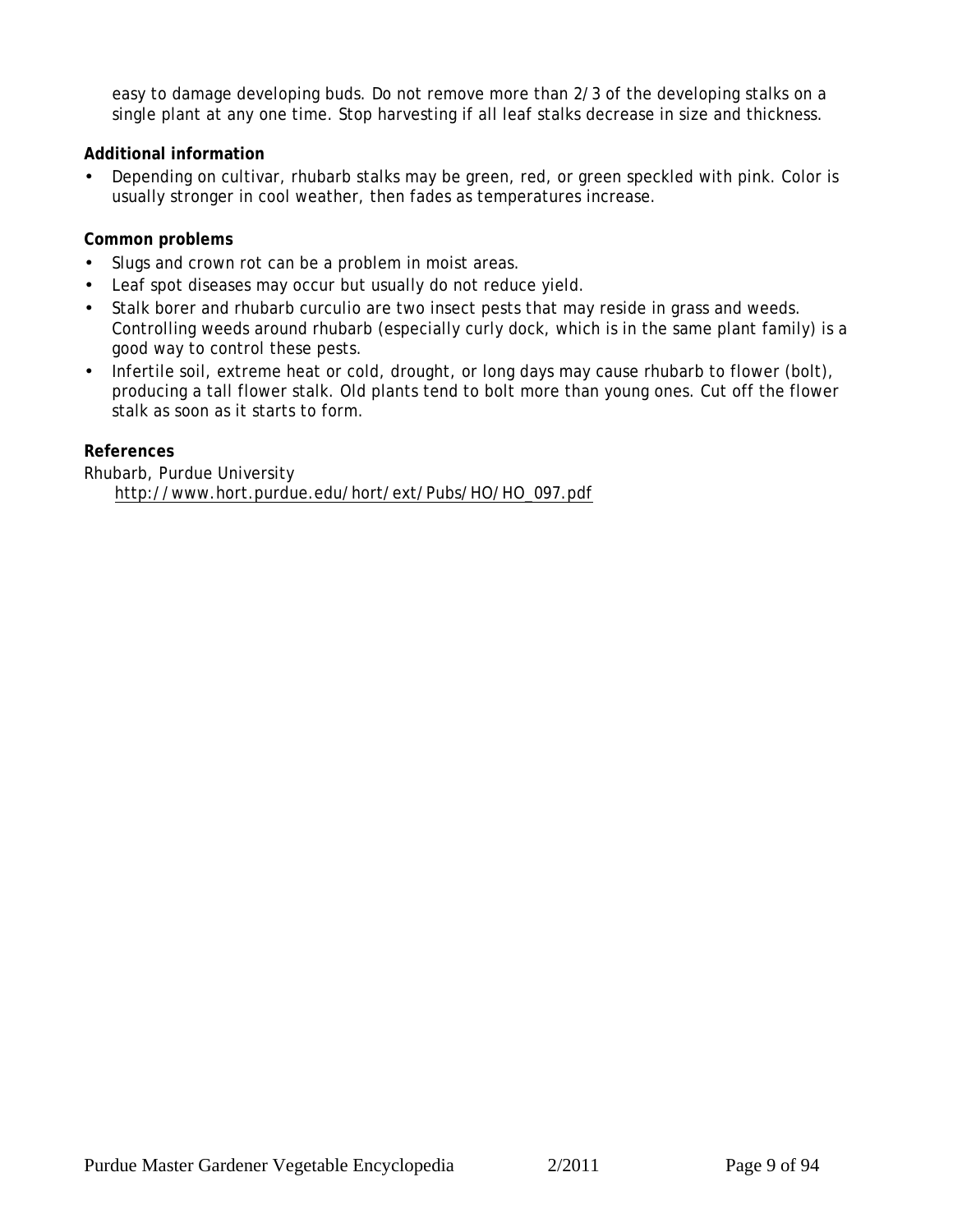easy to damage developing buds. Do not remove more than 2/3 of the developing stalks on a single plant at any one time. Stop harvesting if all leaf stalks decrease in size and thickness.

**Additional information**

• Depending on cultivar, rhubarb stalks may be green, red, or green speckled with pink. Color is usually stronger in cool weather, then fades as temperatures increase.

**Common problems**

- Slugs and crown rot can be a problem in moist areas.
- Leaf spot diseases may occur but usually do not reduce yield.
- Stalk borer and rhubarb curculio are two insect pests that may reside in grass and weeds. Controlling weeds around rhubarb (especially curly dock, which is in the same plant family) is a good way to control these pests.
- Infertile soil, extreme heat or cold, drought, or long days may cause rhubarb to flower (bolt), producing a tall flower stalk. Old plants tend to bolt more than young ones. Cut off the flower stalk as soon as it starts to form.

**References**

Rhubarb, Purdue University http://www.hort.purdue.edu/hort/ext/Pubs/HO/HO\_097.pdf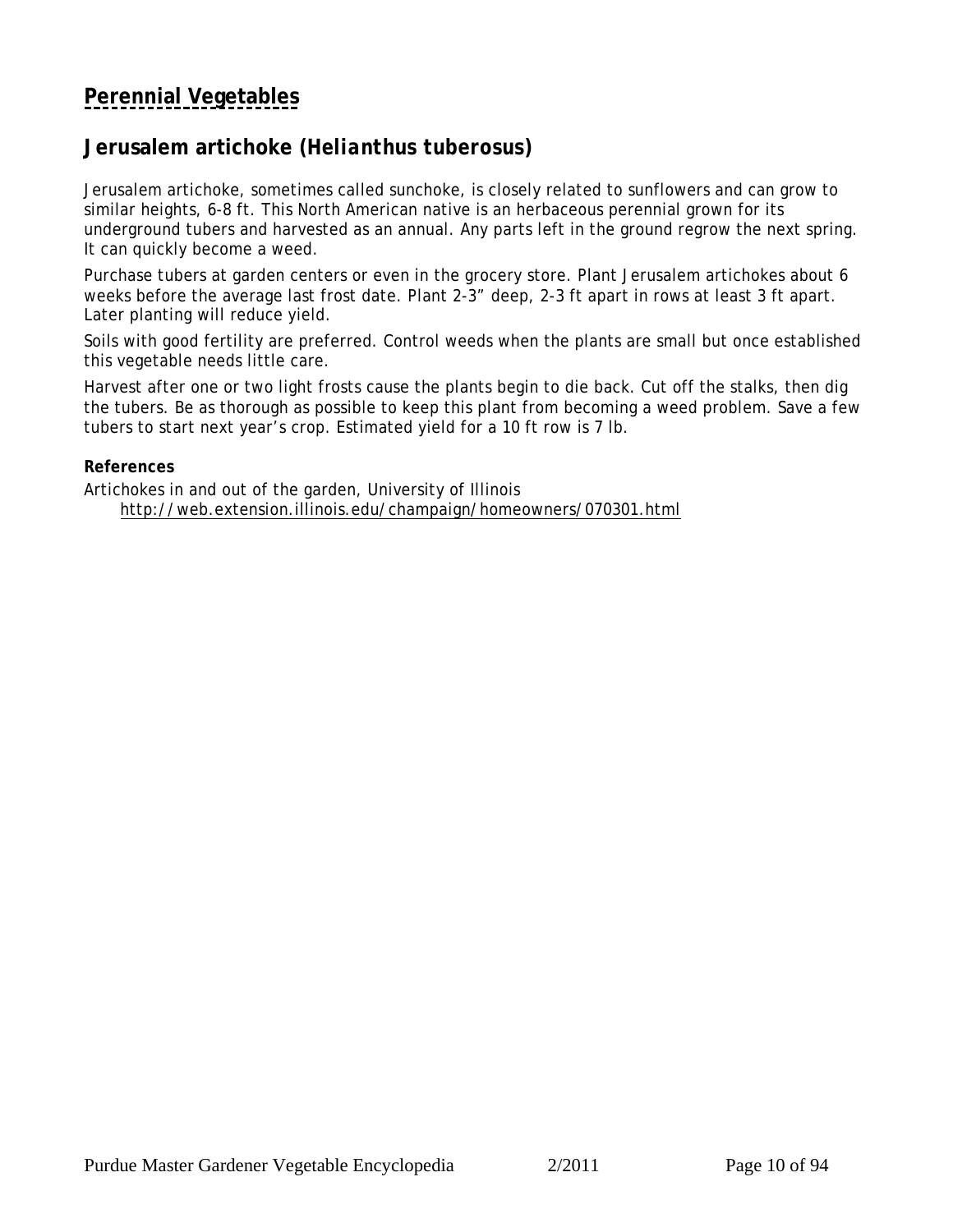## <span id="page-9-0"></span>**[Perennial Vegetables](#page-4-0)**

## **Jerusalem artichoke (***Helianthus tuberosus***)**

Jerusalem artichoke, sometimes called sunchoke, is closely related to sunflowers and can grow to similar heights, 6-8 ft. This North American native is an herbaceous perennial grown for its underground tubers and harvested as an annual. Any parts left in the ground regrow the next spring. It can quickly become a weed.

Purchase tubers at garden centers or even in the grocery store. Plant Jerusalem artichokes about 6 weeks before the average last frost date. Plant 2-3" deep, 2-3 ft apart in rows at least 3 ft apart. Later planting will reduce yield.

Soils with good fertility are preferred. Control weeds when the plants are small but once established this vegetable needs little care.

Harvest after one or two light frosts cause the plants begin to die back. Cut off the stalks, then dig the tubers. Be as thorough as possible to keep this plant from becoming a weed problem. Save a few tubers to start next year's crop. Estimated yield for a 10 ft row is 7 lb.

**References**

Artichokes in and out of the garden, University of Illinois http://web.extension.illinois.edu/champaign/homeowners/070301.html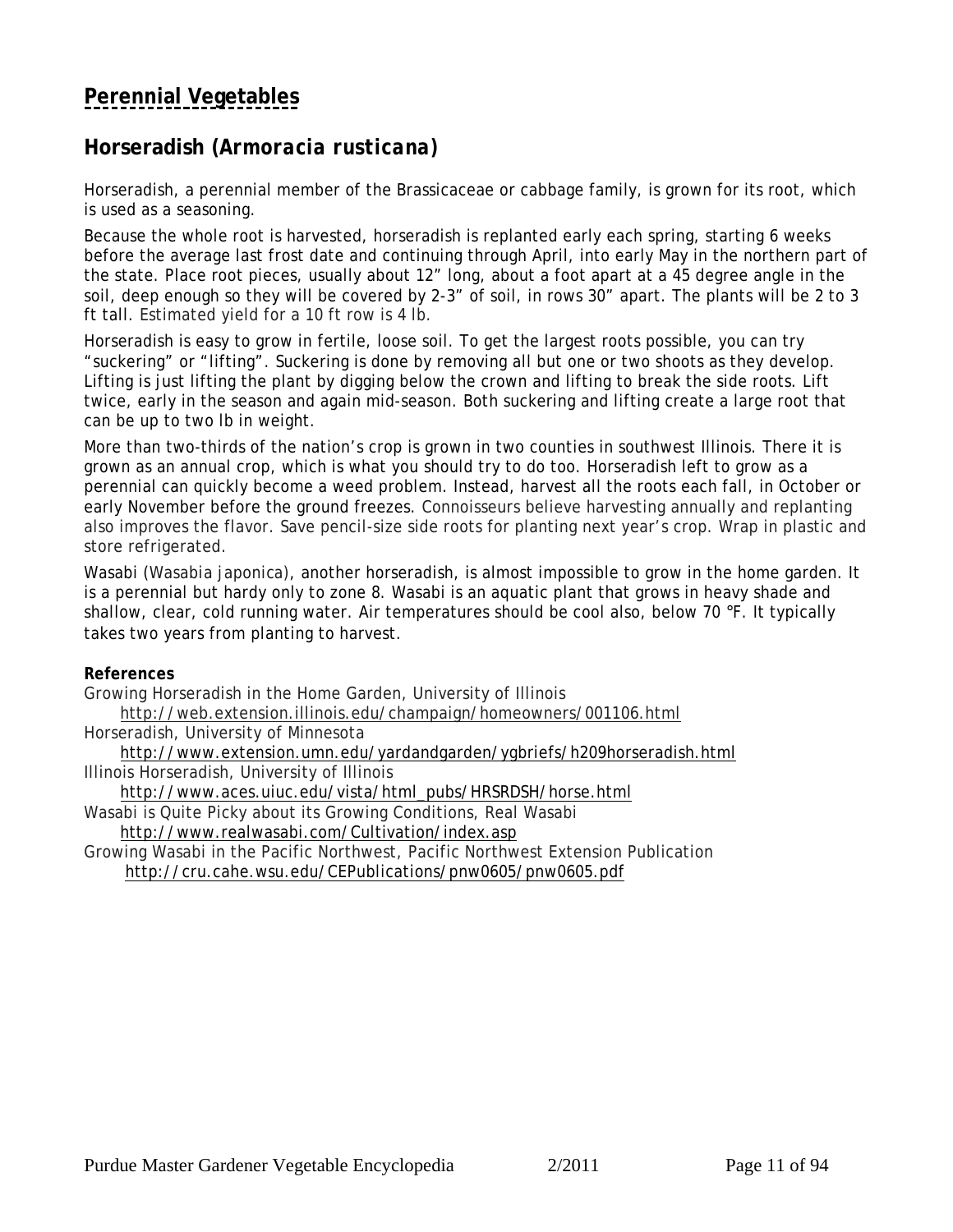# <span id="page-10-0"></span>**[Perennial Vegetables](#page-4-0)**

## **Horseradish (***Armoracia rusticana)*

Horseradish, a perennial member of the Brassicaceae or cabbage family, is grown for its root, which is used as a seasoning.

Because the whole root is harvested, horseradish is replanted early each spring, starting 6 weeks before the average last frost date and continuing through April, into early May in the northern part of the state. Place root pieces, usually about 12" long, about a foot apart at a 45 degree angle in the soil, deep enough so they will be covered by 2-3" of soil, in rows 30" apart. The plants will be 2 to 3 ft tall. Estimated yield for a 10 ft row is 4 lb.

Horseradish is easy to grow in fertile, loose soil. To get the largest roots possible, you can try "suckering" or "lifting". Suckering is done by removing all but one or two shoots as they develop. Lifting is just lifting the plant by digging below the crown and lifting to break the side roots. Lift twice, early in the season and again mid-season. Both suckering and lifting create a large root that can be up to two lb in weight.

More than two-thirds of the nation's crop is grown in two counties in southwest Illinois. There it is grown as an annual crop, which is what you should try to do too. Horseradish left to grow as a perennial can quickly become a weed problem. Instead, harvest all the roots each fall, in October or early November before the ground freezes. Connoisseurs believe harvesting annually and replanting also improves the flavor. Save pencil-size side roots for planting next year's crop. Wrap in plastic and store refrigerated.

Wasabi (*Wasabia japonica*), another horseradish, is almost impossible to grow in the home garden. It is a perennial but hardy only to zone 8. Wasabi is an aquatic plant that grows in heavy shade and shallow, clear, cold running water. Air temperatures should be cool also, below 70 °F. It typically takes two years from planting to harvest.

**References**

Growing Horseradish in the Home Garden, University of Illinois

http://web.extension.illinois.edu/champaign/homeowners/001106.html

Horseradish, University of Minnesota

 http://www.extension.umn.edu/yardandgarden/ygbriefs/h209horseradish.html Illinois Horseradish, University of Illinois

http://www.aces.uiuc.edu/vista/html\_pubs/HRSRDSH/horse.html

Wasabi is Quite Picky about its Growing Conditions, Real Wasabi http://www.realwasabi.com/Cultivation/index.asp

Growing Wasabi in the Pacific Northwest, Pacific Northwest Extension Publication http://cru.cahe.wsu.edu/CEPublications/pnw0605/pnw0605.pdf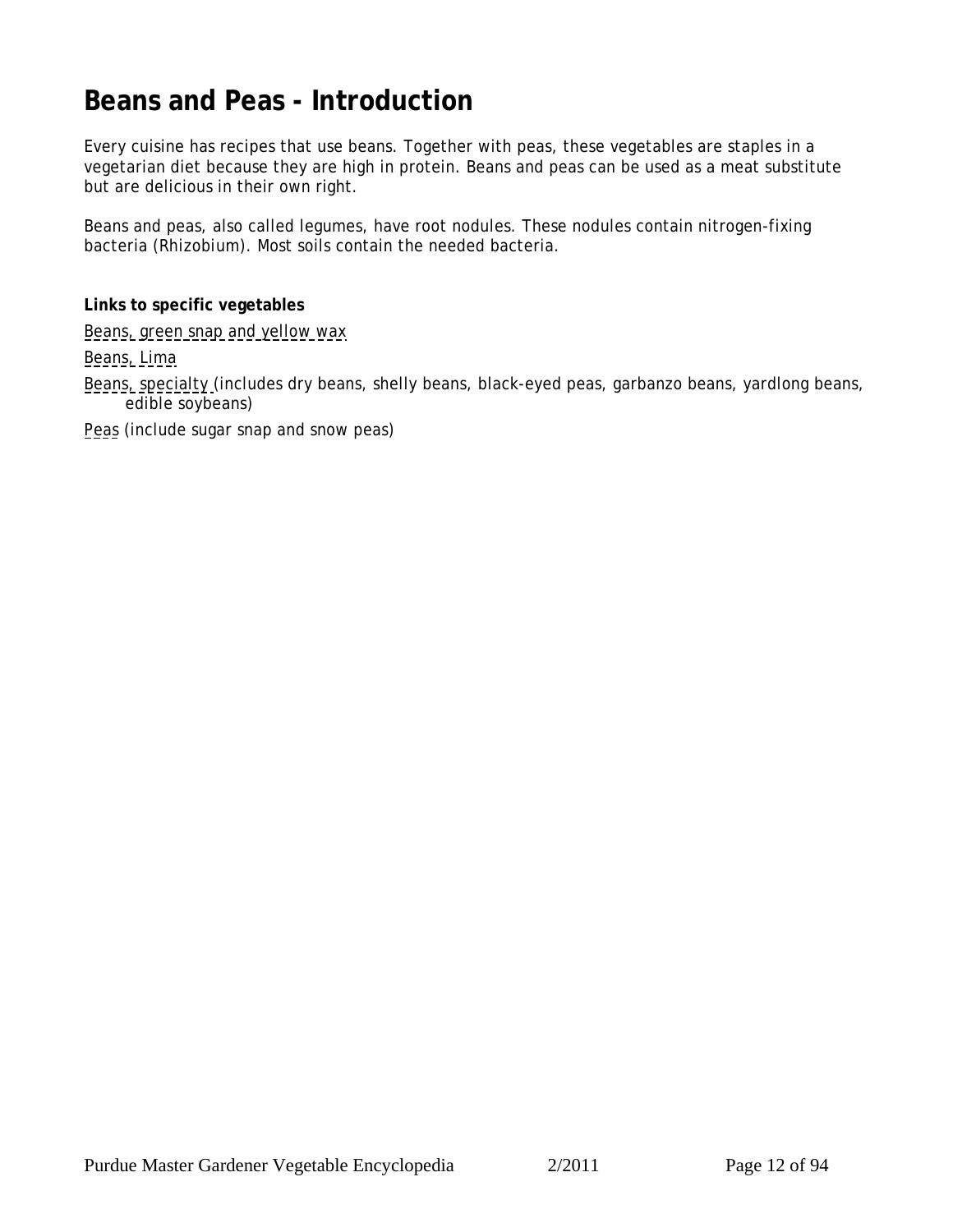# <span id="page-11-0"></span>**Beans and Peas - Introduction**

Every cuisine has recipes that use beans. Together with peas, these vegetables are staples in a vegetarian diet because they are high in protein. Beans and peas can be used as a meat substitute but are delicious in their own right.

Beans and peas, also called legumes, have root nodules. These nodules contain nitrogen-fixing bacteria (*Rhizobium*). Most soils contain the needed bacteria.

**Links to specific vegetables**

[Beans, green snap and yellow wax](#page-12-0)

[Beans, Lima](#page-14-0)

[Beans, specialty](#page-16-0) (includes dry beans, shelly beans, black-eyed peas, garbanzo beans, yardlong beans, edible soybeans)

[Peas \(](#page-18-0)include sugar snap and snow peas)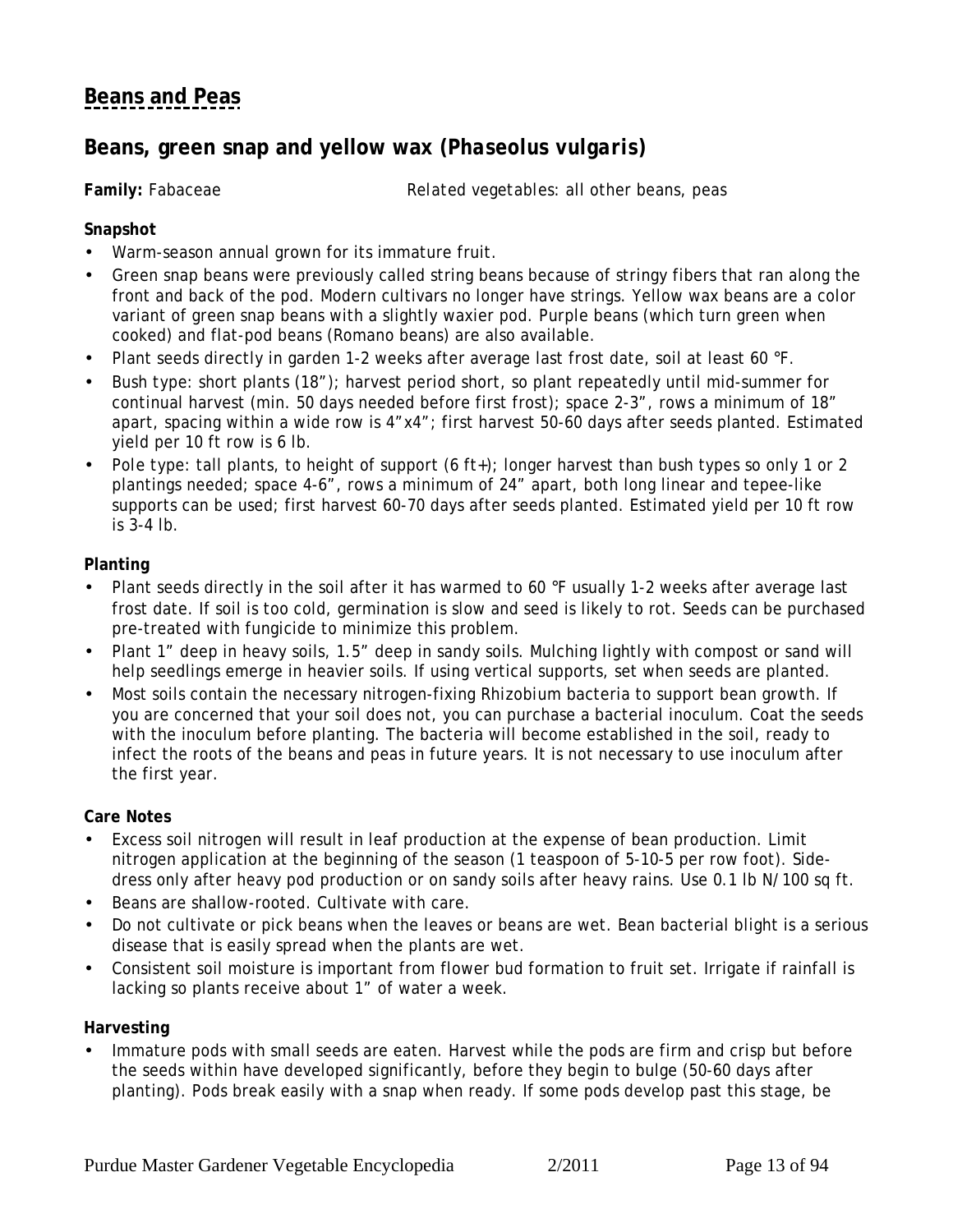# <span id="page-12-0"></span>**[Beans and Peas](#page-11-0)**

## **Beans, green snap and yellow wax (***Phaseolus vulgaris***)**

**Family:** Fabaceae *Related vegetables:* all other beans, peas

### **Snapshot**

- Warm-season annual grown for its immature fruit.
- Green snap beans were previously called string beans because of stringy fibers that ran along the front and back of the pod. Modern cultivars no longer have strings. Yellow wax beans are a color variant of green snap beans with a slightly waxier pod. Purple beans (which turn green when cooked) and flat-pod beans (Romano beans) are also available.
- Plant seeds directly in garden 1-2 weeks after average last frost date, soil at least 60 °F.
- *Bush type:* short plants (18"); harvest period short, so plant repeatedly until mid-summer for continual harvest (min. 50 days needed before first frost); space 2-3", rows a minimum of 18" apart, spacing within a wide row is 4"x4"; first harvest 50-60 days after seeds planted. Estimated yield per 10 ft row is 6 lb.
- *Pole type:* tall plants, to height of support (6 ft+); longer harvest than bush types so only 1 or 2 plantings needed; space 4-6", rows a minimum of 24" apart, both long linear and tepee-like supports can be used; first harvest 60-70 days after seeds planted. Estimated yield per 10 ft row is 3-4 lb.

### **Planting**

- Plant seeds directly in the soil after it has warmed to 60 °F usually 1-2 weeks after average last frost date. If soil is too cold, germination is slow and seed is likely to rot. Seeds can be purchased pre-treated with fungicide to minimize this problem.
- Plant 1" deep in heavy soils, 1.5" deep in sandy soils. Mulching lightly with compost or sand will help seedlings emerge in heavier soils. If using vertical supports, set when seeds are planted.
- Most soils contain the necessary nitrogen-fixing *Rhizobium* bacteria to support bean growth. If you are concerned that your soil does not, you can purchase a bacterial inoculum. Coat the seeds with the inoculum before planting. The bacteria will become established in the soil, ready to infect the roots of the beans and peas in future years. It is not necessary to use inoculum after the first year.

### **Care Notes**

- Excess soil nitrogen will result in leaf production at the expense of bean production. Limit nitrogen application at the beginning of the season (1 teaspoon of 5-10-5 per row foot). Sidedress only after heavy pod production or on sandy soils after heavy rains. Use 0.1 lb N/100 sq ft.
- Beans are shallow-rooted. Cultivate with care.
- Do not cultivate or pick beans when the leaves or beans are wet. Bean bacterial blight is a serious disease that is easily spread when the plants are wet.
- Consistent soil moisture is important from flower bud formation to fruit set. Irrigate if rainfall is lacking so plants receive about 1" of water a week.

**Harvesting**

• Immature pods with small seeds are eaten. Harvest while the pods are firm and crisp but before the seeds within have developed significantly, before they begin to bulge (50-60 days after planting). Pods break easily with a snap when ready. If some pods develop past this stage, be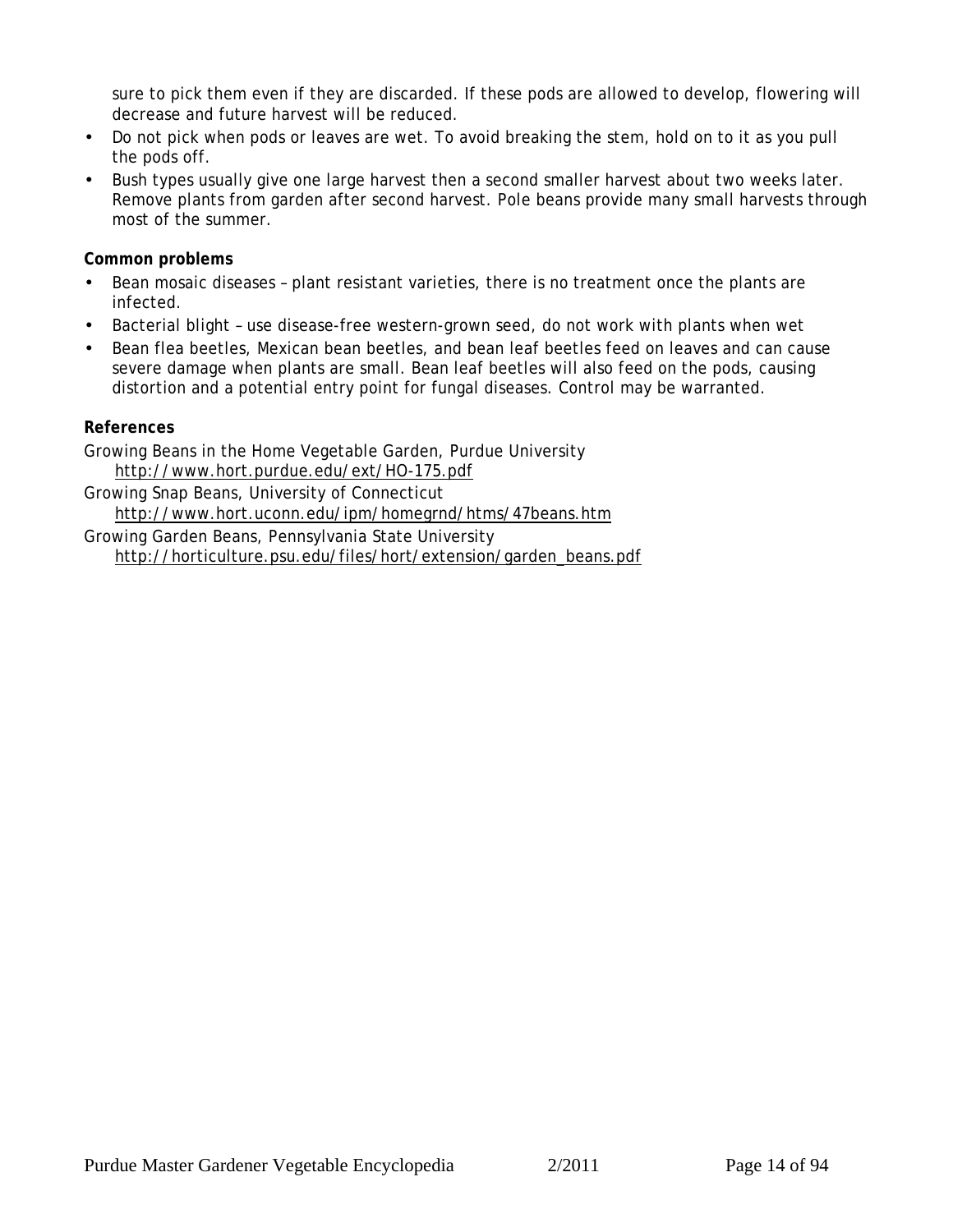sure to pick them even if they are discarded. If these pods are allowed to develop, flowering will decrease and future harvest will be reduced.

- Do not pick when pods or leaves are wet. To avoid breaking the stem, hold on to it as you pull the pods off.
- Bush types usually give one large harvest then a second smaller harvest about two weeks later. Remove plants from garden after second harvest. Pole beans provide many small harvests through most of the summer.

**Common problems**

- Bean mosaic diseases plant resistant varieties, there is no treatment once the plants are infected.
- Bacterial blight use disease-free western-grown seed, do not work with plants when wet
- Bean flea beetles, Mexican bean beetles, and bean leaf beetles feed on leaves and can cause severe damage when plants are small. Bean leaf beetles will also feed on the pods, causing distortion and a potential entry point for fungal diseases. Control may be warranted.

**References**

Growing Beans in the Home Vegetable Garden, Purdue University http://www.hort.purdue.edu/ext/HO-175.pdf

Growing Snap Beans, University of Connecticut http://www.hort.uconn.edu/ipm/homegrnd/htms/47beans.htm

Growing Garden Beans, Pennsylvania State University http://horticulture.psu.edu/files/hort/extension/garden\_beans.pdf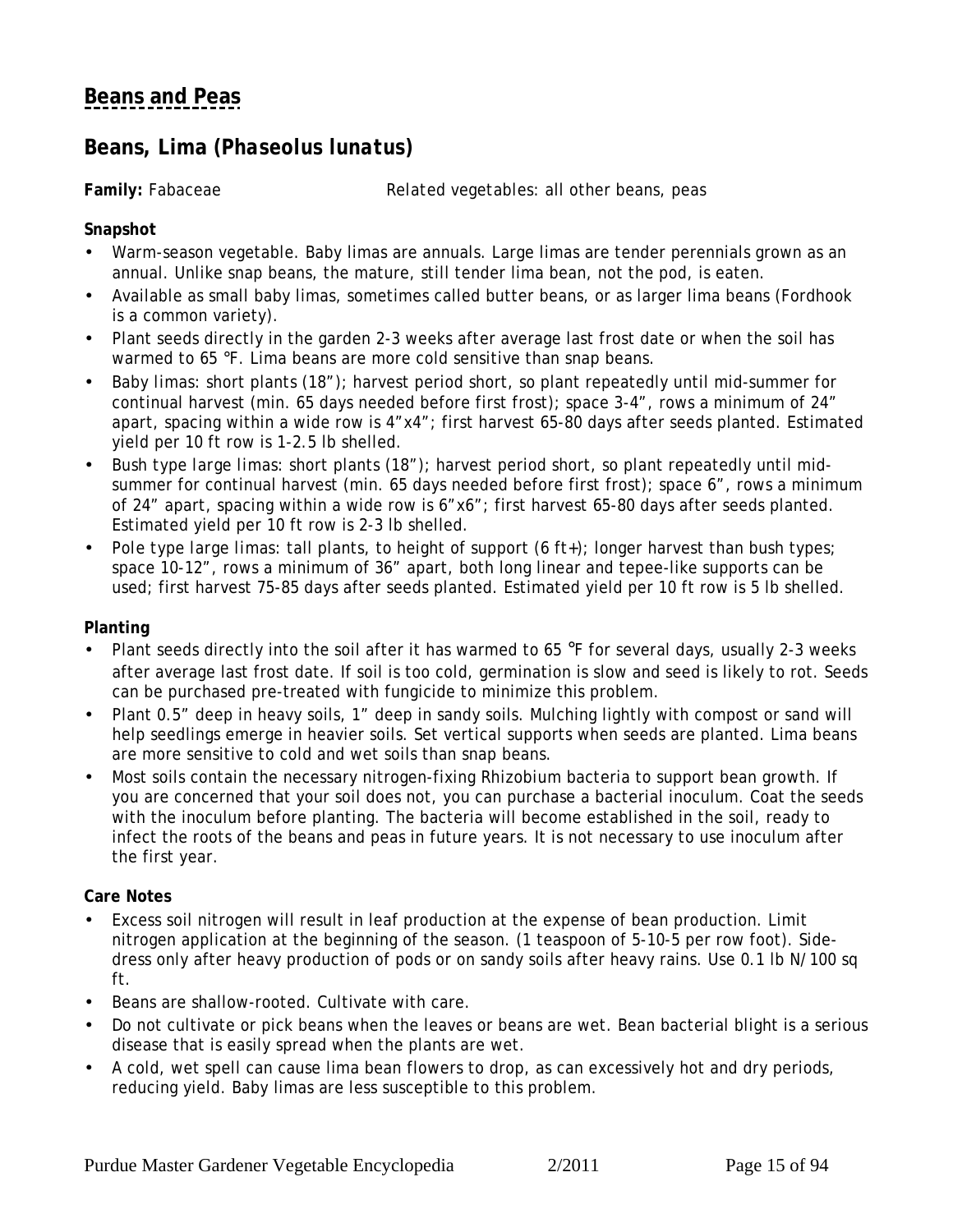## <span id="page-14-0"></span>**[Beans and Peas](#page-11-0)**

### **Beans, Lima** *(Phaseolus lunatus)*

**Family:** Fabaceae *Related vegetables:* all other beans, peas

**Snapshot**

- Warm-season vegetable. Baby limas are annuals. Large limas are tender perennials grown as an annual. Unlike snap beans, the mature, still tender lima bean, not the pod, is eaten.
- Available as small baby limas, sometimes called butter beans, or as larger lima beans (Fordhook is a common variety).
- Plant seeds directly in the garden 2-3 weeks after average last frost date or when the soil has warmed to 65 °F. Lima beans are more cold sensitive than snap beans.
- *Baby limas:* short plants (18"); harvest period short, so plant repeatedly until mid-summer for continual harvest (min. 65 days needed before first frost); space 3-4", rows a minimum of 24" apart, spacing within a wide row is 4"x4"; first harvest 65-80 days after seeds planted. Estimated yield per 10 ft row is 1-2.5 lb shelled.
- *Bush type large limas:* short plants (18"); harvest period short, so plant repeatedly until midsummer for continual harvest (min. 65 days needed before first frost); space 6", rows a minimum of 24" apart, spacing within a wide row is 6"x6"; first harvest 65-80 days after seeds planted. Estimated yield per 10 ft row is 2-3 lb shelled.
- *Pole type large limas:* tall plants, to height of support (6 ft+); longer harvest than bush types; space 10-12", rows a minimum of 36" apart, both long linear and tepee-like supports can be used; first harvest 75-85 days after seeds planted. Estimated yield per 10 ft row is 5 lb shelled.

### **Planting**

- Plant seeds directly into the soil after it has warmed to 65 °F for several days, usually 2-3 weeks after average last frost date. If soil is too cold, germination is slow and seed is likely to rot. Seeds can be purchased pre-treated with fungicide to minimize this problem.
- Plant 0.5" deep in heavy soils, 1" deep in sandy soils. Mulching lightly with compost or sand will help seedlings emerge in heavier soils. Set vertical supports when seeds are planted. Lima beans are more sensitive to cold and wet soils than snap beans.
- Most soils contain the necessary nitrogen-fixing *Rhizobium* bacteria to support bean growth. If you are concerned that your soil does not, you can purchase a bacterial inoculum. Coat the seeds with the inoculum before planting. The bacteria will become established in the soil, ready to infect the roots of the beans and peas in future years. It is not necessary to use inoculum after the first year.

### **Care Notes**

- Excess soil nitrogen will result in leaf production at the expense of bean production. Limit nitrogen application at the beginning of the season. (1 teaspoon of 5-10-5 per row foot). Sidedress only after heavy production of pods or on sandy soils after heavy rains. Use 0.1 lb N/100 sq ft.
- Beans are shallow-rooted. Cultivate with care.
- Do not cultivate or pick beans when the leaves or beans are wet. Bean bacterial blight is a serious disease that is easily spread when the plants are wet.
- A cold, wet spell can cause lima bean flowers to drop, as can excessively hot and dry periods, reducing yield. Baby limas are less susceptible to this problem.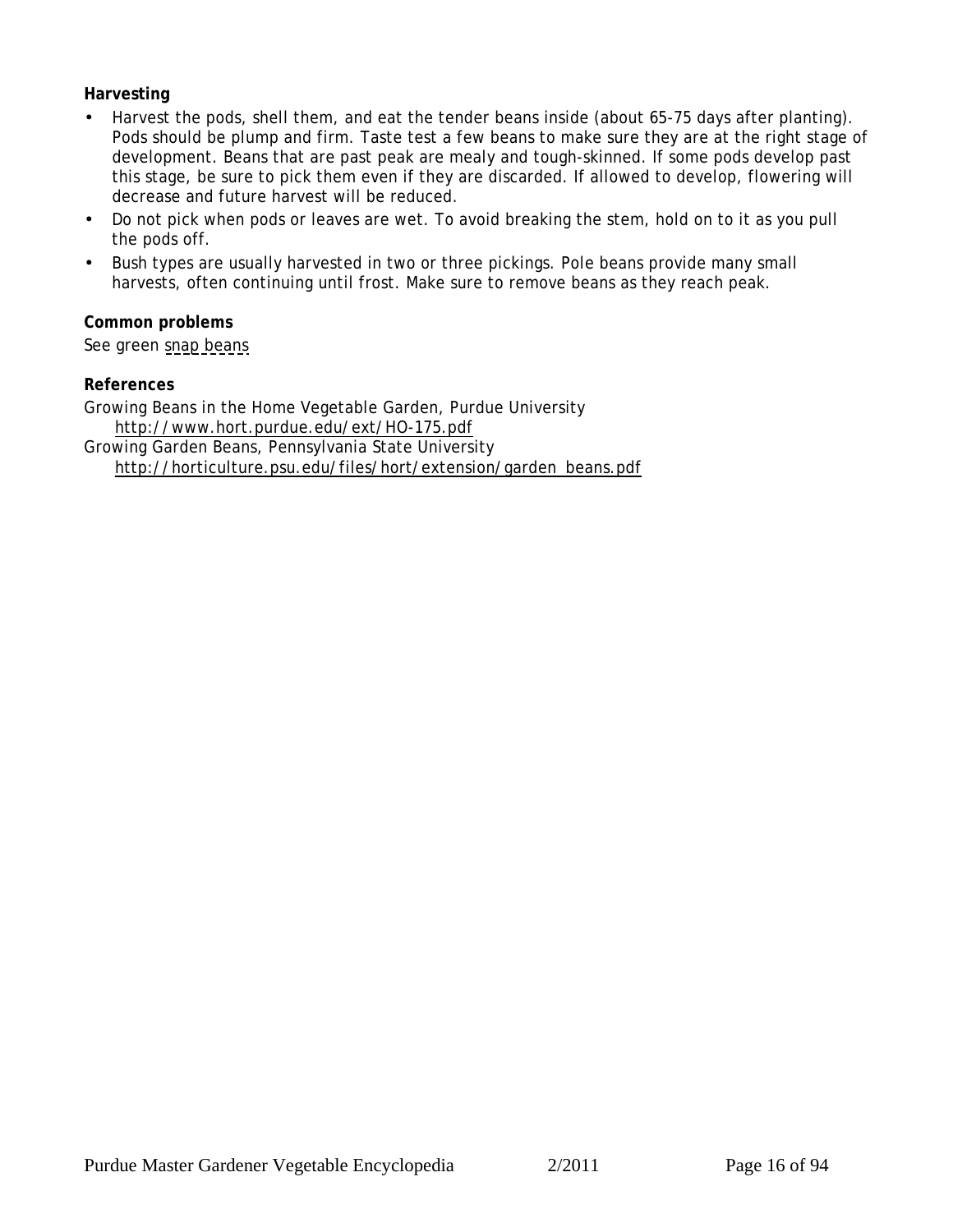### **Harvesting**

- Harvest the pods, shell them, and eat the tender beans inside (about 65-75 days after planting). Pods should be plump and firm. Taste test a few beans to make sure they are at the right stage of development. Beans that are past peak are mealy and tough-skinned. If some pods develop past this stage, be sure to pick them even if they are discarded. If allowed to develop, flowering will decrease and future harvest will be reduced.
- Do not pick when pods or leaves are wet. To avoid breaking the stem, hold on to it as you pull the pods off.
- Bush types are usually harvested in two or three pickings. Pole beans provide many small harvests, often continuing until frost. Make sure to remove beans as they reach peak.

**Common problems** See green [snap beans](#page-12-0)

**References**

Growing Beans in the Home Vegetable Garden, Purdue University http://www.hort.purdue.edu/ext/HO-175.pdf Growing Garden Beans, Pennsylvania State University

http://horticulture.psu.edu/files/hort/extension/garden\_beans.pdf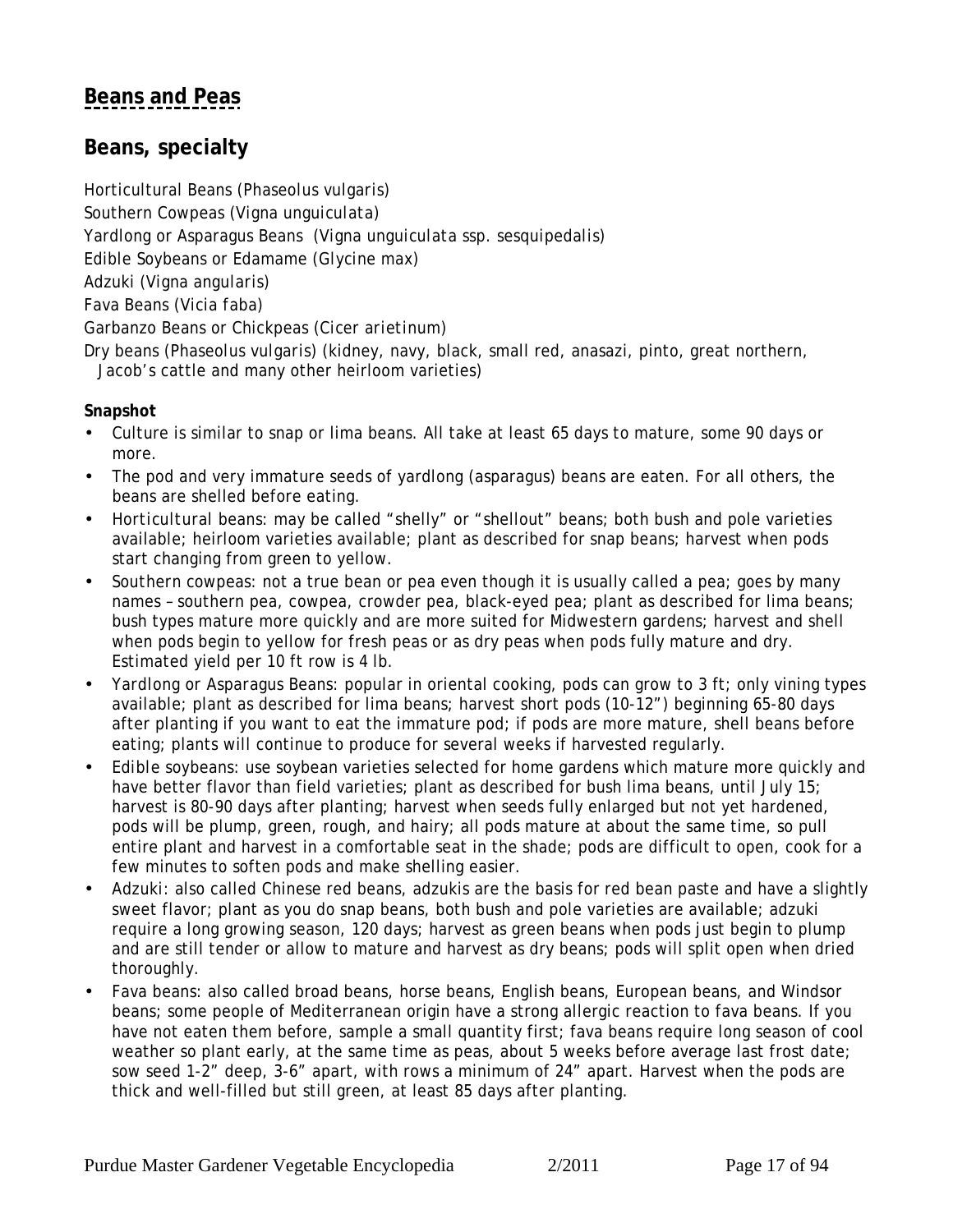## <span id="page-16-0"></span>**[Beans and Peas](#page-11-0)**

**Beans, specialty**

Horticultural Beans (*Phaseolus vulgaris)*

Southern Cowpeas *(Vigna unguiculata)*

Yardlong or Asparagus Beans *(Vigna unguiculata* ssp. *sesquipedalis*)

Edible Soybeans or Edamame (*Glycine max)*

Adzuki *(Vigna angularis)*

Fava Beans *(Vicia faba)*

Garbanzo Beans or Chickpeas *(Cicer arietinum)*

Dry beans (*Phaseolus vulgaris*) (kidney, navy, black, small red, anasazi, pinto, great northern, Jacob's cattle and many other heirloom varieties)

**Snapshot**

- Culture is similar to snap or lima beans. All take at least 65 days to mature, some 90 days or more.
- The pod and very immature seeds of yardlong (asparagus) beans are eaten. For all others, the beans are shelled before eating.
- *Horticultural beans:* may be called "shelly" or "shellout" beans; both bush and pole varieties available; heirloom varieties available; plant as described for snap beans; harvest when pods start changing from green to yellow.
- *Southern cowpeas:* not a true bean or pea even though it is usually called a pea; goes by many names – southern pea, cowpea, crowder pea, black-eyed pea; plant as described for lima beans; bush types mature more quickly and are more suited for Midwestern gardens; harvest and shell when pods begin to yellow for fresh peas or as dry peas when pods fully mature and dry. Estimated yield per 10 ft row is 4 lb.
- *Yardlong or Asparagus Beans:* popular in oriental cooking, pods can grow to 3 ft; only vining types available; plant as described for lima beans; harvest short pods (10-12") beginning 65-80 days after planting if you want to eat the immature pod; if pods are more mature, shell beans before eating; plants will continue to produce for several weeks if harvested regularly.
- *Edible soybeans:* use soybean varieties selected for home gardens which mature more quickly and have better flavor than field varieties; plant as described for bush lima beans, until July 15; harvest is 80-90 days after planting; harvest when seeds fully enlarged but not yet hardened, pods will be plump, green, rough, and hairy; all pods mature at about the same time, so pull entire plant and harvest in a comfortable seat in the shade; pods are difficult to open, cook for a few minutes to soften pods and make shelling easier.
- *Adzuki:* also called Chinese red beans, adzukis are the basis for red bean paste and have a slightly sweet flavor; plant as you do snap beans, both bush and pole varieties are available; adzuki require a long growing season, 120 days; harvest as green beans when pods just begin to plump and are still tender or allow to mature and harvest as dry beans; pods will split open when dried thoroughly.
- *Fava beans*: also called broad beans, horse beans, English beans, European beans, and Windsor beans; some people of Mediterranean origin have a strong allergic reaction to fava beans. If you have not eaten them before, sample a small quantity first; fava beans require long season of cool weather so plant early, at the same time as peas, about 5 weeks before average last frost date; sow seed 1-2" deep, 3-6" apart, with rows a minimum of 24" apart. Harvest when the pods are thick and well-filled but still green, at least 85 days after planting.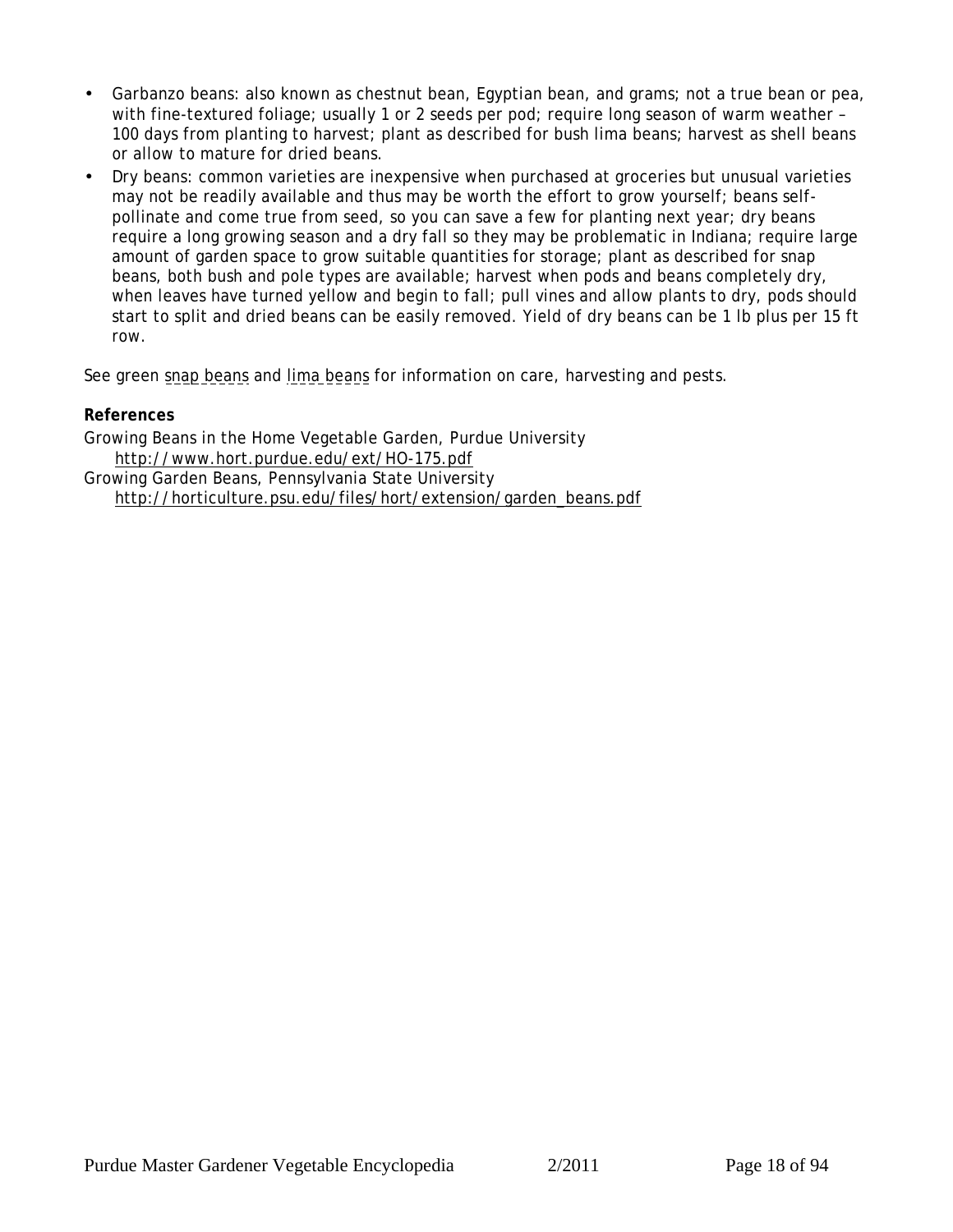- *Garbanzo beans*: also known as chestnut bean, Egyptian bean, and grams; not a true bean or pea, with fine-textured foliage; usually 1 or 2 seeds per pod; require long season of warm weather – 100 days from planting to harvest; plant as described for bush lima beans; harvest as shell beans or allow to mature for dried beans.
- *Dry beans:* common varieties are inexpensive when purchased at groceries but unusual varieties may not be readily available and thus may be worth the effort to grow yourself; beans selfpollinate and come true from seed, so you can save a few for planting next year; dry beans require a long growing season and a dry fall so they may be problematic in Indiana; require large amount of garden space to grow suitable quantities for storage; plant as described for snap beans, both bush and pole types are available; harvest when pods and beans completely dry, when leaves have turned yellow and begin to fall; pull vines and allow plants to dry, pods should start to split and dried beans can be easily removed. Yield of dry beans can be 1 lb plus per 15 ft row.

See green [snap beans](#page-12-0) and [lima beans](#page-14-0) for information on care, harvesting and pests.

### **References**

Growing Beans in the Home Vegetable Garden, Purdue University http://www.hort.purdue.edu/ext/HO-175.pdf Growing Garden Beans, Pennsylvania State University

http://horticulture.psu.edu/files/hort/extension/garden\_beans.pdf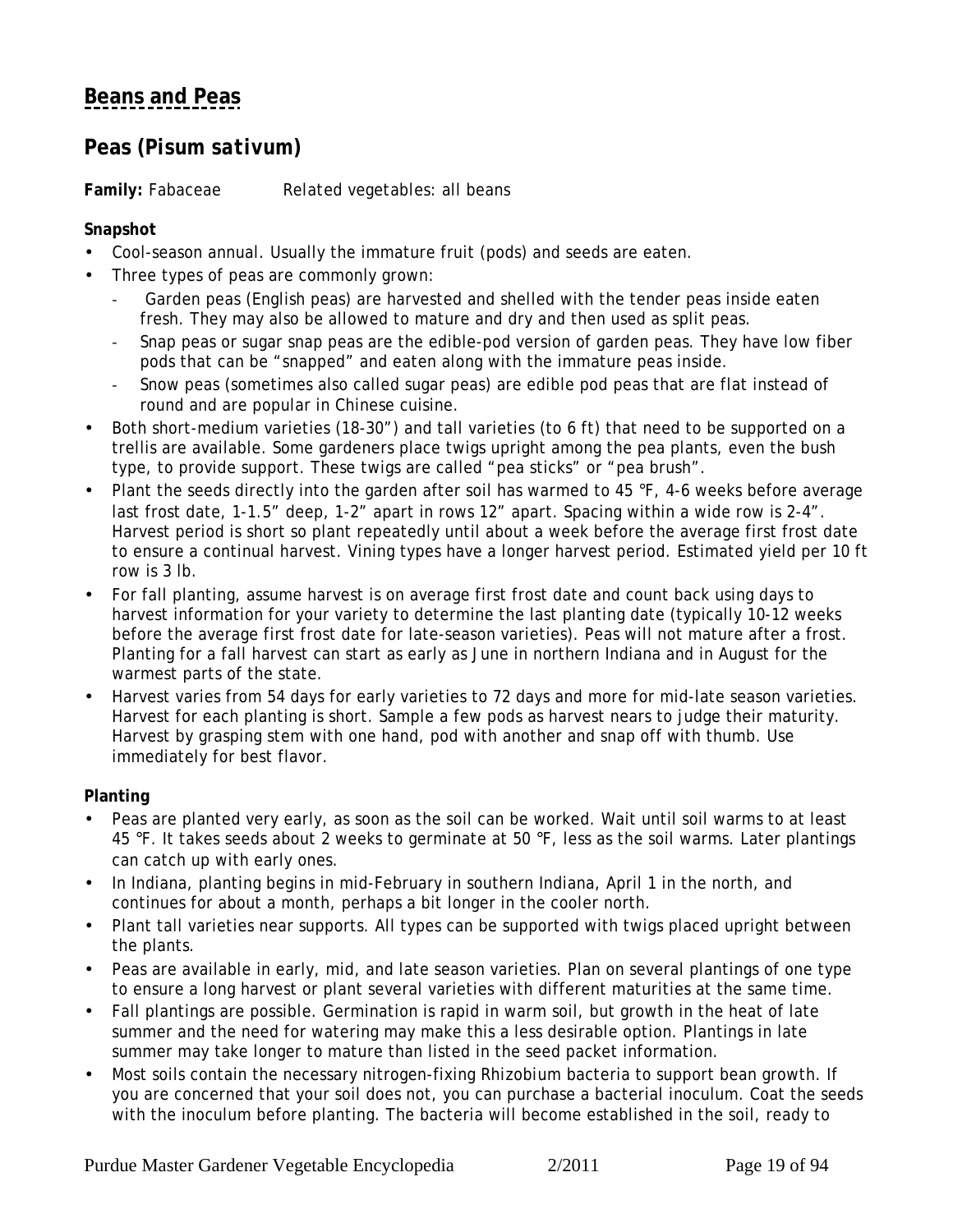# <span id="page-18-0"></span>**[Beans and Peas](#page-11-0)**

### **Peas (***Pisum sativum***)**

**Family:** Fabaceae *Related vegetables:* all beans

### **Snapshot**

- Cool-season annual. Usually the immature fruit (pods) and seeds are eaten.
- Three types of peas are commonly grown:
	- Garden peas (English peas) are harvested and shelled with the tender peas inside eaten fresh. They may also be allowed to mature and dry and then used as split peas.
	- Snap peas or sugar snap peas are the edible-pod version of garden peas. They have low fiber pods that can be "snapped" and eaten along with the immature peas inside.
	- ! Snow peas (sometimes also called sugar peas) are edible pod peas that are flat instead of round and are popular in Chinese cuisine.
- Both short-medium varieties (18-30") and tall varieties (to 6 ft) that need to be supported on a trellis are available. Some gardeners place twigs upright among the pea plants, even the bush type, to provide support. These twigs are called "pea sticks" or "pea brush".
- Plant the seeds directly into the garden after soil has warmed to 45 °F, 4-6 weeks before average last frost date, 1-1.5" deep, 1-2" apart in rows 12" apart. Spacing within a wide row is 2-4". Harvest period is short so plant repeatedly until about a week before the average first frost date to ensure a continual harvest. Vining types have a longer harvest period. Estimated yield per 10 ft row is 3 lb.
- For fall planting, assume harvest is on average first frost date and count back using days to harvest information for your variety to determine the last planting date (typically 10-12 weeks before the average first frost date for late-season varieties). Peas will not mature after a frost. Planting for a fall harvest can start as early as June in northern Indiana and in August for the warmest parts of the state.
- Harvest varies from 54 days for early varieties to 72 days and more for mid-late season varieties. Harvest for each planting is short. Sample a few pods as harvest nears to judge their maturity. Harvest by grasping stem with one hand, pod with another and snap off with thumb. Use immediately for best flavor.

**Planting**

- Peas are planted very early, as soon as the soil can be worked. Wait until soil warms to at least 45 °F. It takes seeds about 2 weeks to germinate at 50 °F, less as the soil warms. Later plantings can catch up with early ones.
- In Indiana, planting begins in mid-February in southern Indiana, April 1 in the north, and continues for about a month, perhaps a bit longer in the cooler north.
- Plant tall varieties near supports. All types can be supported with twigs placed upright between the plants.
- Peas are available in early, mid, and late season varieties. Plan on several plantings of one type to ensure a long harvest or plant several varieties with different maturities at the same time.
- Fall plantings are possible. Germination is rapid in warm soil, but growth in the heat of late summer and the need for watering may make this a less desirable option. Plantings in late summer may take longer to mature than listed in the seed packet information.
- Most soils contain the necessary nitrogen-fixing *Rhizobium* bacteria to support bean growth. If you are concerned that your soil does not, you can purchase a bacterial inoculum. Coat the seeds with the inoculum before planting. The bacteria will become established in the soil, ready to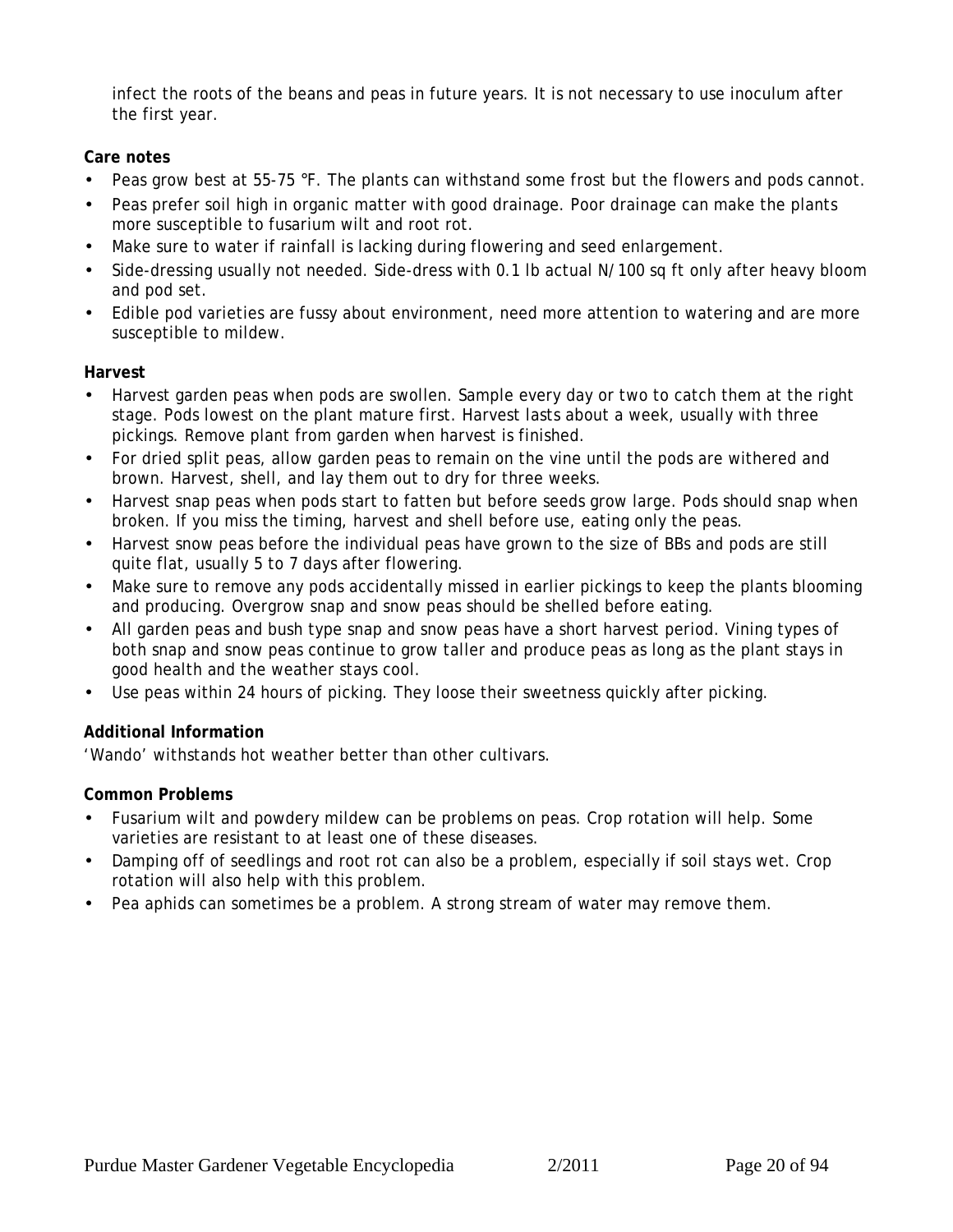infect the roots of the beans and peas in future years. It is not necessary to use inoculum after the first year.

### **Care notes**

- Peas grow best at 55-75 °F. The plants can withstand some frost but the flowers and pods cannot.
- Peas prefer soil high in organic matter with good drainage. Poor drainage can make the plants more susceptible to fusarium wilt and root rot.
- Make sure to water if rainfall is lacking during flowering and seed enlargement.
- Side-dressing usually not needed. Side-dress with 0.1 lb actual N/100 sq ft only after heavy bloom and pod set.
- Edible pod varieties are fussy about environment, need more attention to watering and are more susceptible to mildew.

### **Harvest**

- Harvest garden peas when pods are swollen. Sample every day or two to catch them at the right stage. Pods lowest on the plant mature first. Harvest lasts about a week, usually with three pickings. Remove plant from garden when harvest is finished.
- For dried split peas, allow garden peas to remain on the vine until the pods are withered and brown. Harvest, shell, and lay them out to dry for three weeks.
- Harvest snap peas when pods start to fatten but before seeds grow large. Pods should snap when broken. If you miss the timing, harvest and shell before use, eating only the peas.
- Harvest snow peas before the individual peas have grown to the size of BBs and pods are still quite flat, usually 5 to 7 days after flowering.
- Make sure to remove any pods accidentally missed in earlier pickings to keep the plants blooming and producing. Overgrow snap and snow peas should be shelled before eating.
- All garden peas and bush type snap and snow peas have a short harvest period. Vining types of both snap and snow peas continue to grow taller and produce peas as long as the plant stays in good health and the weather stays cool.
- Use peas within 24 hours of picking. They loose their sweetness quickly after picking.

### **Additional Information**

'Wando' withstands hot weather better than other cultivars.

### **Common Problems**

- Fusarium wilt and powdery mildew can be problems on peas. Crop rotation will help. Some varieties are resistant to at least one of these diseases.
- Damping off of seedlings and root rot can also be a problem, especially if soil stays wet. Crop rotation will also help with this problem.
- Pea aphids can sometimes be a problem. A strong stream of water may remove them.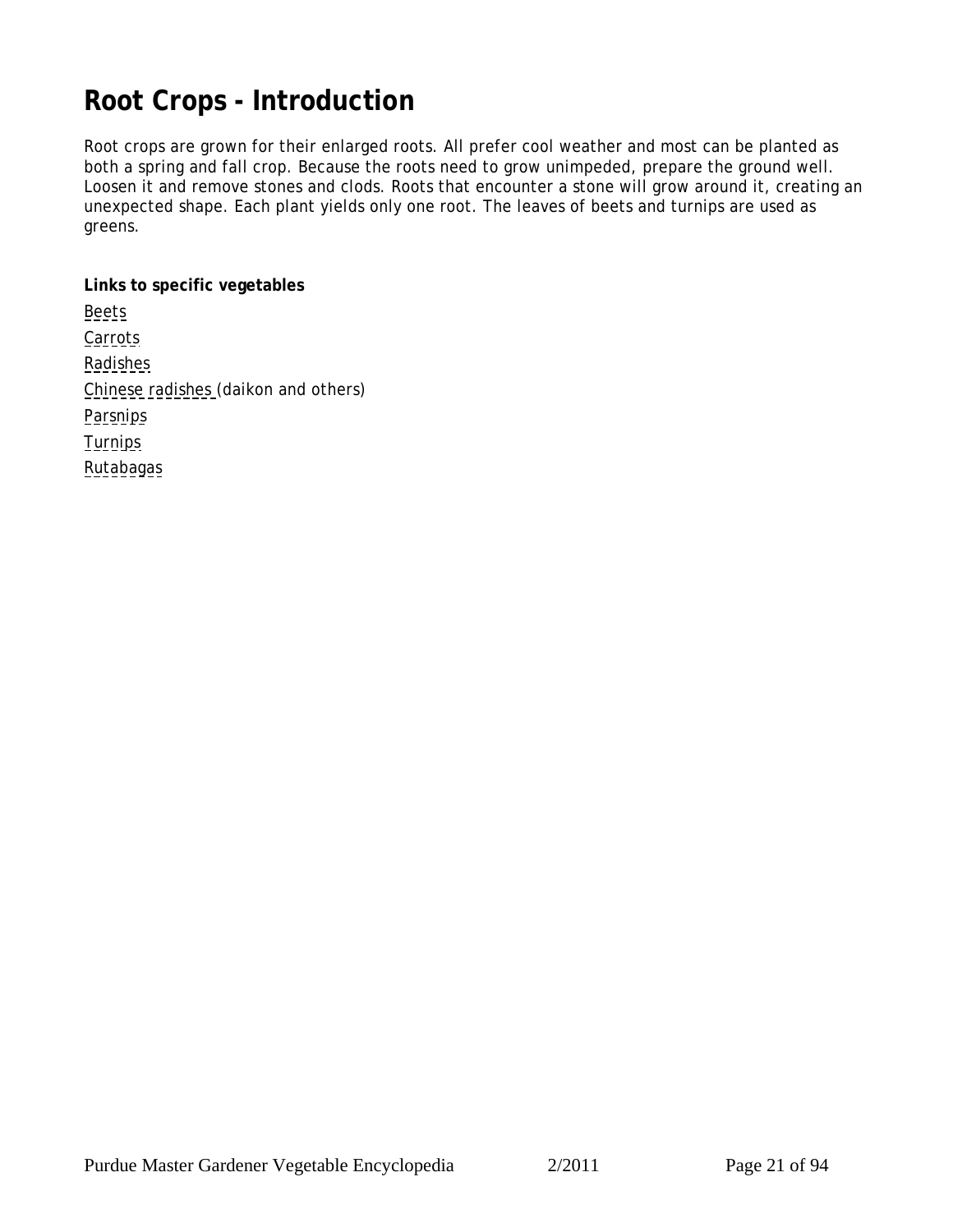# <span id="page-20-0"></span>**Root Crops - Introduction**

Root crops are grown for their enlarged roots. All prefer cool weather and most can be planted as both a spring and fall crop. Because the roots need to grow unimpeded, prepare the ground well. Loosen it and remove stones and clods. Roots that encounter a stone will grow around it, creating an unexpected shape. Each plant yields only one root. The leaves of beets and turnips are used as greens.

**Links to specific vegetables [Beets](#page-21-0) [Carrots](#page-23-0)** [Radishes](#page-25-0) [Chinese radishes](#page-27-0) (daikon and others) **[Parsnips](#page-28-0)** [Turnips](#page-29-0) [Rutabagas](#page-29-0)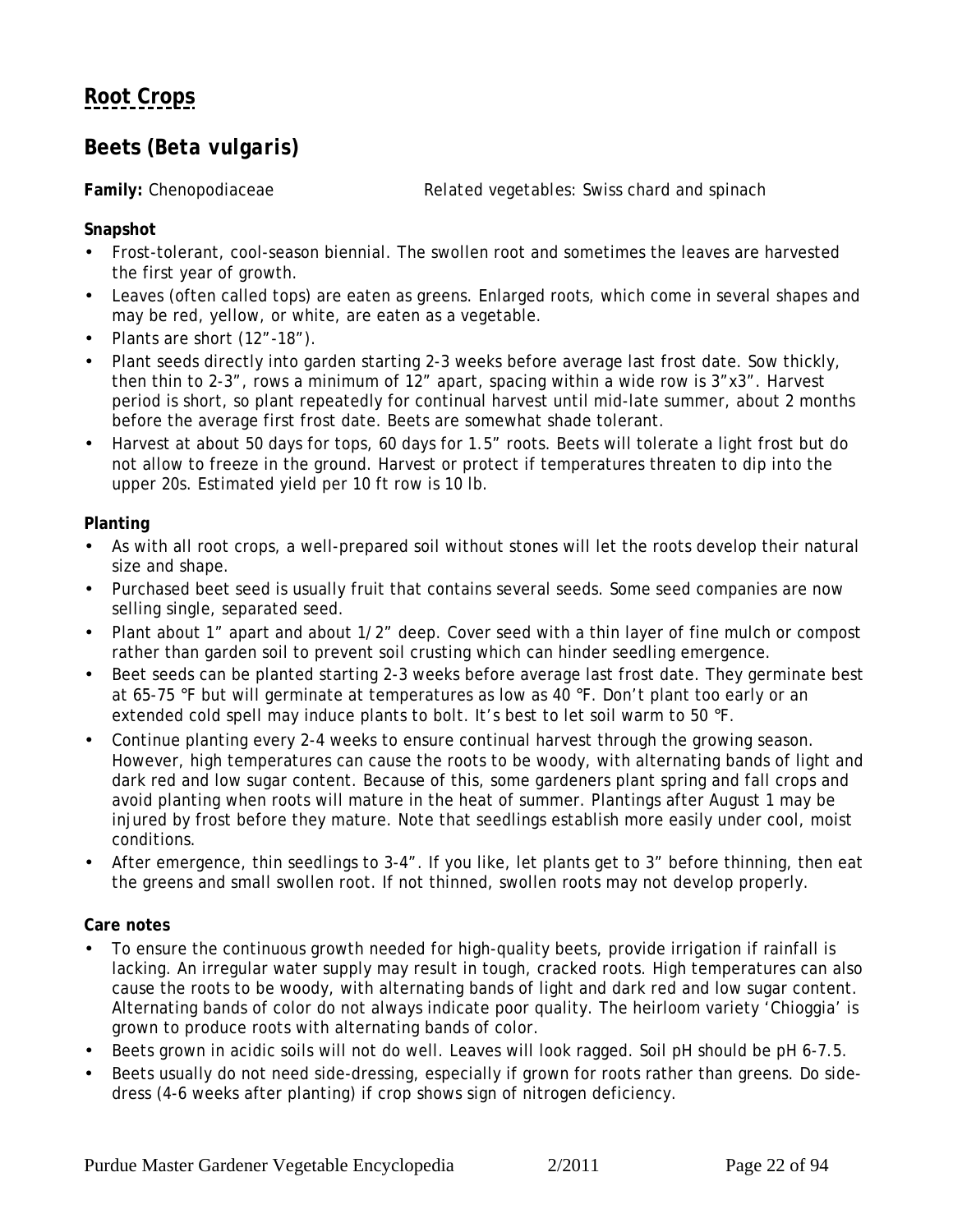## <span id="page-21-0"></span>**Beets (***Beta vulgaris***)**

**Family:** Chenopodiaceae *Related vegetables:* Swiss chard and spinach

**Snapshot**

- Frost-tolerant, cool-season biennial. The swollen root and sometimes the leaves are harvested the first year of growth.
- Leaves (often called tops) are eaten as greens. Enlarged roots, which come in several shapes and may be red, yellow, or white, are eaten as a vegetable.
- Plants are short (12"-18").
- Plant seeds directly into garden starting 2-3 weeks before average last frost date. Sow thickly, then thin to 2-3", rows a minimum of 12" apart, spacing within a wide row is 3"x3". Harvest period is short, so plant repeatedly for continual harvest until mid-late summer, about 2 months before the average first frost date. Beets are somewhat shade tolerant.
- Harvest at about 50 days for tops, 60 days for 1.5" roots. Beets will tolerate a light frost but do not allow to freeze in the ground. Harvest or protect if temperatures threaten to dip into the upper 20s. Estimated yield per 10 ft row is 10 lb.

### **Planting**

- As with all root crops, a well-prepared soil without stones will let the roots develop their natural size and shape.
- Purchased beet seed is usually fruit that contains several seeds. Some seed companies are now selling single, separated seed.
- Plant about 1" apart and about 1/2" deep. Cover seed with a thin layer of fine mulch or compost rather than garden soil to prevent soil crusting which can hinder seedling emergence.
- Beet seeds can be planted starting 2-3 weeks before average last frost date. They germinate best at 65-75 °F but will germinate at temperatures as low as 40 °F. Don't plant too early or an extended cold spell may induce plants to bolt. It's best to let soil warm to 50 °F.
- Continue planting every 2-4 weeks to ensure continual harvest through the growing season. However, high temperatures can cause the roots to be woody, with alternating bands of light and dark red and low sugar content. Because of this, some gardeners plant spring and fall crops and avoid planting when roots will mature in the heat of summer. Plantings after August 1 may be injured by frost before they mature. Note that seedlings establish more easily under cool, moist conditions.
- After emergence, thin seedlings to 3-4". If you like, let plants get to 3" before thinning, then eat the greens and small swollen root. If not thinned, swollen roots may not develop properly.

### **Care notes**

- To ensure the continuous growth needed for high-quality beets, provide irrigation if rainfall is lacking. An irregular water supply may result in tough, cracked roots. High temperatures can also cause the roots to be woody, with alternating bands of light and dark red and low sugar content. Alternating bands of color do not always indicate poor quality. The heirloom variety 'Chioggia' is grown to produce roots with alternating bands of color.
- Beets grown in acidic soils will not do well. Leaves will look ragged. Soil pH should be pH 6-7.5.
- Beets usually do not need side-dressing, especially if grown for roots rather than greens. Do sidedress (4-6 weeks after planting) if crop shows sign of nitrogen deficiency.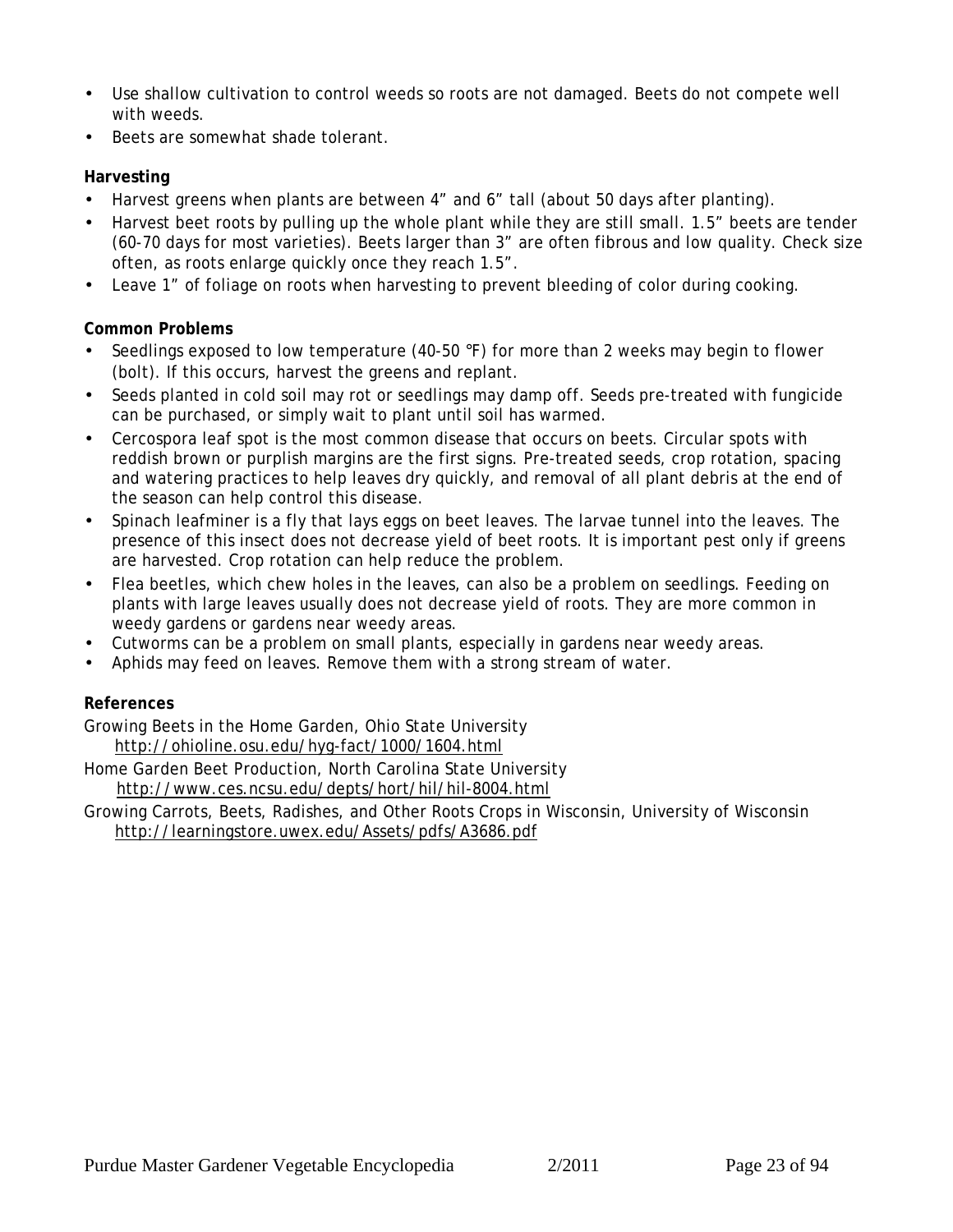- Use shallow cultivation to control weeds so roots are not damaged. Beets do not compete well with weeds.
- Beets are somewhat shade tolerant.

### **Harvesting**

- Harvest greens when plants are between 4" and 6" tall (about 50 days after planting).
- Harvest beet roots by pulling up the whole plant while they are still small. 1.5" beets are tender (60-70 days for most varieties). Beets larger than 3" are often fibrous and low quality. Check size often, as roots enlarge quickly once they reach 1.5".
- Leave 1" of foliage on roots when harvesting to prevent bleeding of color during cooking.

### **Common Problems**

- Seedlings exposed to low temperature (40-50 °F) for more than 2 weeks may begin to flower (bolt). If this occurs, harvest the greens and replant.
- Seeds planted in cold soil may rot or seedlings may damp off. Seeds pre-treated with fungicide can be purchased, or simply wait to plant until soil has warmed.
- Cercospora leaf spot is the most common disease that occurs on beets. Circular spots with reddish brown or purplish margins are the first signs. Pre-treated seeds, crop rotation, spacing and watering practices to help leaves dry quickly, and removal of all plant debris at the end of the season can help control this disease.
- Spinach leafminer is a fly that lays eggs on beet leaves. The larvae tunnel into the leaves. The presence of this insect does not decrease yield of beet roots. It is important pest only if greens are harvested. Crop rotation can help reduce the problem.
- Flea beetles, which chew holes in the leaves, can also be a problem on seedlings. Feeding on plants with large leaves usually does not decrease yield of roots. They are more common in weedy gardens or gardens near weedy areas.
- Cutworms can be a problem on small plants, especially in gardens near weedy areas.
- Aphids may feed on leaves. Remove them with a strong stream of water.

### **References**

Growing Beets in the Home Garden, Ohio State University http://ohioline.osu.edu/hyg-fact/1000/1604.html

Home Garden Beet Production, North Carolina State University http://www.ces.ncsu.edu/depts/hort/hil/hil-8004.html

Growing Carrots, Beets, Radishes, and Other Roots Crops in Wisconsin, University of Wisconsin http://learningstore.uwex.edu/Assets/pdfs/A3686.pdf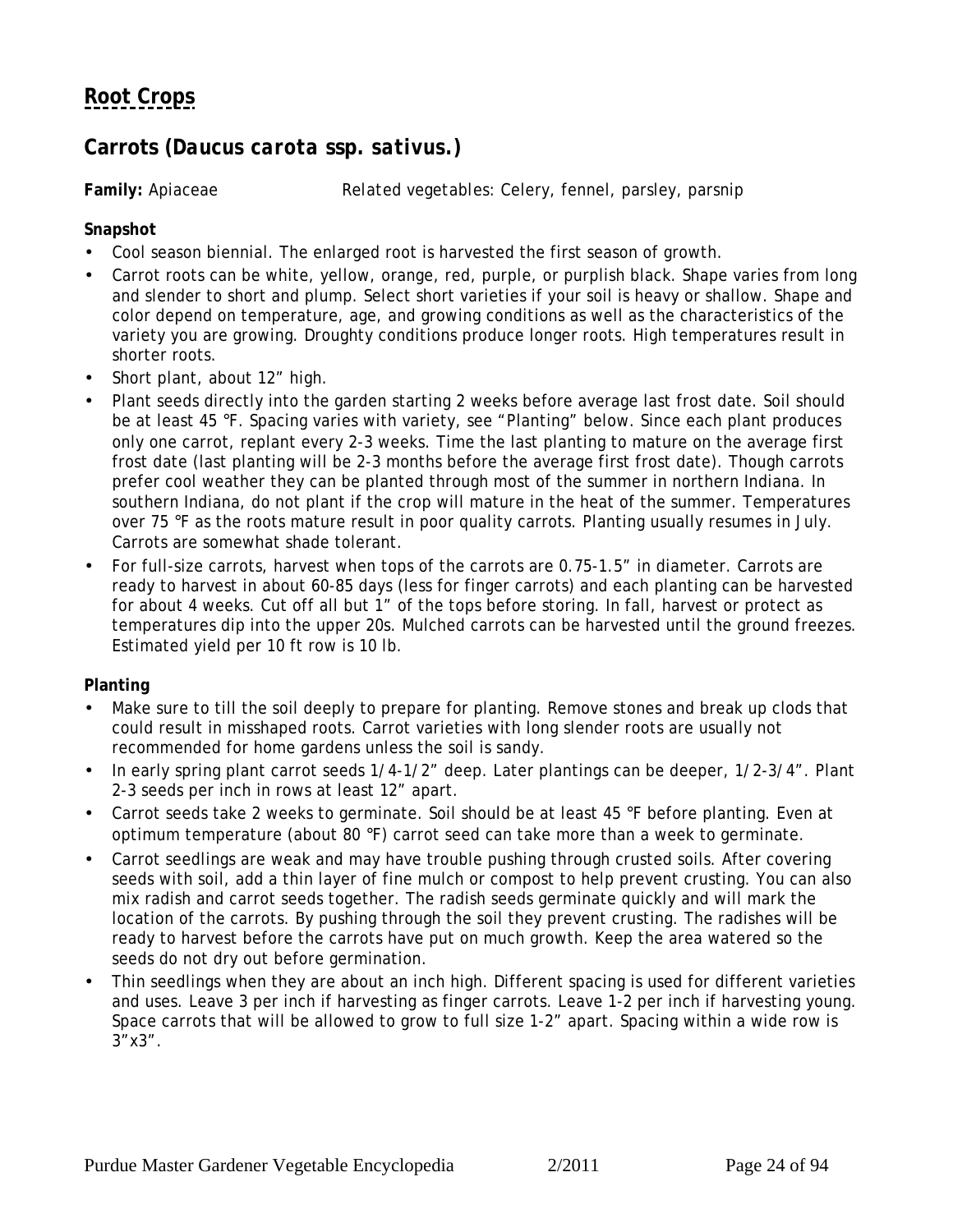## <span id="page-23-0"></span>**Carrots (***Daucus carota* **ssp.** *sativus***.)**

**Family:** Apiaceae *Related vegetables*: Celery, fennel, parsley, parsnip

**Snapshot**

- Cool season biennial. The enlarged root is harvested the first season of growth.
- Carrot roots can be white, yellow, orange, red, purple, or purplish black. Shape varies from long and slender to short and plump. Select short varieties if your soil is heavy or shallow. Shape and color depend on temperature, age, and growing conditions as well as the characteristics of the variety you are growing. Droughty conditions produce longer roots. High temperatures result in shorter roots.
- Short plant, about 12" high.
- Plant seeds directly into the garden starting 2 weeks before average last frost date. Soil should be at least 45 °F. Spacing varies with variety, see "Planting" below. Since each plant produces only one carrot, replant every 2-3 weeks. Time the last planting to mature on the average first frost date (last planting will be 2-3 months before the average first frost date). Though carrots prefer cool weather they can be planted through most of the summer in northern Indiana. In southern Indiana, do not plant if the crop will mature in the heat of the summer. Temperatures over 75 °F as the roots mature result in poor quality carrots. Planting usually resumes in July. Carrots are somewhat shade tolerant.
- For full-size carrots, harvest when tops of the carrots are 0.75-1.5" in diameter. Carrots are ready to harvest in about 60-85 days (less for finger carrots) and each planting can be harvested for about 4 weeks. Cut off all but 1" of the tops before storing. In fall, harvest or protect as temperatures dip into the upper 20s. Mulched carrots can be harvested until the ground freezes. Estimated yield per 10 ft row is 10 lb.

### **Planting**

- Make sure to till the soil deeply to prepare for planting. Remove stones and break up clods that could result in misshaped roots. Carrot varieties with long slender roots are usually not recommended for home gardens unless the soil is sandy.
- In early spring plant carrot seeds 1/4-1/2" deep. Later plantings can be deeper, 1/2-3/4". Plant 2-3 seeds per inch in rows at least 12" apart.
- Carrot seeds take 2 weeks to germinate. Soil should be at least 45 °F before planting. Even at optimum temperature (about 80 °F) carrot seed can take more than a week to germinate.
- Carrot seedlings are weak and may have trouble pushing through crusted soils. After covering seeds with soil, add a thin layer of fine mulch or compost to help prevent crusting. You can also mix radish and carrot seeds together. The radish seeds germinate quickly and will mark the location of the carrots. By pushing through the soil they prevent crusting. The radishes will be ready to harvest before the carrots have put on much growth. Keep the area watered so the seeds do not dry out before germination.
- Thin seedlings when they are about an inch high. Different spacing is used for different varieties and uses. Leave 3 per inch if harvesting as finger carrots. Leave 1-2 per inch if harvesting young. Space carrots that will be allowed to grow to full size 1-2" apart. Spacing within a wide row is  $3"x3"$ .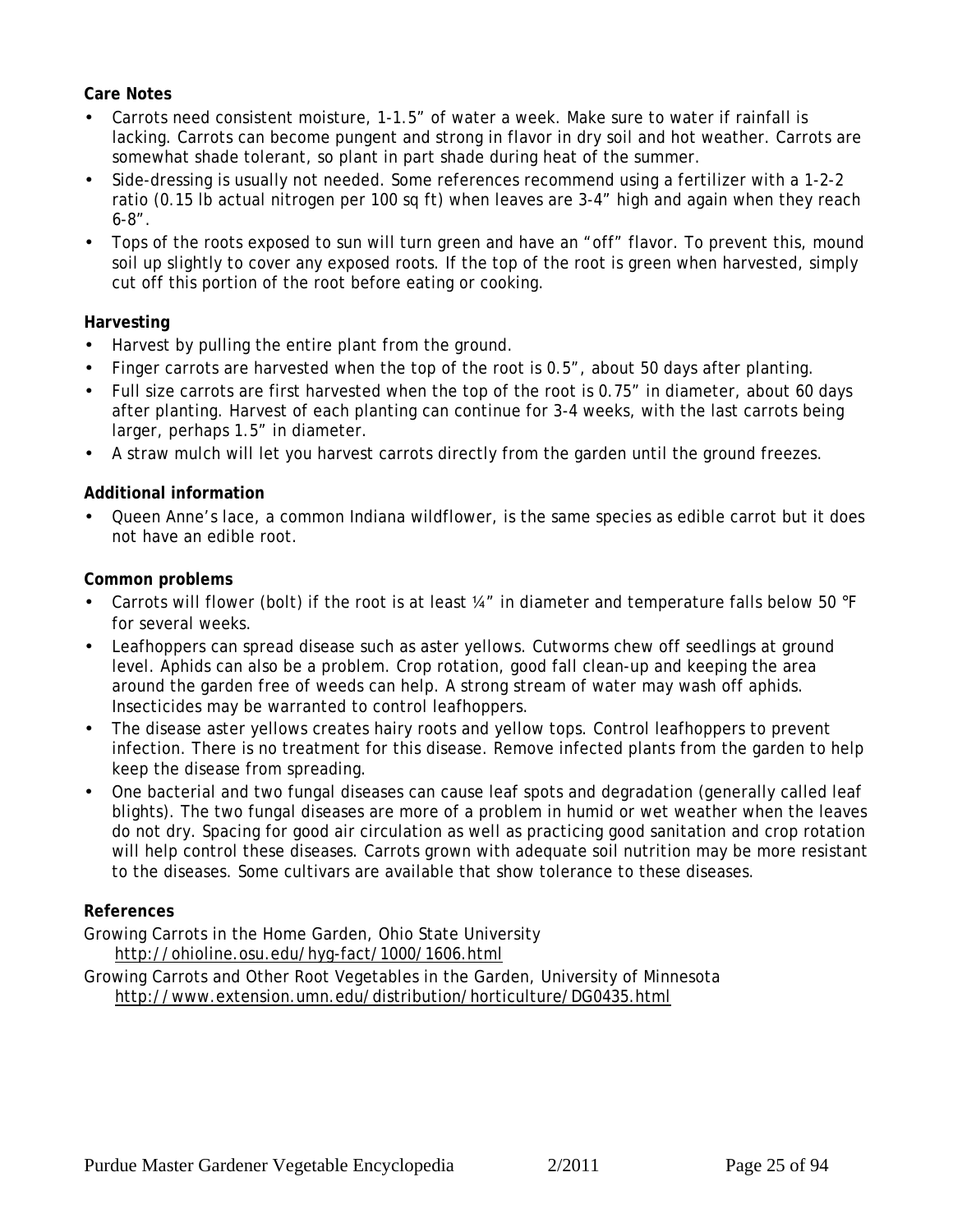### **Care Notes**

- Carrots need consistent moisture, 1-1.5" of water a week. Make sure to water if rainfall is lacking. Carrots can become pungent and strong in flavor in dry soil and hot weather. Carrots are somewhat shade tolerant, so plant in part shade during heat of the summer.
- Side-dressing is usually not needed. Some references recommend using a fertilizer with a 1-2-2 ratio (0.15 lb actual nitrogen per 100 sq ft) when leaves are 3-4" high and again when they reach 6-8".
- Tops of the roots exposed to sun will turn green and have an "off" flavor. To prevent this, mound soil up slightly to cover any exposed roots. If the top of the root is green when harvested, simply cut off this portion of the root before eating or cooking.

### **Harvesting**

- Harvest by pulling the entire plant from the ground.
- Finger carrots are harvested when the top of the root is 0.5", about 50 days after planting.
- Full size carrots are first harvested when the top of the root is 0.75" in diameter, about 60 days after planting. Harvest of each planting can continue for 3-4 weeks, with the last carrots being larger, perhaps 1.5" in diameter.
- A straw mulch will let you harvest carrots directly from the garden until the ground freezes.

### **Additional information**

• Queen Anne's lace, a common Indiana wildflower, is the same species as edible carrot but it does not have an edible root.

**Common problems**

- Carrots will flower (bolt) if the root is at least ¼" in diameter and temperature falls below 50 °F for several weeks.
- Leafhoppers can spread disease such as aster yellows. Cutworms chew off seedlings at ground level. Aphids can also be a problem. Crop rotation, good fall clean-up and keeping the area around the garden free of weeds can help. A strong stream of water may wash off aphids. Insecticides may be warranted to control leafhoppers.
- The disease aster yellows creates hairy roots and yellow tops. Control leafhoppers to prevent infection. There is no treatment for this disease. Remove infected plants from the garden to help keep the disease from spreading.
- One bacterial and two fungal diseases can cause leaf spots and degradation (generally called leaf blights). The two fungal diseases are more of a problem in humid or wet weather when the leaves do not dry. Spacing for good air circulation as well as practicing good sanitation and crop rotation will help control these diseases. Carrots grown with adequate soil nutrition may be more resistant to the diseases. Some cultivars are available that show tolerance to these diseases.

### **References**

Growing Carrots in the Home Garden, Ohio State University

http://ohioline.osu.edu/hyg-fact/1000/1606.html

Growing Carrots and Other Root Vegetables in the Garden, University of Minnesota http://www.extension.umn.edu/distribution/horticulture/DG0435.html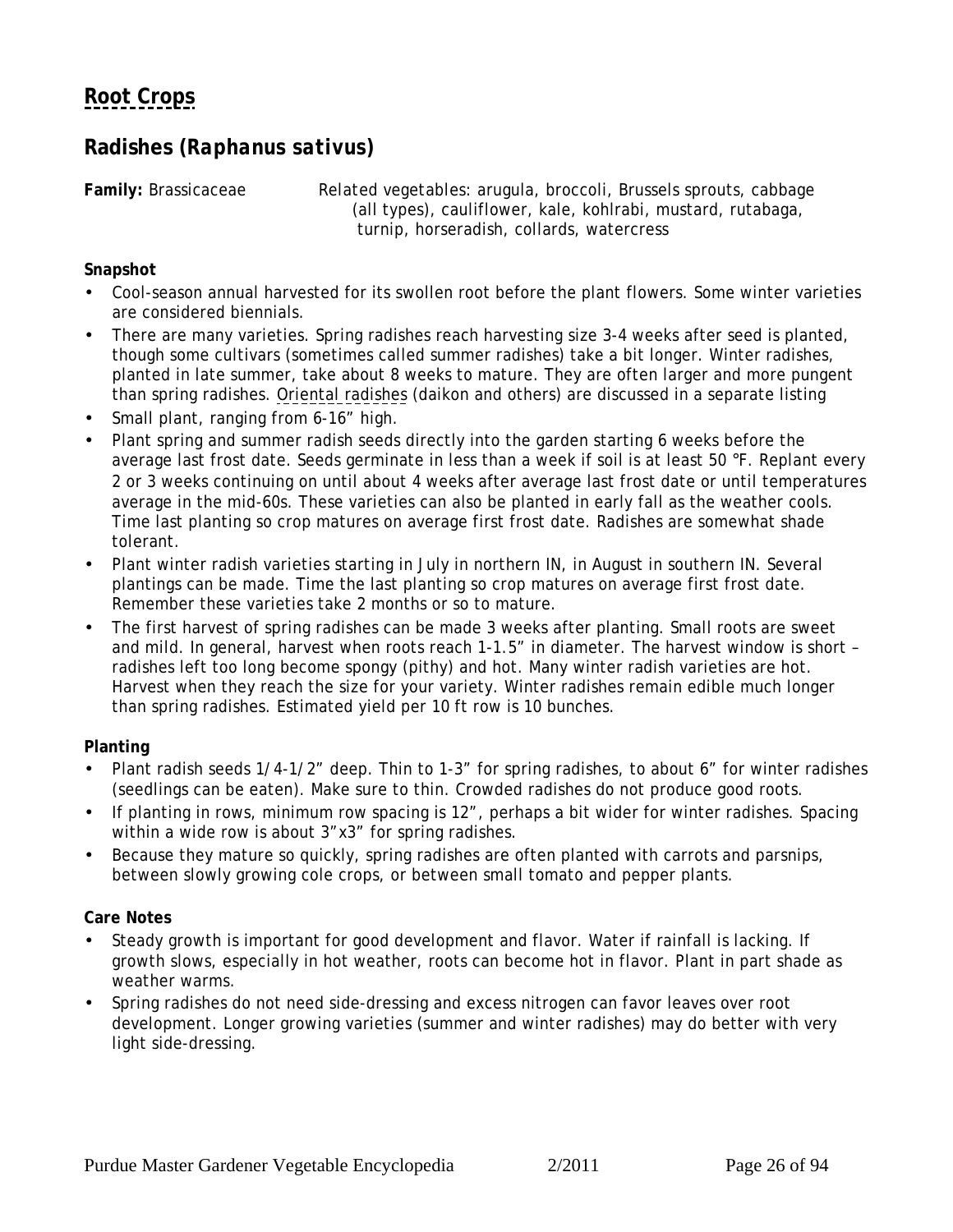## <span id="page-25-0"></span>**Radishes (***Raphanus sativus***)**

**Family:** Brassicaceae *Related vegetables:* arugula, broccoli, Brussels sprouts, cabbage (all types), cauliflower, kale, kohlrabi, mustard, rutabaga, turnip, horseradish, collards, watercress

**Snapshot**

- Cool-season annual harvested for its swollen root before the plant flowers. Some winter varieties are considered biennials.
- There are many varieties. Spring radishes reach harvesting size 3-4 weeks after seed is planted, though some cultivars (sometimes called summer radishes) take a bit longer. Winter radishes, planted in late summer, take about 8 weeks to mature. They are often larger and more pungent than spring radishes. [Oriental radishes](#page-27-0) (daikon and others) are discussed in a separate listing
- Small plant, ranging from 6-16" high.
- Plant spring and summer radish seeds directly into the garden starting 6 weeks before the average last frost date. Seeds germinate in less than a week if soil is at least 50 °F. Replant every 2 or 3 weeks continuing on until about 4 weeks after average last frost date or until temperatures average in the mid-60s. These varieties can also be planted in early fall as the weather cools. Time last planting so crop matures on average first frost date. Radishes are somewhat shade tolerant.
- Plant winter radish varieties starting in July in northern IN, in August in southern IN. Several plantings can be made. Time the last planting so crop matures on average first frost date. Remember these varieties take 2 months or so to mature.
- The first harvest of spring radishes can be made 3 weeks after planting. Small roots are sweet and mild. In general, harvest when roots reach 1-1.5" in diameter. The harvest window is short – radishes left too long become spongy (pithy) and hot. Many winter radish varieties are hot. Harvest when they reach the size for your variety. Winter radishes remain edible much longer than spring radishes. Estimated yield per 10 ft row is 10 bunches.

**Planting**

- Plant radish seeds 1/4-1/2" deep. Thin to 1-3" for spring radishes, to about 6" for winter radishes (seedlings can be eaten). Make sure to thin. Crowded radishes do not produce good roots.
- If planting in rows, minimum row spacing is 12", perhaps a bit wider for winter radishes. Spacing within a wide row is about  $3"x3"$  for spring radishes.
- Because they mature so quickly, spring radishes are often planted with carrots and parsnips, between slowly growing cole crops, or between small tomato and pepper plants.

**Care Notes**

- Steady growth is important for good development and flavor. Water if rainfall is lacking. If growth slows, especially in hot weather, roots can become hot in flavor. Plant in part shade as weather warms.
- Spring radishes do not need side-dressing and excess nitrogen can favor leaves over root development. Longer growing varieties (summer and winter radishes) may do better with very light side-dressing.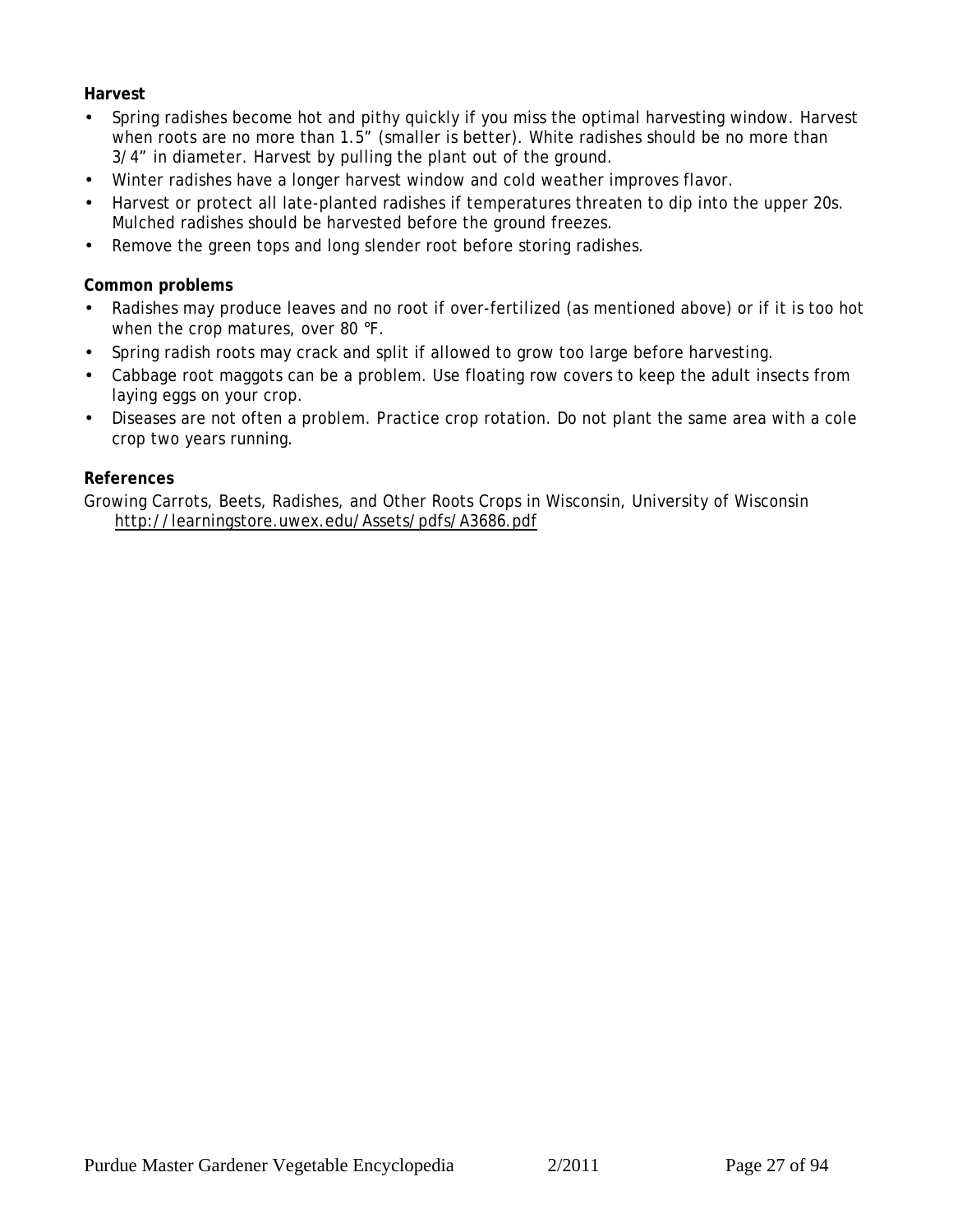**Harvest**

- Spring radishes become hot and pithy quickly if you miss the optimal harvesting window. Harvest when roots are no more than 1.5" (smaller is better). White radishes should be no more than 3/4" in diameter. Harvest by pulling the plant out of the ground.
- Winter radishes have a longer harvest window and cold weather improves flavor.
- Harvest or protect all late-planted radishes if temperatures threaten to dip into the upper 20s. Mulched radishes should be harvested before the ground freezes.
- Remove the green tops and long slender root before storing radishes.

**Common problems**

- Radishes may produce leaves and no root if over-fertilized (as mentioned above) or if it is too hot when the crop matures, over 80 °F.
- Spring radish roots may crack and split if allowed to grow too large before harvesting.
- Cabbage root maggots can be a problem. Use floating row covers to keep the adult insects from laying eggs on your crop.
- Diseases are not often a problem. Practice crop rotation. Do not plant the same area with a cole crop two years running.

**References**

Growing Carrots, Beets, Radishes, and Other Roots Crops in Wisconsin, University of Wisconsin http://learningstore.uwex.edu/Assets/pdfs/A3686.pdf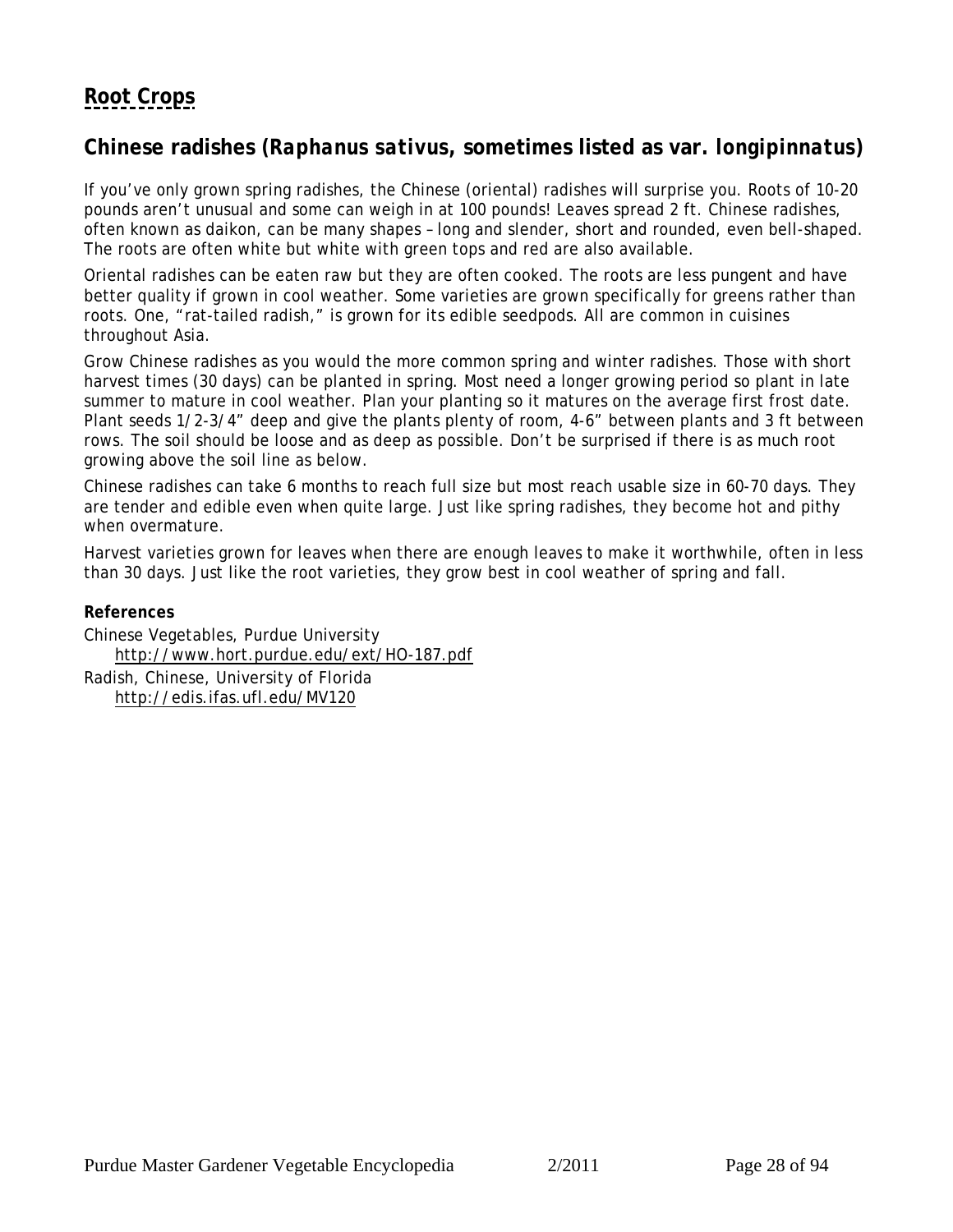### <span id="page-27-0"></span>**Chinese radishes** *(Raphanus sativus***, sometimes listed as var.** *longipinnatus***)**

If you've only grown spring radishes, the Chinese (oriental) radishes will surprise you. Roots of 10-20 pounds aren't unusual and some can weigh in at 100 pounds! Leaves spread 2 ft. Chinese radishes, often known as daikon, can be many shapes – long and slender, short and rounded, even bell-shaped. The roots are often white but white with green tops and red are also available.

Oriental radishes can be eaten raw but they are often cooked. The roots are less pungent and have better quality if grown in cool weather. Some varieties are grown specifically for greens rather than roots. One, "rat-tailed radish," is grown for its edible seedpods. All are common in cuisines throughout Asia.

Grow Chinese radishes as you would the more common spring and winter radishes. Those with short harvest times (30 days) can be planted in spring. Most need a longer growing period so plant in late summer to mature in cool weather. Plan your planting so it matures on the average first frost date. Plant seeds 1/2-3/4" deep and give the plants plenty of room, 4-6" between plants and 3 ft between rows. The soil should be loose and as deep as possible. Don't be surprised if there is as much root growing above the soil line as below.

Chinese radishes can take 6 months to reach full size but most reach usable size in 60-70 days. They are tender and edible even when quite large. Just like spring radishes, they become hot and pithy when overmature.

Harvest varieties grown for leaves when there are enough leaves to make it worthwhile, often in less than 30 days. Just like the root varieties, they grow best in cool weather of spring and fall.

**References**

Chinese Vegetables, Purdue University http://www.hort.purdue.edu/ext/HO-187.pdf Radish, Chinese, University of Florida http://edis.ifas.ufl.edu/MV120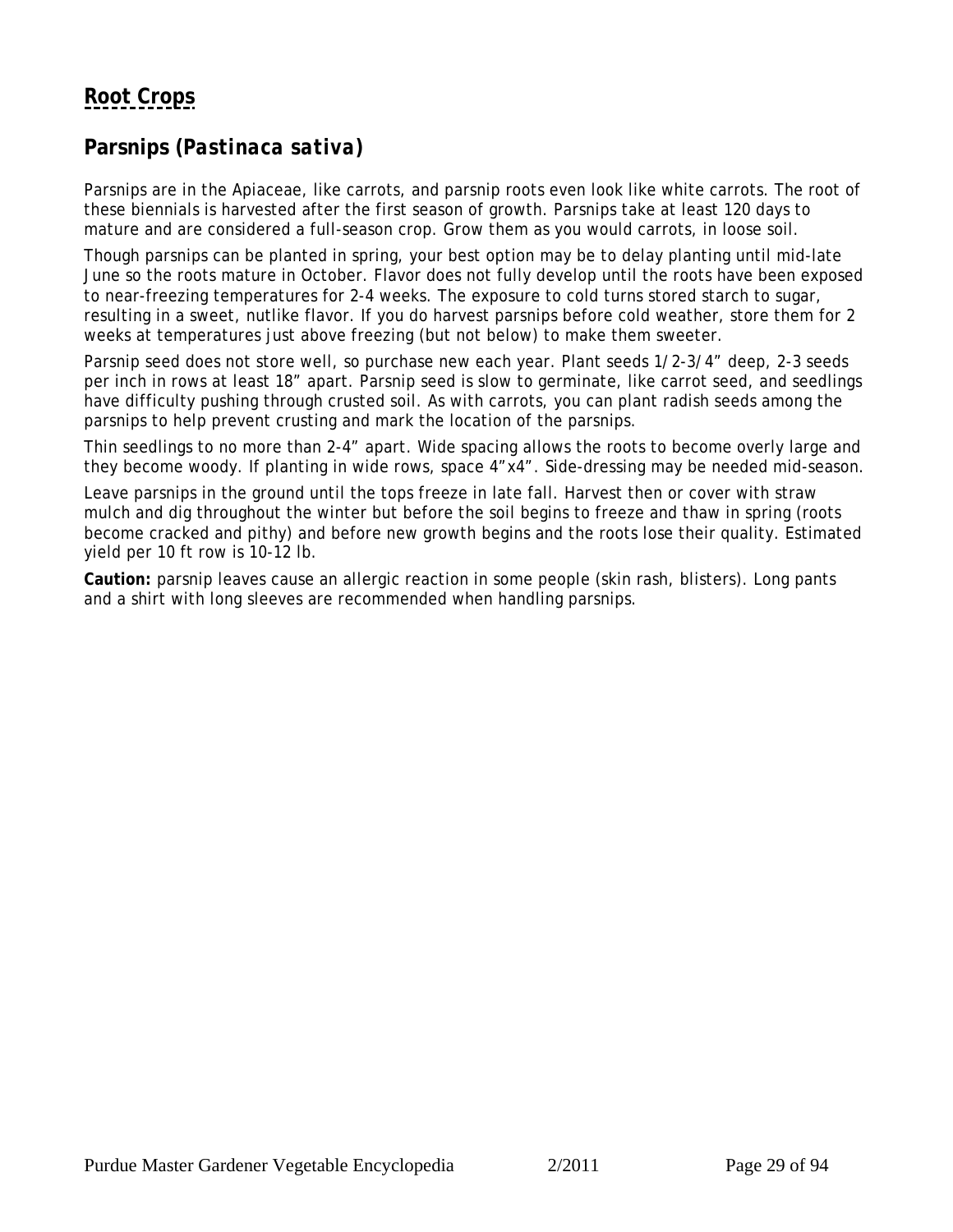## <span id="page-28-0"></span>**Parsnips (***Pastinaca sativa***)**

Parsnips are in the Apiaceae, like carrots, and parsnip roots even look like white carrots. The root of these biennials is harvested after the first season of growth. Parsnips take at least 120 days to mature and are considered a full-season crop. Grow them as you would carrots, in loose soil.

Though parsnips can be planted in spring, your best option may be to delay planting until mid-late June so the roots mature in October. Flavor does not fully develop until the roots have been exposed to near-freezing temperatures for 2-4 weeks. The exposure to cold turns stored starch to sugar, resulting in a sweet, nutlike flavor. If you do harvest parsnips before cold weather, store them for 2 weeks at temperatures just above freezing (but not below) to make them sweeter.

Parsnip seed does not store well, so purchase new each year. Plant seeds 1/2-3/4" deep, 2-3 seeds per inch in rows at least 18" apart. Parsnip seed is slow to germinate, like carrot seed, and seedlings have difficulty pushing through crusted soil. As with carrots, you can plant radish seeds among the parsnips to help prevent crusting and mark the location of the parsnips.

Thin seedlings to no more than 2-4" apart. Wide spacing allows the roots to become overly large and they become woody. If planting in wide rows, space 4"x4". Side-dressing may be needed mid-season.

Leave parsnips in the ground until the tops freeze in late fall. Harvest then or cover with straw mulch and dig throughout the winter but before the soil begins to freeze and thaw in spring (roots become cracked and pithy) and before new growth begins and the roots lose their quality. Estimated yield per 10 ft row is 10-12 lb.

**Caution:** parsnip leaves cause an allergic reaction in some people (skin rash, blisters). Long pants and a shirt with long sleeves are recommended when handling parsnips.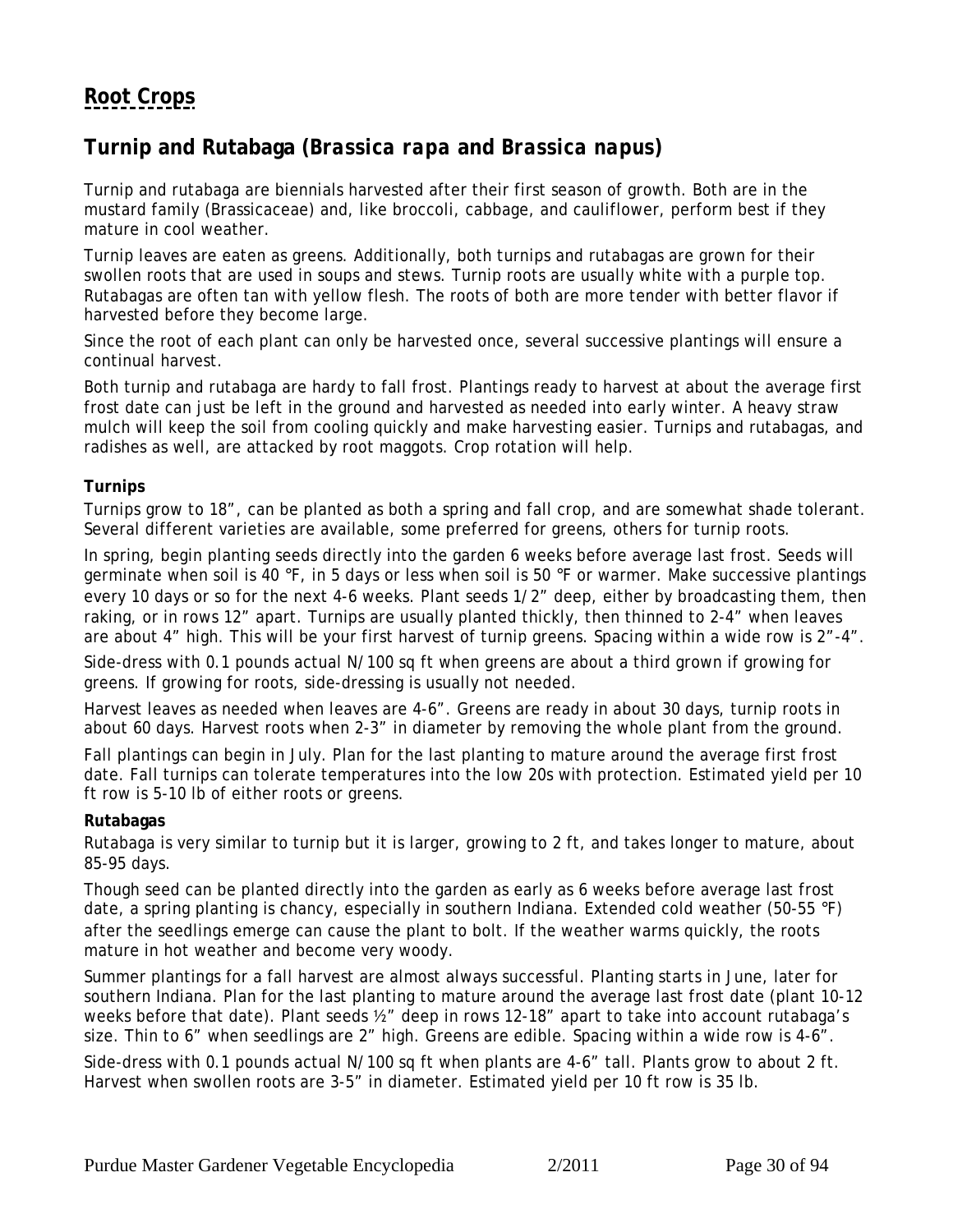## <span id="page-29-0"></span>**Turnip and Rutabaga (***Brassica rapa* **and** *Brassica napus***)**

Turnip and rutabaga are biennials harvested after their first season of growth. Both are in the mustard family (Brassicaceae) and, like broccoli, cabbage, and cauliflower, perform best if they mature in cool weather.

Turnip leaves are eaten as greens. Additionally, both turnips and rutabagas are grown for their swollen roots that are used in soups and stews. Turnip roots are usually white with a purple top. Rutabagas are often tan with yellow flesh. The roots of both are more tender with better flavor if harvested before they become large.

Since the root of each plant can only be harvested once, several successive plantings will ensure a continual harvest.

Both turnip and rutabaga are hardy to fall frost. Plantings ready to harvest at about the average first frost date can just be left in the ground and harvested as needed into early winter. A heavy straw mulch will keep the soil from cooling quickly and make harvesting easier. Turnips and rutabagas, and radishes as well, are attacked by root maggots. Crop rotation will help.

### **Turnips**

Turnips grow to 18", can be planted as both a spring and fall crop, and are somewhat shade tolerant. Several different varieties are available, some preferred for greens, others for turnip roots.

In spring, begin planting seeds directly into the garden 6 weeks before average last frost. Seeds will germinate when soil is 40 °F, in 5 days or less when soil is 50 °F or warmer. Make successive plantings every 10 days or so for the next 4-6 weeks. Plant seeds 1/2" deep, either by broadcasting them, then raking, or in rows 12" apart. Turnips are usually planted thickly, then thinned to 2-4" when leaves are about 4" high. This will be your first harvest of turnip greens. Spacing within a wide row is 2"-4".

Side-dress with 0.1 pounds actual N/100 sq ft when greens are about a third grown if growing for greens. If growing for roots, side-dressing is usually not needed.

Harvest leaves as needed when leaves are 4-6". Greens are ready in about 30 days, turnip roots in about 60 days. Harvest roots when 2-3" in diameter by removing the whole plant from the ground.

Fall plantings can begin in July. Plan for the last planting to mature around the average first frost date. Fall turnips can tolerate temperatures into the low 20s with protection. Estimated yield per 10 ft row is 5-10 lb of either roots or greens.

### **Rutabagas**

Rutabaga is very similar to turnip but it is larger, growing to 2 ft, and takes longer to mature, about 85-95 days.

Though seed can be planted directly into the garden as early as 6 weeks before average last frost date, a spring planting is chancy, especially in southern Indiana. Extended cold weather (50-55 °F) after the seedlings emerge can cause the plant to bolt. If the weather warms quickly, the roots mature in hot weather and become very woody.

Summer plantings for a fall harvest are almost always successful. Planting starts in June, later for southern Indiana. Plan for the last planting to mature around the average last frost date (plant 10-12 weeks before that date). Plant seeds 1/2" deep in rows 12-18" apart to take into account rutabaga's size. Thin to 6" when seedlings are 2" high. Greens are edible. Spacing within a wide row is 4-6".

Side-dress with 0.1 pounds actual N/100 sq ft when plants are 4-6" tall. Plants grow to about 2 ft. Harvest when swollen roots are 3-5" in diameter. Estimated yield per 10 ft row is 35 lb.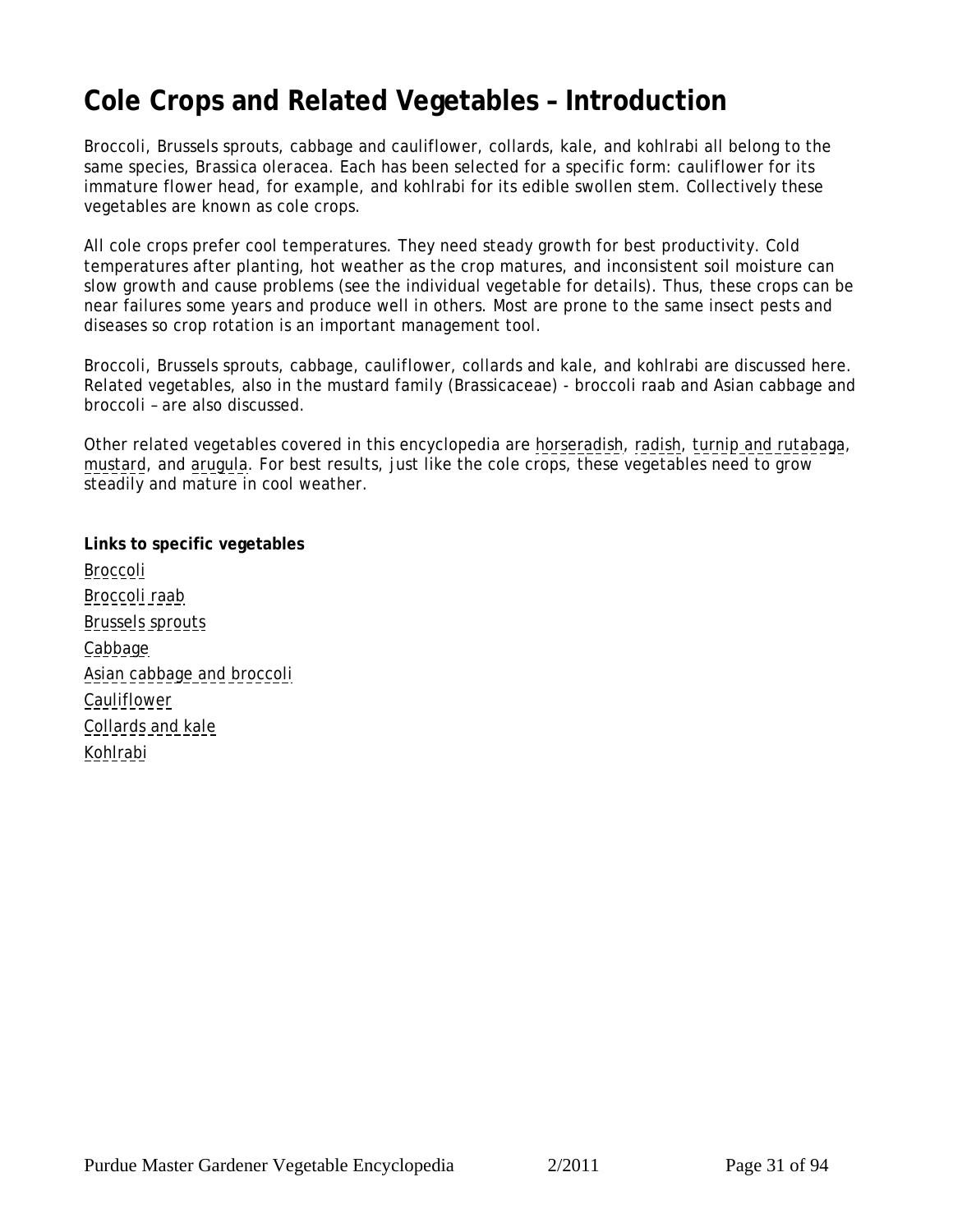# <span id="page-30-0"></span>**Cole Crops and Related Vegetables – Introduction**

Broccoli, Brussels sprouts, cabbage and cauliflower, collards, kale, and kohlrabi all belong to the same species, *Brassica oleracea.* Each has been selected for a specific form: cauliflower for its immature flower head, for example, and kohlrabi for its edible swollen stem. Collectively these vegetables are known as cole crops.

All cole crops prefer cool temperatures. They need steady growth for best productivity. Cold temperatures after planting, hot weather as the crop matures, and inconsistent soil moisture can slow growth and cause problems (see the individual vegetable for details). Thus, these crops can be near failures some years and produce well in others. Most are prone to the same insect pests and diseases so crop rotation is an important management tool.

Broccoli, Brussels sprouts, cabbage, cauliflower, collards and kale, and kohlrabi are discussed here. Related vegetables, also in the mustard family (Brassicaceae) - broccoli raab and Asian cabbage and broccoli – are also discussed.

Other related vegetables covered in this encyclopedia are [horseradish,](#page-10-0) [radish,](#page-25-0) [turnip and rutabaga,](#page-29-0) [mustard,](#page-71-0) and [arugula](#page-68-0). For best results, just like the cole crops, these vegetables need to grow steadily and mature in cool weather.

**Links to specific vegetables** [Broccoli](#page-31-0) [Broccoli raab](#page-33-0) [Brussels sprouts](#page-34-0) [Cabbage](#page-36-0) [Asian cabbage and broccoli](#page-38-0) [Cauliflower](#page-39-0) [Collards and kale](#page-41-0) [Kohlrabi](#page-42-0)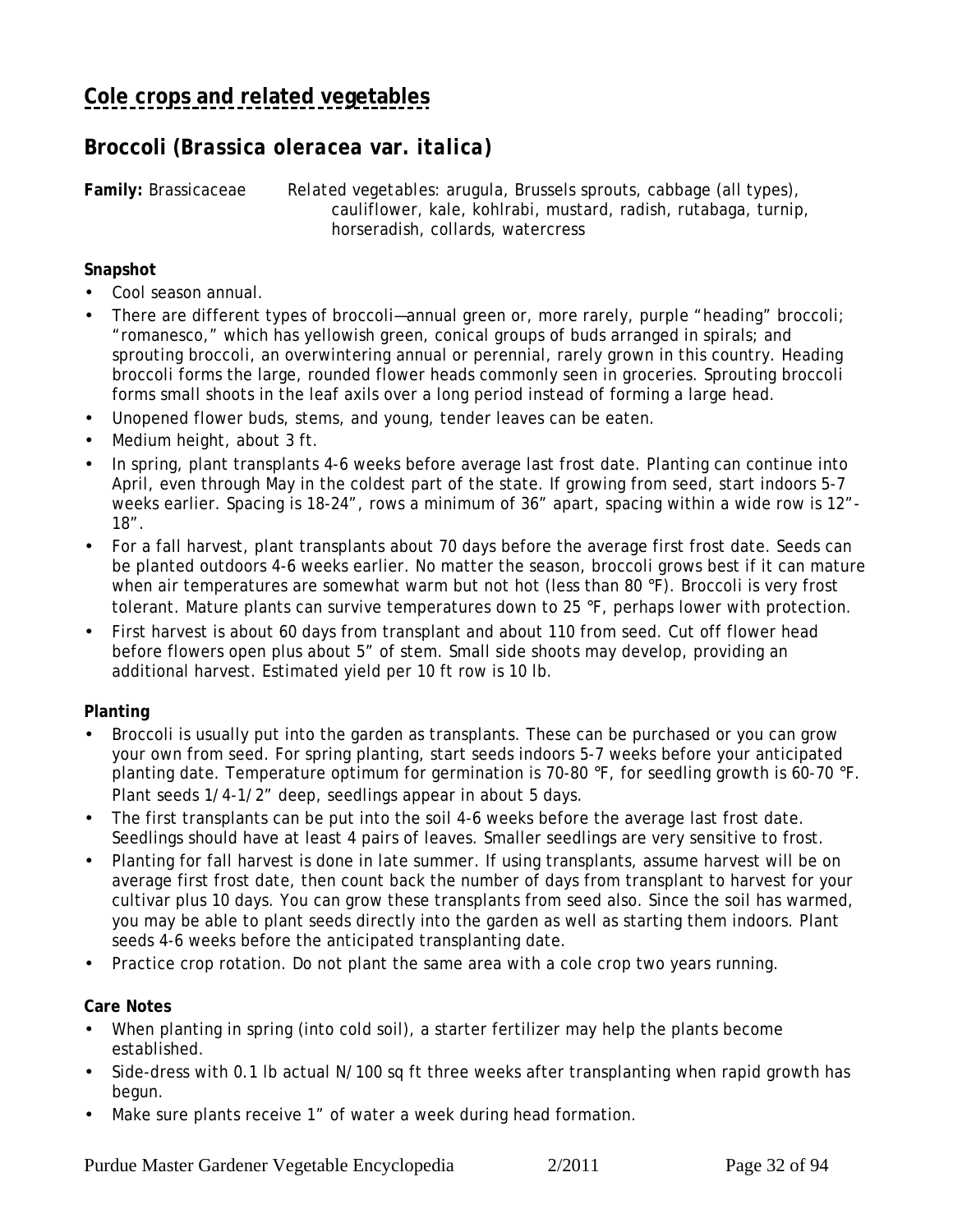## <span id="page-31-0"></span>**Broccoli** *(Brassica oleracea* **var***. italica)*

**Family:** Brassicaceae *Related vegetables:* arugula, Brussels sprouts, cabbage (all types), cauliflower, kale, kohlrabi, mustard, radish, rutabaga, turnip, horseradish, collards, watercress

### **Snapshot**

- Cool season annual.
- There are different types of broccoli—annual green or, more rarely, purple "heading" broccoli; "romanesco," which has yellowish green, conical groups of buds arranged in spirals; and sprouting broccoli, an overwintering annual or perennial, rarely grown in this country. Heading broccoli forms the large, rounded flower heads commonly seen in groceries. Sprouting broccoli forms small shoots in the leaf axils over a long period instead of forming a large head.
- Unopened flower buds, stems, and young, tender leaves can be eaten.
- Medium height, about 3 ft.
- In spring, plant transplants 4-6 weeks before average last frost date. Planting can continue into April, even through May in the coldest part of the state. If growing from seed, start indoors 5-7 weeks earlier. Spacing is 18-24", rows a minimum of 36" apart, spacing within a wide row is 12"- 18".
- For a fall harvest, plant transplants about 70 days before the average first frost date. Seeds can be planted outdoors 4-6 weeks earlier. No matter the season, broccoli grows best if it can mature when air temperatures are somewhat warm but not hot (less than 80 °F). Broccoli is very frost tolerant. Mature plants can survive temperatures down to 25 °F, perhaps lower with protection.
- First harvest is about 60 days from transplant and about 110 from seed. Cut off flower head before flowers open plus about 5" of stem. Small side shoots may develop, providing an additional harvest. Estimated yield per 10 ft row is 10 lb.

### **Planting**

- Broccoli is usually put into the garden as transplants. These can be purchased or you can grow your own from seed. For spring planting, start seeds indoors 5-7 weeks before your anticipated planting date. Temperature optimum for germination is 70-80 °F, for seedling growth is 60-70 °F. Plant seeds 1/4-1/2" deep, seedlings appear in about 5 days.
- The first transplants can be put into the soil 4-6 weeks before the average last frost date. Seedlings should have at least 4 pairs of leaves. Smaller seedlings are very sensitive to frost.
- Planting for fall harvest is done in late summer. If using transplants, assume harvest will be on average first frost date, then count back the number of days from transplant to harvest for your cultivar plus 10 days. You can grow these transplants from seed also. Since the soil has warmed, you may be able to plant seeds directly into the garden as well as starting them indoors. Plant seeds 4-6 weeks before the anticipated transplanting date.
- Practice crop rotation. Do not plant the same area with a cole crop two years running.

### **Care Notes**

- When planting in spring (into cold soil), a starter fertilizer may help the plants become established.
- Side-dress with 0.1 lb actual N/100 sq ft three weeks after transplanting when rapid growth has begun.
- Make sure plants receive 1" of water a week during head formation.

Purdue Master Gardener Vegetable Encyclopedia 2/2011 Page 32 of 94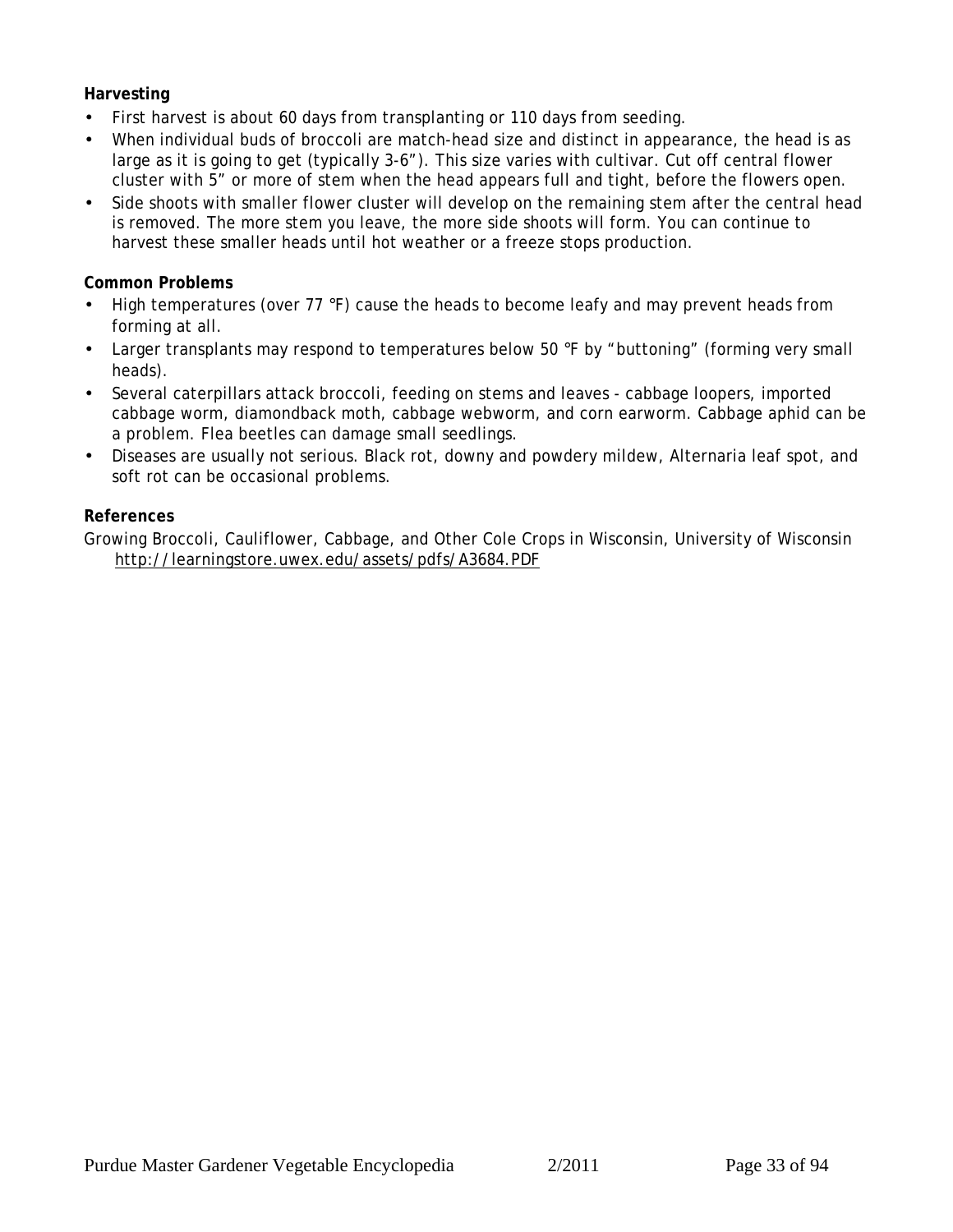### **Harvesting**

- First harvest is about 60 days from transplanting or 110 days from seeding.
- When individual buds of broccoli are match-head size and distinct in appearance, the head is as large as it is going to get (typically 3-6"). This size varies with cultivar. Cut off central flower cluster with 5" or more of stem when the head appears full and tight, before the flowers open.
- Side shoots with smaller flower cluster will develop on the remaining stem after the central head is removed. The more stem you leave, the more side shoots will form. You can continue to harvest these smaller heads until hot weather or a freeze stops production.

### **Common Problems**

- High temperatures (over 77 °F) cause the heads to become leafy and may prevent heads from forming at all.
- Larger transplants may respond to temperatures below 50 °F by "buttoning" (forming very small heads).
- Several caterpillars attack broccoli, feeding on stems and leaves cabbage loopers, imported cabbage worm, diamondback moth, cabbage webworm, and corn earworm. Cabbage aphid can be a problem. Flea beetles can damage small seedlings.
- Diseases are usually not serious. Black rot, downy and powdery mildew, Alternaria leaf spot, and soft rot can be occasional problems.

### **References**

Growing Broccoli, Cauliflower, Cabbage, and Other Cole Crops in Wisconsin, University of Wisconsin http://learningstore.uwex.edu/assets/pdfs/A3684.PDF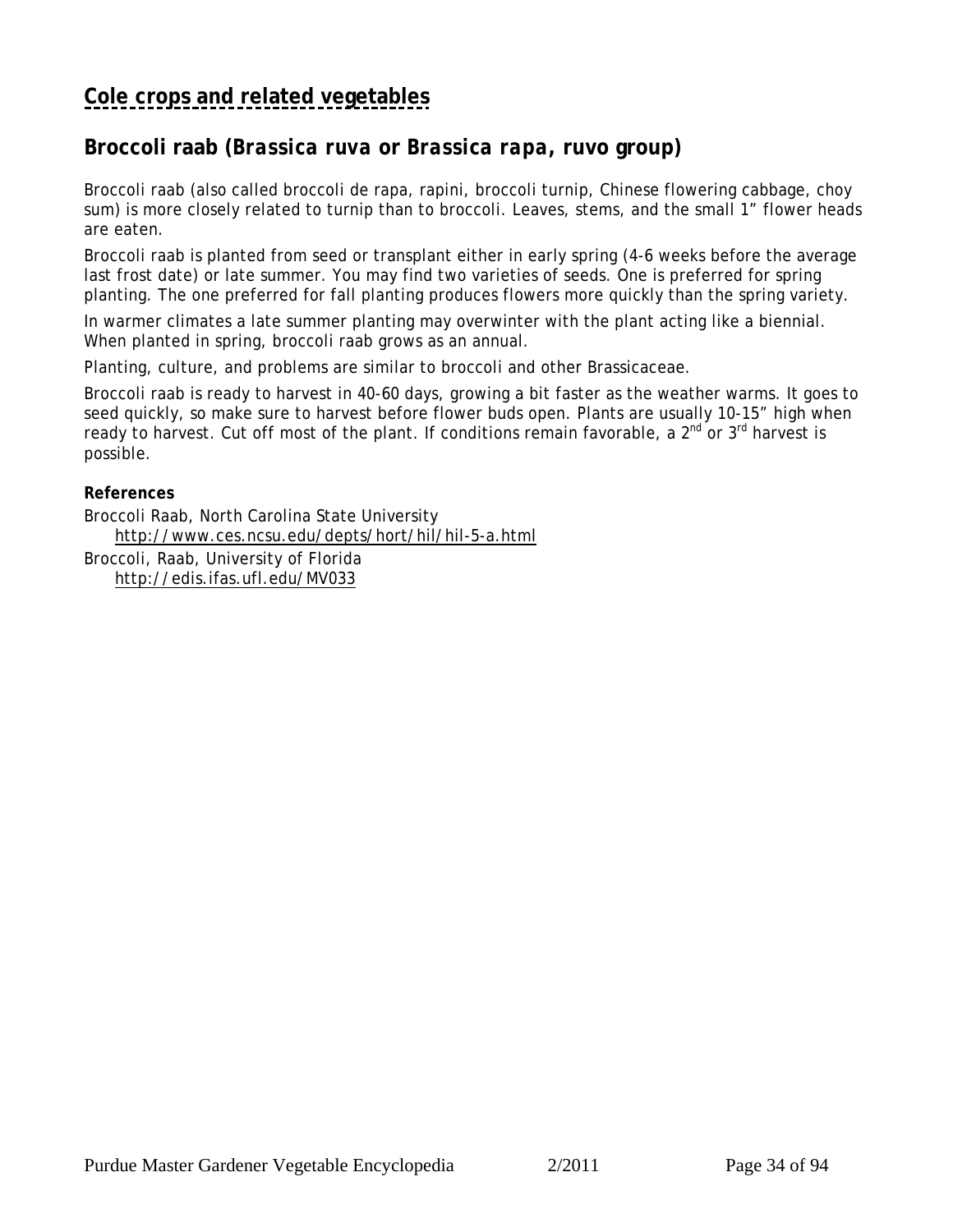# <span id="page-33-0"></span>**[Cole crops and related vegetables](#page-30-0)**

## **Broccoli raab (***Brassica ruva* **or** *Brassica rapa***, ruvo group)**

Broccoli raab (also called broccoli de rapa, rapini, broccoli turnip, Chinese flowering cabbage, choy sum) is more closely related to turnip than to broccoli. Leaves, stems, and the small 1" flower heads are eaten.

Broccoli raab is planted from seed or transplant either in early spring (4-6 weeks before the average last frost date) or late summer. You may find two varieties of seeds. One is preferred for spring planting. The one preferred for fall planting produces flowers more quickly than the spring variety.

In warmer climates a late summer planting may overwinter with the plant acting like a biennial. When planted in spring, broccoli raab grows as an annual.

Planting, culture, and problems are similar to broccoli and other Brassicaceae.

Broccoli raab is ready to harvest in 40-60 days, growing a bit faster as the weather warms. It goes to seed quickly, so make sure to harvest before flower buds open. Plants are usually 10-15" high when ready to harvest. Cut off most of the plant. If conditions remain favorable, a 2<sup>nd</sup> or 3<sup>rd</sup> harvest is possible.

**References**

Broccoli Raab, North Carolina State University http://www.ces.ncsu.edu/depts/hort/hil/hil-5-a.html

Broccoli, Raab, University of Florida http://edis.ifas.ufl.edu/MV033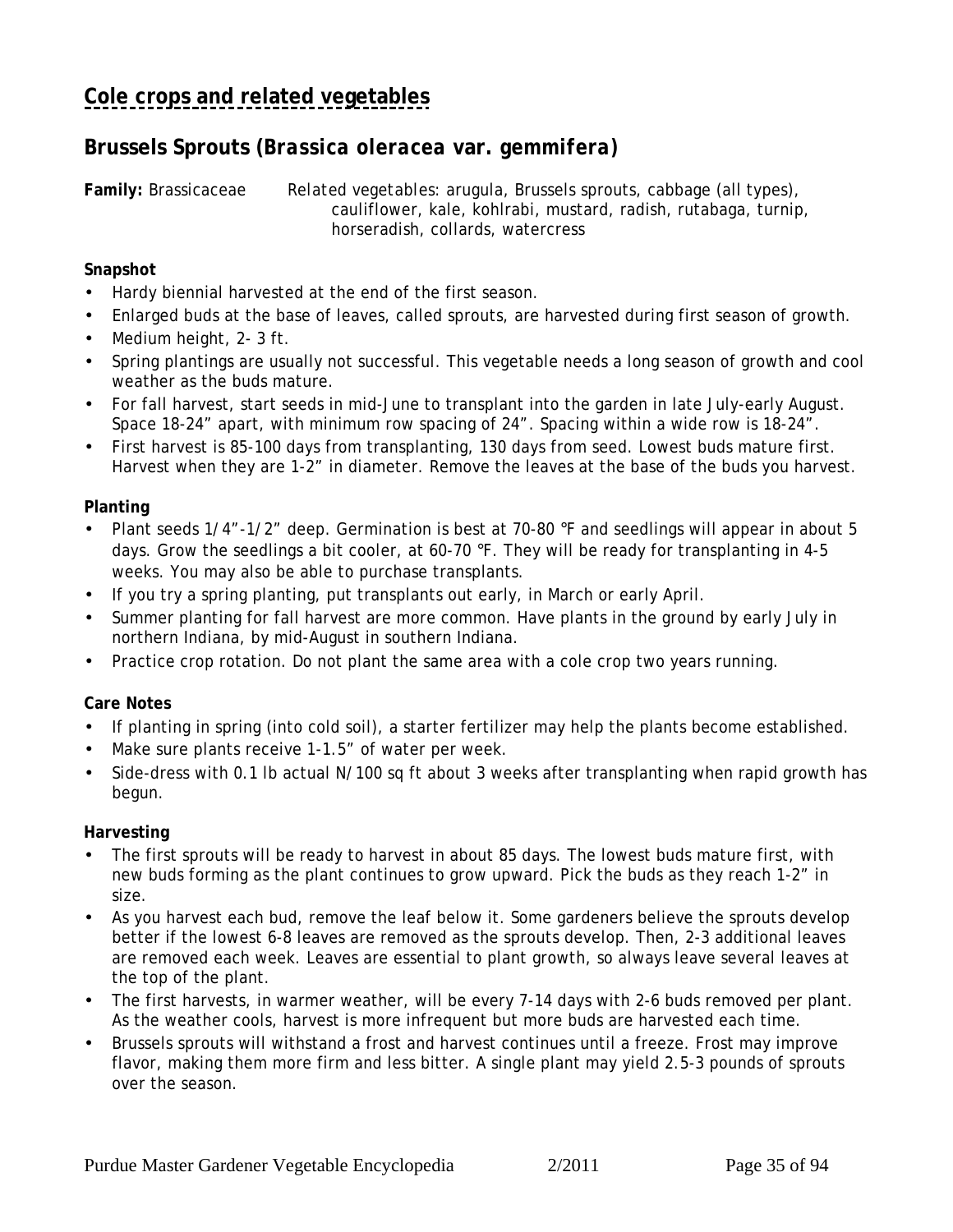## <span id="page-34-0"></span>**Brussels Sprouts (***Brassica oleracea* **var.** *gemmifera)*

**Family:** Brassicaceae *Related vegetables:* arugula, Brussels sprouts, cabbage (all types), cauliflower, kale, kohlrabi, mustard, radish, rutabaga, turnip, horseradish, collards, watercress

**Snapshot**

- Hardy biennial harvested at the end of the first season.
- Enlarged buds at the base of leaves, called sprouts, are harvested during first season of growth.
- Medium height, 2-3 ft.
- Spring plantings are usually not successful. This vegetable needs a long season of growth and cool weather as the buds mature.
- For fall harvest, start seeds in mid-June to transplant into the garden in late July-early August. Space 18-24" apart, with minimum row spacing of 24". Spacing within a wide row is 18-24".
- First harvest is 85-100 days from transplanting, 130 days from seed. Lowest buds mature first. Harvest when they are 1-2" in diameter. Remove the leaves at the base of the buds you harvest.

**Planting**

- Plant seeds 1/4"-1/2" deep. Germination is best at 70-80 °F and seedlings will appear in about 5 days. Grow the seedlings a bit cooler, at 60-70 °F. They will be ready for transplanting in 4-5 weeks. You may also be able to purchase transplants.
- If you try a spring planting, put transplants out early, in March or early April.
- Summer planting for fall harvest are more common. Have plants in the ground by early July in northern Indiana, by mid-August in southern Indiana.
- Practice crop rotation. Do not plant the same area with a cole crop two years running.

**Care Notes**

- If planting in spring (into cold soil), a starter fertilizer may help the plants become established.
- Make sure plants receive 1-1.5" of water per week.
- Side-dress with 0.1 lb actual N/100 sq ft about 3 weeks after transplanting when rapid growth has begun.

**Harvesting**

- The first sprouts will be ready to harvest in about 85 days. The lowest buds mature first, with new buds forming as the plant continues to grow upward. Pick the buds as they reach 1-2" in size.
- As you harvest each bud, remove the leaf below it. Some gardeners believe the sprouts develop better if the lowest 6-8 leaves are removed as the sprouts develop. Then, 2-3 additional leaves are removed each week. Leaves are essential to plant growth, so always leave several leaves at the top of the plant.
- The first harvests, in warmer weather, will be every 7-14 days with 2-6 buds removed per plant. As the weather cools, harvest is more infrequent but more buds are harvested each time.
- Brussels sprouts will withstand a frost and harvest continues until a freeze. Frost may improve flavor, making them more firm and less bitter. A single plant may yield 2.5-3 pounds of sprouts over the season.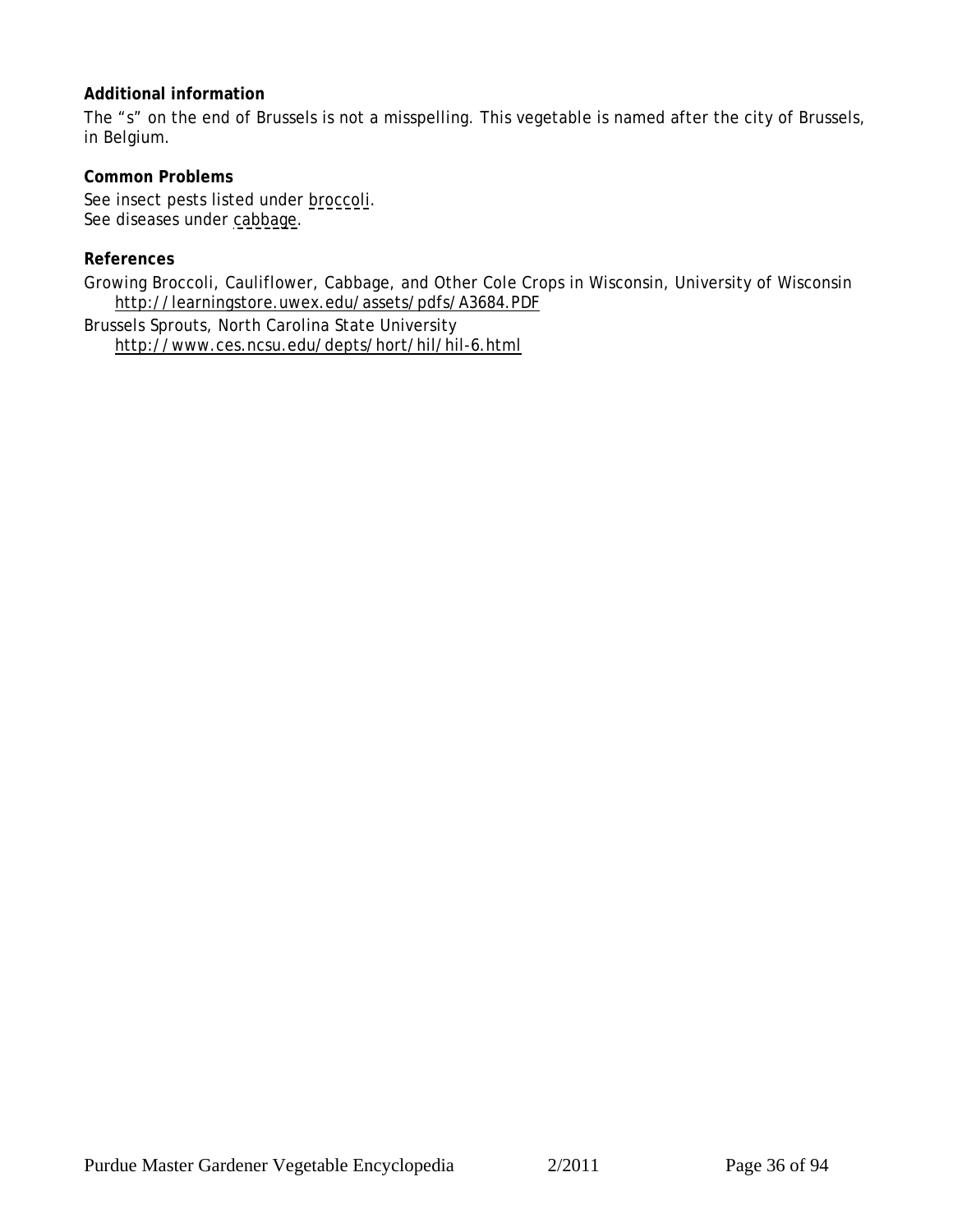### **Additional information**

The "s" on the end of Brussels is not a misspelling. This vegetable is named after the city of Brussels, in Belgium.

**Common Problems** See insect pests listed under [broccoli.](#page-31-0) See diseases under [cabbage.](#page-36-0)

### **References**

Growing Broccoli, Cauliflower, Cabbage, and Other Cole Crops in Wisconsin, University of Wisconsin http://learningstore.uwex.edu/assets/pdfs/A3684.PDF

Brussels Sprouts, North Carolina State University http://www.ces.ncsu.edu/depts/hort/hil/hil-6.html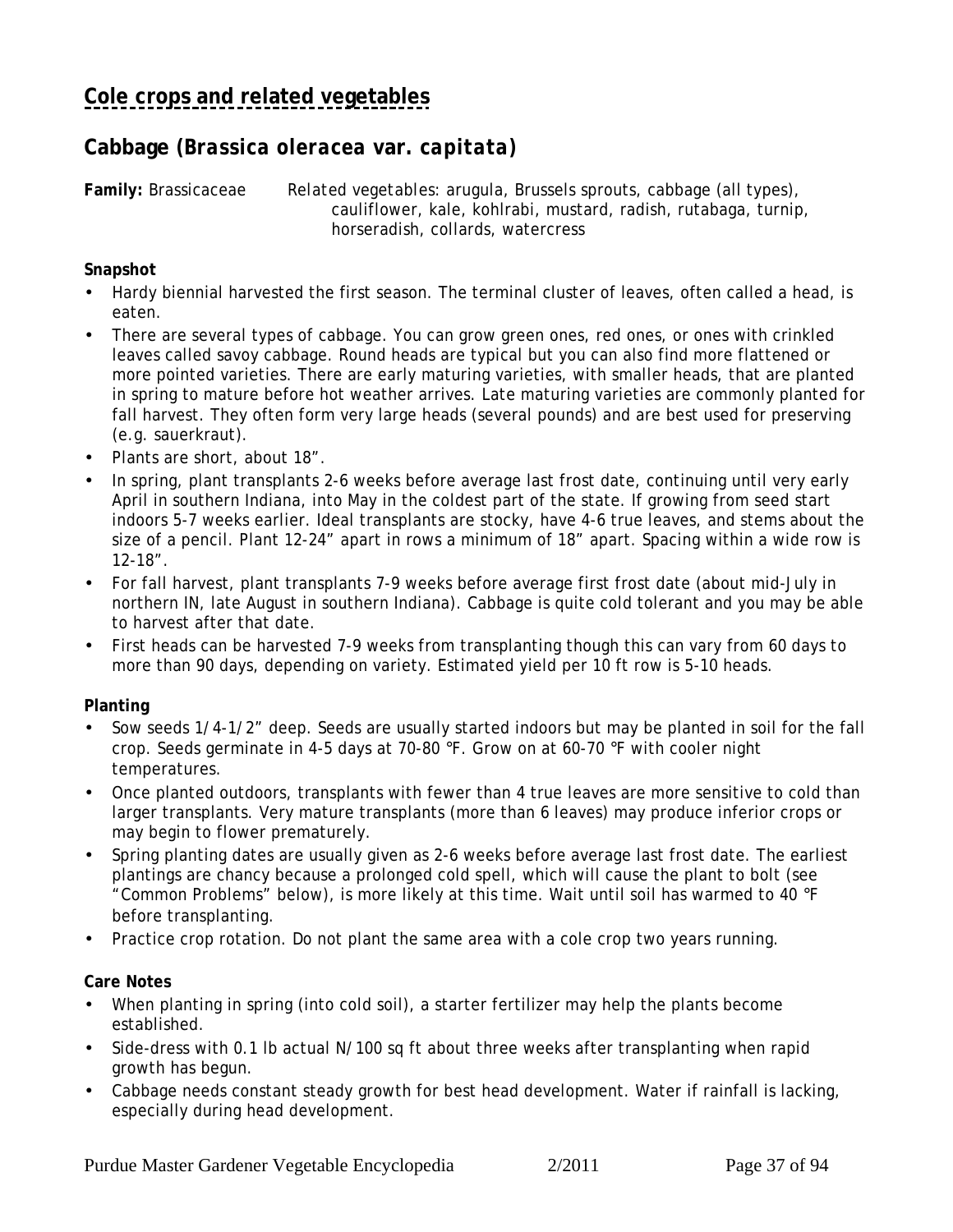## <span id="page-36-0"></span>**Cabbage** *(Brassica oleracea* **var.** *capitata)*

**Family:** Brassicaceae *Related vegetables:* arugula, Brussels sprouts, cabbage (all types), cauliflower, kale, kohlrabi, mustard, radish, rutabaga, turnip, horseradish, collards, watercress

**Snapshot**

- Hardy biennial harvested the first season. The terminal cluster of leaves, often called a head, is eaten.
- There are several types of cabbage. You can grow green ones, red ones, or ones with crinkled leaves called savoy cabbage. Round heads are typical but you can also find more flattened or more pointed varieties. There are early maturing varieties, with smaller heads, that are planted in spring to mature before hot weather arrives. Late maturing varieties are commonly planted for fall harvest. They often form very large heads (several pounds) and are best used for preserving (e.g. sauerkraut).
- Plants are short, about 18".
- In spring, plant transplants 2-6 weeks before average last frost date, continuing until very early April in southern Indiana, into May in the coldest part of the state. If growing from seed start indoors 5-7 weeks earlier. Ideal transplants are stocky, have 4-6 true leaves, and stems about the size of a pencil. Plant 12-24" apart in rows a minimum of 18" apart. Spacing within a wide row is 12-18".
- For fall harvest, plant transplants 7-9 weeks before average first frost date (about mid-July in northern IN, late August in southern Indiana). Cabbage is quite cold tolerant and you may be able to harvest after that date.
- First heads can be harvested 7-9 weeks from transplanting though this can vary from 60 days to more than 90 days, depending on variety. Estimated yield per 10 ft row is 5-10 heads.

#### **Planting**

- Sow seeds 1/4-1/2" deep. Seeds are usually started indoors but may be planted in soil for the fall crop. Seeds germinate in 4-5 days at 70-80 °F. Grow on at 60-70 °F with cooler night temperatures.
- Once planted outdoors, transplants with fewer than 4 true leaves are more sensitive to cold than larger transplants. Very mature transplants (more than 6 leaves) may produce inferior crops or may begin to flower prematurely.
- Spring planting dates are usually given as 2-6 weeks before average last frost date. The earliest plantings are chancy because a prolonged cold spell, which will cause the plant to bolt (see "Common Problems" below), is more likely at this time. Wait until soil has warmed to 40 °F before transplanting.
- Practice crop rotation. Do not plant the same area with a cole crop two years running.

**Care Notes**

- When planting in spring (into cold soil), a starter fertilizer may help the plants become established.
- Side-dress with 0.1 lb actual N/100 sq ft about three weeks after transplanting when rapid growth has begun.
- Cabbage needs constant steady growth for best head development. Water if rainfall is lacking, especially during head development.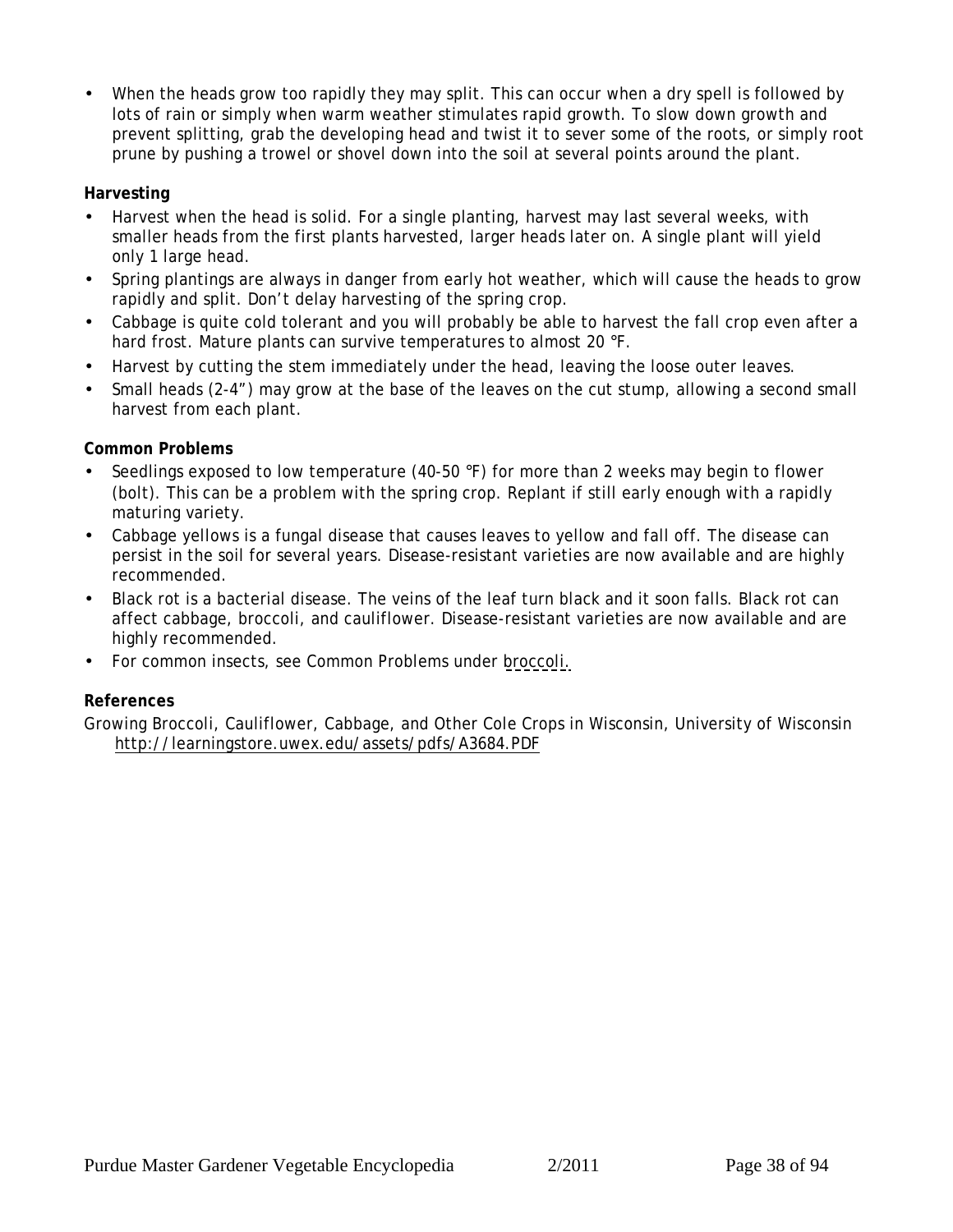When the heads grow too rapidly they may split. This can occur when a dry spell is followed by lots of rain or simply when warm weather stimulates rapid growth. To slow down growth and prevent splitting, grab the developing head and twist it to sever some of the roots, or simply root prune by pushing a trowel or shovel down into the soil at several points around the plant.

#### **Harvesting**

- Harvest when the head is solid. For a single planting, harvest may last several weeks, with smaller heads from the first plants harvested, larger heads later on. A single plant will yield only 1 large head.
- Spring plantings are always in danger from early hot weather, which will cause the heads to grow rapidly and split. Don't delay harvesting of the spring crop.
- Cabbage is quite cold tolerant and you will probably be able to harvest the fall crop even after a hard frost. Mature plants can survive temperatures to almost 20 °F.
- Harvest by cutting the stem immediately under the head, leaving the loose outer leaves.
- Small heads (2-4") may grow at the base of the leaves on the cut stump, allowing a second small harvest from each plant.

#### **Common Problems**

- Seedlings exposed to low temperature (40-50 °F) for more than 2 weeks may begin to flower (bolt). This can be a problem with the spring crop. Replant if still early enough with a rapidly maturing variety.
- Cabbage yellows is a fungal disease that causes leaves to yellow and fall off. The disease can persist in the soil for several years. Disease-resistant varieties are now available and are highly recommended.
- Black rot is a bacterial disease. The veins of the leaf turn black and it soon falls. Black rot can affect cabbage, broccoli, and cauliflower. Disease-resistant varieties are now available and are highly recommended.
- For common insects, see Common Problems under [broccoli.](#page-31-0)

#### **References**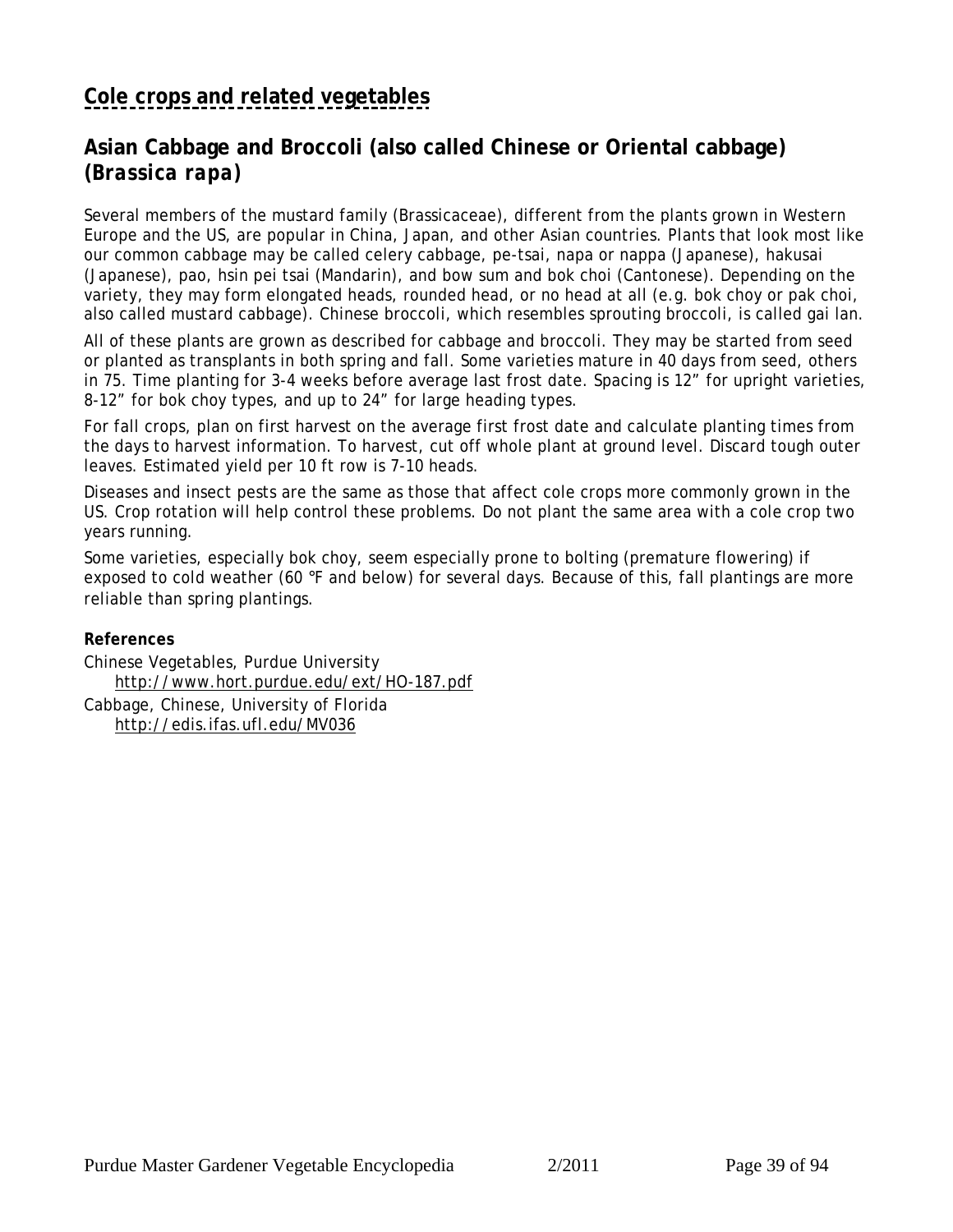# **[Cole crops and related vegetables](#page-30-0)**

## **Asian Cabbage and Broccoli (also called Chinese or Oriental cabbage) (***Brassica rapa)*

Several members of the mustard family (Brassicaceae), different from the plants grown in Western Europe and the US, are popular in China, Japan, and other Asian countries. Plants that look most like our common cabbage may be called celery cabbage, pe-tsai, napa or nappa (Japanese), hakusai (Japanese), pao, hsin pei tsai (Mandarin), and bow sum and bok choi (Cantonese). Depending on the variety, they may form elongated heads, rounded head, or no head at all (e.g. bok choy or pak choi, also called mustard cabbage). Chinese broccoli, which resembles sprouting broccoli, is called gai lan.

All of these plants are grown as described for cabbage and broccoli. They may be started from seed or planted as transplants in both spring and fall. Some varieties mature in 40 days from seed, others in 75. Time planting for 3-4 weeks before average last frost date. Spacing is 12" for upright varieties, 8-12" for bok choy types, and up to 24" for large heading types.

For fall crops, plan on first harvest on the average first frost date and calculate planting times from the days to harvest information. To harvest, cut off whole plant at ground level. Discard tough outer leaves. Estimated yield per 10 ft row is 7-10 heads.

Diseases and insect pests are the same as those that affect cole crops more commonly grown in the US. Crop rotation will help control these problems. Do not plant the same area with a cole crop two years running.

Some varieties, especially bok choy, seem especially prone to bolting (premature flowering) if exposed to cold weather (60 °F and below) for several days. Because of this, fall plantings are more reliable than spring plantings.

**References**

Chinese Vegetables, Purdue University http://www.hort.purdue.edu/ext/HO-187.pdf

Cabbage, Chinese, University of Florida http://edis.ifas.ufl.edu/MV036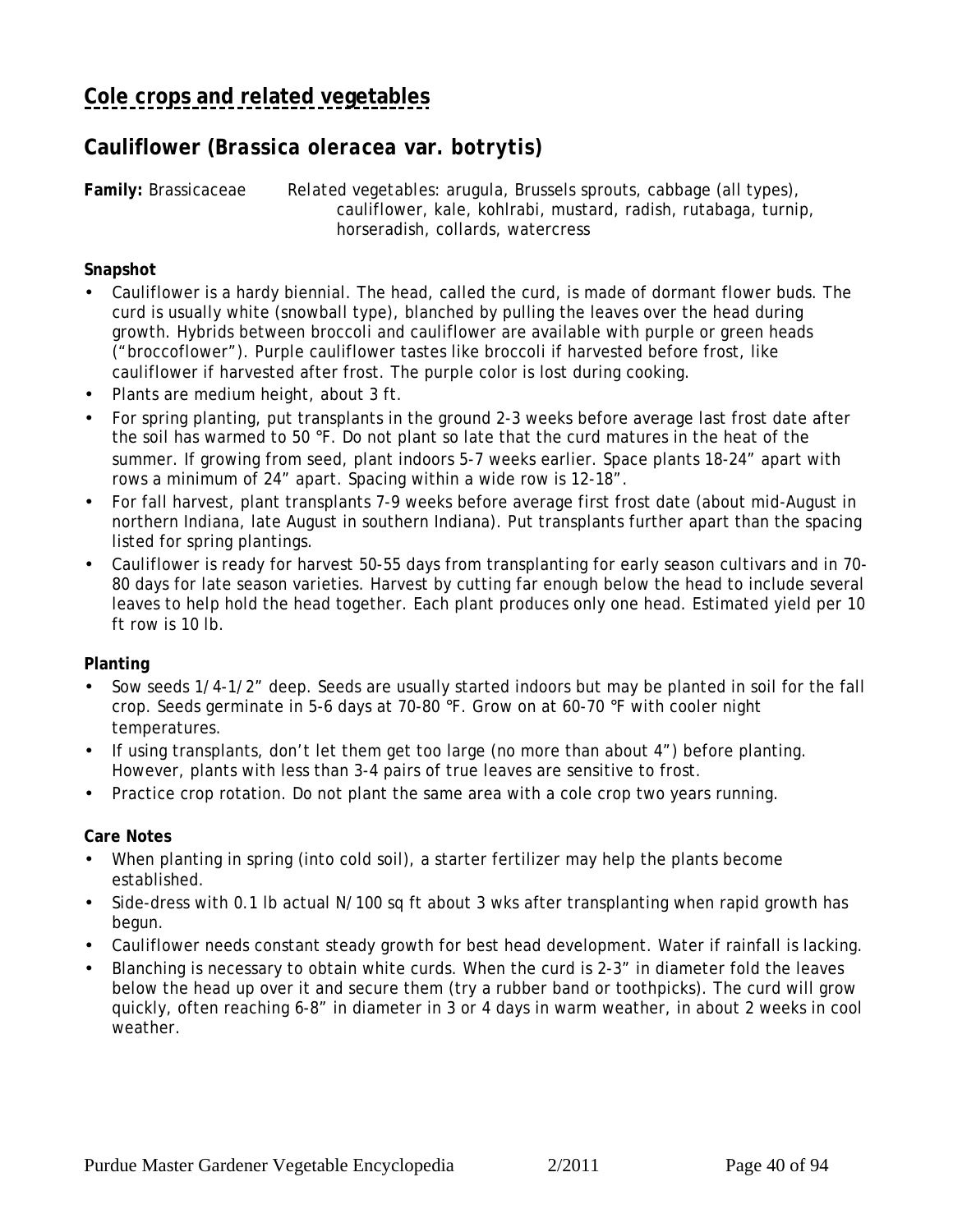## **Cauliflower (***Brassica oleracea* **var***. botrytis)*

**Family:** Brassicaceae *Related vegetables:* arugula, Brussels sprouts, cabbage (all types), cauliflower, kale, kohlrabi, mustard, radish, rutabaga, turnip, horseradish, collards, watercress

#### **Snapshot**

- Cauliflower is a hardy biennial. The head, called the curd, is made of dormant flower buds. The curd is usually white (snowball type), blanched by pulling the leaves over the head during growth. Hybrids between broccoli and cauliflower are available with purple or green heads ("broccoflower"). Purple cauliflower tastes like broccoli if harvested before frost, like cauliflower if harvested after frost. The purple color is lost during cooking.
- Plants are medium height, about 3 ft.
- For spring planting, put transplants in the ground 2-3 weeks before average last frost date after the soil has warmed to 50 °F. Do not plant so late that the curd matures in the heat of the summer. If growing from seed, plant indoors 5-7 weeks earlier. Space plants 18-24" apart with rows a minimum of 24" apart. Spacing within a wide row is 12-18".
- For fall harvest, plant transplants 7-9 weeks before average first frost date (about mid-August in northern Indiana, late August in southern Indiana). Put transplants further apart than the spacing listed for spring plantings.
- Cauliflower is ready for harvest 50-55 days from transplanting for early season cultivars and in 70- 80 days for late season varieties. Harvest by cutting far enough below the head to include several leaves to help hold the head together. Each plant produces only one head. Estimated yield per 10 ft row is 10 lb.

#### **Planting**

- Sow seeds 1/4-1/2" deep. Seeds are usually started indoors but may be planted in soil for the fall crop. Seeds germinate in 5-6 days at 70-80 °F. Grow on at 60-70 °F with cooler night temperatures.
- If using transplants, don't let them get too large (no more than about 4") before planting. However, plants with less than 3-4 pairs of true leaves are sensitive to frost.
- Practice crop rotation. Do not plant the same area with a cole crop two years running.

#### **Care Notes**

- When planting in spring (into cold soil), a starter fertilizer may help the plants become established.
- Side-dress with 0.1 lb actual N/100 sq ft about 3 wks after transplanting when rapid growth has begun.
- Cauliflower needs constant steady growth for best head development. Water if rainfall is lacking.
- Blanching is necessary to obtain white curds. When the curd is 2-3" in diameter fold the leaves below the head up over it and secure them (try a rubber band or toothpicks). The curd will grow quickly, often reaching 6-8" in diameter in 3 or 4 days in warm weather, in about 2 weeks in cool weather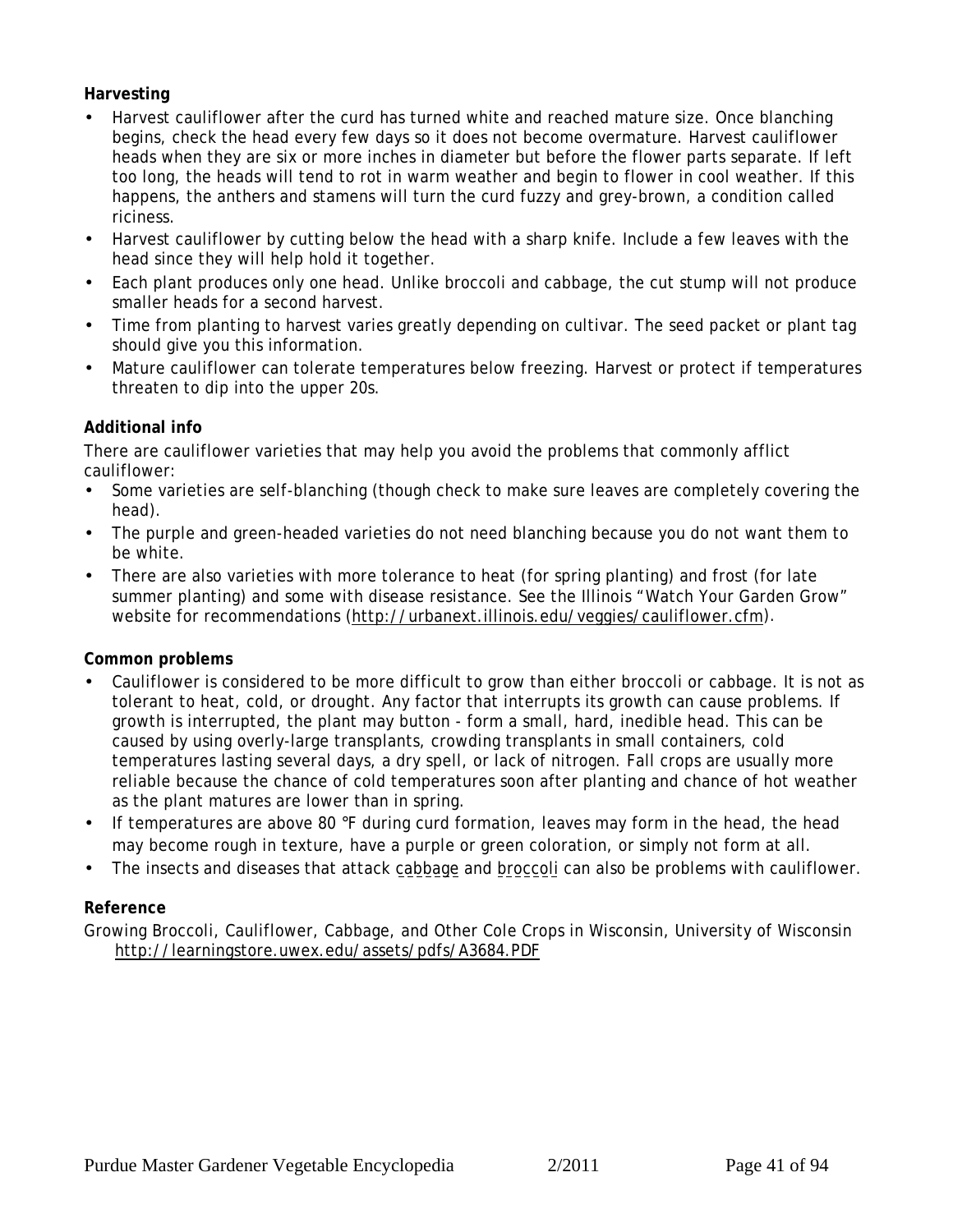#### **Harvesting**

- Harvest cauliflower after the curd has turned white and reached mature size. Once blanching begins, check the head every few days so it does not become overmature. Harvest cauliflower heads when they are six or more inches in diameter but before the flower parts separate. If left too long, the heads will tend to rot in warm weather and begin to flower in cool weather. If this happens, the anthers and stamens will turn the curd fuzzy and grey-brown, a condition called riciness.
- Harvest cauliflower by cutting below the head with a sharp knife. Include a few leaves with the head since they will help hold it together.
- Each plant produces only one head. Unlike broccoli and cabbage, the cut stump will not produce smaller heads for a second harvest.
- Time from planting to harvest varies greatly depending on cultivar. The seed packet or plant tag should give you this information.
- Mature cauliflower can tolerate temperatures below freezing. Harvest or protect if temperatures threaten to dip into the upper 20s.

#### **Additional info**

There are cauliflower varieties that may help you avoid the problems that commonly afflict cauliflower:

- Some varieties are self-blanching (though check to make sure leaves are completely covering the head).
- The purple and green-headed varieties do not need blanching because you do not want them to be white.
- There are also varieties with more tolerance to heat (for spring planting) and frost (for late summer planting) and some with disease resistance. See the Illinois "Watch Your Garden Grow" website for recommendations (http://urbanext.illinois.edu/veggies/cauliflower.cfm).

#### **Common problems**

- Cauliflower is considered to be more difficult to grow than either broccoli or cabbage. It is not as tolerant to heat, cold, or drought. Any factor that interrupts its growth can cause problems. If growth is interrupted, the plant may button - form a small, hard, inedible head. This can be caused by using overly-large transplants, crowding transplants in small containers, cold temperatures lasting several days, a dry spell, or lack of nitrogen. Fall crops are usually more reliable because the chance of cold temperatures soon after planting and chance of hot weather as the plant matures are lower than in spring.
- If temperatures are above 80 °F during curd formation, leaves may form in the head, the head may become rough in texture, have a purple or green coloration, or simply not form at all.
- The insects and diseases that attack [cabbage](#page-36-0) and [broccoli](#page-31-0) can also be problems with cauliflower.

#### **Reference**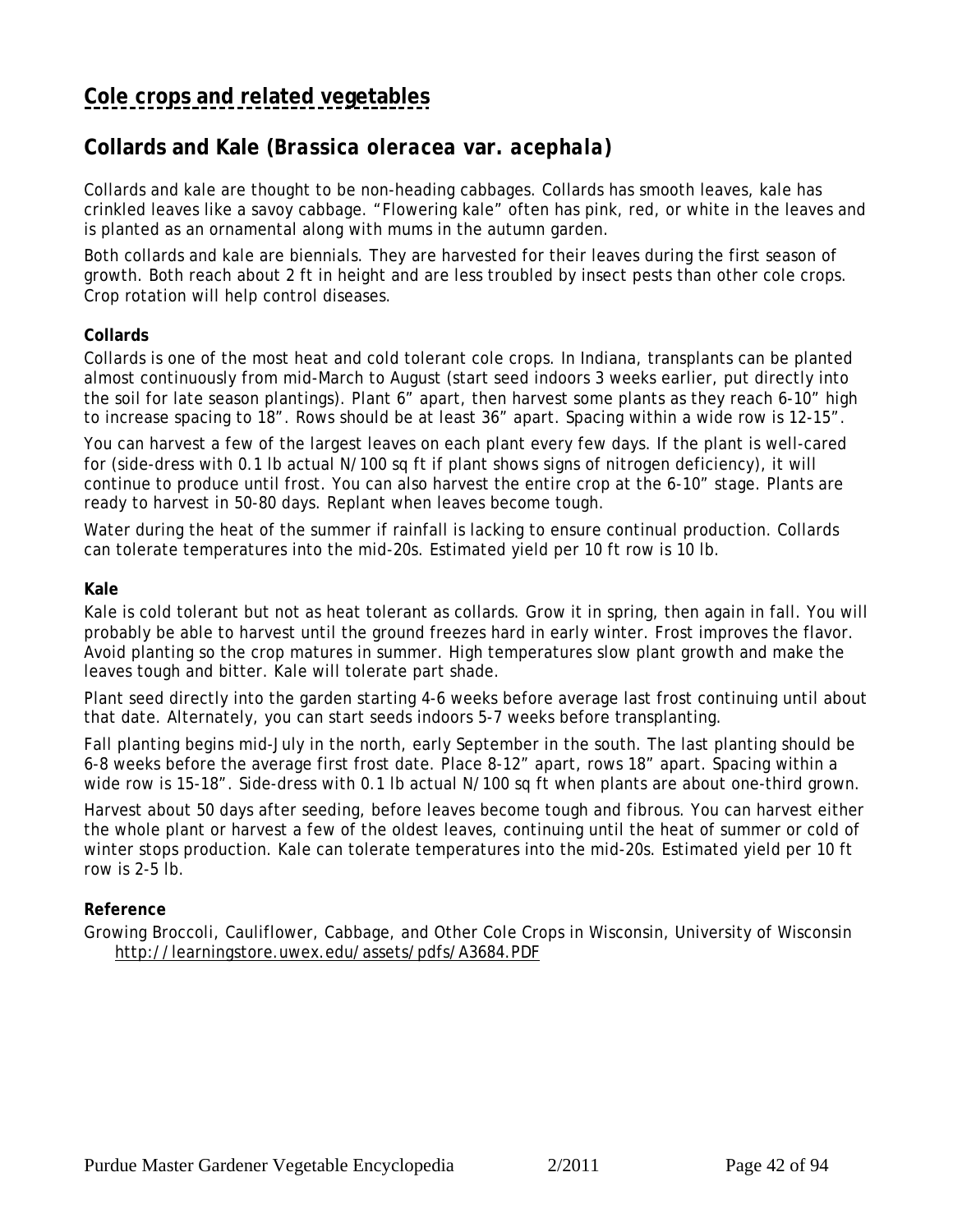# <span id="page-41-0"></span>**[Cole crops and related vegetables](#page-30-0)**

### **Collards and Kale (***Brassica oleracea* **var.** *acephala***)**

Collards and kale are thought to be non-heading cabbages. Collards has smooth leaves, kale has crinkled leaves like a savoy cabbage. "Flowering kale" often has pink, red, or white in the leaves and is planted as an ornamental along with mums in the autumn garden.

Both collards and kale are biennials. They are harvested for their leaves during the first season of growth. Both reach about 2 ft in height and are less troubled by insect pests than other cole crops. Crop rotation will help control diseases.

#### **Collards**

Collards is one of the most heat and cold tolerant cole crops. In Indiana, transplants can be planted almost continuously from mid-March to August (start seed indoors 3 weeks earlier, put directly into the soil for late season plantings). Plant 6" apart, then harvest some plants as they reach 6-10" high to increase spacing to 18". Rows should be at least 36" apart. Spacing within a wide row is 12-15".

You can harvest a few of the largest leaves on each plant every few days. If the plant is well-cared for (side-dress with 0.1 lb actual N/100 sq ft if plant shows signs of nitrogen deficiency), it will continue to produce until frost. You can also harvest the entire crop at the 6-10" stage. Plants are ready to harvest in 50-80 days. Replant when leaves become tough.

Water during the heat of the summer if rainfall is lacking to ensure continual production. Collards can tolerate temperatures into the mid-20s. Estimated yield per 10 ft row is 10 lb.

#### **Kale**

Kale is cold tolerant but not as heat tolerant as collards. Grow it in spring, then again in fall. You will probably be able to harvest until the ground freezes hard in early winter. Frost improves the flavor. Avoid planting so the crop matures in summer. High temperatures slow plant growth and make the leaves tough and bitter. Kale will tolerate part shade.

Plant seed directly into the garden starting 4-6 weeks before average last frost continuing until about that date. Alternately, you can start seeds indoors 5-7 weeks before transplanting.

Fall planting begins mid-July in the north, early September in the south. The last planting should be 6-8 weeks before the average first frost date. Place 8-12" apart, rows 18" apart. Spacing within a wide row is 15-18". Side-dress with 0.1 lb actual N/100 sq ft when plants are about one-third grown.

Harvest about 50 days after seeding, before leaves become tough and fibrous. You can harvest either the whole plant or harvest a few of the oldest leaves, continuing until the heat of summer or cold of winter stops production. Kale can tolerate temperatures into the mid-20s. Estimated yield per 10 ft row is 2-5 lb.

#### **Reference**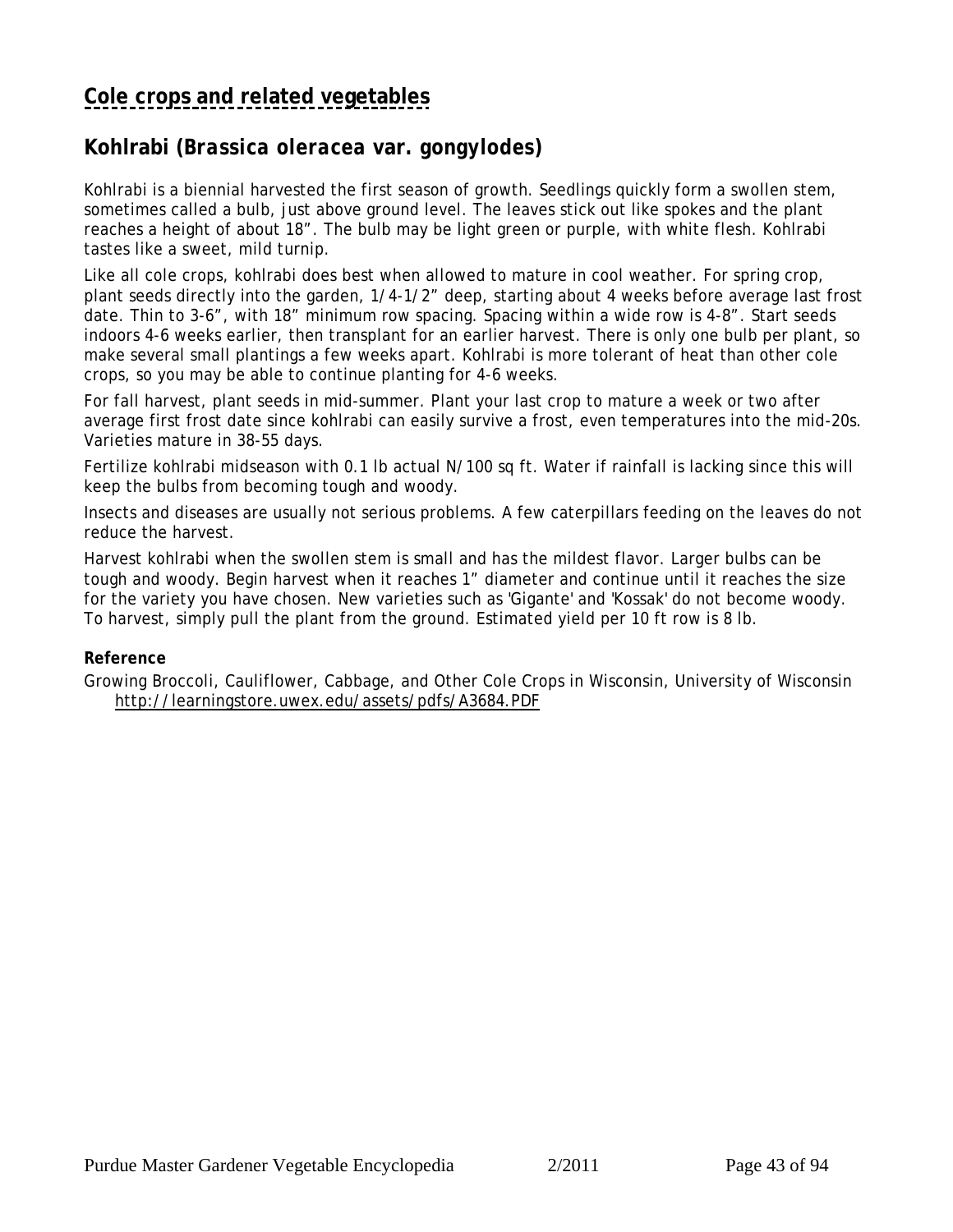## **[Cole crops and related vegetables](#page-30-0)**

## **Kohlrabi (***Brassica oleracea* **var.** *gongylodes***)**

Kohlrabi is a biennial harvested the first season of growth. Seedlings quickly form a swollen stem, sometimes called a bulb, just above ground level. The leaves stick out like spokes and the plant reaches a height of about 18". The bulb may be light green or purple, with white flesh. Kohlrabi tastes like a sweet, mild turnip.

Like all cole crops, kohlrabi does best when allowed to mature in cool weather. For spring crop, plant seeds directly into the garden, 1/4-1/2" deep, starting about 4 weeks before average last frost date. Thin to 3-6", with 18" minimum row spacing. Spacing within a wide row is 4-8". Start seeds indoors 4-6 weeks earlier, then transplant for an earlier harvest. There is only one bulb per plant, so make several small plantings a few weeks apart. Kohlrabi is more tolerant of heat than other cole crops, so you may be able to continue planting for 4-6 weeks.

For fall harvest, plant seeds in mid-summer. Plant your last crop to mature a week or two after average first frost date since kohlrabi can easily survive a frost, even temperatures into the mid-20s. Varieties mature in 38-55 days.

Fertilize kohlrabi midseason with 0.1 lb actual N/100 sq ft. Water if rainfall is lacking since this will keep the bulbs from becoming tough and woody.

Insects and diseases are usually not serious problems. A few caterpillars feeding on the leaves do not reduce the harvest.

Harvest kohlrabi when the swollen stem is small and has the mildest flavor. Larger bulbs can be tough and woody. Begin harvest when it reaches 1" diameter and continue until it reaches the size for the variety you have chosen. New varieties such as 'Gigante' and 'Kossak' do not become woody. To harvest, simply pull the plant from the ground. Estimated yield per 10 ft row is 8 lb.

#### **Reference**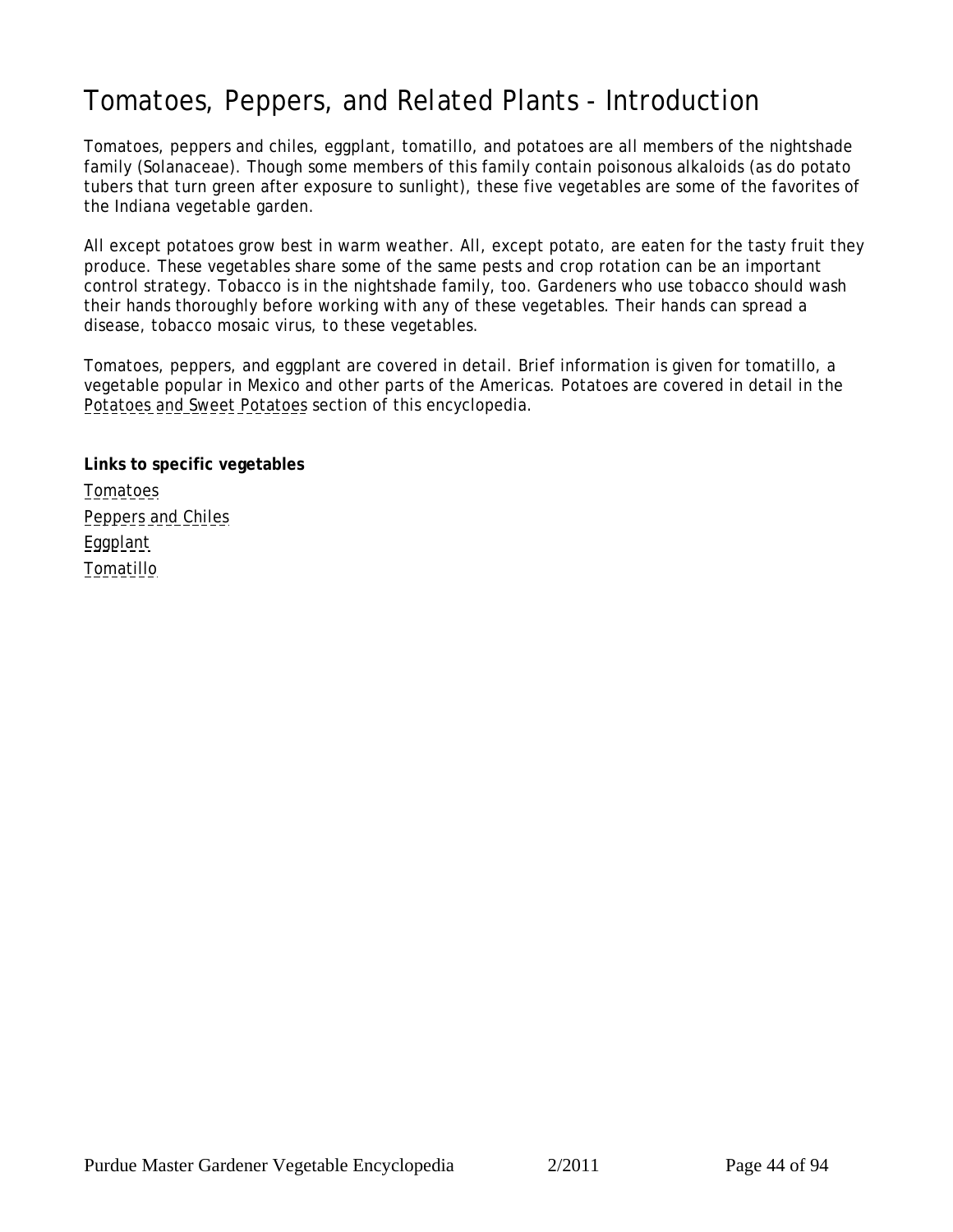# <span id="page-43-0"></span>Tomatoes, Peppers, and Related Plants - Introduction

Tomatoes, peppers and chiles, eggplant, tomatillo, and potatoes are all members of the nightshade family (Solanaceae). Though some members of this family contain poisonous alkaloids (as do potato tubers that turn green after exposure to sunlight), these five vegetables are some of the favorites of the Indiana vegetable garden.

All except potatoes grow best in warm weather. All, except potato, are eaten for the tasty fruit they produce. These vegetables share some of the same pests and crop rotation can be an important control strategy. Tobacco is in the nightshade family, too. Gardeners who use tobacco should wash their hands thoroughly before working with any of these vegetables. Their hands can spread a disease, tobacco mosaic virus, to these vegetables.

Tomatoes, peppers, and eggplant are covered in detail. Brief information is given for tomatillo, a vegetable popular in Mexico and other parts of the Americas. Potatoes are covered in detail in the [Potatoes and Sweet Potatoes](#page-52-0) section of this encyclopedia.

**Links to specific vegetables** [Tomatoes](#page-44-0) [Peppers and Chiles](#page-47-0) [Eggplant](#page-49-0) [Tomatillo](#page-51-0)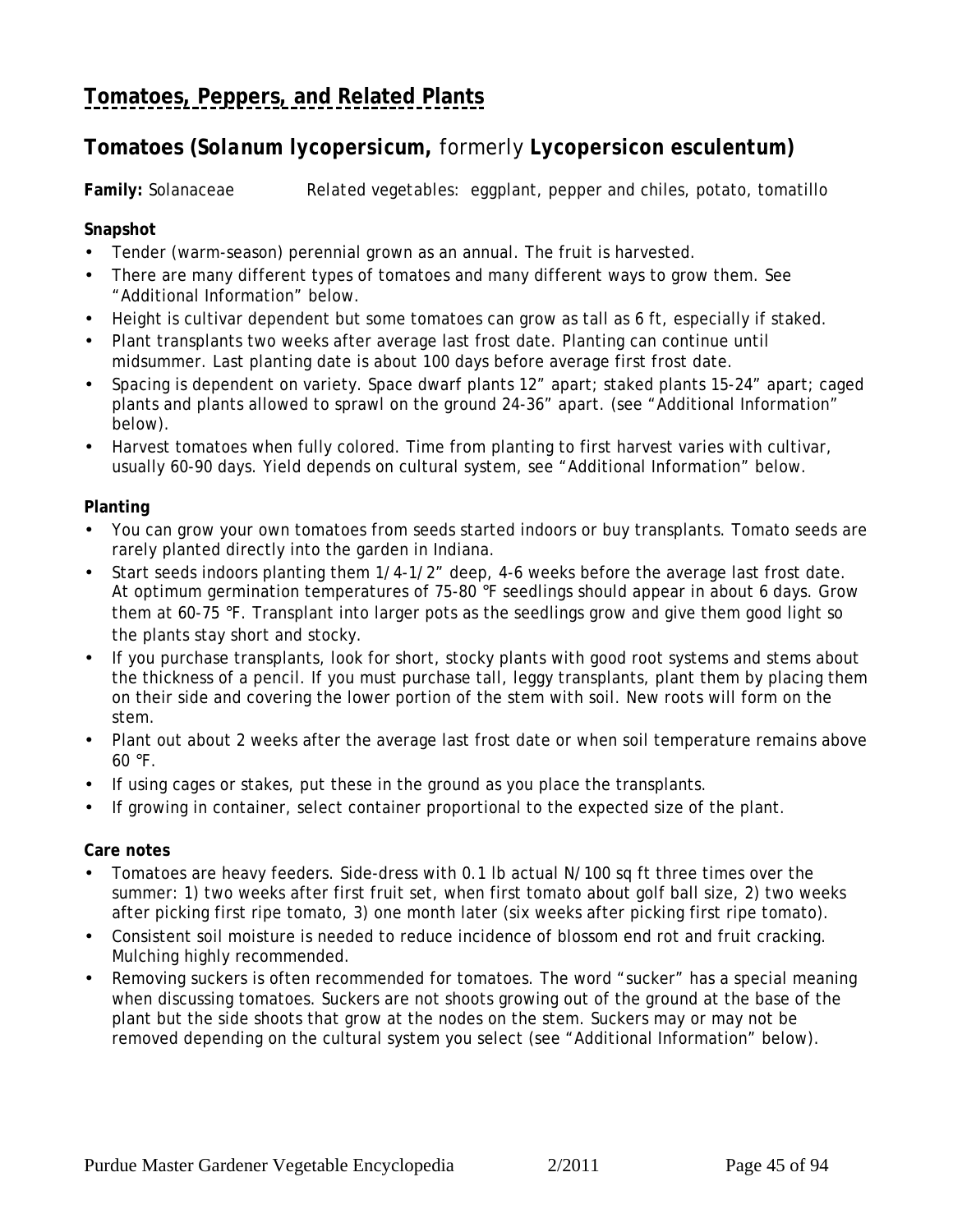# <span id="page-44-0"></span>**[Tomatoes, Peppers, and Related Plants](#page-43-0)**

## **Tomatoes (***Solanum lycopersicum***,** formerly *Lycopersicon esculentum***)**

**Family:** Solanaceae *Related vegetables:* eggplant, pepper and chiles, potato, tomatillo

#### **Snapshot**

- Tender (warm-season) perennial grown as an annual. The fruit is harvested.
- There are many different types of tomatoes and many different ways to grow them. See "Additional Information" below.
- Height is cultivar dependent but some tomatoes can grow as tall as 6 ft, especially if staked.
- Plant transplants two weeks after average last frost date. Planting can continue until midsummer. Last planting date is about 100 days before average first frost date.
- Spacing is dependent on variety. Space dwarf plants 12" apart; staked plants 15-24" apart; caged plants and plants allowed to sprawl on the ground 24-36" apart. (see "Additional Information" below).
- Harvest tomatoes when fully colored. Time from planting to first harvest varies with cultivar, usually 60-90 days. Yield depends on cultural system, see "Additional Information" below.

#### **Planting**

- You can grow your own tomatoes from seeds started indoors or buy transplants. Tomato seeds are rarely planted directly into the garden in Indiana.
- Start seeds indoors planting them 1/4-1/2" deep, 4-6 weeks before the average last frost date. At optimum germination temperatures of 75-80 °F seedlings should appear in about 6 days. Grow them at 60-75 °F. Transplant into larger pots as the seedlings grow and give them good light so the plants stay short and stocky.
- If you purchase transplants, look for short, stocky plants with good root systems and stems about the thickness of a pencil. If you must purchase tall, leggy transplants, plant them by placing them on their side and covering the lower portion of the stem with soil. New roots will form on the stem.
- Plant out about 2 weeks after the average last frost date or when soil temperature remains above  $60 °F$ .
- If using cages or stakes, put these in the ground as you place the transplants.
- If growing in container, select container proportional to the expected size of the plant.

#### **Care notes**

- Tomatoes are heavy feeders. Side-dress with 0.1 lb actual N/100 sq ft three times over the summer: 1) two weeks after first fruit set, when first tomato about golf ball size, 2) two weeks after picking first ripe tomato, 3) one month later (six weeks after picking first ripe tomato).
- Consistent soil moisture is needed to reduce incidence of blossom end rot and fruit cracking. Mulching highly recommended.
- Removing suckers is often recommended for tomatoes. The word "sucker" has a special meaning when discussing tomatoes. Suckers are not shoots growing out of the ground at the base of the plant but the side shoots that grow at the nodes on the stem. Suckers may or may not be removed depending on the cultural system you select (see "Additional Information" below).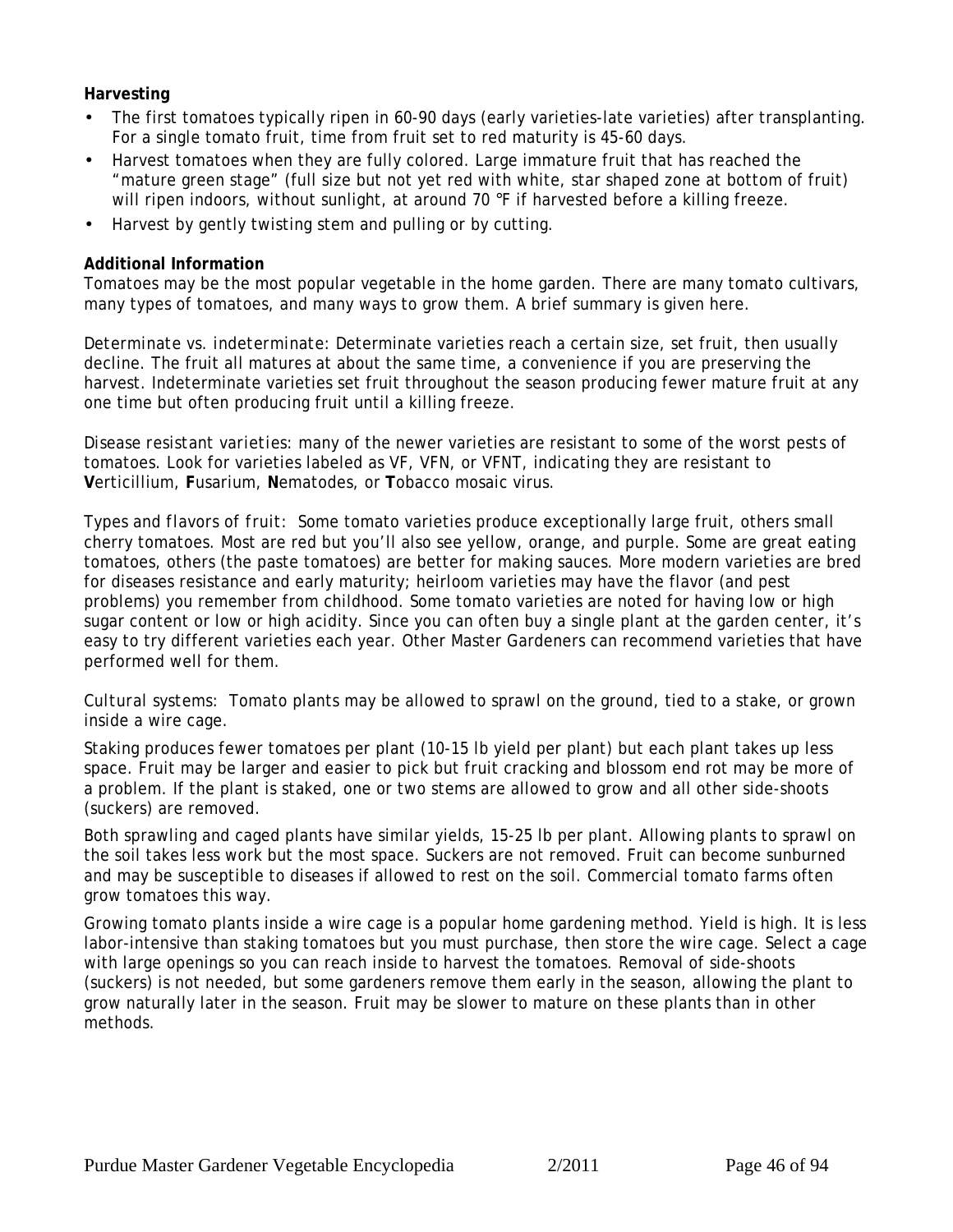**Harvesting**

- The first tomatoes typically ripen in 60-90 days (early varieties-late varieties) after transplanting. For a single tomato fruit, time from fruit set to red maturity is 45-60 days.
- Harvest tomatoes when they are fully colored. Large immature fruit that has reached the "mature green stage" (full size but not yet red with white, star shaped zone at bottom of fruit) will ripen indoors, without sunlight, at around 70 °F if harvested before a killing freeze.
- Harvest by gently twisting stem and pulling or by cutting.

#### **Additional Information**

Tomatoes may be the most popular vegetable in the home garden. There are many tomato cultivars, many types of tomatoes, and many ways to grow them. A brief summary is given here.

*Determinate vs. indeterminate:* Determinate varieties reach a certain size, set fruit, then usually decline. The fruit all matures at about the same time, a convenience if you are preserving the harvest. Indeterminate varieties set fruit throughout the season producing fewer mature fruit at any one time but often producing fruit until a killing freeze.

*Disease resistant varieties:* many of the newer varieties are resistant to some of the worst pests of tomatoes. Look for varieties labeled as VF, VFN, or VFNT, indicating they are resistant to **V**erticillium, **F**usarium, **N**ematodes, or **T**obacco mosaic virus.

*Types and flavors of fruit:* Some tomato varieties produce exceptionally large fruit, others small cherry tomatoes. Most are red but you'll also see yellow, orange, and purple. Some are great eating tomatoes, others (the paste tomatoes) are better for making sauces. More modern varieties are bred for diseases resistance and early maturity; heirloom varieties may have the flavor (and pest problems) you remember from childhood. Some tomato varieties are noted for having low or high sugar content or low or high acidity. Since you can often buy a single plant at the garden center, it's easy to try different varieties each year. Other Master Gardeners can recommend varieties that have performed well for them.

*Cultural systems:* Tomato plants may be allowed to sprawl on the ground, tied to a stake, or grown inside a wire cage.

Staking produces fewer tomatoes per plant (10-15 lb yield per plant) but each plant takes up less space. Fruit may be larger and easier to pick but fruit cracking and blossom end rot may be more of a problem. If the plant is staked, one or two stems are allowed to grow and all other side-shoots (suckers) are removed.

Both sprawling and caged plants have similar yields, 15-25 lb per plant. Allowing plants to sprawl on the soil takes less work but the most space. Suckers are not removed. Fruit can become sunburned and may be susceptible to diseases if allowed to rest on the soil. Commercial tomato farms often grow tomatoes this way.

Growing tomato plants inside a wire cage is a popular home gardening method. Yield is high. It is less labor-intensive than staking tomatoes but you must purchase, then store the wire cage. Select a cage with large openings so you can reach inside to harvest the tomatoes. Removal of side-shoots (suckers) is not needed, but some gardeners remove them early in the season, allowing the plant to grow naturally later in the season. Fruit may be slower to mature on these plants than in other methods.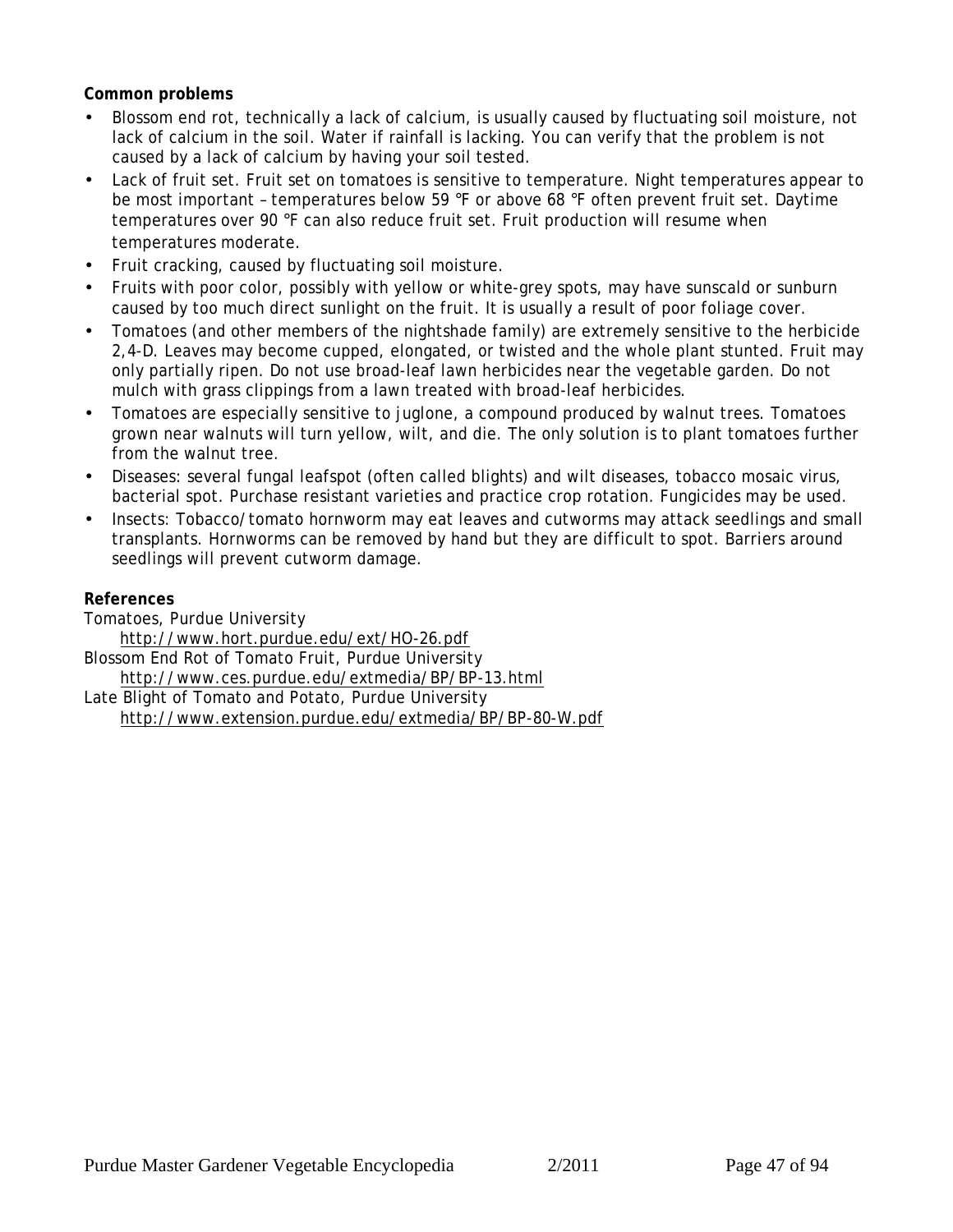**Common problems**

- Blossom end rot, technically a lack of calcium, is usually caused by fluctuating soil moisture, not lack of calcium in the soil. Water if rainfall is lacking. You can verify that the problem is not caused by a lack of calcium by having your soil tested.
- Lack of fruit set. Fruit set on tomatoes is sensitive to temperature. Night temperatures appear to be most important – temperatures below 59 °F or above 68 °F often prevent fruit set. Daytime temperatures over 90 °F can also reduce fruit set. Fruit production will resume when temperatures moderate.
- Fruit cracking, caused by fluctuating soil moisture.
- Fruits with poor color, possibly with yellow or white-grey spots, may have sunscald or sunburn caused by too much direct sunlight on the fruit. It is usually a result of poor foliage cover.
- Tomatoes (and other members of the nightshade family) are extremely sensitive to the herbicide 2,4-D. Leaves may become cupped, elongated, or twisted and the whole plant stunted. Fruit may only partially ripen. Do not use broad-leaf lawn herbicides near the vegetable garden. Do not mulch with grass clippings from a lawn treated with broad-leaf herbicides.
- Tomatoes are especially sensitive to juglone, a compound produced by walnut trees. Tomatoes grown near walnuts will turn yellow, wilt, and die. The only solution is to plant tomatoes further from the walnut tree.
- Diseases: several fungal leafspot (often called blights) and wilt diseases, tobacco mosaic virus, bacterial spot. Purchase resistant varieties and practice crop rotation. Fungicides may be used.
- Insects: Tobacco/tomato hornworm may eat leaves and cutworms may attack seedlings and small transplants. Hornworms can be removed by hand but they are difficult to spot. Barriers around seedlings will prevent cutworm damage.

**References**

Tomatoes, Purdue University

http://www.hort.purdue.edu/ext/HO-26.pdf

Blossom End Rot of Tomato Fruit, Purdue University http://www.ces.purdue.edu/extmedia/BP/BP-13.html

Late Blight of Tomato and Potato, Purdue University http://www.extension.purdue.edu/extmedia/BP/BP-80-W.pdf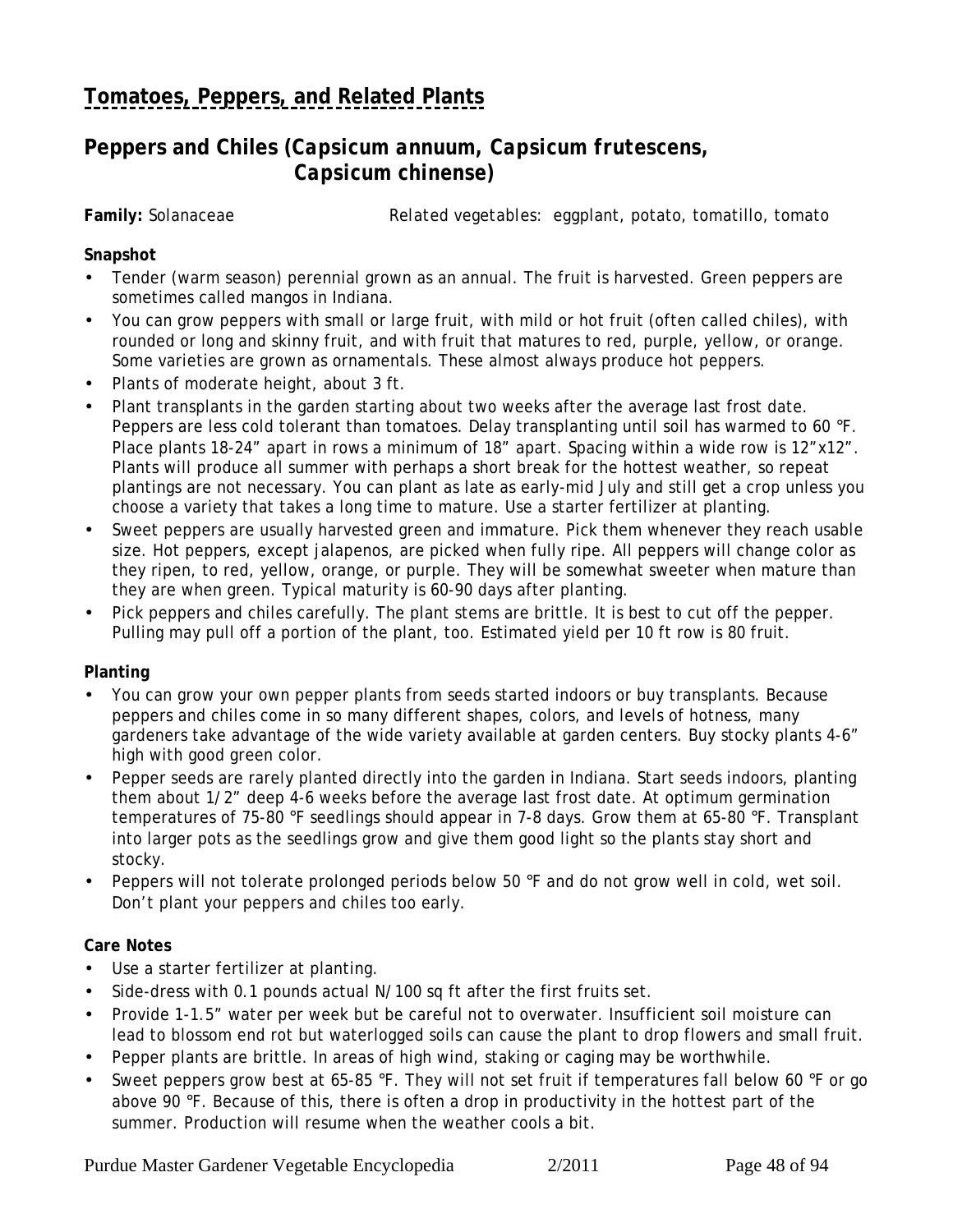## <span id="page-47-0"></span>**[Tomatoes, Peppers, and Related Plants](#page-43-0)**

### **Peppers and Chiles (***Capsicum annuum, Capsicum frutescens, Capsicum chinense)*

**Family:** Solanaceae *Related vegetables:* eggplant, potato, tomatillo, tomato

#### **Snapshot**

- Tender (warm season) perennial grown as an annual. The fruit is harvested. Green peppers are sometimes called mangos in Indiana.
- You can grow peppers with small or large fruit, with mild or hot fruit (often called chiles), with rounded or long and skinny fruit, and with fruit that matures to red, purple, yellow, or orange. Some varieties are grown as ornamentals. These almost always produce hot peppers.
- Plants of moderate height, about 3 ft.
- Plant transplants in the garden starting about two weeks after the average last frost date. Peppers are less cold tolerant than tomatoes. Delay transplanting until soil has warmed to 60 °F. Place plants 18-24" apart in rows a minimum of 18" apart. Spacing within a wide row is 12"x12". Plants will produce all summer with perhaps a short break for the hottest weather, so repeat plantings are not necessary. You can plant as late as early-mid July and still get a crop unless you choose a variety that takes a long time to mature. Use a starter fertilizer at planting.
- Sweet peppers are usually harvested green and immature. Pick them whenever they reach usable size. Hot peppers, except jalapenos, are picked when fully ripe. All peppers will change color as they ripen, to red, yellow, orange, or purple. They will be somewhat sweeter when mature than they are when green. Typical maturity is 60-90 days after planting.
- Pick peppers and chiles carefully. The plant stems are brittle. It is best to cut off the pepper. Pulling may pull off a portion of the plant, too. Estimated yield per 10 ft row is 80 fruit.

#### **Planting**

- You can grow your own pepper plants from seeds started indoors or buy transplants. Because peppers and chiles come in so many different shapes, colors, and levels of hotness, many gardeners take advantage of the wide variety available at garden centers. Buy stocky plants 4-6" high with good green color.
- Pepper seeds are rarely planted directly into the garden in Indiana. Start seeds indoors, planting them about 1/2" deep 4-6 weeks before the average last frost date. At optimum germination temperatures of 75-80 °F seedlings should appear in 7-8 days. Grow them at 65-80 °F. Transplant into larger pots as the seedlings grow and give them good light so the plants stay short and stocky.
- Peppers will not tolerate prolonged periods below 50 °F and do not grow well in cold, wet soil. Don't plant your peppers and chiles too early.

#### **Care Notes**

- Use a starter fertilizer at planting.
- Side-dress with 0.1 pounds actual N/100 sq ft after the first fruits set.
- Provide 1-1.5" water per week but be careful not to overwater. Insufficient soil moisture can lead to blossom end rot but waterlogged soils can cause the plant to drop flowers and small fruit.
- Pepper plants are brittle. In areas of high wind, staking or caging may be worthwhile.
- Sweet peppers grow best at 65-85 °F. They will not set fruit if temperatures fall below 60 °F or go above 90 °F. Because of this, there is often a drop in productivity in the hottest part of the summer. Production will resume when the weather cools a bit.

Purdue Master Gardener Vegetable Encyclopedia 2/2011 Page 48 of 94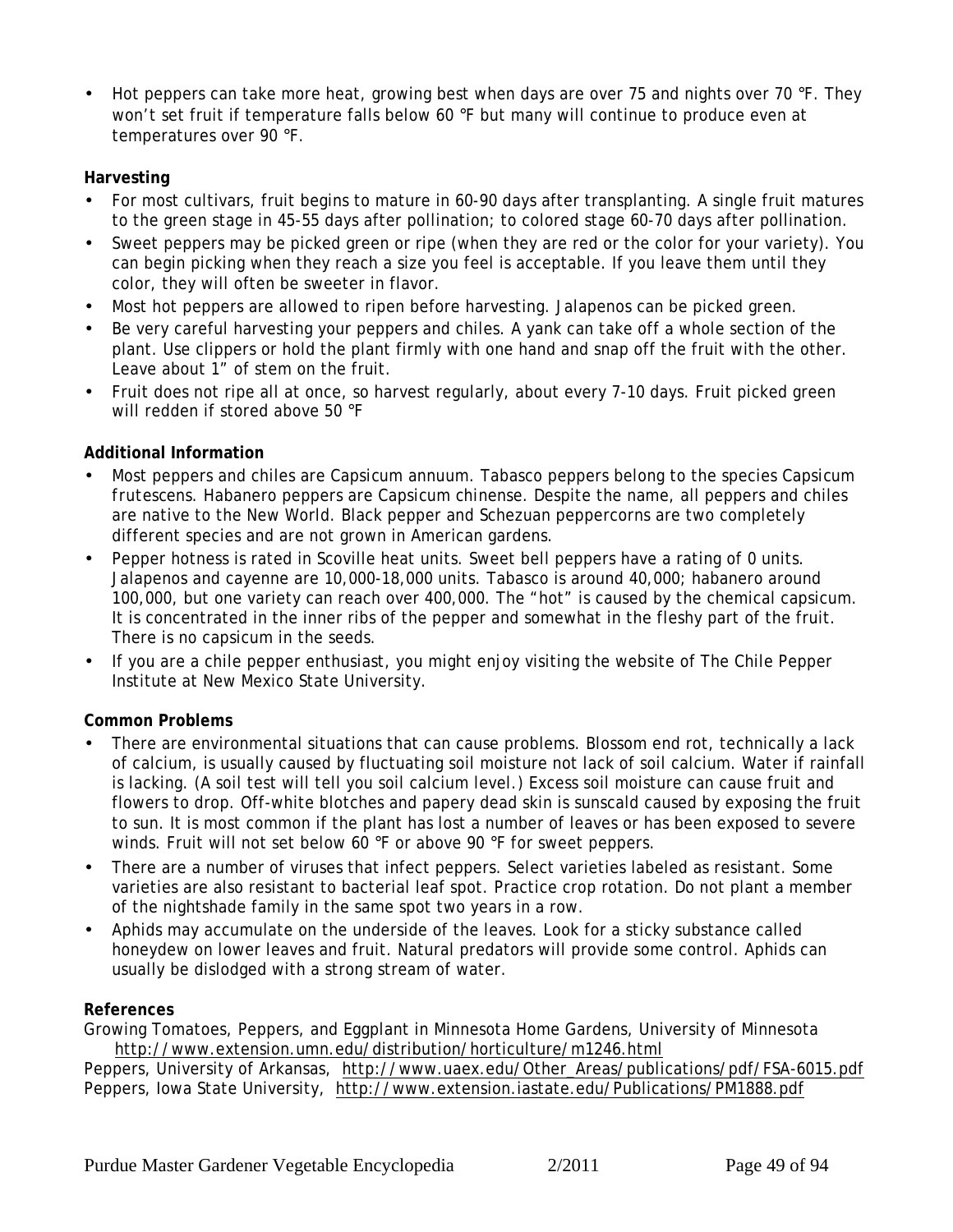• Hot peppers can take more heat, growing best when days are over 75 and nights over 70 °F. They won't set fruit if temperature falls below 60 °F but many will continue to produce even at temperatures over 90 °F.

#### **Harvesting**

- For most cultivars, fruit begins to mature in 60-90 days after transplanting. A single fruit matures to the green stage in 45-55 days after pollination; to colored stage 60-70 days after pollination.
- Sweet peppers may be picked green or ripe (when they are red or the color for your variety). You can begin picking when they reach a size you feel is acceptable. If you leave them until they color, they will often be sweeter in flavor.
- Most hot peppers are allowed to ripen before harvesting. Jalapenos can be picked green.
- Be very careful harvesting your peppers and chiles. A yank can take off a whole section of the plant. Use clippers or hold the plant firmly with one hand and snap off the fruit with the other. Leave about 1" of stem on the fruit.
- Fruit does not ripe all at once, so harvest regularly, about every 7-10 days. Fruit picked green will redden if stored above 50 °F

#### **Additional Information**

- Most peppers and chiles are *Capsicum annuum*. Tabasco peppers belong to the species *Capsicum frutescens.* Habanero peppers are *Capsicum chinense*. Despite the name, all peppers and chiles are native to the New World. Black pepper and Schezuan peppercorns are two completely different species and are not grown in American gardens.
- Pepper hotness is rated in Scoville heat units. Sweet bell peppers have a rating of 0 units. Jalapenos and cayenne are 10,000-18,000 units. Tabasco is around 40,000; habanero around 100,000, but one variety can reach over 400,000. The "hot" is caused by the chemical capsicum. It is concentrated in the inner ribs of the pepper and somewhat in the fleshy part of the fruit. There is no capsicum in the seeds.
- If you are a chile pepper enthusiast, you might enjoy visiting the website of The Chile Pepper Institute at New Mexico State University.

#### **Common Problems**

- There are environmental situations that can cause problems. Blossom end rot, technically a lack of calcium, is usually caused by fluctuating soil moisture not lack of soil calcium. Water if rainfall is lacking. (A soil test will tell you soil calcium level.) Excess soil moisture can cause fruit and flowers to drop. Off-white blotches and papery dead skin is sunscald caused by exposing the fruit to sun. It is most common if the plant has lost a number of leaves or has been exposed to severe winds. Fruit will not set below 60 °F or above 90 °F for sweet peppers.
- There are a number of viruses that infect peppers. Select varieties labeled as resistant. Some varieties are also resistant to bacterial leaf spot. Practice crop rotation. Do not plant a member of the nightshade family in the same spot two years in a row.
- Aphids may accumulate on the underside of the leaves. Look for a sticky substance called honeydew on lower leaves and fruit. Natural predators will provide some control. Aphids can usually be dislodged with a strong stream of water.

#### **References**

Growing Tomatoes, Peppers, and Eggplant in Minnesota Home Gardens, University of Minnesota http://www.extension.umn.edu/distribution/horticulture/m1246.html

Peppers, University of Arkansas, http://www.uaex.edu/Other\_Areas/publications/pdf/FSA-6015.pdf Peppers, Iowa State University, http://www.extension.iastate.edu/Publications/PM1888.pdf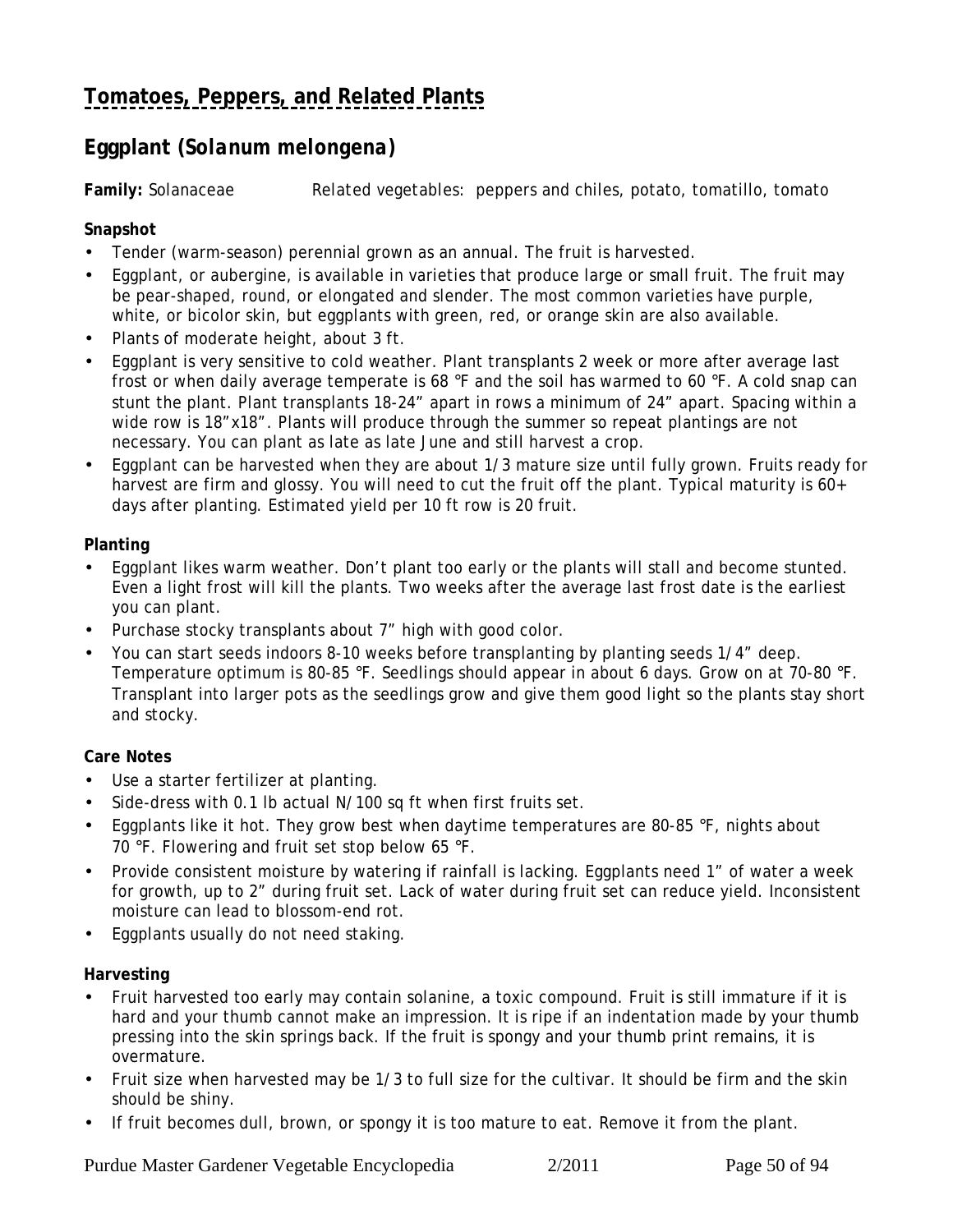# <span id="page-49-0"></span>**[Tomatoes, Peppers, and Related Plants](#page-43-0)**

## **Eggplant (***Solanum melongena)*

**Family:** Solanaceae *Related vegetables:* peppers and chiles, potato, tomatillo, tomato

#### **Snapshot**

- Tender (warm-season) perennial grown as an annual. The fruit is harvested.
- Eggplant, or aubergine, is available in varieties that produce large or small fruit. The fruit may be pear-shaped, round, or elongated and slender. The most common varieties have purple, white, or bicolor skin, but eggplants with green, red, or orange skin are also available.
- Plants of moderate height, about 3 ft.
- Eggplant is very sensitive to cold weather. Plant transplants 2 week or more after average last frost or when daily average temperate is 68 °F and the soil has warmed to 60 °F. A cold snap can stunt the plant. Plant transplants 18-24" apart in rows a minimum of 24" apart. Spacing within a wide row is 18"x18". Plants will produce through the summer so repeat plantings are not necessary. You can plant as late as late June and still harvest a crop.
- Eggplant can be harvested when they are about 1/3 mature size until fully grown. Fruits ready for harvest are firm and glossy. You will need to cut the fruit off the plant. Typical maturity is 60+ days after planting. Estimated yield per 10 ft row is 20 fruit.

#### **Planting**

- Eggplant likes warm weather. Don't plant too early or the plants will stall and become stunted. Even a light frost will kill the plants. Two weeks after the average last frost date is the earliest you can plant.
- Purchase stocky transplants about 7" high with good color.
- You can start seeds indoors 8-10 weeks before transplanting by planting seeds 1/4" deep. Temperature optimum is 80-85 °F. Seedlings should appear in about 6 days. Grow on at 70-80 °F. Transplant into larger pots as the seedlings grow and give them good light so the plants stay short and stocky.

#### **Care Notes**

- Use a starter fertilizer at planting.
- Side-dress with 0.1 lb actual N/100 sq ft when first fruits set.
- Eggplants like it hot. They grow best when daytime temperatures are 80-85 °F, nights about 70 °F. Flowering and fruit set stop below 65 °F.
- Provide consistent moisture by watering if rainfall is lacking. Eggplants need 1" of water a week for growth, up to 2" during fruit set. Lack of water during fruit set can reduce yield. Inconsistent moisture can lead to blossom-end rot.
- Eggplants usually do not need staking.

**Harvesting**

- Fruit harvested too early may contain solanine, a toxic compound. Fruit is still immature if it is hard and your thumb cannot make an impression. It is ripe if an indentation made by your thumb pressing into the skin springs back. If the fruit is spongy and your thumb print remains, it is overmature.
- Fruit size when harvested may be 1/3 to full size for the cultivar. It should be firm and the skin should be shiny.
- If fruit becomes dull, brown, or spongy it is too mature to eat. Remove it from the plant.

Purdue Master Gardener Vegetable Encyclopedia 2/2011 Page 50 of 94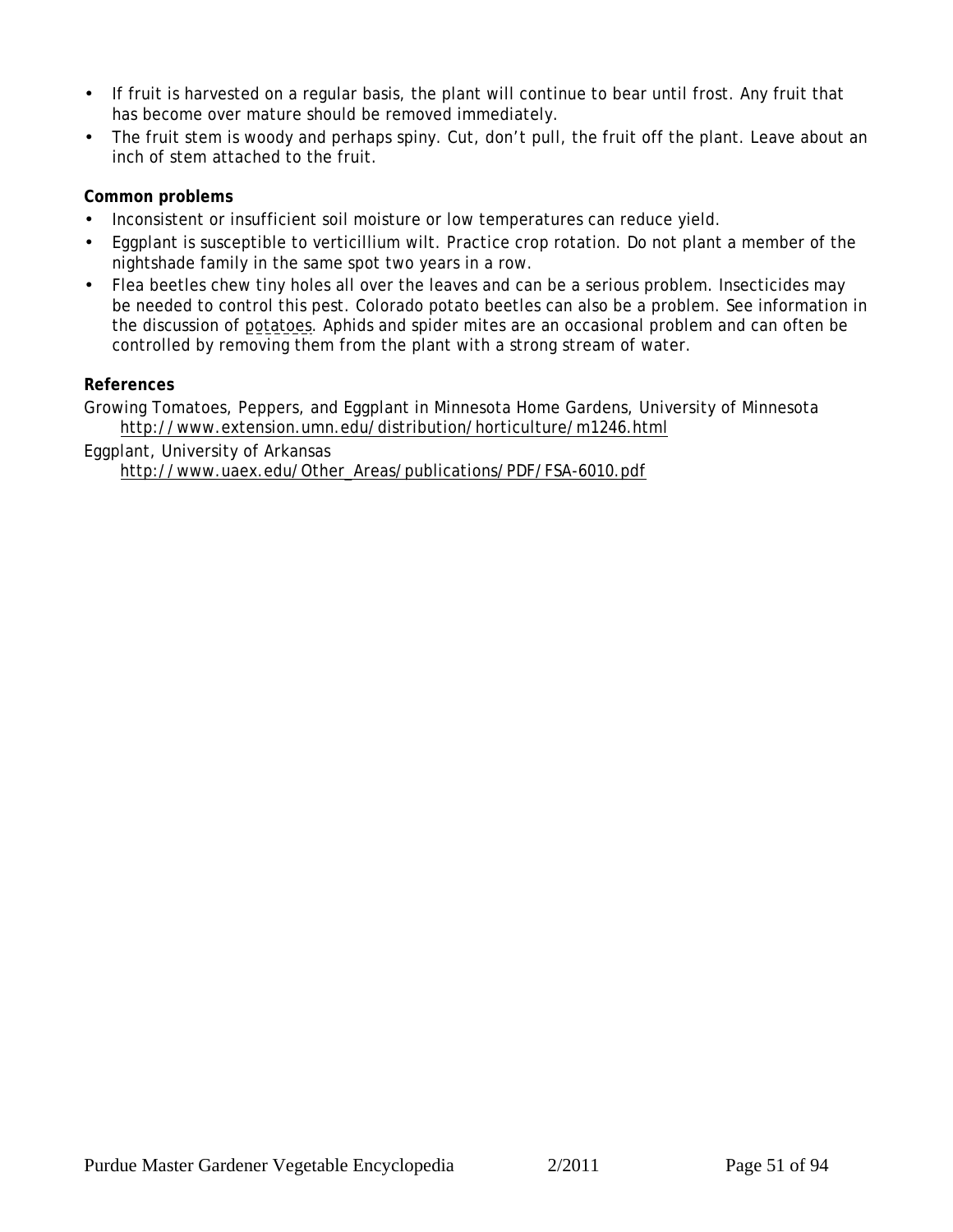- If fruit is harvested on a regular basis, the plant will continue to bear until frost. Any fruit that has become over mature should be removed immediately.
- The fruit stem is woody and perhaps spiny. Cut, don't pull, the fruit off the plant. Leave about an inch of stem attached to the fruit.

#### **Common problems**

- Inconsistent or insufficient soil moisture or low temperatures can reduce yield.
- Eggplant is susceptible to verticillium wilt. Practice crop rotation. Do not plant a member of the nightshade family in the same spot two years in a row.
- Flea beetles chew tiny holes all over the leaves and can be a serious problem. Insecticides may be needed to control this pest. Colorado potato beetles can also be a problem. See information in the discussion of [potatoes](#page-53-0). Aphids and spider mites are an occasional problem and can often be controlled by removing them from the plant with a strong stream of water.

#### **References**

Growing Tomatoes, Peppers, and Eggplant in Minnesota Home Gardens, University of Minnesota http://www.extension.umn.edu/distribution/horticulture/m1246.html

Eggplant, University of Arkansas http://www.uaex.edu/Other\_Areas/publications/PDF/FSA-6010.pdf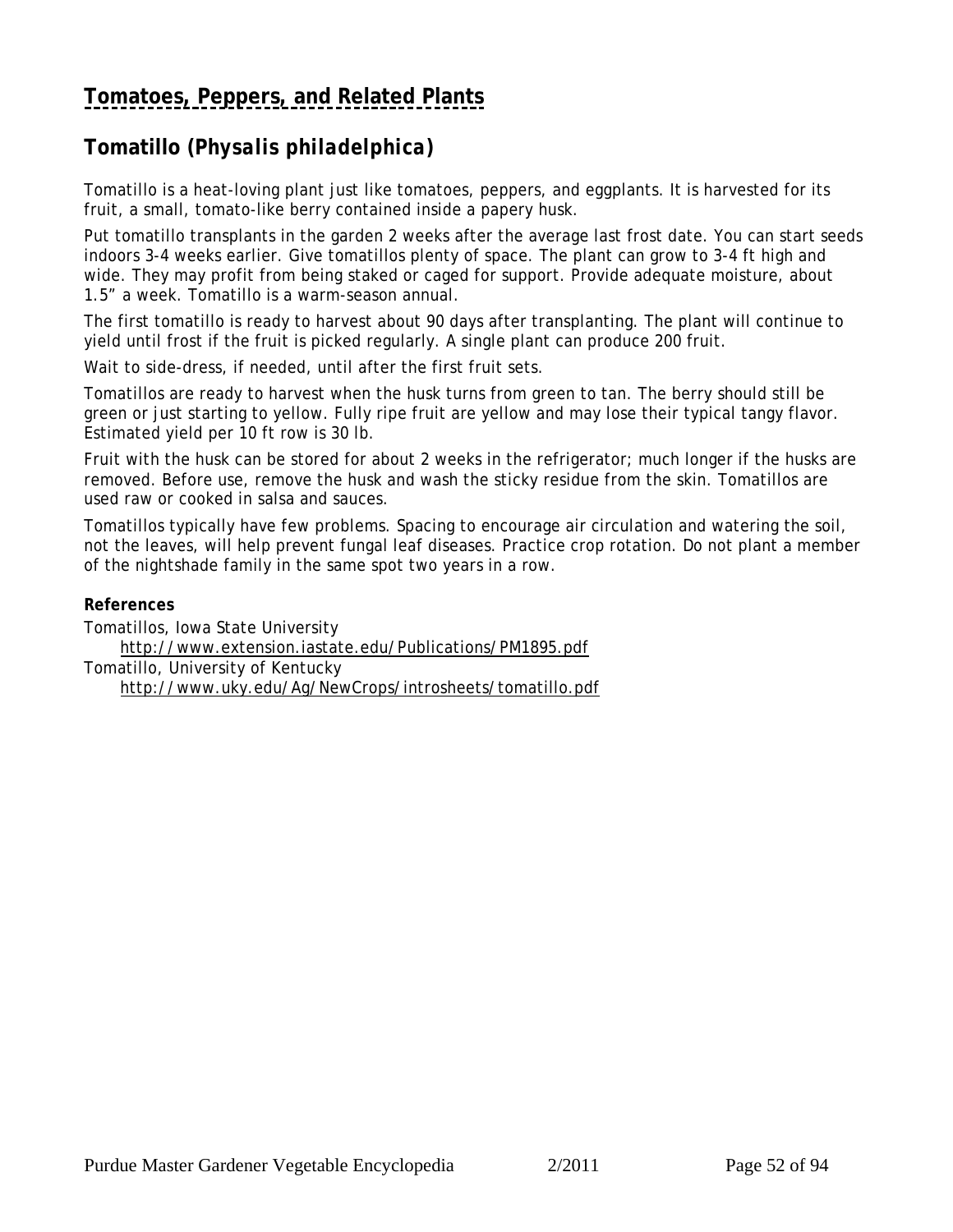# <span id="page-51-0"></span>**[Tomatoes, Peppers, and Related Plants](#page-43-0)**

## **Tomatillo (***Physalis philadelphica***)**

Tomatillo is a heat-loving plant just like tomatoes, peppers, and eggplants. It is harvested for its fruit, a small, tomato-like berry contained inside a papery husk.

Put tomatillo transplants in the garden 2 weeks after the average last frost date. You can start seeds indoors 3-4 weeks earlier. Give tomatillos plenty of space. The plant can grow to 3-4 ft high and wide. They may profit from being staked or caged for support. Provide adequate moisture, about 1.5" a week. Tomatillo is a warm-season annual.

The first tomatillo is ready to harvest about 90 days after transplanting. The plant will continue to yield until frost if the fruit is picked regularly. A single plant can produce 200 fruit.

Wait to side-dress, if needed, until after the first fruit sets.

Tomatillos are ready to harvest when the husk turns from green to tan. The berry should still be green or just starting to yellow. Fully ripe fruit are yellow and may lose their typical tangy flavor. Estimated yield per 10 ft row is 30 lb.

Fruit with the husk can be stored for about 2 weeks in the refrigerator; much longer if the husks are removed. Before use, remove the husk and wash the sticky residue from the skin. Tomatillos are used raw or cooked in salsa and sauces.

Tomatillos typically have few problems. Spacing to encourage air circulation and watering the soil, not the leaves, will help prevent fungal leaf diseases. Practice crop rotation. Do not plant a member of the nightshade family in the same spot two years in a row.

**References** Tomatillos, Iowa State University http://www.extension.iastate.edu/Publications/PM1895.pdf Tomatillo, University of Kentucky http://www.uky.edu/Ag/NewCrops/introsheets/tomatillo.pdf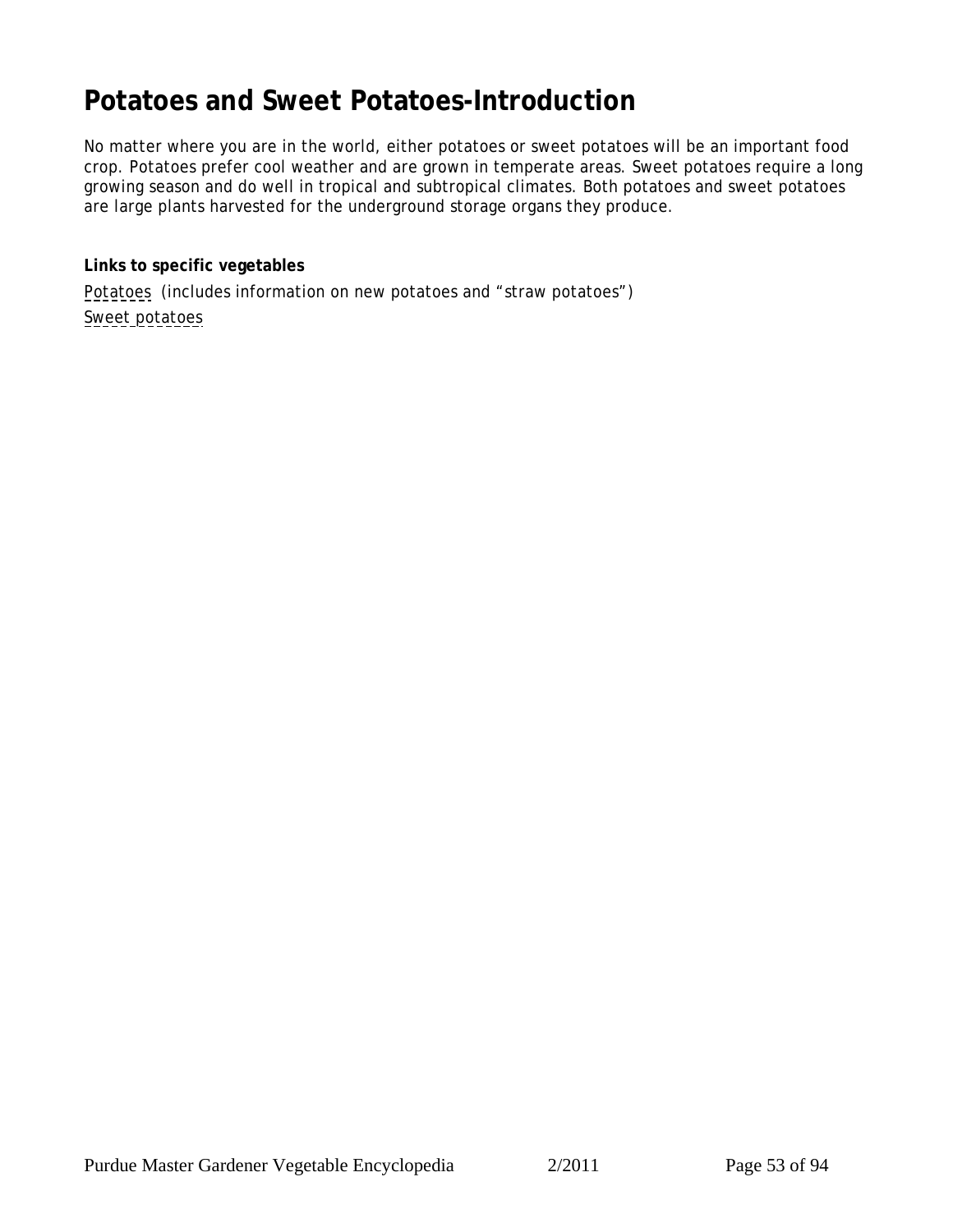# <span id="page-52-0"></span>**Potatoes and Sweet Potatoes-Introduction**

No matter where you are in the world, either potatoes or sweet potatoes will be an important food crop. Potatoes prefer cool weather and are grown in temperate areas. Sweet potatoes require a long growing season and do well in tropical and subtropical climates. Both potatoes and sweet potatoes are large plants harvested for the underground storage organs they produce.

**Links to specific vegetables** [Potatoes](#page-53-0) (includes information on new potatoes and "straw potatoes") [Sweet potatoes](#page-56-0)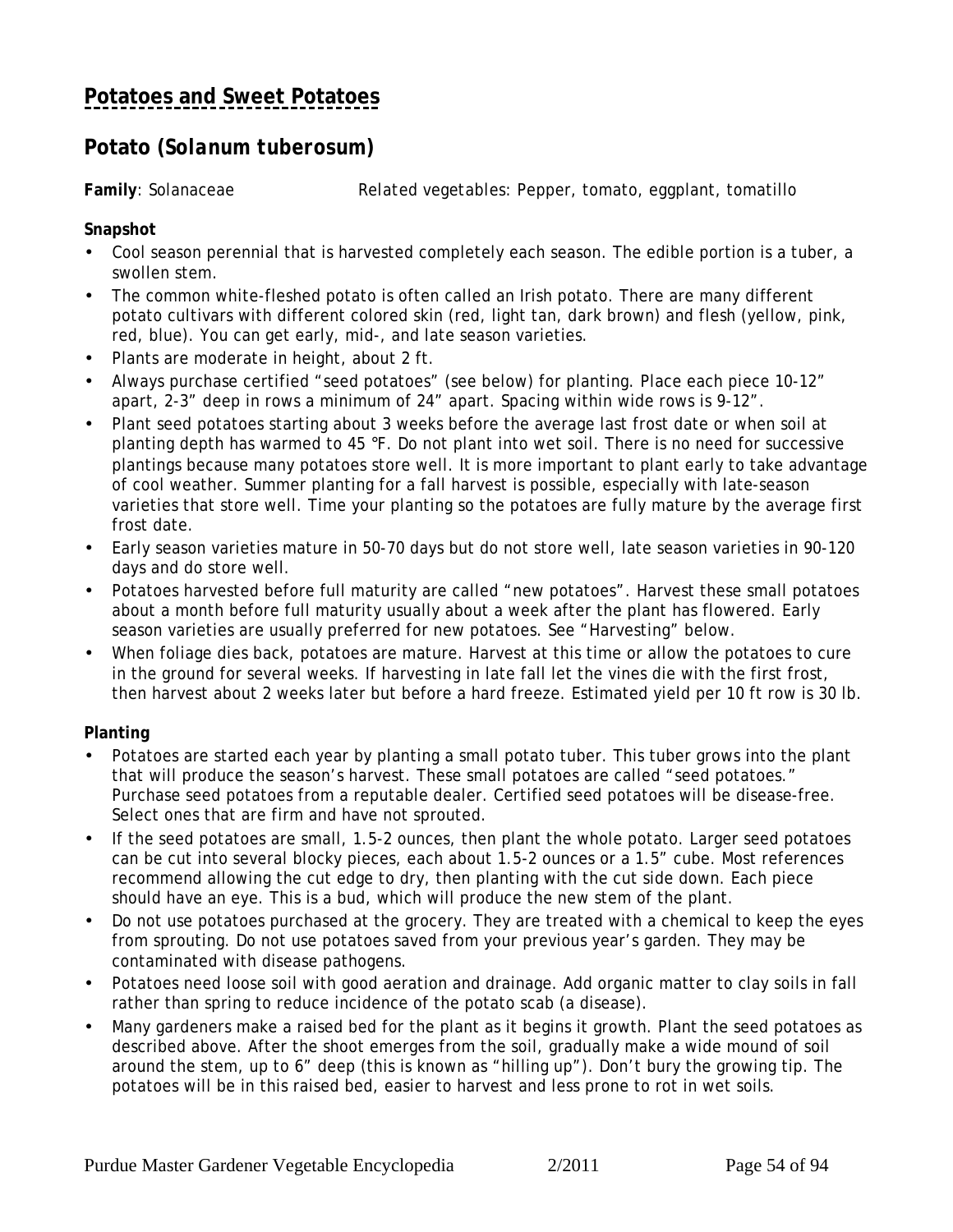# <span id="page-53-0"></span>**[Potatoes and Sweet Potatoes](#page-52-0)**

### **Potato (***Solanum tuberosum***)**

**Family**: Solanaceae *Related vegetables:* Pepper, tomato, eggplant, tomatillo

#### **Snapshot**

- Cool season perennial that is harvested completely each season. The edible portion is a tuber, a swollen stem.
- The common white-fleshed potato is often called an Irish potato. There are many different potato cultivars with different colored skin (red, light tan, dark brown) and flesh (yellow, pink, red, blue). You can get early, mid-, and late season varieties.
- Plants are moderate in height, about 2 ft.
- Always purchase certified "seed potatoes" (see below) for planting. Place each piece 10-12" apart, 2-3" deep in rows a minimum of 24" apart. Spacing within wide rows is 9-12".
- Plant seed potatoes starting about 3 weeks before the average last frost date or when soil at planting depth has warmed to 45 °F. Do not plant into wet soil. There is no need for successive plantings because many potatoes store well. It is more important to plant early to take advantage of cool weather. Summer planting for a fall harvest is possible, especially with late-season varieties that store well. Time your planting so the potatoes are fully mature by the average first frost date.
- Early season varieties mature in 50-70 days but do not store well, late season varieties in 90-120 days and do store well.
- Potatoes harvested before full maturity are called "new potatoes". Harvest these small potatoes about a month before full maturity usually about a week after the plant has flowered. Early season varieties are usually preferred for new potatoes. See "Harvesting" below.
- When foliage dies back, potatoes are mature. Harvest at this time or allow the potatoes to cure in the ground for several weeks. If harvesting in late fall let the vines die with the first frost, then harvest about 2 weeks later but before a hard freeze. Estimated yield per 10 ft row is 30 lb.

#### **Planting**

- Potatoes are started each year by planting a small potato tuber. This tuber grows into the plant that will produce the season's harvest. These small potatoes are called "seed potatoes." Purchase seed potatoes from a reputable dealer. Certified seed potatoes will be disease-free. Select ones that are firm and have not sprouted.
- If the seed potatoes are small, 1.5-2 ounces, then plant the whole potato. Larger seed potatoes can be cut into several blocky pieces, each about 1.5-2 ounces or a 1.5" cube. Most references recommend allowing the cut edge to dry, then planting with the cut side down. Each piece should have an eye. This is a bud, which will produce the new stem of the plant.
- Do not use potatoes purchased at the grocery. They are treated with a chemical to keep the eyes from sprouting. Do not use potatoes saved from your previous year's garden. They may be contaminated with disease pathogens.
- Potatoes need loose soil with good aeration and drainage. Add organic matter to clay soils in fall rather than spring to reduce incidence of the potato scab (a disease).
- Many gardeners make a raised bed for the plant as it begins it growth. Plant the seed potatoes as described above. After the shoot emerges from the soil, gradually make a wide mound of soil around the stem, up to 6" deep (this is known as "hilling up"). Don't bury the growing tip. The potatoes will be in this raised bed, easier to harvest and less prone to rot in wet soils.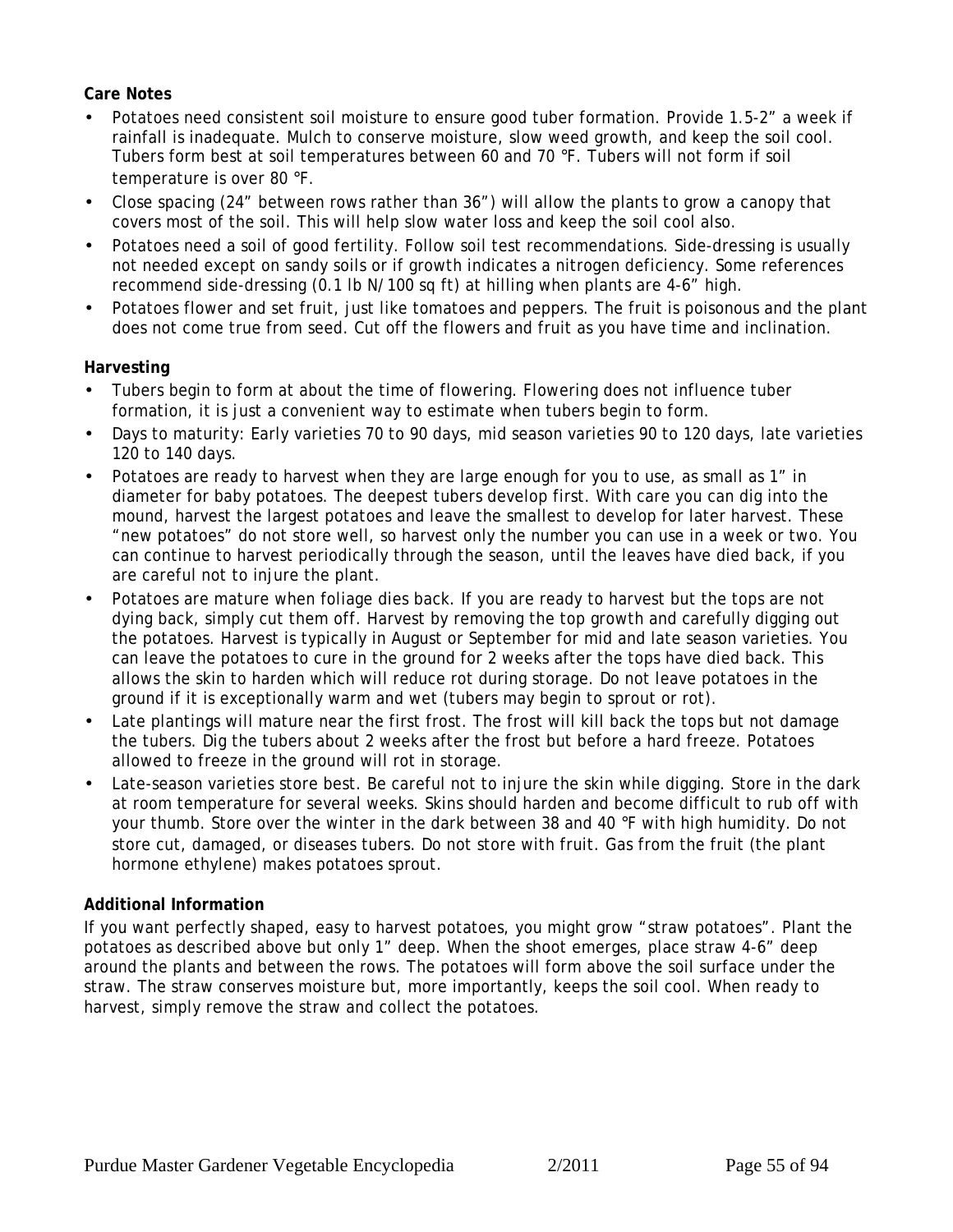#### **Care Notes**

- Potatoes need consistent soil moisture to ensure good tuber formation. Provide 1.5-2" a week if rainfall is inadequate. Mulch to conserve moisture, slow weed growth, and keep the soil cool. Tubers form best at soil temperatures between 60 and 70 °F. Tubers will not form if soil temperature is over 80 °F.
- Close spacing (24" between rows rather than 36") will allow the plants to grow a canopy that covers most of the soil. This will help slow water loss and keep the soil cool also.
- Potatoes need a soil of good fertility. Follow soil test recommendations. Side-dressing is usually not needed except on sandy soils or if growth indicates a nitrogen deficiency. Some references recommend side-dressing (0.1 lb N/100 sq ft) at hilling when plants are 4-6" high.
- Potatoes flower and set fruit, just like tomatoes and peppers. The fruit is poisonous and the plant does not come true from seed. Cut off the flowers and fruit as you have time and inclination.

#### **Harvesting**

- Tubers begin to form at about the time of flowering. Flowering does not influence tuber formation, it is just a convenient way to estimate when tubers begin to form.
- Days to maturity: Early varieties 70 to 90 days, mid season varieties 90 to 120 days, late varieties 120 to 140 days.
- Potatoes are ready to harvest when they are large enough for you to use, as small as 1" in diameter for baby potatoes. The deepest tubers develop first. With care you can dig into the mound, harvest the largest potatoes and leave the smallest to develop for later harvest. These "new potatoes" do not store well, so harvest only the number you can use in a week or two. You can continue to harvest periodically through the season, until the leaves have died back, if you are careful not to injure the plant.
- Potatoes are mature when foliage dies back. If you are ready to harvest but the tops are not dying back, simply cut them off. Harvest by removing the top growth and carefully digging out the potatoes. Harvest is typically in August or September for mid and late season varieties. You can leave the potatoes to cure in the ground for 2 weeks after the tops have died back. This allows the skin to harden which will reduce rot during storage. Do not leave potatoes in the ground if it is exceptionally warm and wet (tubers may begin to sprout or rot).
- Late plantings will mature near the first frost. The frost will kill back the tops but not damage the tubers. Dig the tubers about 2 weeks after the frost but before a hard freeze. Potatoes allowed to freeze in the ground will rot in storage.
- Late-season varieties store best. Be careful not to injure the skin while digging. Store in the dark at room temperature for several weeks. Skins should harden and become difficult to rub off with your thumb. Store over the winter in the dark between 38 and 40 °F with high humidity. Do not store cut, damaged, or diseases tubers. Do not store with fruit. Gas from the fruit (the plant hormone ethylene) makes potatoes sprout.

#### **Additional Information**

If you want perfectly shaped, easy to harvest potatoes, you might grow "straw potatoes". Plant the potatoes as described above but only 1" deep. When the shoot emerges, place straw 4-6" deep around the plants and between the rows. The potatoes will form above the soil surface under the straw. The straw conserves moisture but, more importantly, keeps the soil cool. When ready to harvest, simply remove the straw and collect the potatoes.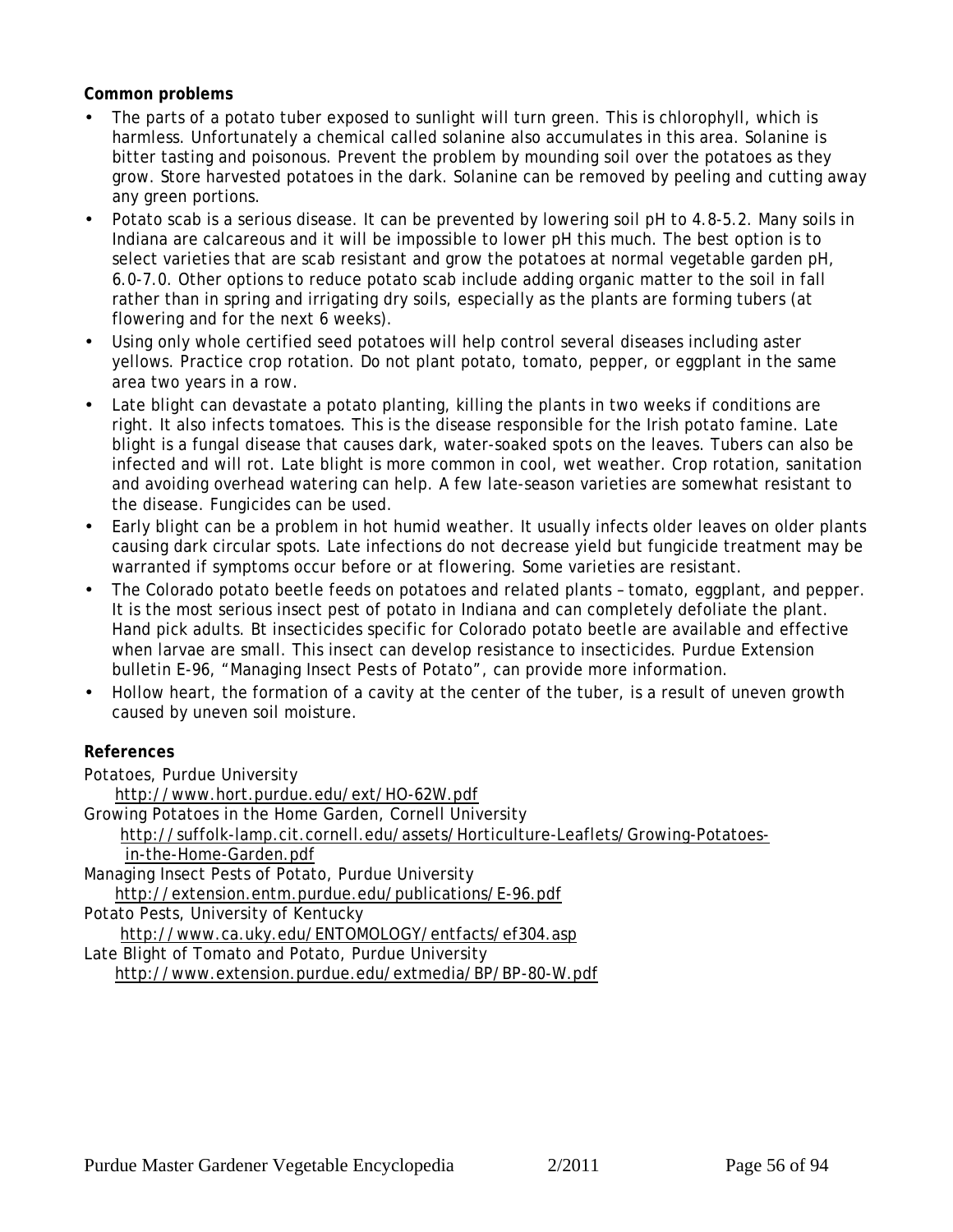**Common problems**

- The parts of a potato tuber exposed to sunlight will turn green. This is chlorophyll, which is harmless. Unfortunately a chemical called solanine also accumulates in this area. Solanine is bitter tasting and poisonous. Prevent the problem by mounding soil over the potatoes as they grow. Store harvested potatoes in the dark. Solanine can be removed by peeling and cutting away any green portions.
- Potato scab is a serious disease. It can be prevented by lowering soil pH to 4.8-5.2. Many soils in Indiana are calcareous and it will be impossible to lower pH this much. The best option is to select varieties that are scab resistant and grow the potatoes at normal vegetable garden pH, 6.0-7.0. Other options to reduce potato scab include adding organic matter to the soil in fall rather than in spring and irrigating dry soils, especially as the plants are forming tubers (at flowering and for the next 6 weeks).
- Using only whole certified seed potatoes will help control several diseases including aster yellows. Practice crop rotation. Do not plant potato, tomato, pepper, or eggplant in the same area two years in a row.
- Late blight can devastate a potato planting, killing the plants in two weeks if conditions are right. It also infects tomatoes. This is the disease responsible for the Irish potato famine. Late blight is a fungal disease that causes dark, water-soaked spots on the leaves. Tubers can also be infected and will rot. Late blight is more common in cool, wet weather. Crop rotation, sanitation and avoiding overhead watering can help. A few late-season varieties are somewhat resistant to the disease. Fungicides can be used.
- Early blight can be a problem in hot humid weather. It usually infects older leaves on older plants causing dark circular spots. Late infections do not decrease yield but fungicide treatment may be warranted if symptoms occur before or at flowering. Some varieties are resistant.
- The Colorado potato beetle feeds on potatoes and related plants tomato, eggplant, and pepper. It is the most serious insect pest of potato in Indiana and can completely defoliate the plant. Hand pick adults. Bt insecticides specific for Colorado potato beetle are available and effective when larvae are small. This insect can develop resistance to insecticides. Purdue Extension bulletin E-96, "Managing Insect Pests of Potato", can provide more information.
- Hollow heart, the formation of a cavity at the center of the tuber, is a result of uneven growth caused by uneven soil moisture.

**References**

Potatoes, Purdue University

http://www.hort.purdue.edu/ext/HO-62W.pdf

Growing Potatoes in the Home Garden, Cornell University

http://suffolk-lamp.cit.cornell.edu/assets/Horticulture-Leaflets/Growing-Potatoes-

in-the-Home-Garden.pdf

Managing Insect Pests of Potato, Purdue University

http://extension.entm.purdue.edu/publications/E-96.pdf

Potato Pests, University of Kentucky

http://www.ca.uky.edu/ENTOMOLOGY/entfacts/ef304.asp

Late Blight of Tomato and Potato, Purdue University

http://www.extension.purdue.edu/extmedia/BP/BP-80-W.pdf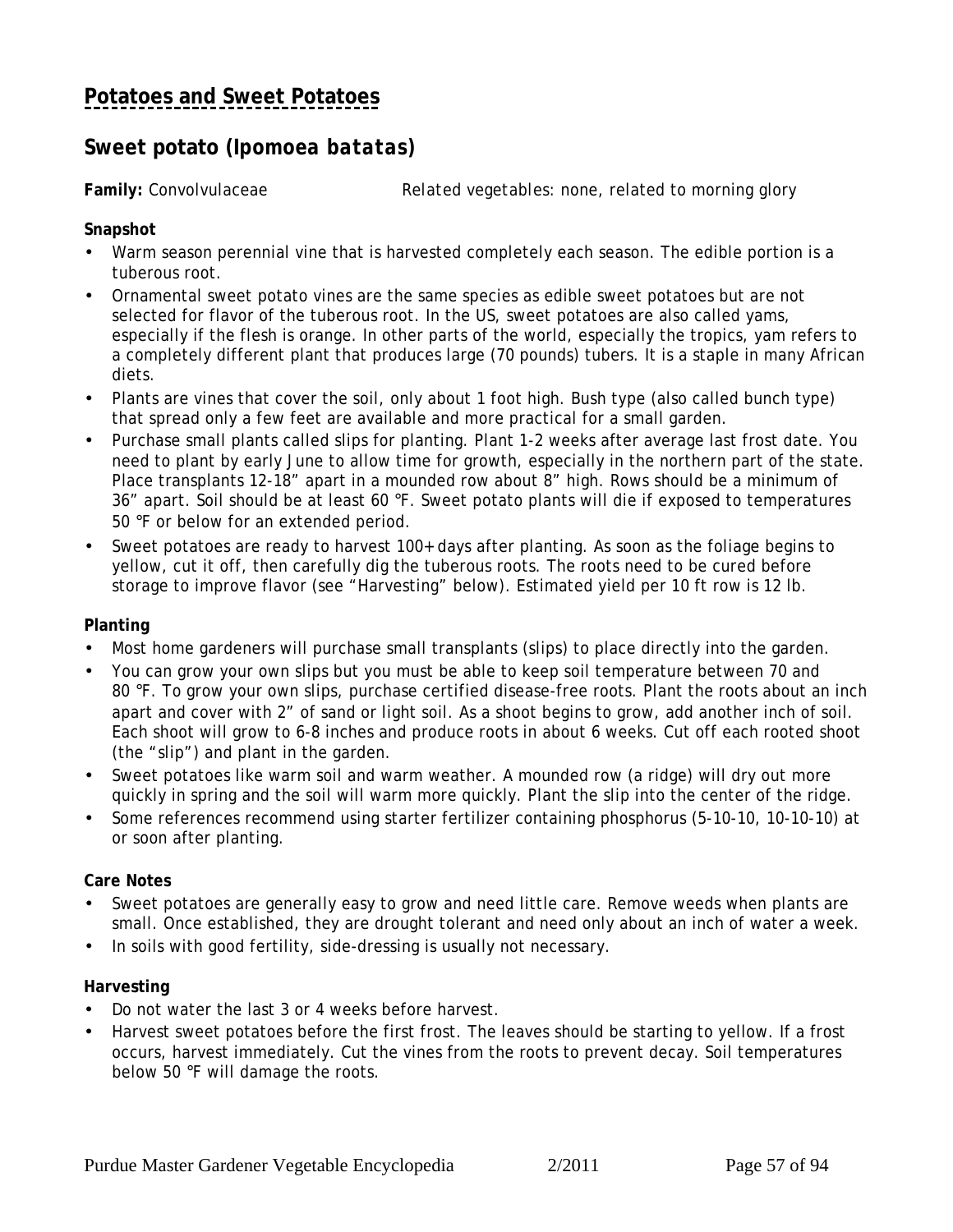## <span id="page-56-0"></span>**Sweet potato (***Ipomoea batatas)*

**Family:** Convolvulaceae *Related vegetables*: none, related to morning glory

**Snapshot**

- Warm season perennial vine that is harvested completely each season. The edible portion is a tuberous root.
- Ornamental sweet potato vines are the same species as edible sweet potatoes but are not selected for flavor of the tuberous root. In the US, sweet potatoes are also called yams, especially if the flesh is orange. In other parts of the world, especially the tropics, yam refers to a completely different plant that produces large (70 pounds) tubers. It is a staple in many African diets.
- Plants are vines that cover the soil, only about 1 foot high. Bush type (also called bunch type) that spread only a few feet are available and more practical for a small garden.
- Purchase small plants called slips for planting. Plant 1-2 weeks after average last frost date. You need to plant by early June to allow time for growth, especially in the northern part of the state. Place transplants 12-18" apart in a mounded row about 8" high. Rows should be a minimum of 36" apart. Soil should be at least 60 °F. Sweet potato plants will die if exposed to temperatures 50 °F or below for an extended period.
- Sweet potatoes are ready to harvest 100+ days after planting. As soon as the foliage begins to yellow, cut it off, then carefully dig the tuberous roots. The roots need to be cured before storage to improve flavor (see "Harvesting" below). Estimated yield per 10 ft row is 12 lb.

#### **Planting**

- Most home gardeners will purchase small transplants (slips) to place directly into the garden.
- You can grow your own slips but you must be able to keep soil temperature between 70 and 80 °F. To grow your own slips, purchase certified disease-free roots. Plant the roots about an inch apart and cover with 2" of sand or light soil. As a shoot begins to grow, add another inch of soil. Each shoot will grow to 6-8 inches and produce roots in about 6 weeks. Cut off each rooted shoot (the "slip") and plant in the garden.
- Sweet potatoes like warm soil and warm weather. A mounded row (a ridge) will dry out more quickly in spring and the soil will warm more quickly. Plant the slip into the center of the ridge.
- Some references recommend using starter fertilizer containing phosphorus (5-10-10, 10-10-10) at or soon after planting.

#### **Care Notes**

- Sweet potatoes are generally easy to grow and need little care. Remove weeds when plants are small. Once established, they are drought tolerant and need only about an inch of water a week.
- In soils with good fertility, side-dressing is usually not necessary.

#### **Harvesting**

- Do not water the last 3 or 4 weeks before harvest.
- Harvest sweet potatoes before the first frost. The leaves should be starting to yellow. If a frost occurs, harvest immediately. Cut the vines from the roots to prevent decay. Soil temperatures below 50 °F will damage the roots.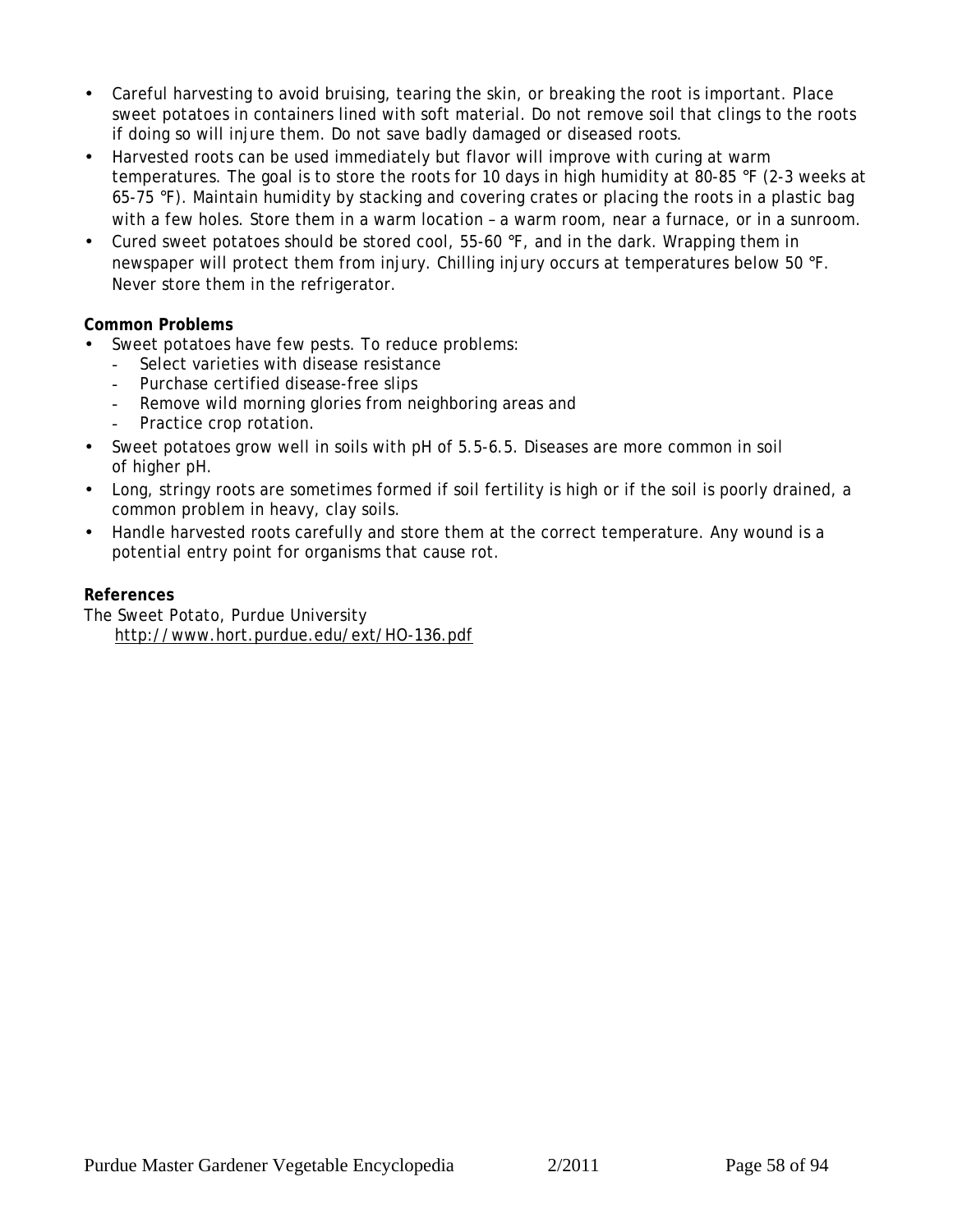- Careful harvesting to avoid bruising, tearing the skin, or breaking the root is important. Place sweet potatoes in containers lined with soft material. Do not remove soil that clings to the roots if doing so will injure them. Do not save badly damaged or diseased roots.
- Harvested roots can be used immediately but flavor will improve with curing at warm temperatures. The goal is to store the roots for 10 days in high humidity at 80-85 °F (2-3 weeks at 65-75 °F). Maintain humidity by stacking and covering crates or placing the roots in a plastic bag with a few holes. Store them in a warm location - a warm room, near a furnace, or in a sunroom.
- Cured sweet potatoes should be stored cool, 55-60 °F, and in the dark. Wrapping them in newspaper will protect them from injury. Chilling injury occurs at temperatures below 50 °F. Never store them in the refrigerator.

#### **Common Problems**

- Sweet potatoes have few pests. To reduce problems:
	- Select varieties with disease resistance
	- Purchase certified disease-free slips
	- Remove wild morning glories from neighboring areas and
	- Practice crop rotation.
- Sweet potatoes grow well in soils with pH of 5.5-6.5. Diseases are more common in soil of higher pH.
- Long, stringy roots are sometimes formed if soil fertility is high or if the soil is poorly drained, a common problem in heavy, clay soils.
- Handle harvested roots carefully and store them at the correct temperature. Any wound is a potential entry point for organisms that cause rot.

#### **References**

The Sweet Potato, Purdue University http://www.hort.purdue.edu/ext/HO-136.pdf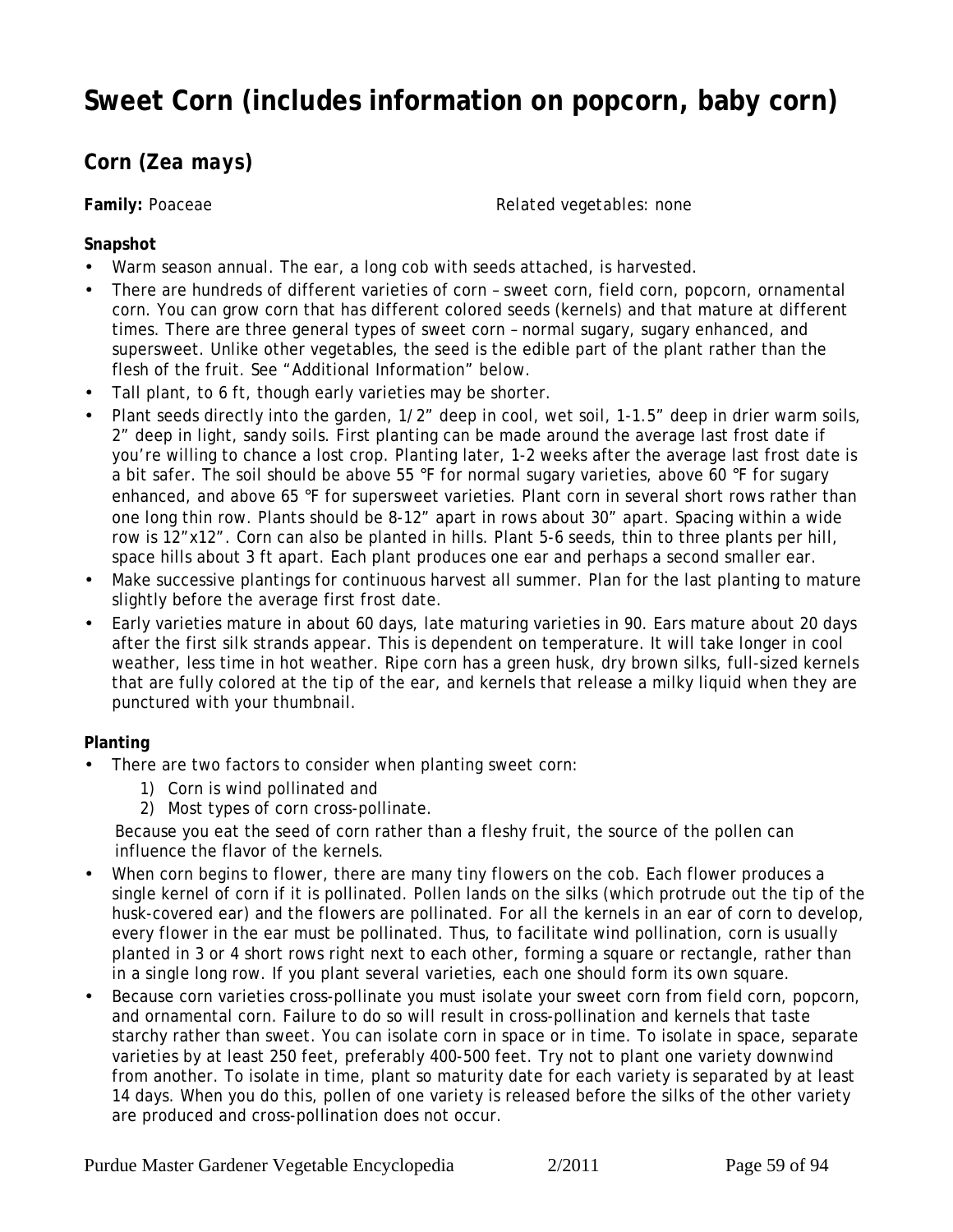# **Sweet Corn (includes information on popcorn, baby corn)**

## **Corn (***Zea mays***)**

**Family:** Poaceae *Related vegetables:* none

#### **Snapshot**

- Warm season annual. The ear, a long cob with seeds attached, is harvested.
- There are hundreds of different varieties of corn sweet corn, field corn, popcorn, ornamental corn. You can grow corn that has different colored seeds (kernels) and that mature at different times. There are three general types of sweet corn – normal sugary, sugary enhanced, and supersweet. Unlike other vegetables, the seed is the edible part of the plant rather than the flesh of the fruit. See "Additional Information" below.
- Tall plant, to 6 ft, though early varieties may be shorter.
- Plant seeds directly into the garden, 1/2" deep in cool, wet soil, 1-1.5" deep in drier warm soils, 2" deep in light, sandy soils. First planting can be made around the average last frost date if you're willing to chance a lost crop. Planting later, 1-2 weeks after the average last frost date is a bit safer. The soil should be above 55 °F for normal sugary varieties, above 60 °F for sugary enhanced, and above 65 °F for supersweet varieties. Plant corn in several short rows rather than one long thin row. Plants should be 8-12" apart in rows about 30" apart. Spacing within a wide row is 12"x12". Corn can also be planted in hills. Plant 5-6 seeds, thin to three plants per hill, space hills about 3 ft apart. Each plant produces one ear and perhaps a second smaller ear.
- Make successive plantings for continuous harvest all summer. Plan for the last planting to mature slightly before the average first frost date.
- Early varieties mature in about 60 days, late maturing varieties in 90. Ears mature about 20 days after the first silk strands appear. This is dependent on temperature. It will take longer in cool weather, less time in hot weather. Ripe corn has a green husk, dry brown silks, full-sized kernels that are fully colored at the tip of the ear, and kernels that release a milky liquid when they are punctured with your thumbnail.

#### **Planting**

- There are two factors to consider when planting sweet corn:
	- 1) Corn is wind pollinated and
	- 2) Most types of corn cross-pollinate.

 Because you eat the seed of corn rather than a fleshy fruit, the source of the pollen can influence the flavor of the kernels.

- When corn begins to flower, there are many tiny flowers on the cob. Each flower produces a single kernel of corn if it is pollinated. Pollen lands on the silks (which protrude out the tip of the husk-covered ear) and the flowers are pollinated. For all the kernels in an ear of corn to develop, every flower in the ear must be pollinated. Thus, to facilitate wind pollination, corn is usually planted in 3 or 4 short rows right next to each other, forming a square or rectangle, rather than in a single long row. If you plant several varieties, each one should form its own square.
- Because corn varieties cross-pollinate you must isolate your sweet corn from field corn, popcorn, and ornamental corn. Failure to do so will result in cross-pollination and kernels that taste starchy rather than sweet. You can isolate corn in space or in time. To isolate in space, separate varieties by at least 250 feet, preferably 400-500 feet. Try not to plant one variety downwind from another. To isolate in time, plant so maturity date for each variety is separated by at least 14 days. When you do this, pollen of one variety is released before the silks of the other variety are produced and cross-pollination does not occur.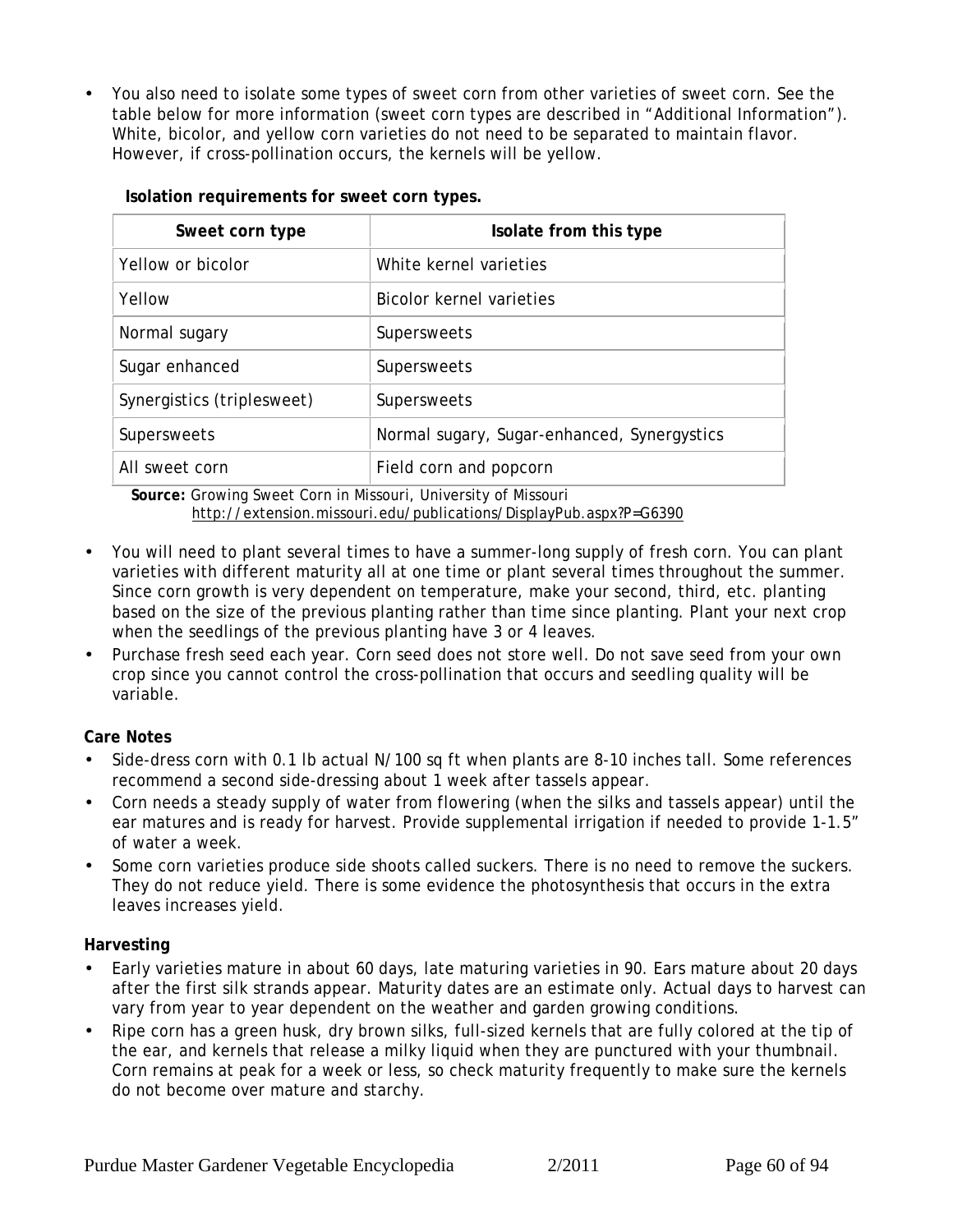• You also need to isolate some types of sweet corn from other varieties of sweet corn. See the table below for more information (sweet corn types are described in "Additional Information"). White, bicolor, and yellow corn varieties do not need to be separated to maintain flavor. However, if cross-pollination occurs, the kernels will be yellow.

| Sweet corn type            | Isolate from this type                      |
|----------------------------|---------------------------------------------|
| Yellow or bicolor          | White kernel varieties                      |
| Yellow                     | Bicolor kernel varieties                    |
| Normal sugary              | Supersweets                                 |
| Sugar enhanced             | Supersweets                                 |
| Synergistics (triplesweet) | Supersweets                                 |
| Supersweets                | Normal sugary, Sugar-enhanced, Synergystics |
| All sweet corn             | Field corn and popcorn                      |

 **Isolation requirements for sweet corn types.**

 **Source:** Growing Sweet Corn in Missouri, University of Missouri http://extension.missouri.edu/publications/DisplayPub.aspx?P=G6390

- You will need to plant several times to have a summer-long supply of fresh corn. You can plant varieties with different maturity all at one time or plant several times throughout the summer. Since corn growth is very dependent on temperature, make your second, third, etc. planting based on the size of the previous planting rather than time since planting. Plant your next crop when the seedlings of the previous planting have 3 or 4 leaves.
- Purchase fresh seed each year. Corn seed does not store well. Do not save seed from your own crop since you cannot control the cross-pollination that occurs and seedling quality will be variable.

**Care Notes**

- Side-dress corn with 0.1 lb actual N/100 sq ft when plants are 8-10 inches tall. Some references recommend a second side-dressing about 1 week after tassels appear.
- Corn needs a steady supply of water from flowering (when the silks and tassels appear) until the ear matures and is ready for harvest. Provide supplemental irrigation if needed to provide 1-1.5" of water a week.
- Some corn varieties produce side shoots called suckers. There is no need to remove the suckers. They do not reduce yield. There is some evidence the photosynthesis that occurs in the extra leaves increases yield.

#### **Harvesting**

- Early varieties mature in about 60 days, late maturing varieties in 90. Ears mature about 20 days after the first silk strands appear. Maturity dates are an estimate only. Actual days to harvest can vary from year to year dependent on the weather and garden growing conditions.
- Ripe corn has a green husk, dry brown silks, full-sized kernels that are fully colored at the tip of the ear, and kernels that release a milky liquid when they are punctured with your thumbnail. Corn remains at peak for a week or less, so check maturity frequently to make sure the kernels do not become over mature and starchy.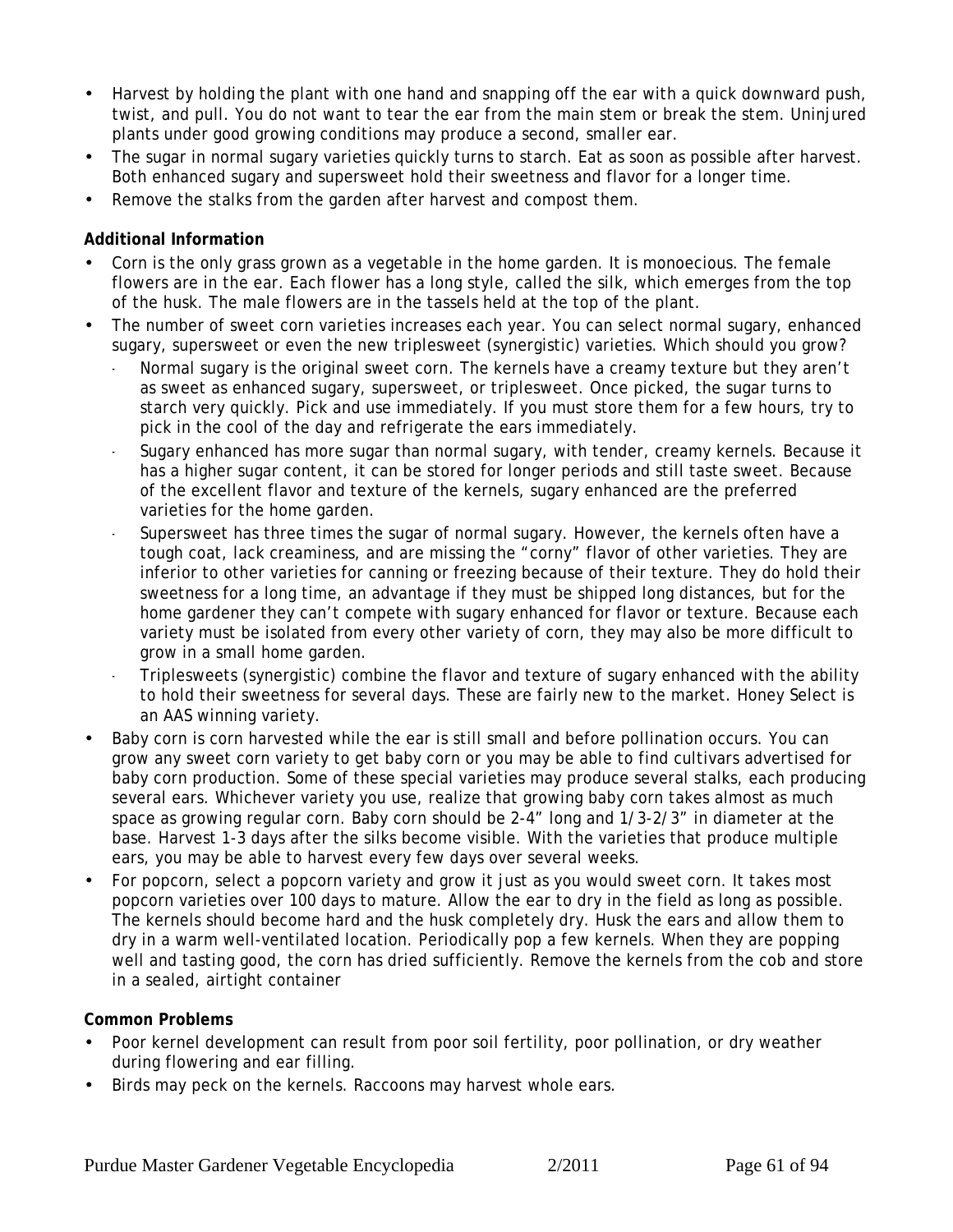- Harvest by holding the plant with one hand and snapping off the ear with a quick downward push, twist, and pull. You do not want to tear the ear from the main stem or break the stem. Uninjured plants under good growing conditions may produce a second, smaller ear.
- The sugar in normal sugary varieties quickly turns to starch. Eat as soon as possible after harvest. Both enhanced sugary and supersweet hold their sweetness and flavor for a longer time.
- Remove the stalks from the garden after harvest and compost them.

#### **Additional Information**

- Corn is the only grass grown as a vegetable in the home garden. It is monoecious. The female flowers are in the ear. Each flower has a long style, called the silk, which emerges from the top of the husk. The male flowers are in the tassels held at the top of the plant.
- The number of sweet corn varieties increases each year. You can select normal sugary, enhanced sugary, supersweet or even the new triplesweet (synergistic) varieties. Which should you grow?
	- Normal sugary is the original sweet corn. The kernels have a creamy texture but they aren't as sweet as enhanced sugary, supersweet, or triplesweet. Once picked, the sugar turns to starch very quickly. Pick and use immediately. If you must store them for a few hours, try to pick in the cool of the day and refrigerate the ears immediately.
	- Sugary enhanced has more sugar than normal sugary, with tender, creamy kernels. Because it has a higher sugar content, it can be stored for longer periods and still taste sweet. Because of the excellent flavor and texture of the kernels, sugary enhanced are the preferred varieties for the home garden.
	- Supersweet has three times the sugar of normal sugary. However, the kernels often have a tough coat, lack creaminess, and are missing the "corny" flavor of other varieties. They are inferior to other varieties for canning or freezing because of their texture. They do hold their sweetness for a long time, an advantage if they must be shipped long distances, but for the home gardener they can't compete with sugary enhanced for flavor or texture. Because each variety must be isolated from every other variety of corn, they may also be more difficult to grow in a small home garden.
	- Triplesweets (synergistic) combine the flavor and texture of sugary enhanced with the ability to hold their sweetness for several days. These are fairly new to the market. Honey Select is an AAS winning variety.
- Baby corn is corn harvested while the ear is still small and before pollination occurs. You can grow any sweet corn variety to get baby corn or you may be able to find cultivars advertised for baby corn production. Some of these special varieties may produce several stalks, each producing several ears. Whichever variety you use, realize that growing baby corn takes almost as much space as growing regular corn. Baby corn should be 2-4" long and 1/3-2/3" in diameter at the base. Harvest 1-3 days after the silks become visible. With the varieties that produce multiple ears, you may be able to harvest every few days over several weeks.
- For popcorn, select a popcorn variety and grow it just as you would sweet corn. It takes most popcorn varieties over 100 days to mature. Allow the ear to dry in the field as long as possible. The kernels should become hard and the husk completely dry. Husk the ears and allow them to dry in a warm well-ventilated location. Periodically pop a few kernels. When they are popping well and tasting good, the corn has dried sufficiently. Remove the kernels from the cob and store in a sealed, airtight container

#### **Common Problems**

- Poor kernel development can result from poor soil fertility, poor pollination, or dry weather during flowering and ear filling.
- Birds may peck on the kernels. Raccoons may harvest whole ears.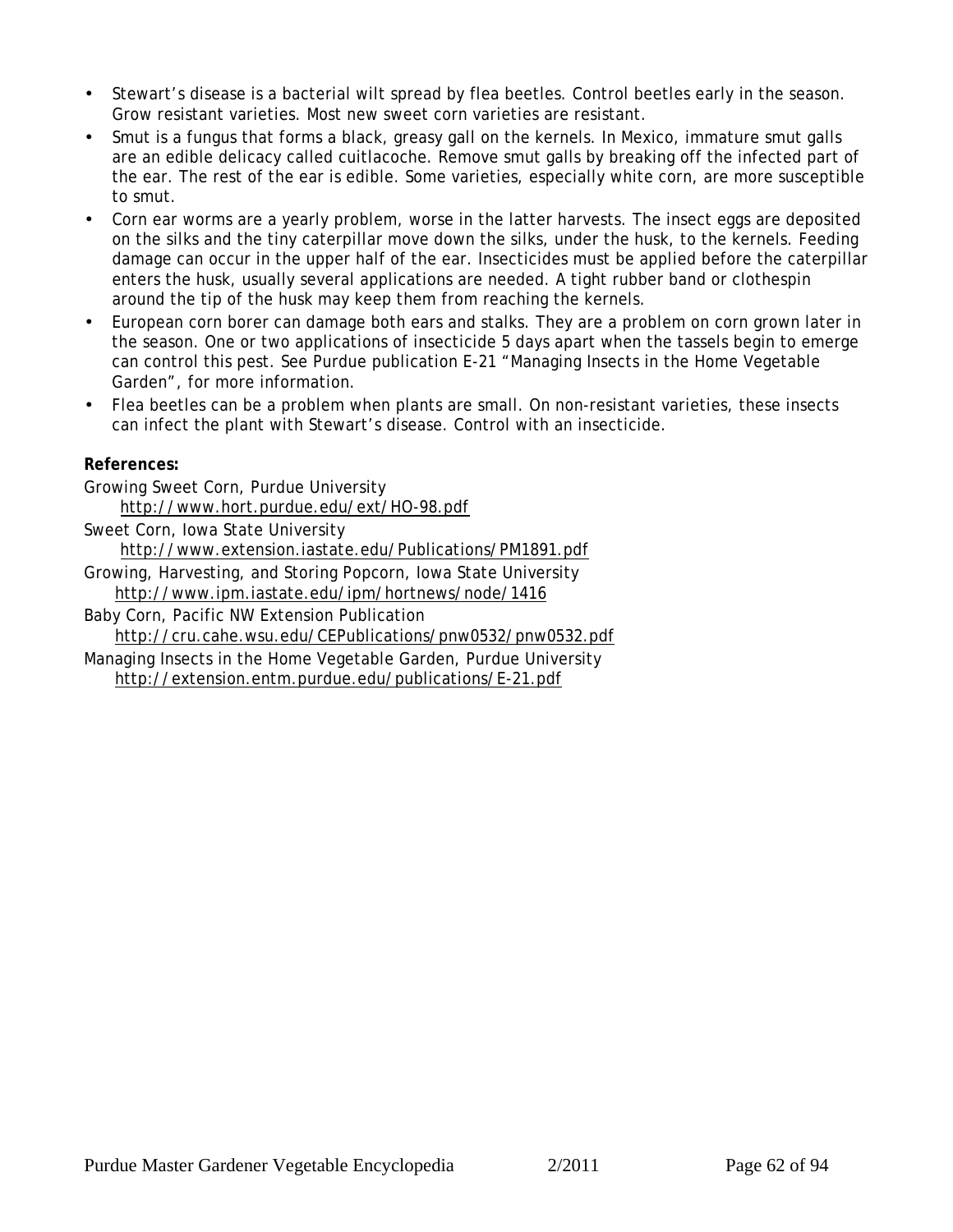- Stewart's disease is a bacterial wilt spread by flea beetles. Control beetles early in the season. Grow resistant varieties. Most new sweet corn varieties are resistant.
- Smut is a fungus that forms a black, greasy gall on the kernels. In Mexico, immature smut galls are an edible delicacy called cuitlacoche. Remove smut galls by breaking off the infected part of the ear. The rest of the ear is edible. Some varieties, especially white corn, are more susceptible to smut.
- Corn ear worms are a yearly problem, worse in the latter harvests. The insect eggs are deposited on the silks and the tiny caterpillar move down the silks, under the husk, to the kernels. Feeding damage can occur in the upper half of the ear. Insecticides must be applied before the caterpillar enters the husk, usually several applications are needed. A tight rubber band or clothespin around the tip of the husk may keep them from reaching the kernels.
- European corn borer can damage both ears and stalks. They are a problem on corn grown later in the season. One or two applications of insecticide 5 days apart when the tassels begin to emerge can control this pest. See Purdue publication E-21 "Managing Insects in the Home Vegetable Garden", for more information.
- Flea beetles can be a problem when plants are small. On non-resistant varieties, these insects can infect the plant with Stewart's disease. Control with an insecticide.

**References:**

- Growing Sweet Corn, Purdue University http://www.hort.purdue.edu/ext/HO-98.pdf Sweet Corn, Iowa State University http://www.extension.iastate.edu/Publications/PM1891.pdf
- Growing, Harvesting, and Storing Popcorn, Iowa State University http://www.ipm.iastate.edu/ipm/hortnews/node/1416
- Baby Corn, Pacific NW Extension Publication http://cru.cahe.wsu.edu/CEPublications/pnw0532/pnw0532.pdf
- Managing Insects in the Home Vegetable Garden, Purdue University http://extension.entm.purdue.edu/publications/E-21.pdf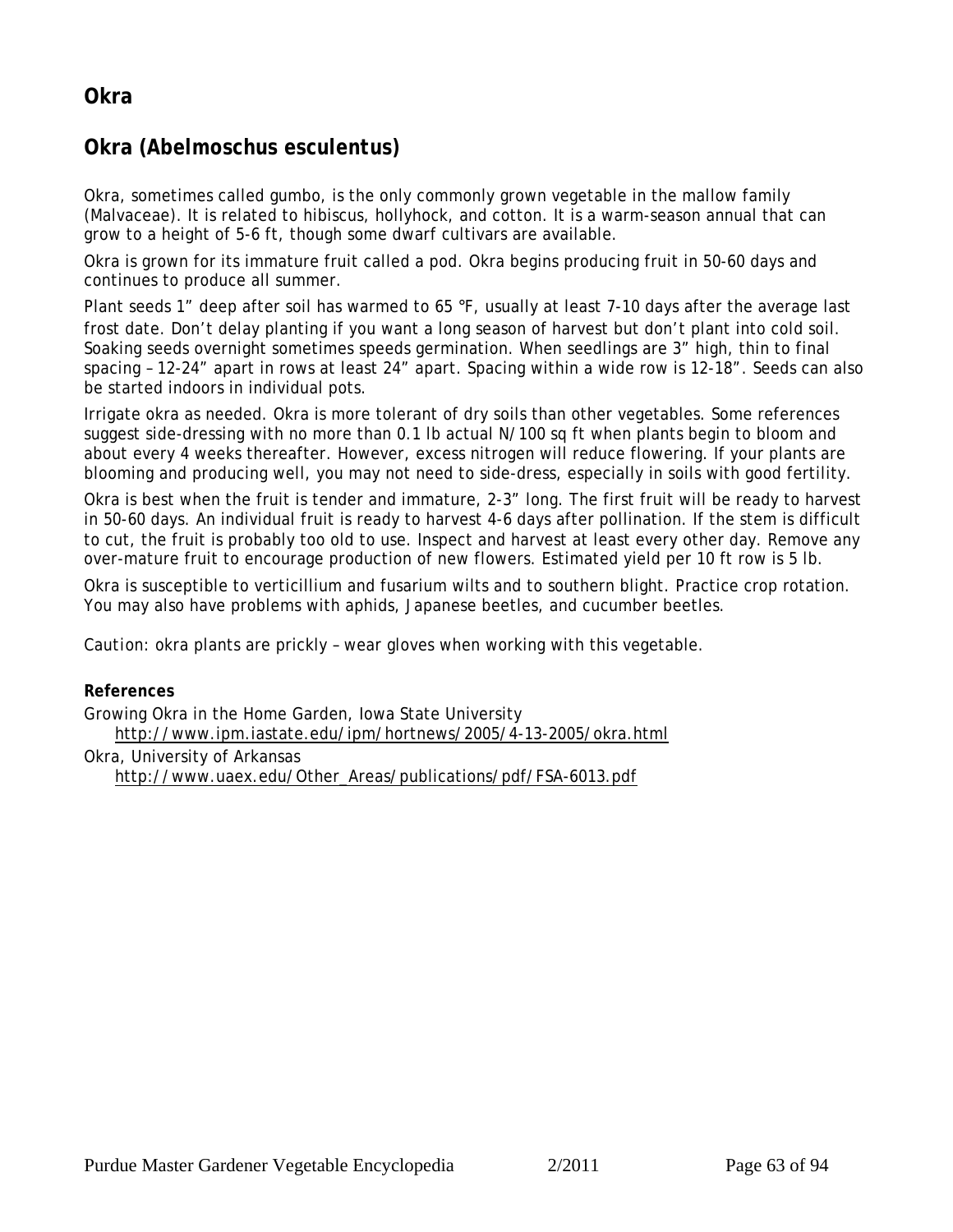## **Okra**

## **Okra (***Abelmoschus esculentus)*

Okra, sometimes called gumbo, is the only commonly grown vegetable in the mallow family (Malvaceae). It is related to hibiscus, hollyhock, and cotton. It is a warm-season annual that can grow to a height of 5-6 ft, though some dwarf cultivars are available.

Okra is grown for its immature fruit called a pod. Okra begins producing fruit in 50-60 days and continues to produce all summer.

Plant seeds 1" deep after soil has warmed to 65 °F, usually at least 7-10 days after the average last frost date. Don't delay planting if you want a long season of harvest but don't plant into cold soil. Soaking seeds overnight sometimes speeds germination. When seedlings are 3" high, thin to final spacing – 12-24" apart in rows at least 24" apart. Spacing within a wide row is 12-18". Seeds can also be started indoors in individual pots.

Irrigate okra as needed. Okra is more tolerant of dry soils than other vegetables. Some references suggest side-dressing with no more than 0.1 lb actual N/100 sq ft when plants begin to bloom and about every 4 weeks thereafter. However, excess nitrogen will reduce flowering. If your plants are blooming and producing well, you may not need to side-dress, especially in soils with good fertility.

Okra is best when the fruit is tender and immature, 2-3" long. The first fruit will be ready to harvest in 50-60 days. An individual fruit is ready to harvest 4-6 days after pollination. If the stem is difficult to cut, the fruit is probably too old to use. Inspect and harvest at least every other day. Remove any over-mature fruit to encourage production of new flowers. Estimated yield per 10 ft row is 5 lb.

Okra is susceptible to verticillium and fusarium wilts and to southern blight. Practice crop rotation. You may also have problems with aphids, Japanese beetles, and cucumber beetles.

*Caution:* okra plants are prickly – wear gloves when working with this vegetable.

**References**

Growing Okra in the Home Garden, Iowa State University http://www.ipm.iastate.edu/ipm/hortnews/2005/4-13-2005/okra.html Okra, University of Arkansas http://www.uaex.edu/Other\_Areas/publications/pdf/FSA-6013.pdf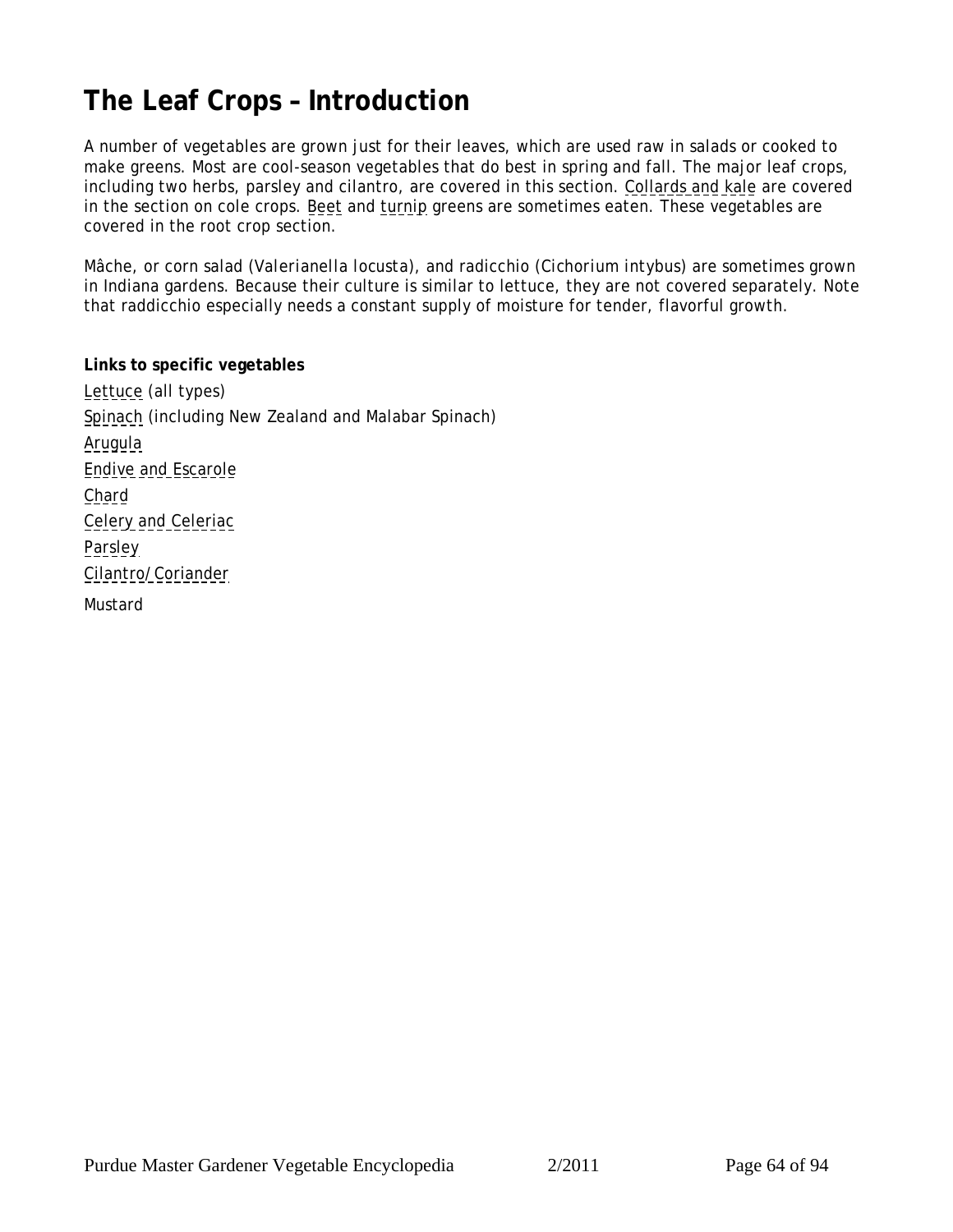# <span id="page-63-0"></span>**The Leaf Crops – Introduction**

A number of vegetables are grown just for their leaves, which are used raw in salads or cooked to make greens. Most are cool-season vegetables that do best in spring and fall. The major leaf crops, including two herbs, parsley and cilantro, are covered in this section. [Collards and kale](#page-41-0) are covered in the section on cole crops. [Beet](#page-21-0) and [turnip](#page-29-0) greens are sometimes eaten. These vegetables are covered in the root crop section.

Mâche, or corn salad (*Valerianella locusta*), and radicchio (*Cichorium intybus*) are sometimes grown in Indiana gardens. Because their culture is similar to lettuce, they are not covered separately. Note that raddicchio especially needs a constant supply of moisture for tender, flavorful growth.

**Links to specific vegetables** [Lettuce](#page-64-0) (all types) [Spinach](#page-66-0) (including New Zealand and Malabar Spinach) [Arugula](#page-68-0) [Endive and Escarole](#page-69-0) [Chard](#page-70-0) [Celery and Celeriac](#page-72-0) [Parsley](#page-73-0) [Cilantro/Coriander](#page-74-0) [Mustard](#page-71-0)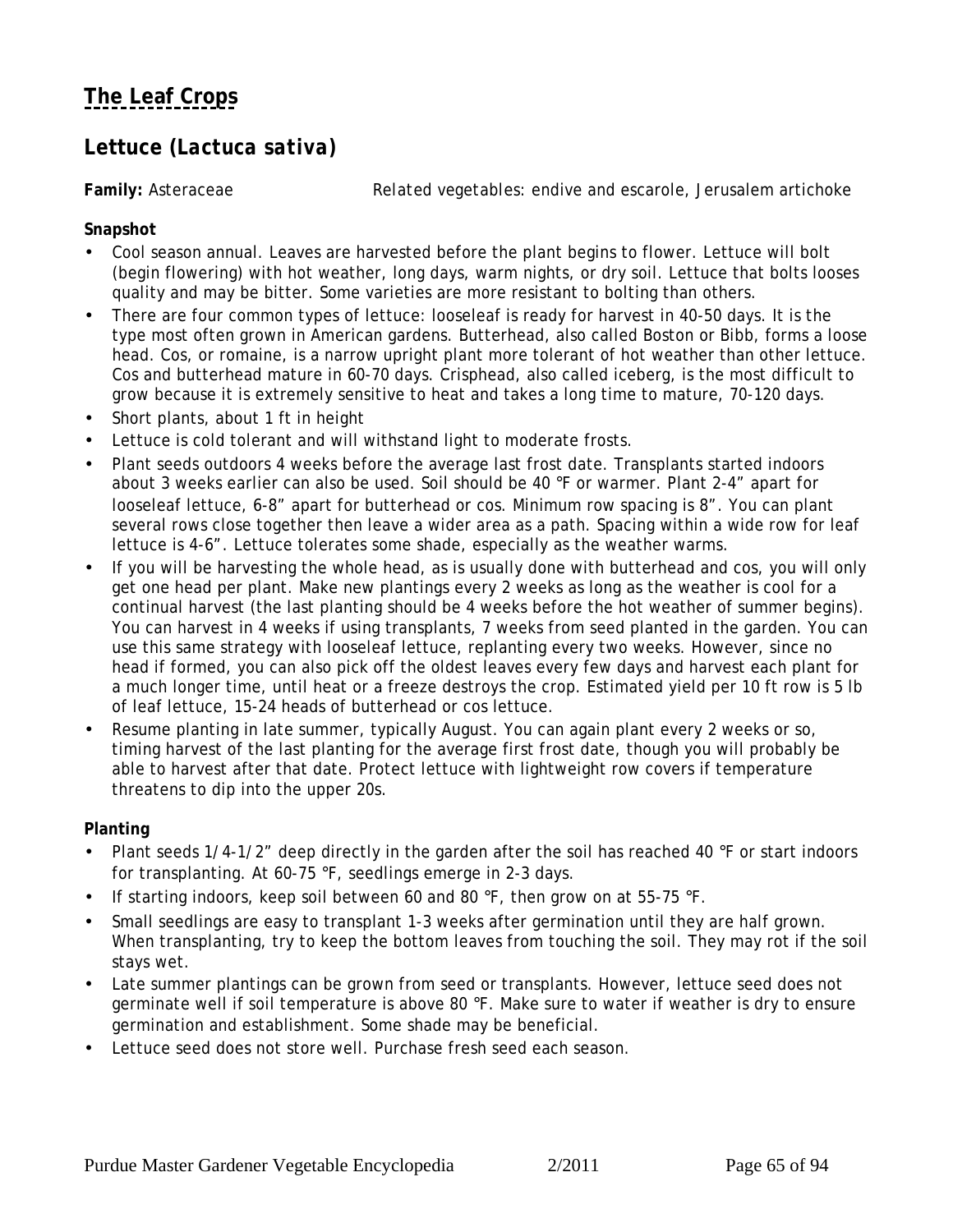## <span id="page-64-0"></span>**Lettuce (***Lactuca sativa)*

**Family:** Asteraceae *Related vegetables:* endive and escarole, Jerusalem artichoke

**Snapshot**

- Cool season annual. Leaves are harvested before the plant begins to flower. Lettuce will bolt (begin flowering) with hot weather, long days, warm nights, or dry soil. Lettuce that bolts looses quality and may be bitter. Some varieties are more resistant to bolting than others.
- There are four common types of lettuce: looseleaf is ready for harvest in 40-50 days. It is the type most often grown in American gardens. Butterhead, also called Boston or Bibb, forms a loose head. Cos, or romaine, is a narrow upright plant more tolerant of hot weather than other lettuce. Cos and butterhead mature in 60-70 days. Crisphead, also called iceberg, is the most difficult to grow because it is extremely sensitive to heat and takes a long time to mature, 70-120 days.
- Short plants, about 1 ft in height
- Lettuce is cold tolerant and will withstand light to moderate frosts.
- Plant seeds outdoors 4 weeks before the average last frost date. Transplants started indoors about 3 weeks earlier can also be used. Soil should be 40 °F or warmer. Plant 2-4" apart for looseleaf lettuce, 6-8" apart for butterhead or cos. Minimum row spacing is 8". You can plant several rows close together then leave a wider area as a path. Spacing within a wide row for leaf lettuce is 4-6". Lettuce tolerates some shade, especially as the weather warms.
- If you will be harvesting the whole head, as is usually done with butterhead and cos, you will only get one head per plant. Make new plantings every 2 weeks as long as the weather is cool for a continual harvest (the last planting should be 4 weeks before the hot weather of summer begins). You can harvest in 4 weeks if using transplants, 7 weeks from seed planted in the garden. You can use this same strategy with looseleaf lettuce, replanting every two weeks. However, since no head if formed, you can also pick off the oldest leaves every few days and harvest each plant for a much longer time, until heat or a freeze destroys the crop. Estimated yield per 10 ft row is 5 lb of leaf lettuce, 15-24 heads of butterhead or cos lettuce.
- Resume planting in late summer, typically August. You can again plant every 2 weeks or so, timing harvest of the last planting for the average first frost date, though you will probably be able to harvest after that date. Protect lettuce with lightweight row covers if temperature threatens to dip into the upper 20s.

#### **Planting**

- Plant seeds 1/4-1/2" deep directly in the garden after the soil has reached 40 °F or start indoors for transplanting. At 60-75 °F, seedlings emerge in 2-3 days.
- If starting indoors, keep soil between 60 and 80  $\degree$ F, then grow on at 55-75  $\degree$ F.
- Small seedlings are easy to transplant 1-3 weeks after germination until they are half grown. When transplanting, try to keep the bottom leaves from touching the soil. They may rot if the soil stays wet.
- Late summer plantings can be grown from seed or transplants. However, lettuce seed does not germinate well if soil temperature is above 80 °F. Make sure to water if weather is dry to ensure germination and establishment. Some shade may be beneficial.
- Lettuce seed does not store well. Purchase fresh seed each season.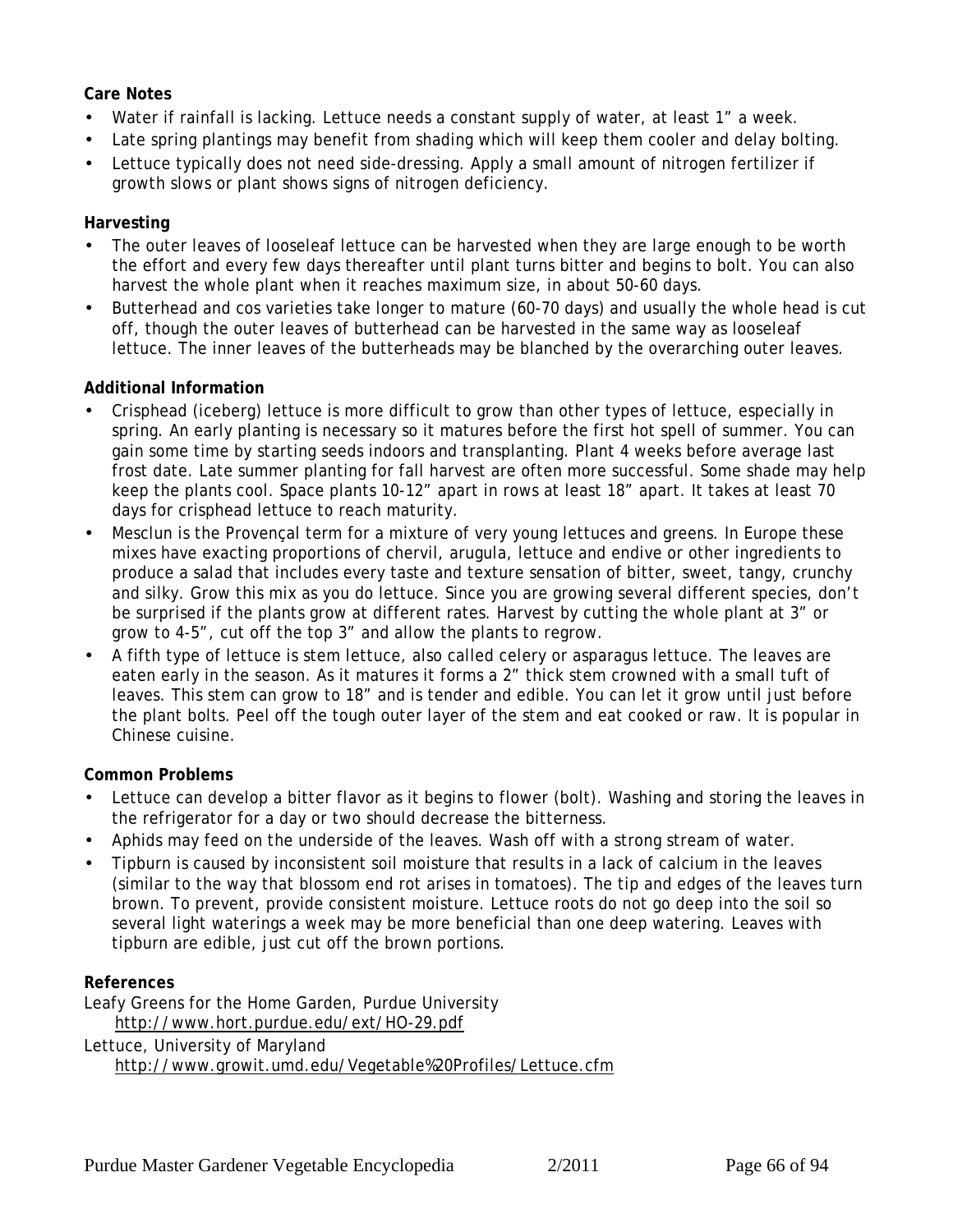#### **Care Notes**

- Water if rainfall is lacking. Lettuce needs a constant supply of water, at least 1" a week.
- Late spring plantings may benefit from shading which will keep them cooler and delay bolting.
- Lettuce typically does not need side-dressing. Apply a small amount of nitrogen fertilizer if growth slows or plant shows signs of nitrogen deficiency.

#### **Harvesting**

- The outer leaves of looseleaf lettuce can be harvested when they are large enough to be worth the effort and every few days thereafter until plant turns bitter and begins to bolt. You can also harvest the whole plant when it reaches maximum size, in about 50-60 days.
- Butterhead and cos varieties take longer to mature (60-70 days) and usually the whole head is cut off, though the outer leaves of butterhead can be harvested in the same way as looseleaf lettuce. The inner leaves of the butterheads may be blanched by the overarching outer leaves.

#### **Additional Information**

- Crisphead (iceberg) lettuce is more difficult to grow than other types of lettuce, especially in spring. An early planting is necessary so it matures before the first hot spell of summer. You can gain some time by starting seeds indoors and transplanting. Plant 4 weeks before average last frost date. Late summer planting for fall harvest are often more successful. Some shade may help keep the plants cool. Space plants 10-12" apart in rows at least 18" apart. It takes at least 70 days for crisphead lettuce to reach maturity.
- Mesclun is the Provençal term for a mixture of very young lettuces and greens. In Europe these mixes have exacting proportions of chervil, arugula, lettuce and endive or other ingredients to produce a salad that includes every taste and texture sensation of bitter, sweet, tangy, crunchy and silky. Grow this mix as you do lettuce. Since you are growing several different species, don't be surprised if the plants grow at different rates. Harvest by cutting the whole plant at 3" or grow to 4-5", cut off the top 3" and allow the plants to regrow.
- A fifth type of lettuce is stem lettuce, also called celery or asparagus lettuce. The leaves are eaten early in the season. As it matures it forms a 2" thick stem crowned with a small tuft of leaves. This stem can grow to 18" and is tender and edible. You can let it grow until just before the plant bolts. Peel off the tough outer layer of the stem and eat cooked or raw. It is popular in Chinese cuisine.

#### **Common Problems**

- Lettuce can develop a bitter flavor as it begins to flower (bolt). Washing and storing the leaves in the refrigerator for a day or two should decrease the bitterness.
- Aphids may feed on the underside of the leaves. Wash off with a strong stream of water.
- Tipburn is caused by inconsistent soil moisture that results in a lack of calcium in the leaves (similar to the way that blossom end rot arises in tomatoes). The tip and edges of the leaves turn brown. To prevent, provide consistent moisture. Lettuce roots do not go deep into the soil so several light waterings a week may be more beneficial than one deep watering. Leaves with tipburn are edible, just cut off the brown portions.

#### **References**

Leafy Greens for the Home Garden, Purdue University http://www.hort.purdue.edu/ext/HO-29.pdf Lettuce, University of Maryland

http://www.growit.umd.edu/Vegetable%20Profiles/Lettuce.cfm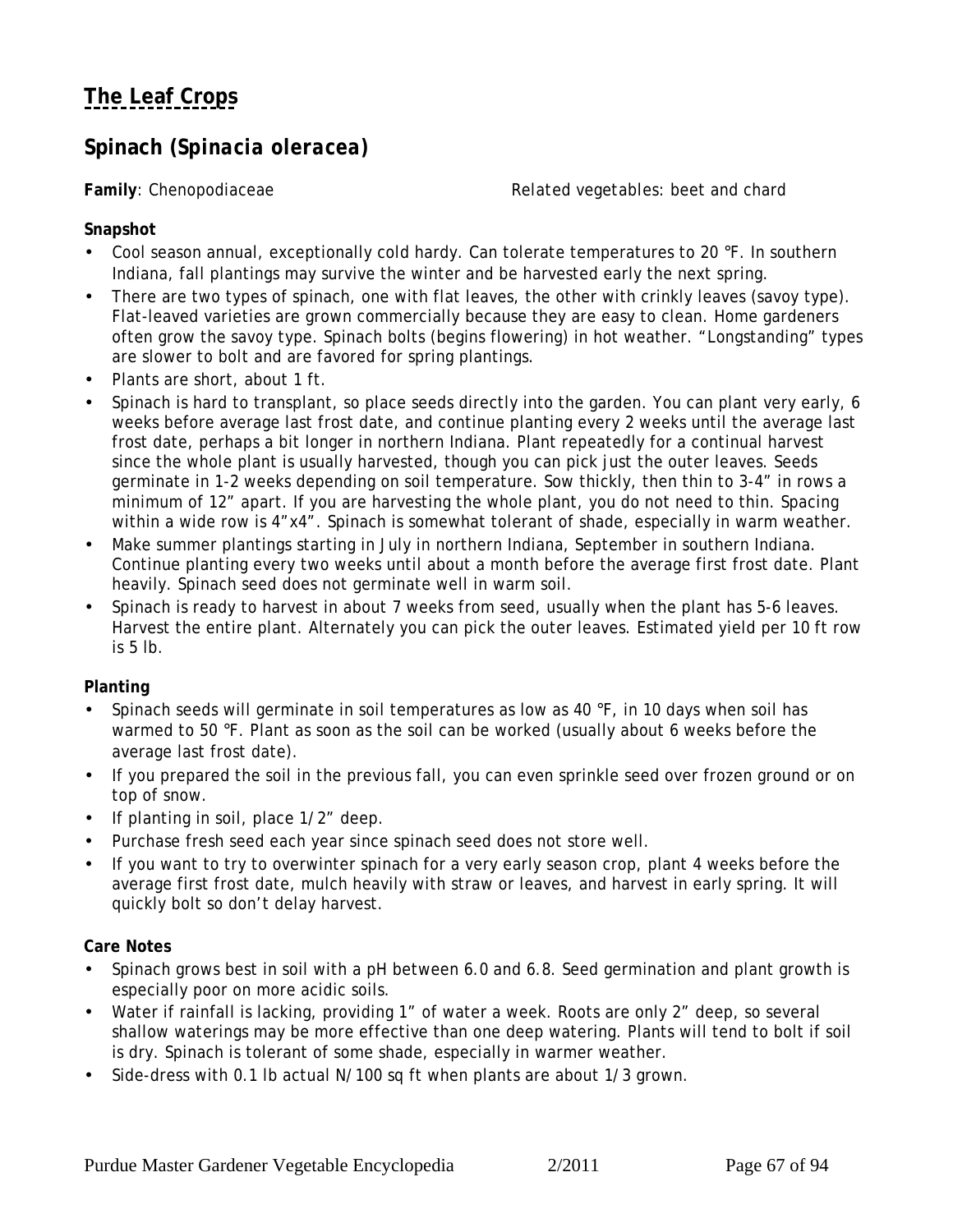## <span id="page-66-0"></span>**Spinach (***Spinacia oleracea)*

Family: Chenopodiaceae *Related vegetables:* beet and chard

**Snapshot**

- Cool season annual, exceptionally cold hardy. Can tolerate temperatures to 20 °F. In southern Indiana, fall plantings may survive the winter and be harvested early the next spring.
- There are two types of spinach, one with flat leaves, the other with crinkly leaves (savoy type). Flat-leaved varieties are grown commercially because they are easy to clean. Home gardeners often grow the savoy type. Spinach bolts (begins flowering) in hot weather. "Longstanding" types are slower to bolt and are favored for spring plantings.
- Plants are short, about 1 ft.
- Spinach is hard to transplant, so place seeds directly into the garden. You can plant very early, 6 weeks before average last frost date, and continue planting every 2 weeks until the average last frost date, perhaps a bit longer in northern Indiana. Plant repeatedly for a continual harvest since the whole plant is usually harvested, though you can pick just the outer leaves. Seeds germinate in 1-2 weeks depending on soil temperature. Sow thickly, then thin to 3-4" in rows a minimum of 12" apart. If you are harvesting the whole plant, you do not need to thin. Spacing within a wide row is 4"x4". Spinach is somewhat tolerant of shade, especially in warm weather.
- Make summer plantings starting in July in northern Indiana, September in southern Indiana. Continue planting every two weeks until about a month before the average first frost date. Plant heavily. Spinach seed does not germinate well in warm soil.
- Spinach is ready to harvest in about 7 weeks from seed, usually when the plant has 5-6 leaves. Harvest the entire plant. Alternately you can pick the outer leaves. Estimated yield per 10 ft row is 5 lb.

**Planting**

- Spinach seeds will germinate in soil temperatures as low as 40 °F, in 10 days when soil has warmed to 50 °F. Plant as soon as the soil can be worked (usually about 6 weeks before the average last frost date).
- If you prepared the soil in the previous fall, you can even sprinkle seed over frozen ground or on top of snow.
- If planting in soil, place 1/2" deep.
- Purchase fresh seed each year since spinach seed does not store well.
- If you want to try to overwinter spinach for a very early season crop, plant 4 weeks before the average first frost date, mulch heavily with straw or leaves, and harvest in early spring. It will quickly bolt so don't delay harvest.

#### **Care Notes**

- Spinach grows best in soil with a pH between 6.0 and 6.8. Seed germination and plant growth is especially poor on more acidic soils.
- Water if rainfall is lacking, providing 1" of water a week. Roots are only 2" deep, so several shallow waterings may be more effective than one deep watering. Plants will tend to bolt if soil is dry. Spinach is tolerant of some shade, especially in warmer weather.
- Side-dress with 0.1 lb actual N/100 sq ft when plants are about 1/3 grown.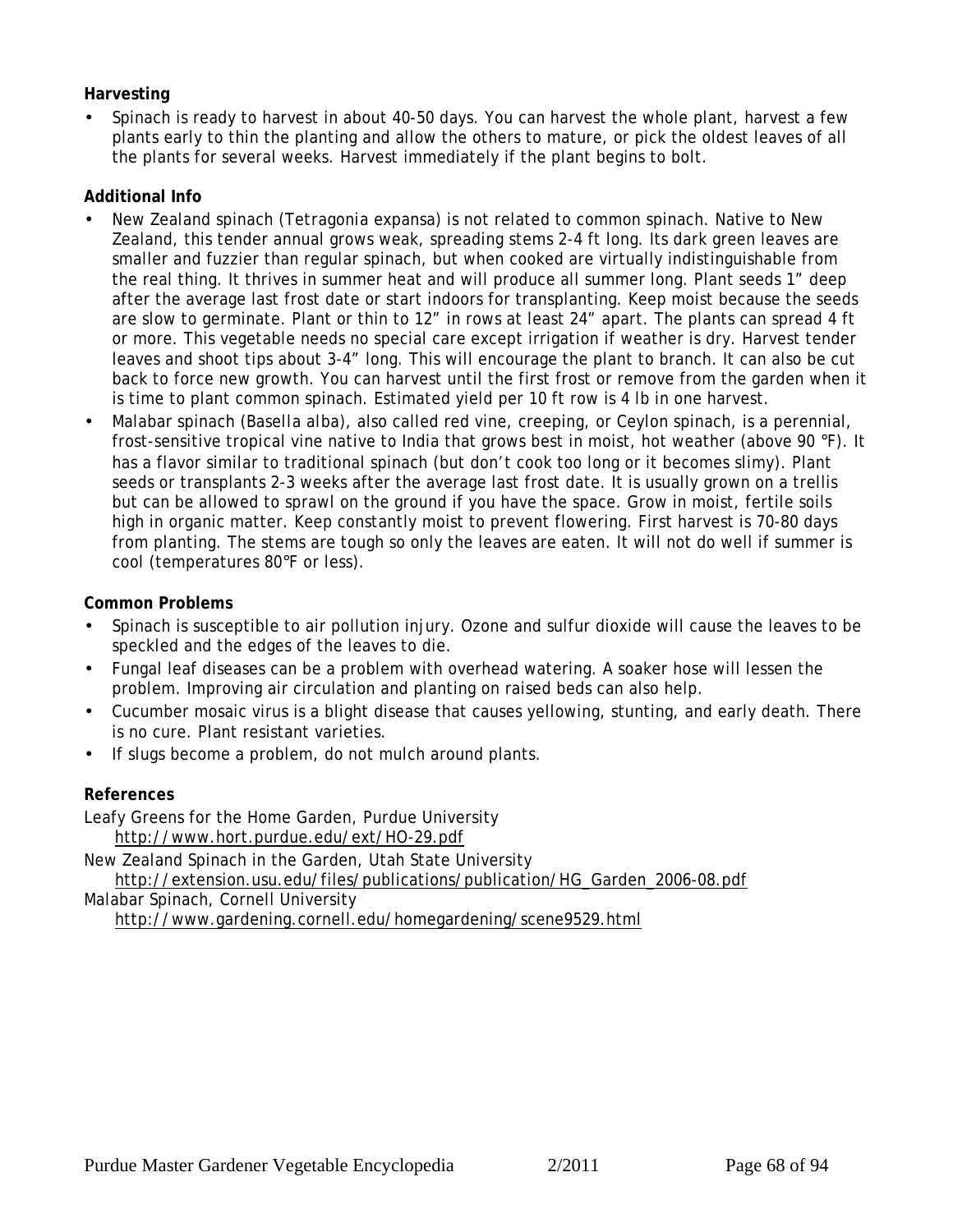#### **Harvesting**

• Spinach is ready to harvest in about 40-50 days. You can harvest the whole plant, harvest a few plants early to thin the planting and allow the others to mature, or pick the oldest leaves of all the plants for several weeks. Harvest immediately if the plant begins to bolt.

#### **Additional Info**

- New Zealand spinach (*Tetragonia expansa*) is not related to common spinach. Native to New Zealand, this tender annual grows weak, spreading stems 2-4 ft long. Its dark green leaves are smaller and fuzzier than regular spinach, but when cooked are virtually indistinguishable from the real thing. It thrives in summer heat and will produce all summer long. Plant seeds 1" deep after the average last frost date or start indoors for transplanting. Keep moist because the seeds are slow to germinate. Plant or thin to 12" in rows at least 24" apart. The plants can spread 4 ft or more. This vegetable needs no special care except irrigation if weather is dry. Harvest tender leaves and shoot tips about 3-4" long. This will encourage the plant to branch. It can also be cut back to force new growth. You can harvest until the first frost or remove from the garden when it is time to plant common spinach. Estimated yield per 10 ft row is 4 lb in one harvest.
- Malabar spinach (*Basella alba*), also called red vine, creeping, or Ceylon spinach, is a perennial, frost-sensitive tropical vine native to India that grows best in moist, hot weather (above 90 °F). It has a flavor similar to traditional spinach (but don't cook too long or it becomes slimy). Plant seeds or transplants 2-3 weeks after the average last frost date. It is usually grown on a trellis but can be allowed to sprawl on the ground if you have the space. Grow in moist, fertile soils high in organic matter. Keep constantly moist to prevent flowering. First harvest is 70-80 days from planting. The stems are tough so only the leaves are eaten. It will not do well if summer is cool (temperatures 80°F or less).

#### **Common Problems**

- Spinach is susceptible to air pollution injury. Ozone and sulfur dioxide will cause the leaves to be speckled and the edges of the leaves to die.
- Fungal leaf diseases can be a problem with overhead watering. A soaker hose will lessen the problem. Improving air circulation and planting on raised beds can also help.
- Cucumber mosaic virus is a blight disease that causes yellowing, stunting, and early death. There is no cure. Plant resistant varieties.
- If slugs become a problem, do not mulch around plants.

#### **References**

Leafy Greens for the Home Garden, Purdue University http://www.hort.purdue.edu/ext/HO-29.pdf

New Zealand Spinach in the Garden, Utah State University http://extension.usu.edu/files/publications/publication/HG\_Garden\_2006-08.pdf

Malabar Spinach, Cornell University http://www.gardening.cornell.edu/homegardening/scene9529.html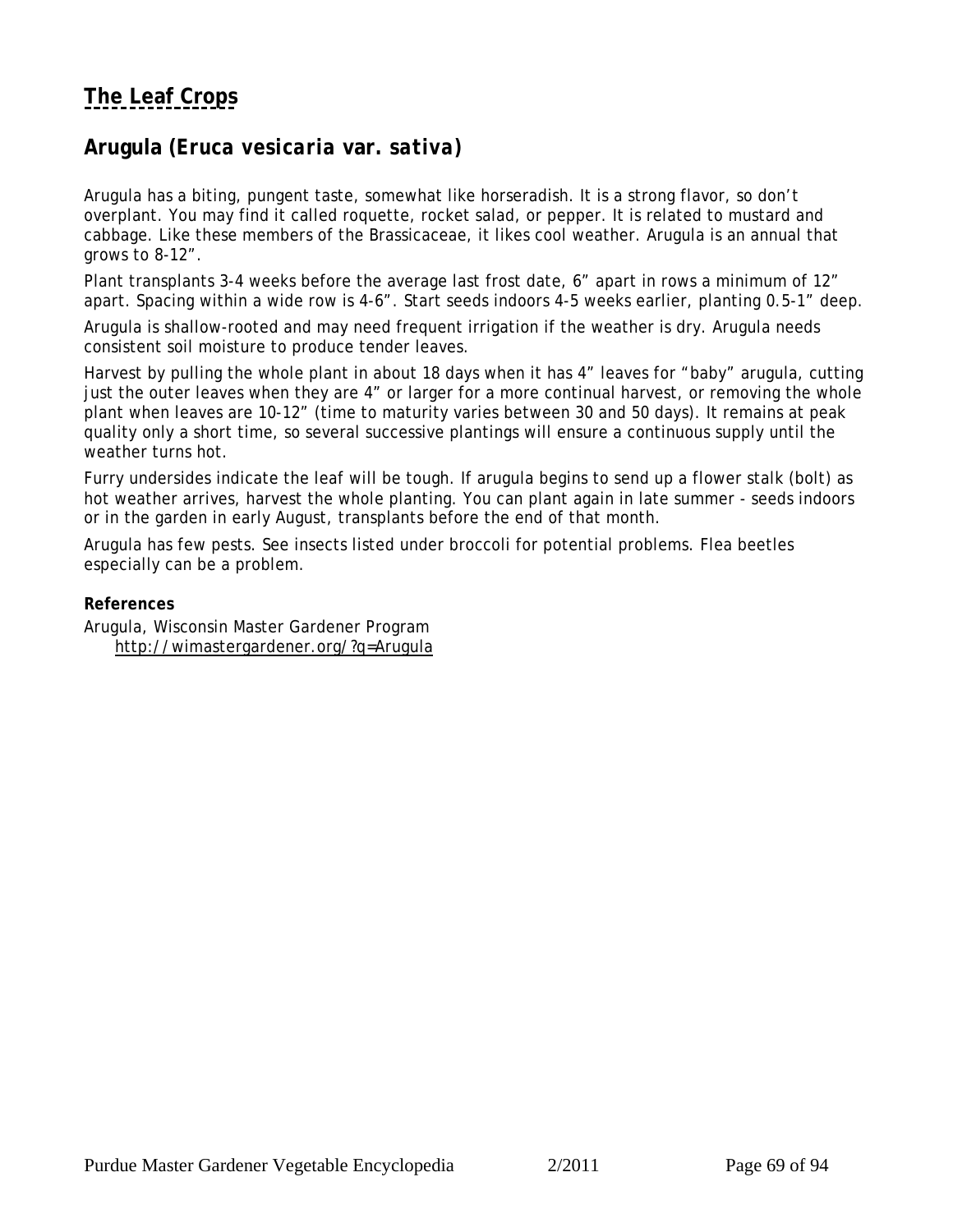### <span id="page-68-0"></span>**Arugula (***Eruca vesicaria* **var.** *sativa)*

Arugula has a biting, pungent taste, somewhat like horseradish. It is a strong flavor, so don't overplant. You may find it called roquette, rocket salad, or pepper. It is related to mustard and cabbage. Like these members of the Brassicaceae, it likes cool weather. Arugula is an annual that grows to 8-12".

Plant transplants 3-4 weeks before the average last frost date, 6" apart in rows a minimum of 12" apart. Spacing within a wide row is 4-6". Start seeds indoors 4-5 weeks earlier, planting 0.5-1" deep.

Arugula is shallow-rooted and may need frequent irrigation if the weather is dry. Arugula needs consistent soil moisture to produce tender leaves.

Harvest by pulling the whole plant in about 18 days when it has 4" leaves for "baby" arugula, cutting just the outer leaves when they are 4" or larger for a more continual harvest, or removing the whole plant when leaves are 10-12" (time to maturity varies between 30 and 50 days). It remains at peak quality only a short time, so several successive plantings will ensure a continuous supply until the weather turns hot.

Furry undersides indicate the leaf will be tough. If arugula begins to send up a flower stalk (bolt) as hot weather arrives, harvest the whole planting. You can plant again in late summer - seeds indoors or in the garden in early August, transplants before the end of that month.

Arugula has few pests. See insects listed under broccoli for potential problems. Flea beetles especially can be a problem.

**References** Arugula, Wisconsin Master Gardener Program http://wimastergardener.org/?q=Arugula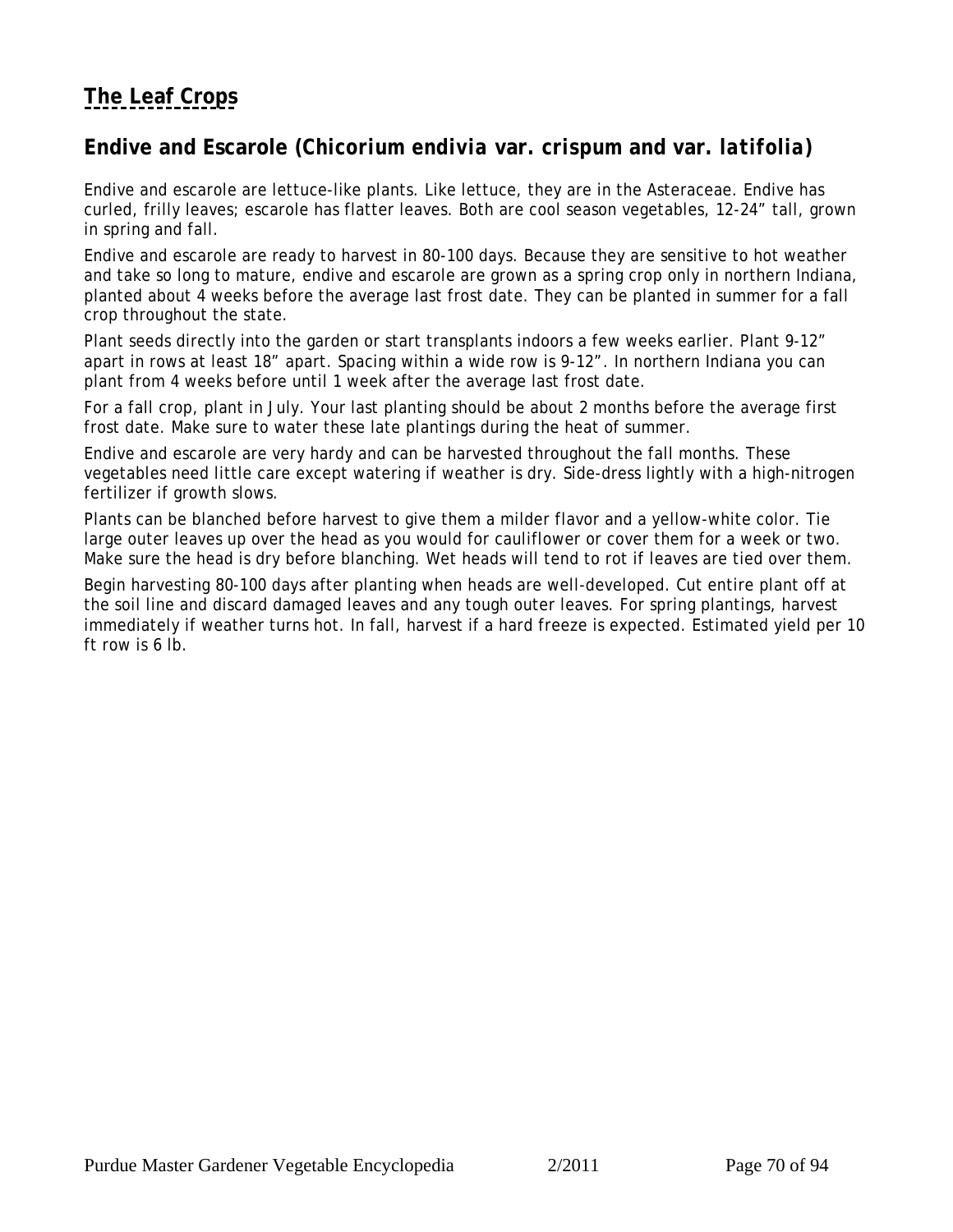## <span id="page-69-0"></span>**Endive and Escarole (***Chicorium endivia* **var.** *crispum* **and var.** *latifolia***)**

Endive and escarole are lettuce-like plants. Like lettuce, they are in the Asteraceae. Endive has curled, frilly leaves; escarole has flatter leaves. Both are cool season vegetables, 12-24" tall, grown in spring and fall.

Endive and escarole are ready to harvest in 80-100 days. Because they are sensitive to hot weather and take so long to mature, endive and escarole are grown as a spring crop only in northern Indiana, planted about 4 weeks before the average last frost date. They can be planted in summer for a fall crop throughout the state.

Plant seeds directly into the garden or start transplants indoors a few weeks earlier. Plant 9-12" apart in rows at least 18" apart. Spacing within a wide row is 9-12". In northern Indiana you can plant from 4 weeks before until 1 week after the average last frost date.

For a fall crop, plant in July. Your last planting should be about 2 months before the average first frost date. Make sure to water these late plantings during the heat of summer.

Endive and escarole are very hardy and can be harvested throughout the fall months. These vegetables need little care except watering if weather is dry. Side-dress lightly with a high-nitrogen fertilizer if growth slows.

Plants can be blanched before harvest to give them a milder flavor and a yellow-white color. Tie large outer leaves up over the head as you would for cauliflower or cover them for a week or two. Make sure the head is dry before blanching. Wet heads will tend to rot if leaves are tied over them.

Begin harvesting 80-100 days after planting when heads are well-developed. Cut entire plant off at the soil line and discard damaged leaves and any tough outer leaves. For spring plantings, harvest immediately if weather turns hot. In fall, harvest if a hard freeze is expected. Estimated yield per 10 ft row is 6 lb.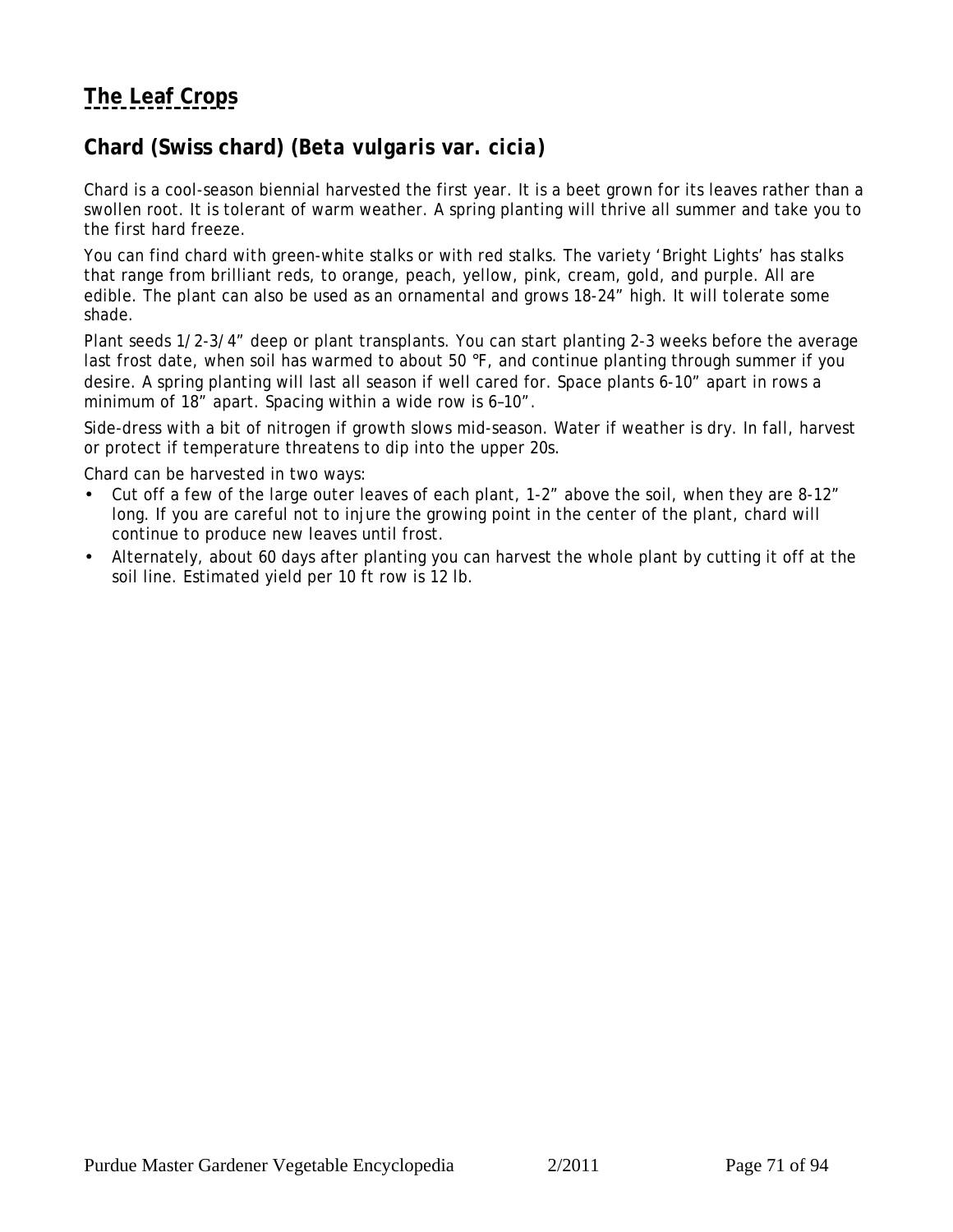## <span id="page-70-0"></span>**Chard (Swiss chard) (***Beta vulgaris* **var***. cicia***)**

Chard is a cool-season biennial harvested the first year. It is a beet grown for its leaves rather than a swollen root. It is tolerant of warm weather. A spring planting will thrive all summer and take you to the first hard freeze.

You can find chard with green-white stalks or with red stalks. The variety 'Bright Lights' has stalks that range from brilliant reds, to orange, peach, yellow, pink, cream, gold, and purple. All are edible. The plant can also be used as an ornamental and grows 18-24" high. It will tolerate some shade.

Plant seeds 1/2-3/4" deep or plant transplants. You can start planting 2-3 weeks before the average last frost date, when soil has warmed to about 50 °F, and continue planting through summer if you desire. A spring planting will last all season if well cared for. Space plants 6-10" apart in rows a minimum of 18" apart. Spacing within a wide row is 6–10".

Side-dress with a bit of nitrogen if growth slows mid-season. Water if weather is dry. In fall, harvest or protect if temperature threatens to dip into the upper 20s.

Chard can be harvested in two ways:

- Cut off a few of the large outer leaves of each plant, 1-2" above the soil, when they are 8-12" long. If you are careful not to injure the growing point in the center of the plant, chard will continue to produce new leaves until frost.
- Alternately, about 60 days after planting you can harvest the whole plant by cutting it off at the soil line. Estimated yield per 10 ft row is 12 lb.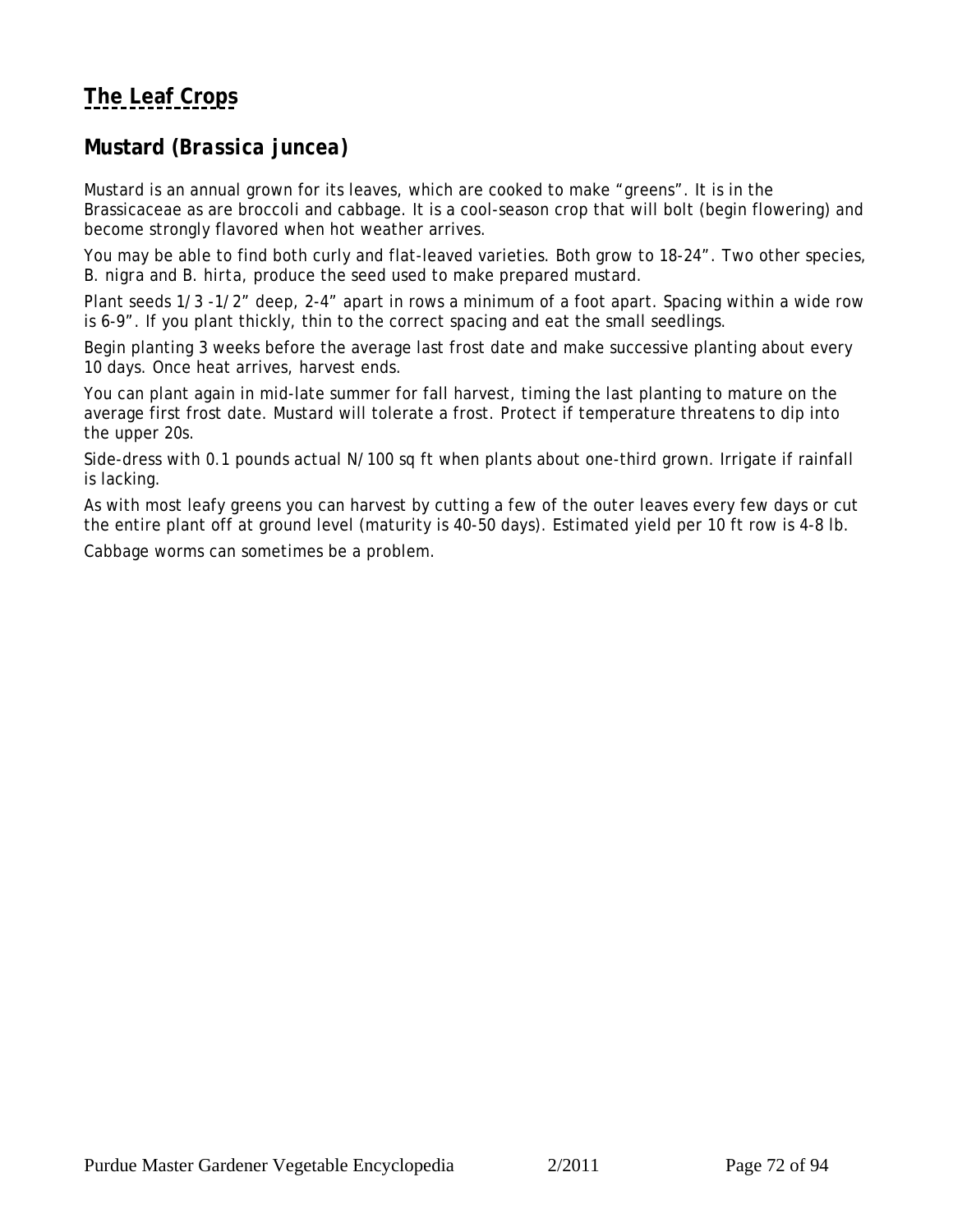## <span id="page-71-0"></span>**Mustard (***Brassica juncea)*

Mustard is an annual grown for its leaves, which are cooked to make "greens". It is in the Brassicaceae as are broccoli and cabbage. It is a cool-season crop that will bolt (begin flowering) and become strongly flavored when hot weather arrives.

You may be able to find both curly and flat-leaved varieties. Both grow to 18-24". Two other species, *B. nigra and B. hirta*, produce the seed used to make prepared mustard.

Plant seeds 1/3 -1/2" deep, 2-4" apart in rows a minimum of a foot apart. Spacing within a wide row is 6-9". If you plant thickly, thin to the correct spacing and eat the small seedlings.

Begin planting 3 weeks before the average last frost date and make successive planting about every 10 days. Once heat arrives, harvest ends.

You can plant again in mid-late summer for fall harvest, timing the last planting to mature on the average first frost date. Mustard will tolerate a frost. Protect if temperature threatens to dip into the upper 20s.

Side-dress with 0.1 pounds actual N/100 sq ft when plants about one-third grown. Irrigate if rainfall is lacking.

As with most leafy greens you can harvest by cutting a few of the outer leaves every few days or cut the entire plant off at ground level (maturity is 40-50 days). Estimated yield per 10 ft row is 4-8 lb.

Cabbage worms can sometimes be a problem.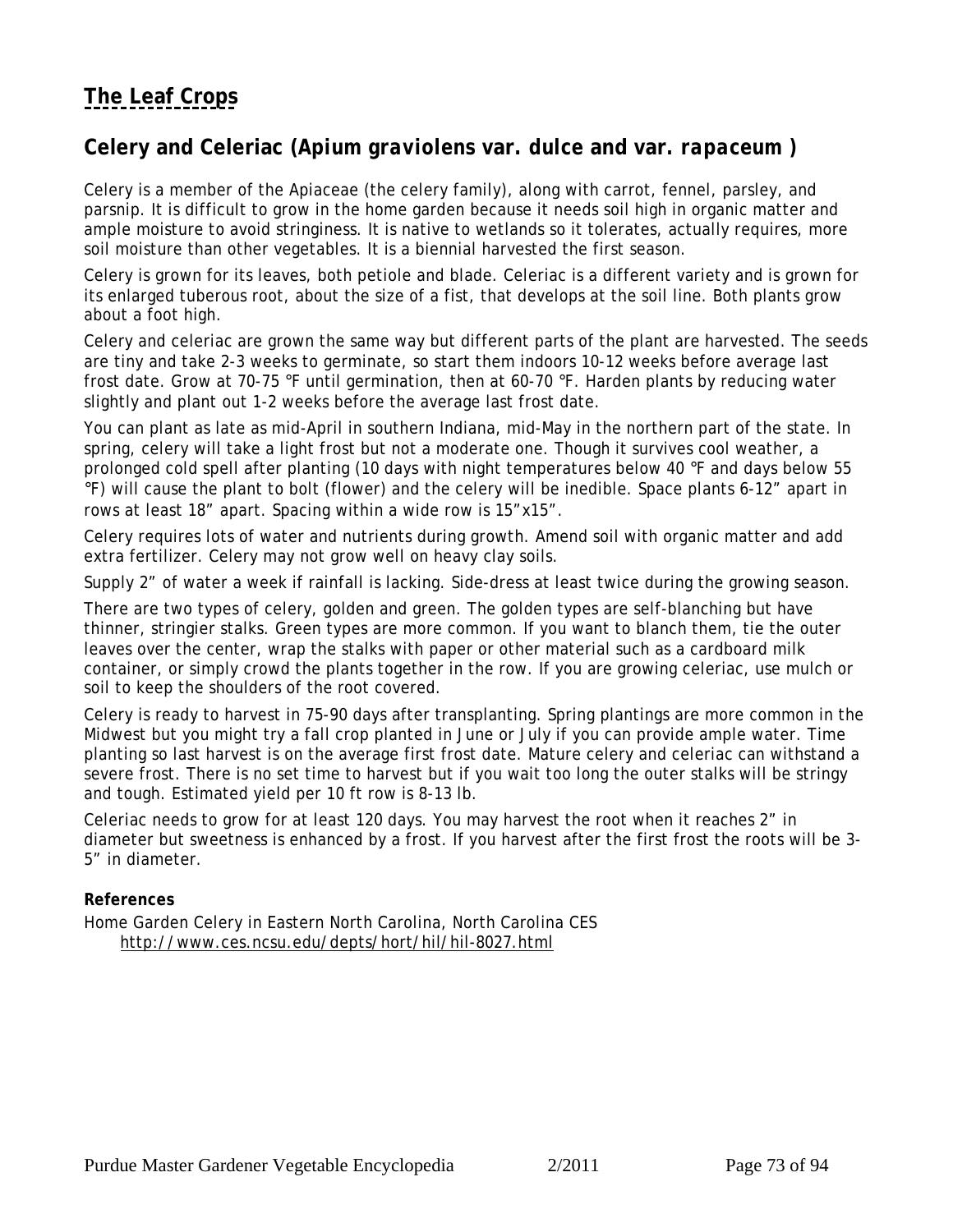# **[The Leaf Crops](#page-63-0)**

## **Celery and Celeriac (***Apium graviolens* **var.** *dulce* **and var***. rapaceum )*

Celery is a member of the Apiaceae (the celery family), along with carrot, fennel, parsley, and parsnip. It is difficult to grow in the home garden because it needs soil high in organic matter and ample moisture to avoid stringiness. It is native to wetlands so it tolerates, actually requires, more soil moisture than other vegetables. It is a biennial harvested the first season.

Celery is grown for its leaves, both petiole and blade. Celeriac is a different variety and is grown for its enlarged tuberous root, about the size of a fist, that develops at the soil line. Both plants grow about a foot high.

Celery and celeriac are grown the same way but different parts of the plant are harvested. The seeds are tiny and take 2-3 weeks to germinate, so start them indoors 10-12 weeks before average last frost date. Grow at 70-75 °F until germination, then at 60-70 °F. Harden plants by reducing water slightly and plant out 1-2 weeks before the average last frost date.

You can plant as late as mid-April in southern Indiana, mid-May in the northern part of the state. In spring, celery will take a light frost but not a moderate one. Though it survives cool weather, a prolonged cold spell after planting (10 days with night temperatures below 40 °F and days below 55 °F) will cause the plant to bolt (flower) and the celery will be inedible. Space plants 6-12" apart in rows at least 18" apart. Spacing within a wide row is 15"x15".

Celery requires lots of water and nutrients during growth. Amend soil with organic matter and add extra fertilizer. Celery may not grow well on heavy clay soils.

Supply 2" of water a week if rainfall is lacking. Side-dress at least twice during the growing season.

There are two types of celery, golden and green. The golden types are self-blanching but have thinner, stringier stalks. Green types are more common. If you want to blanch them, tie the outer leaves over the center, wrap the stalks with paper or other material such as a cardboard milk container, or simply crowd the plants together in the row. If you are growing celeriac, use mulch or soil to keep the shoulders of the root covered.

Celery is ready to harvest in 75-90 days after transplanting. Spring plantings are more common in the Midwest but you might try a fall crop planted in June or July if you can provide ample water. Time planting so last harvest is on the average first frost date. Mature celery and celeriac can withstand a severe frost. There is no set time to harvest but if you wait too long the outer stalks will be stringy and tough. Estimated yield per 10 ft row is 8-13 lb.

Celeriac needs to grow for at least 120 days. You may harvest the root when it reaches 2" in diameter but sweetness is enhanced by a frost. If you harvest after the first frost the roots will be 3- 5" in diameter.

### **References**

Home Garden Celery in Eastern North Carolina, North Carolina CES http://www.ces.ncsu.edu/depts/hort/hil/hil-8027.html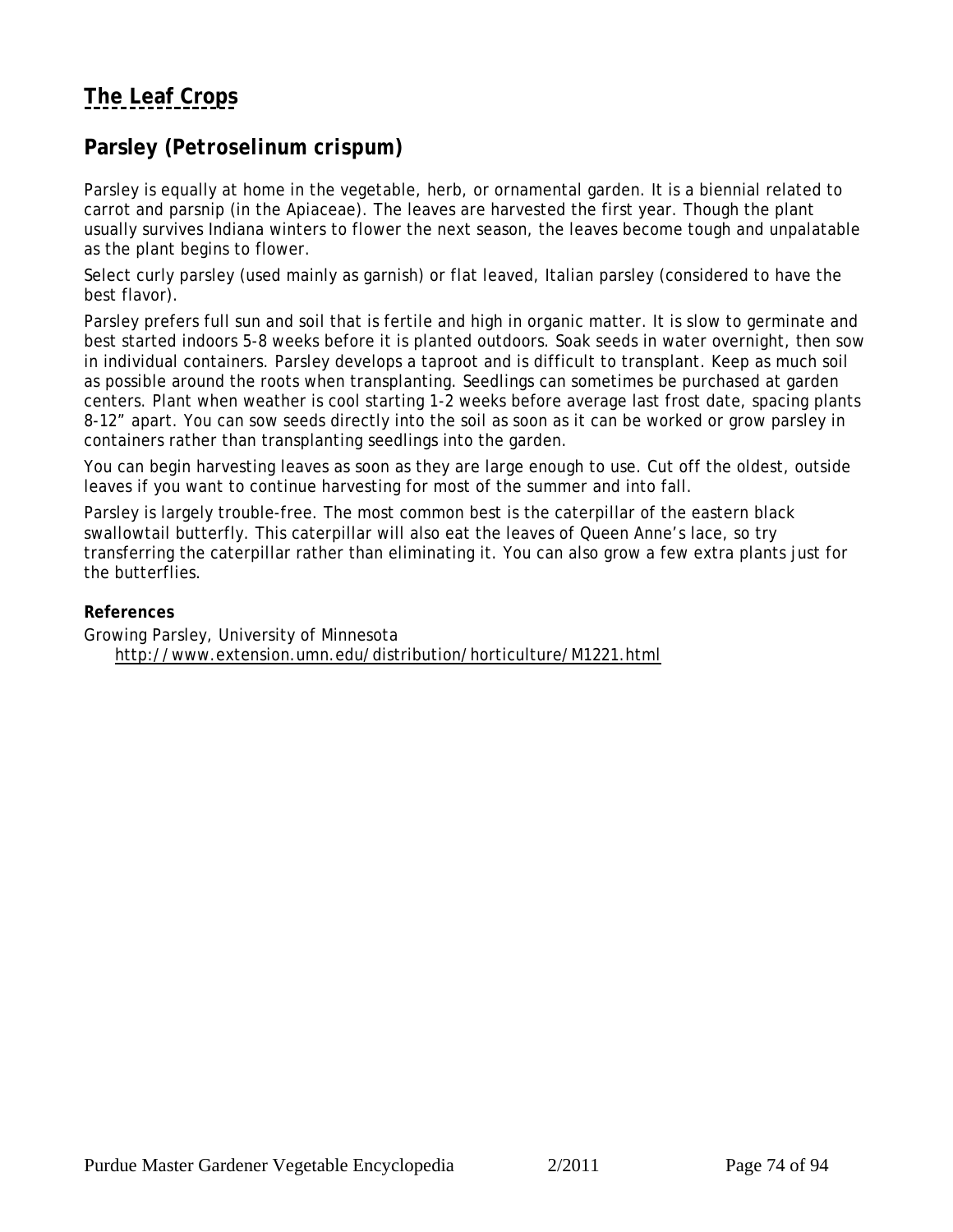# **[The Leaf Crops](#page-63-0)**

## **Parsley (***Petroselinum crispum***)**

Parsley is equally at home in the vegetable, herb, or ornamental garden. It is a biennial related to carrot and parsnip (in the Apiaceae). The leaves are harvested the first year. Though the plant usually survives Indiana winters to flower the next season, the leaves become tough and unpalatable as the plant begins to flower.

Select curly parsley (used mainly as garnish) or flat leaved, Italian parsley (considered to have the best flavor).

Parsley prefers full sun and soil that is fertile and high in organic matter. It is slow to germinate and best started indoors 5-8 weeks before it is planted outdoors. Soak seeds in water overnight, then sow in individual containers. Parsley develops a taproot and is difficult to transplant. Keep as much soil as possible around the roots when transplanting. Seedlings can sometimes be purchased at garden centers. Plant when weather is cool starting 1-2 weeks before average last frost date, spacing plants 8-12" apart. You can sow seeds directly into the soil as soon as it can be worked or grow parsley in containers rather than transplanting seedlings into the garden.

You can begin harvesting leaves as soon as they are large enough to use. Cut off the oldest, outside leaves if you want to continue harvesting for most of the summer and into fall.

Parsley is largely trouble-free. The most common best is the caterpillar of the eastern black swallowtail butterfly. This caterpillar will also eat the leaves of Queen Anne's lace, so try transferring the caterpillar rather than eliminating it. You can also grow a few extra plants just for the butterflies.

**References**

Growing Parsley, University of Minnesota http://www.extension.umn.edu/distribution/horticulture/M1221.html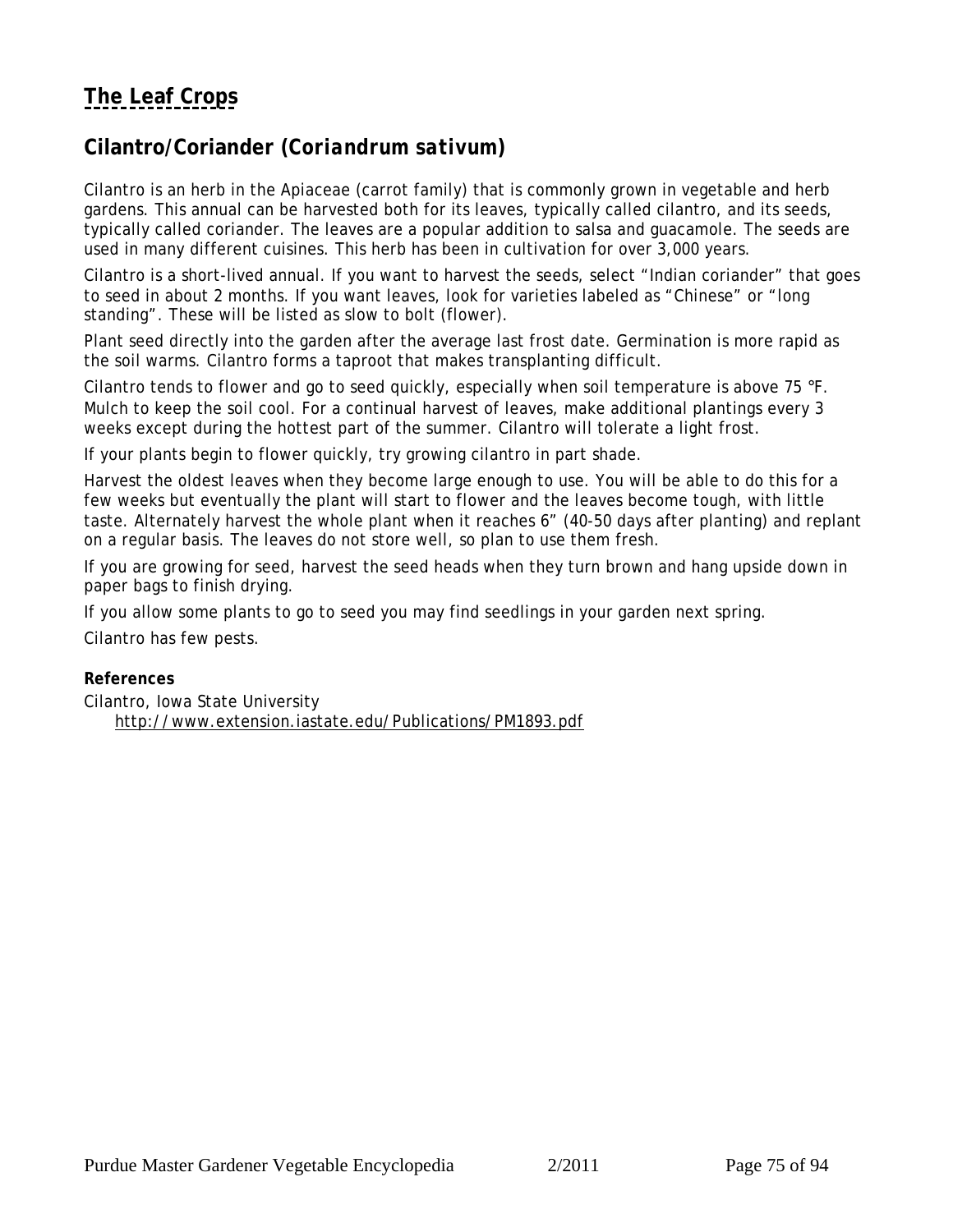# **[The Leaf Crops](#page-63-0)**

## **Cilantro/Coriander (***Coriandrum sativum***)**

Cilantro is an herb in the Apiaceae (carrot family) that is commonly grown in vegetable and herb gardens. This annual can be harvested both for its leaves, typically called cilantro, and its seeds, typically called coriander. The leaves are a popular addition to salsa and guacamole. The seeds are used in many different cuisines. This herb has been in cultivation for over 3,000 years.

Cilantro is a short-lived annual. If you want to harvest the seeds, select "Indian coriander" that goes to seed in about 2 months. If you want leaves, look for varieties labeled as "Chinese" or "long standing". These will be listed as slow to bolt (flower).

Plant seed directly into the garden after the average last frost date. Germination is more rapid as the soil warms. Cilantro forms a taproot that makes transplanting difficult.

Cilantro tends to flower and go to seed quickly, especially when soil temperature is above 75 °F. Mulch to keep the soil cool. For a continual harvest of leaves, make additional plantings every 3 weeks except during the hottest part of the summer. Cilantro will tolerate a light frost.

If your plants begin to flower quickly, try growing cilantro in part shade.

Harvest the oldest leaves when they become large enough to use. You will be able to do this for a few weeks but eventually the plant will start to flower and the leaves become tough, with little taste. Alternately harvest the whole plant when it reaches 6" (40-50 days after planting) and replant on a regular basis. The leaves do not store well, so plan to use them fresh.

If you are growing for seed, harvest the seed heads when they turn brown and hang upside down in paper bags to finish drying.

If you allow some plants to go to seed you may find seedlings in your garden next spring.

Cilantro has few pests.

#### **References**

Cilantro, Iowa State University http://www.extension.iastate.edu/Publications/PM1893.pdf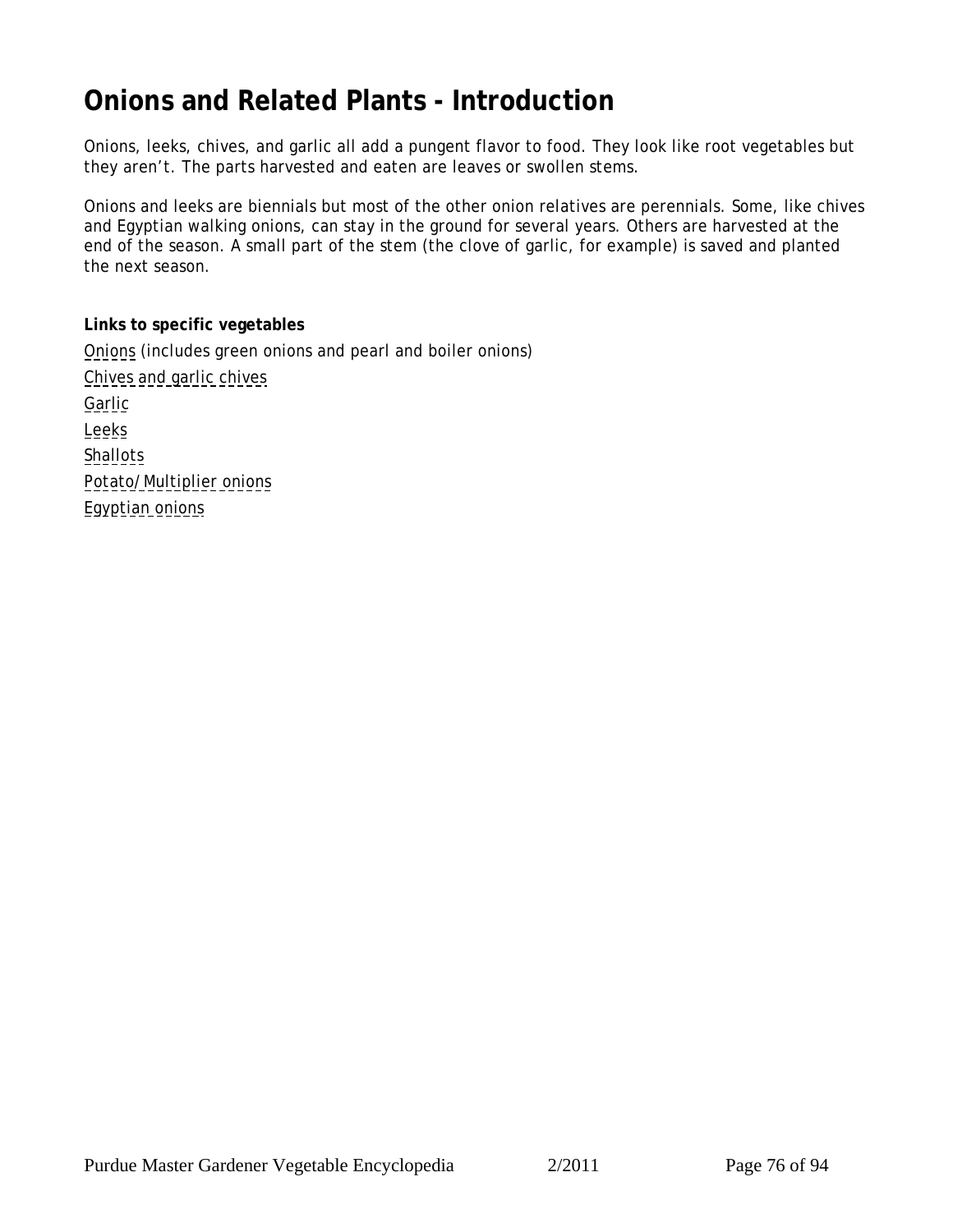# <span id="page-75-0"></span>**Onions and Related Plants - Introduction**

Onions, leeks, chives, and garlic all add a pungent flavor to food. They look like root vegetables but they aren't. The parts harvested and eaten are leaves or swollen stems.

Onions and leeks are biennials but most of the other onion relatives are perennials. Some, like chives and Egyptian walking onions, can stay in the ground for several years. Others are harvested at the end of the season. A small part of the stem (the clove of garlic, for example) is saved and planted the next season.

**Links to specific vegetables** [Onions](#page-76-0) (includes green onions and pearl and boiler onions) [Chives and garlic chives](#page-79-0) [Garlic](#page-80-0) [Leeks](#page-81-0) **[Shallots](#page-82-0)** [Potato/Multiplier onions](#page-82-0) [Egyptian onions](#page-82-0)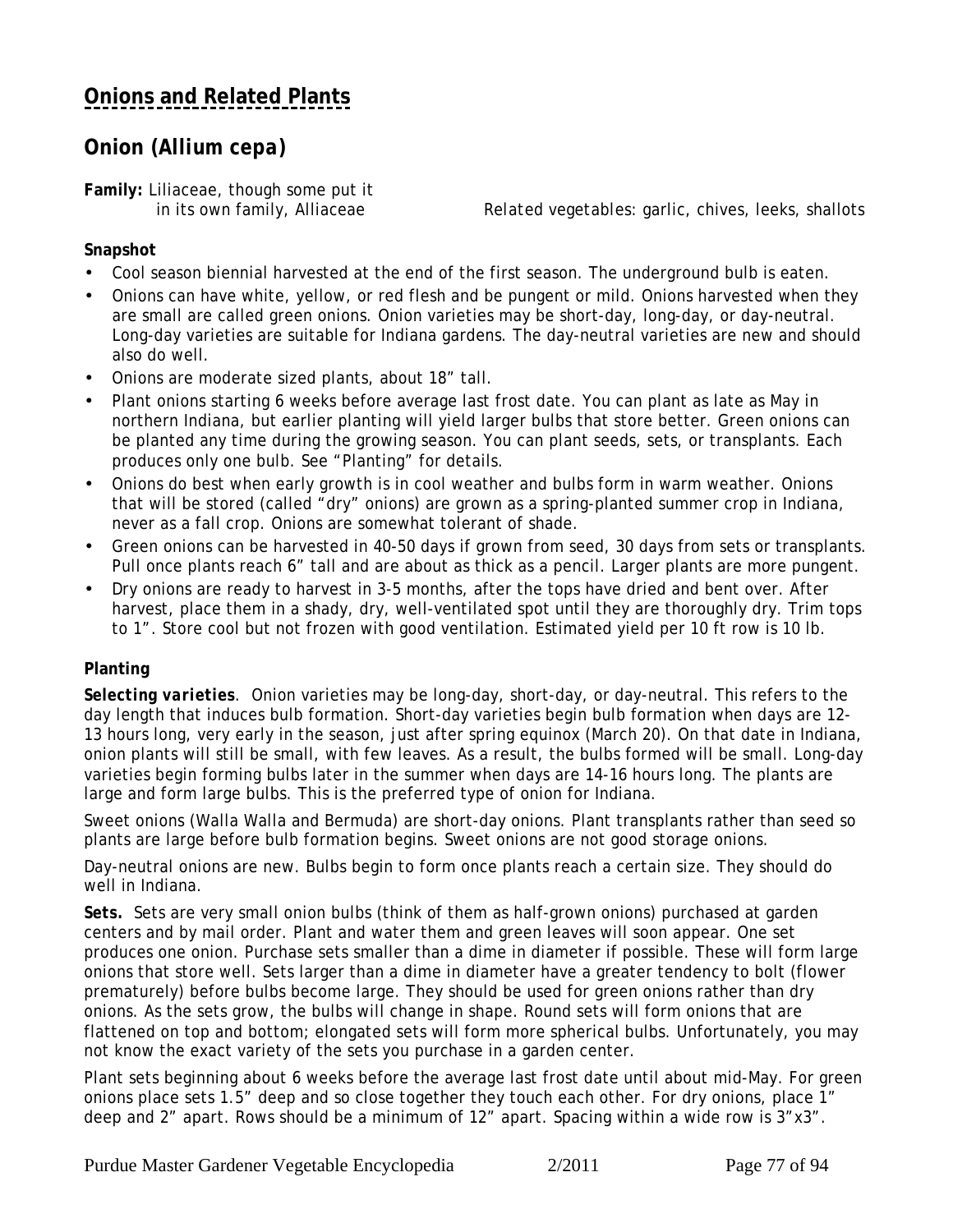# <span id="page-76-0"></span>**Onion (***Allium cepa***)**

**Family:** Liliaceae, though some put it

in its own family, Alliaceae *Related vegetables:* garlic, chives, leeks, shallots

### **Snapshot**

- Cool season biennial harvested at the end of the first season. The underground bulb is eaten.
- Onions can have white, yellow, or red flesh and be pungent or mild. Onions harvested when they are small are called green onions. Onion varieties may be short-day, long-day, or day-neutral. Long-day varieties are suitable for Indiana gardens. The day-neutral varieties are new and should also do well.
- Onions are moderate sized plants, about 18" tall.
- Plant onions starting 6 weeks before average last frost date. You can plant as late as May in northern Indiana, but earlier planting will yield larger bulbs that store better. Green onions can be planted any time during the growing season. You can plant seeds, sets, or transplants. Each produces only one bulb. See "Planting" for details.
- Onions do best when early growth is in cool weather and bulbs form in warm weather. Onions that will be stored (called "dry" onions) are grown as a spring-planted summer crop in Indiana, never as a fall crop. Onions are somewhat tolerant of shade.
- Green onions can be harvested in 40-50 days if grown from seed, 30 days from sets or transplants. Pull once plants reach 6" tall and are about as thick as a pencil. Larger plants are more pungent.
- Dry onions are ready to harvest in 3-5 months, after the tops have dried and bent over. After harvest, place them in a shady, dry, well-ventilated spot until they are thoroughly dry. Trim tops to 1". Store cool but not frozen with good ventilation. Estimated yield per 10 ft row is 10 lb.

### **Planting**

*Selecting varieties.* Onion varieties may be long-day, short-day, or day-neutral. This refers to the day length that induces bulb formation. Short-day varieties begin bulb formation when days are 12- 13 hours long, very early in the season, just after spring equinox (March 20). On that date in Indiana, onion plants will still be small, with few leaves. As a result, the bulbs formed will be small. Long-day varieties begin forming bulbs later in the summer when days are 14-16 hours long. The plants are large and form large bulbs. This is the preferred type of onion for Indiana.

Sweet onions (Walla Walla and Bermuda) are short-day onions. Plant transplants rather than seed so plants are large before bulb formation begins. Sweet onions are not good storage onions.

Day-neutral onions are new. Bulbs begin to form once plants reach a certain size. They should do well in Indiana.

*Sets.* Sets are very small onion bulbs (think of them as half-grown onions) purchased at garden centers and by mail order. Plant and water them and green leaves will soon appear. One set produces one onion. Purchase sets smaller than a dime in diameter if possible. These will form large onions that store well. Sets larger than a dime in diameter have a greater tendency to bolt (flower prematurely) before bulbs become large. They should be used for green onions rather than dry onions. As the sets grow, the bulbs will change in shape. Round sets will form onions that are flattened on top and bottom; elongated sets will form more spherical bulbs. Unfortunately, you may not know the exact variety of the sets you purchase in a garden center.

Plant sets beginning about 6 weeks before the average last frost date until about mid-May. For green onions place sets 1.5" deep and so close together they touch each other. For dry onions, place 1" deep and 2" apart. Rows should be a minimum of 12" apart. Spacing within a wide row is 3"x3".

Purdue Master Gardener Vegetable Encyclopedia 2/2011 Page 77 of 94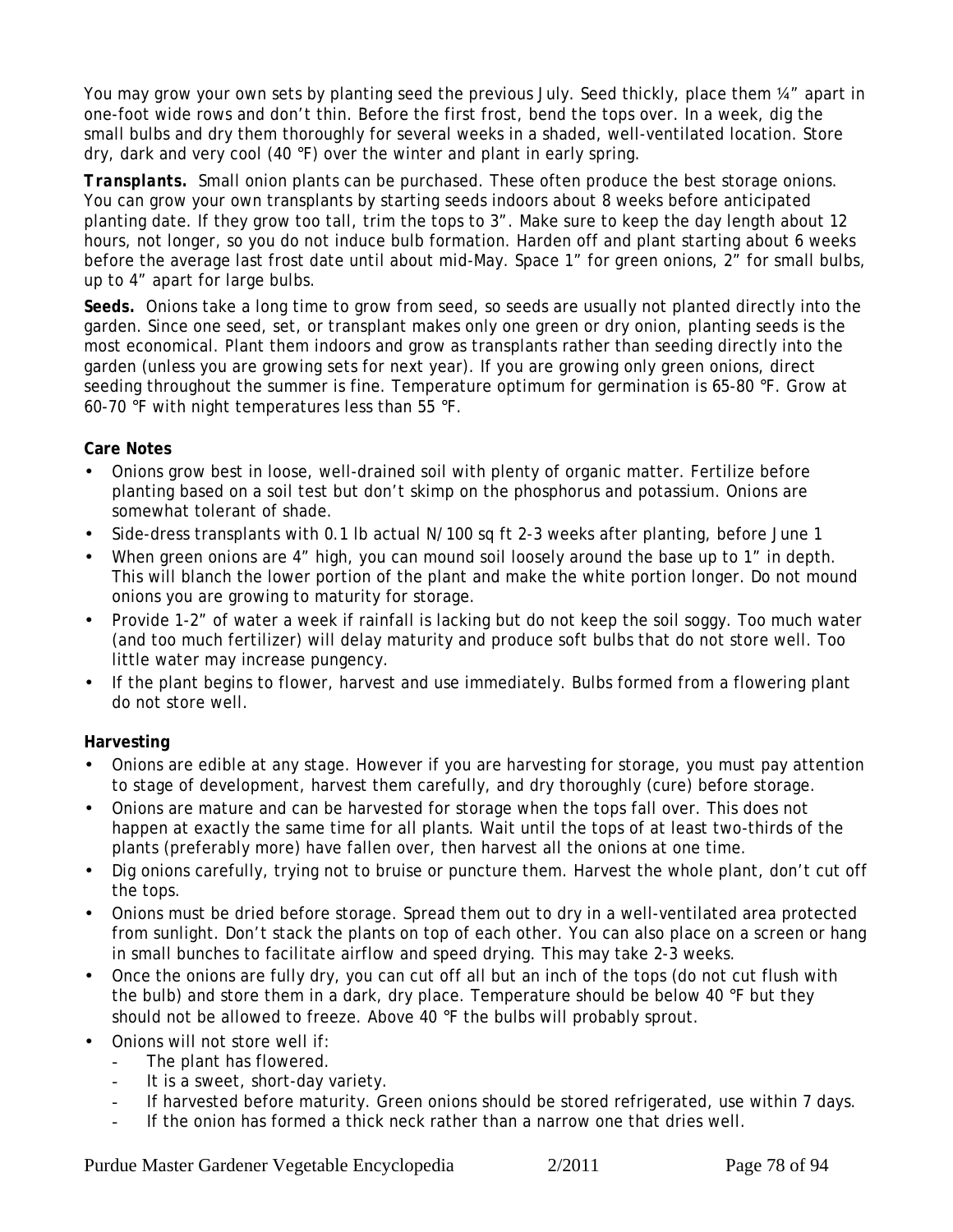You may grow your own sets by planting seed the previous July. Seed thickly, place them 1/4" apart in one-foot wide rows and don't thin. Before the first frost, bend the tops over. In a week, dig the small bulbs and dry them thoroughly for several weeks in a shaded, well-ventilated location. Store dry, dark and very cool (40 °F) over the winter and plant in early spring.

*Transplants.* Small onion plants can be purchased. These often produce the best storage onions. You can grow your own transplants by starting seeds indoors about 8 weeks before anticipated planting date. If they grow too tall, trim the tops to 3". Make sure to keep the day length about 12 hours, not longer, so you do not induce bulb formation. Harden off and plant starting about 6 weeks before the average last frost date until about mid-May. Space 1" for green onions, 2" for small bulbs, up to 4" apart for large bulbs.

*Seeds.* Onions take a long time to grow from seed, so seeds are usually not planted directly into the garden. Since one seed, set, or transplant makes only one green or dry onion, planting seeds is the most economical. Plant them indoors and grow as transplants rather than seeding directly into the garden (unless you are growing sets for next year). If you are growing only green onions, direct seeding throughout the summer is fine. Temperature optimum for germination is 65-80 °F. Grow at 60-70 °F with night temperatures less than 55 °F.

### **Care Notes**

- Onions grow best in loose, well-drained soil with plenty of organic matter. Fertilize before planting based on a soil test but don't skimp on the phosphorus and potassium. Onions are somewhat tolerant of shade.
- Side-dress transplants with 0.1 lb actual N/100 sq ft 2-3 weeks after planting, before June 1
- When green onions are 4" high, you can mound soil loosely around the base up to 1" in depth. This will blanch the lower portion of the plant and make the white portion longer. Do not mound onions you are growing to maturity for storage.
- Provide 1-2" of water a week if rainfall is lacking but do not keep the soil soggy. Too much water (and too much fertilizer) will delay maturity and produce soft bulbs that do not store well. Too little water may increase pungency.
- If the plant begins to flower, harvest and use immediately. Bulbs formed from a flowering plant do not store well.

## **Harvesting**

- Onions are edible at any stage. However if you are harvesting for storage, you must pay attention to stage of development, harvest them carefully, and dry thoroughly (cure) before storage.
- Onions are mature and can be harvested for storage when the tops fall over. This does not happen at exactly the same time for all plants. Wait until the tops of at least two-thirds of the plants (preferably more) have fallen over, then harvest all the onions at one time.
- Dig onions carefully, trying not to bruise or puncture them. Harvest the whole plant, don't cut off the tops.
- Onions must be dried before storage. Spread them out to dry in a well-ventilated area protected from sunlight. Don't stack the plants on top of each other. You can also place on a screen or hang in small bunches to facilitate airflow and speed drying. This may take 2-3 weeks.
- Once the onions are fully dry, you can cut off all but an inch of the tops (do not cut flush with the bulb) and store them in a dark, dry place. Temperature should be below 40 °F but they should not be allowed to freeze. Above 40 °F the bulbs will probably sprout.
- Onions will not store well if:
	- The plant has flowered.
	- It is a sweet, short-day variety.
	- If harvested before maturity. Green onions should be stored refrigerated, use within 7 days.
	- If the onion has formed a thick neck rather than a narrow one that dries well.

Purdue Master Gardener Vegetable Encyclopedia 2/2011 Page 78 of 94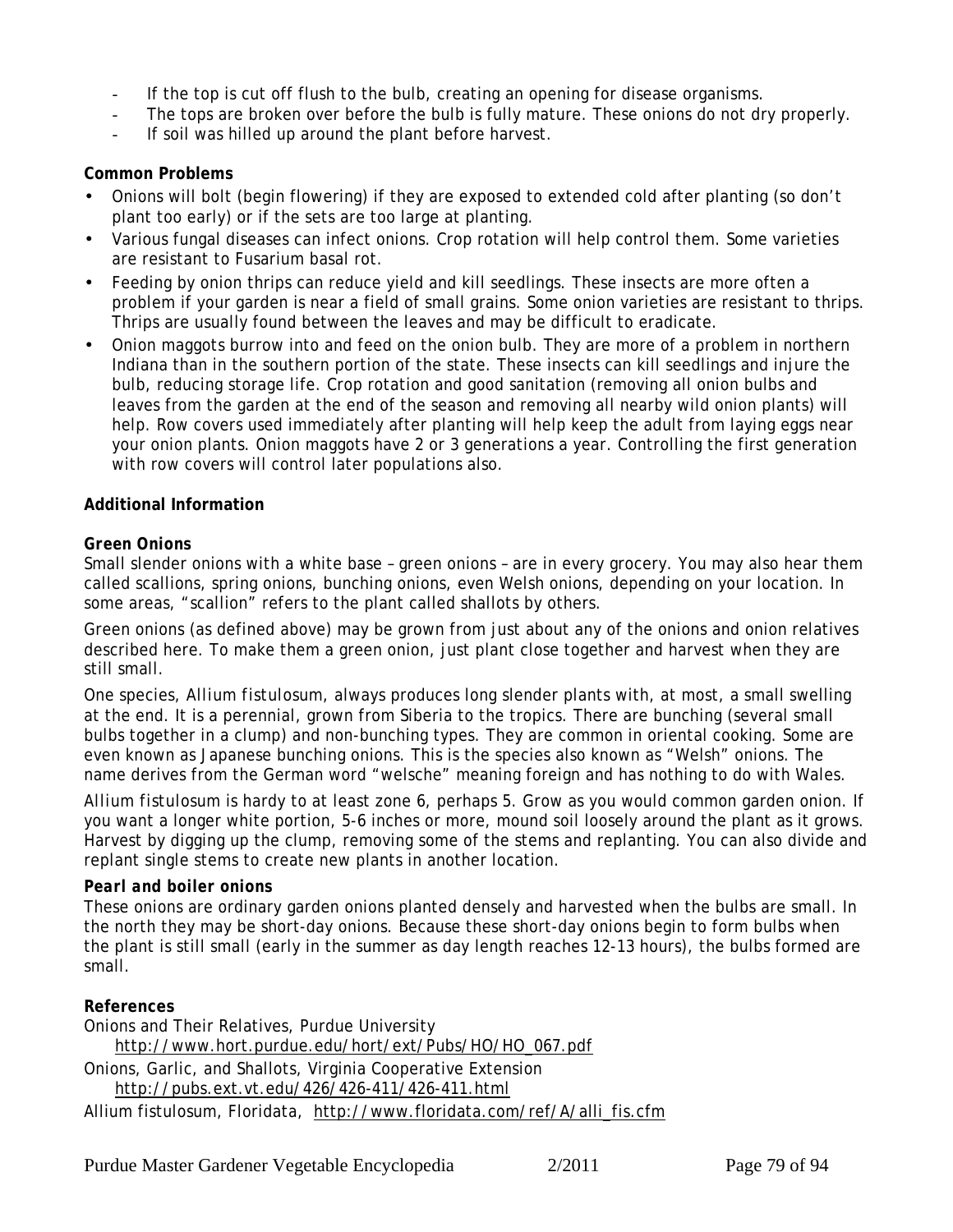- If the top is cut off flush to the bulb, creating an opening for disease organisms.
- The tops are broken over before the bulb is fully mature. These onions do not dry properly.
- If soil was hilled up around the plant before harvest.

### **Common Problems**

- Onions will bolt (begin flowering) if they are exposed to extended cold after planting (so don't plant too early) or if the sets are too large at planting.
- Various fungal diseases can infect onions. Crop rotation will help control them. Some varieties are resistant to Fusarium basal rot.
- Feeding by onion thrips can reduce yield and kill seedlings. These insects are more often a problem if your garden is near a field of small grains. Some onion varieties are resistant to thrips. Thrips are usually found between the leaves and may be difficult to eradicate.
- Onion maggots burrow into and feed on the onion bulb. They are more of a problem in northern Indiana than in the southern portion of the state. These insects can kill seedlings and injure the bulb, reducing storage life. Crop rotation and good sanitation (removing all onion bulbs and leaves from the garden at the end of the season and removing all nearby wild onion plants) will help. Row covers used immediately after planting will help keep the adult from laying eggs near your onion plants. Onion maggots have 2 or 3 generations a year. Controlling the first generation with row covers will control later populations also.

#### **Additional Information**

#### *Green Onions*

Small slender onions with a white base – green onions – are in every grocery. You may also hear them called scallions, spring onions, bunching onions, even Welsh onions, depending on your location. In some areas, "scallion" refers to the plant called shallots by others.

Green onions (as defined above) may be grown from just about any of the onions and onion relatives described here. To make them a green onion, just plant close together and harvest when they are still small.

One species, *Allium fistulosum*, always produces long slender plants with, at most, a small swelling at the end. It is a perennial, grown from Siberia to the tropics. There are bunching (several small bulbs together in a clump) and non-bunching types. They are common in oriental cooking. Some are even known as Japanese bunching onions. This is the species also known as "Welsh" onions. The name derives from the German word "welsche" meaning foreign and has nothing to do with Wales.

*Allium fistulosum* is hardy to at least zone 6, perhaps 5. Grow as you would common garden onion. If you want a longer white portion, 5-6 inches or more, mound soil loosely around the plant as it grows. Harvest by digging up the clump, removing some of the stems and replanting. You can also divide and replant single stems to create new plants in another location.

#### *Pearl and boiler onions*

These onions are ordinary garden onions planted densely and harvested when the bulbs are small. In the north they may be short-day onions. Because these short-day onions begin to form bulbs when the plant is still small (early in the summer as day length reaches 12-13 hours), the bulbs formed are small.

**References**

Onions and Their Relatives, Purdue University http://www.hort.purdue.edu/hort/ext/Pubs/HO/HO\_067.pdf Onions, Garlic, and Shallots, Virginia Cooperative Extension http://pubs.ext.vt.edu/426/426-411/426-411.html

Allium fistulosum, Floridata, http://www.floridata.com/ref/A/alli\_fis.cfm

Purdue Master Gardener Vegetable Encyclopedia 2/2011 Page 79 of 94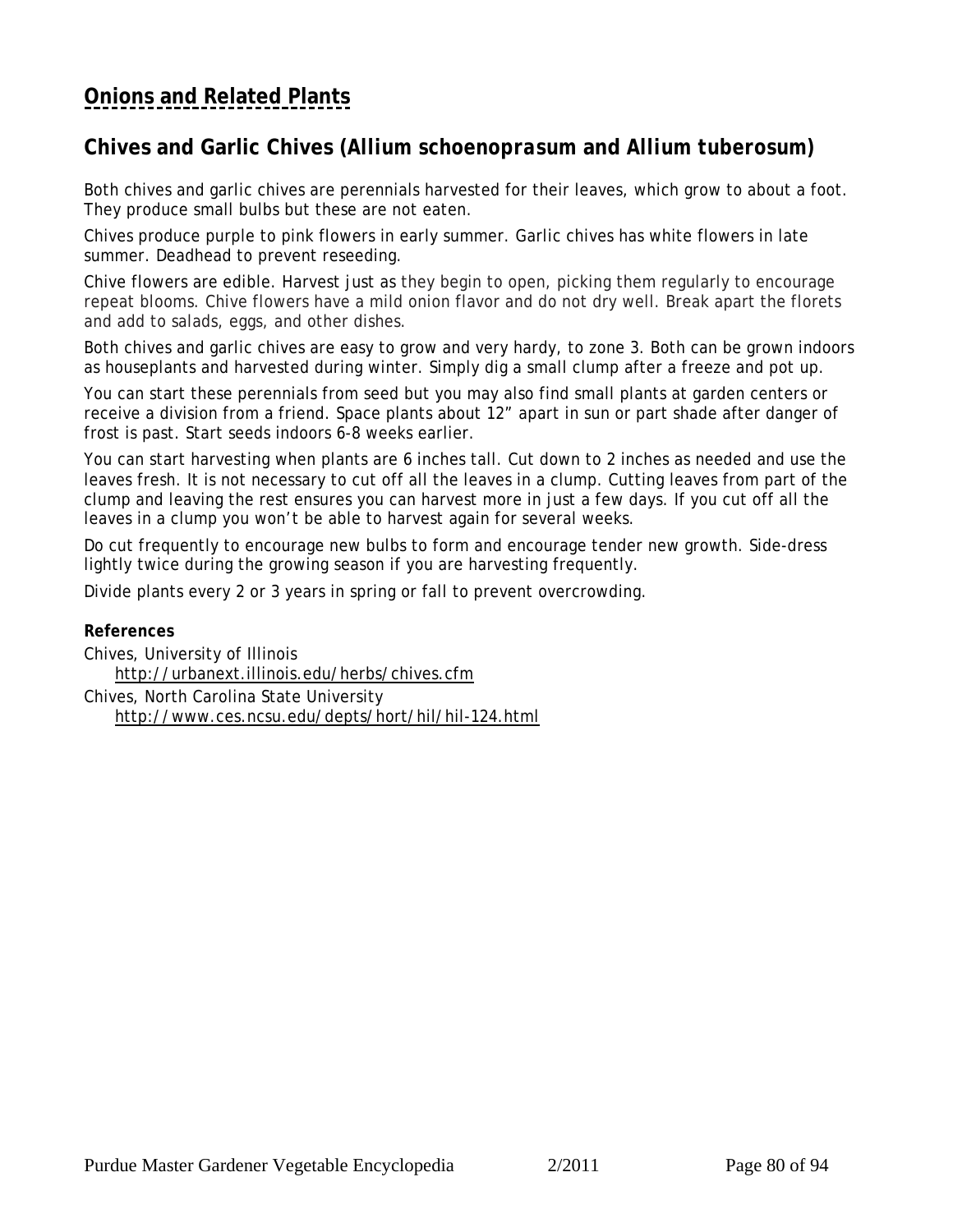# <span id="page-79-0"></span>**Chives and Garlic Chives (***Allium schoenoprasum* **and** *Allium tuberosum)*

Both chives and garlic chives are perennials harvested for their leaves, which grow to about a foot. They produce small bulbs but these are not eaten.

Chives produce purple to pink flowers in early summer. Garlic chives has white flowers in late summer. Deadhead to prevent reseeding.

Chive flowers are edible. Harvest just as they begin to open, picking them regularly to encourage repeat blooms. Chive flowers have a mild onion flavor and do not dry well. Break apart the florets and add to salads, eggs, and other dishes.

Both chives and garlic chives are easy to grow and very hardy, to zone 3. Both can be grown indoors as houseplants and harvested during winter. Simply dig a small clump after a freeze and pot up.

You can start these perennials from seed but you may also find small plants at garden centers or receive a division from a friend. Space plants about 12" apart in sun or part shade after danger of frost is past. Start seeds indoors 6-8 weeks earlier.

You can start harvesting when plants are 6 inches tall. Cut down to 2 inches as needed and use the leaves fresh. It is not necessary to cut off all the leaves in a clump. Cutting leaves from part of the clump and leaving the rest ensures you can harvest more in just a few days. If you cut off all the leaves in a clump you won't be able to harvest again for several weeks.

Do cut frequently to encourage new bulbs to form and encourage tender new growth. Side-dress lightly twice during the growing season if you are harvesting frequently.

Divide plants every 2 or 3 years in spring or fall to prevent overcrowding.

**References** Chives, University of Illinois http://urbanext.illinois.edu/herbs/chives.cfm Chives, North Carolina State University http://www.ces.ncsu.edu/depts/hort/hil/hil-124.html

Purdue Master Gardener Vegetable Encyclopedia 2/2011 Page 80 of 94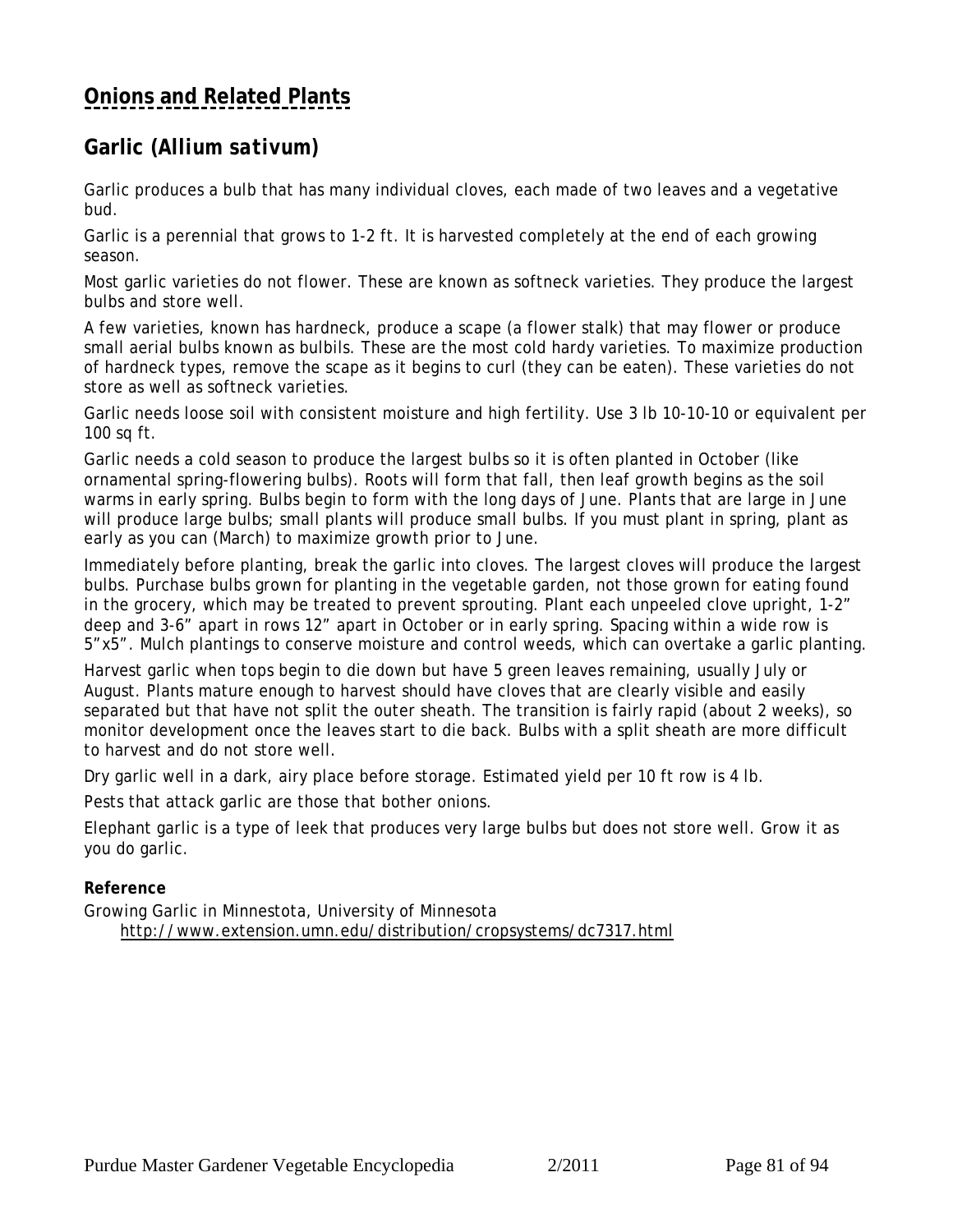# <span id="page-80-0"></span>**Garlic (***Allium sativum)*

Garlic produces a bulb that has many individual cloves, each made of two leaves and a vegetative bud.

Garlic is a perennial that grows to 1-2 ft. It is harvested completely at the end of each growing season.

Most garlic varieties do not flower. These are known as softneck varieties. They produce the largest bulbs and store well.

A few varieties, known has hardneck, produce a scape (a flower stalk) that may flower or produce small aerial bulbs known as bulbils. These are the most cold hardy varieties. To maximize production of hardneck types, remove the scape as it begins to curl (they can be eaten). These varieties do not store as well as softneck varieties.

Garlic needs loose soil with consistent moisture and high fertility. Use 3 lb 10-10-10 or equivalent per 100 sq ft.

Garlic needs a cold season to produce the largest bulbs so it is often planted in October (like ornamental spring-flowering bulbs). Roots will form that fall, then leaf growth begins as the soil warms in early spring. Bulbs begin to form with the long days of June. Plants that are large in June will produce large bulbs; small plants will produce small bulbs. If you must plant in spring, plant as early as you can (March) to maximize growth prior to June.

Immediately before planting, break the garlic into cloves. The largest cloves will produce the largest bulbs. Purchase bulbs grown for planting in the vegetable garden, not those grown for eating found in the grocery, which may be treated to prevent sprouting. Plant each unpeeled clove upright, 1-2" deep and 3-6" apart in rows 12" apart in October or in early spring. Spacing within a wide row is 5"x5". Mulch plantings to conserve moisture and control weeds, which can overtake a garlic planting.

Harvest garlic when tops begin to die down but have 5 green leaves remaining, usually July or August. Plants mature enough to harvest should have cloves that are clearly visible and easily separated but that have not split the outer sheath. The transition is fairly rapid (about 2 weeks), so monitor development once the leaves start to die back. Bulbs with a split sheath are more difficult to harvest and do not store well.

Dry garlic well in a dark, airy place before storage. Estimated yield per 10 ft row is 4 lb.

Pests that attack garlic are those that bother onions.

Elephant garlic is a type of leek that produces very large bulbs but does not store well. Grow it as you do garlic.

## **Reference**

Growing Garlic in Minnestota, University of Minnesota http://www.extension.umn.edu/distribution/cropsystems/dc7317.html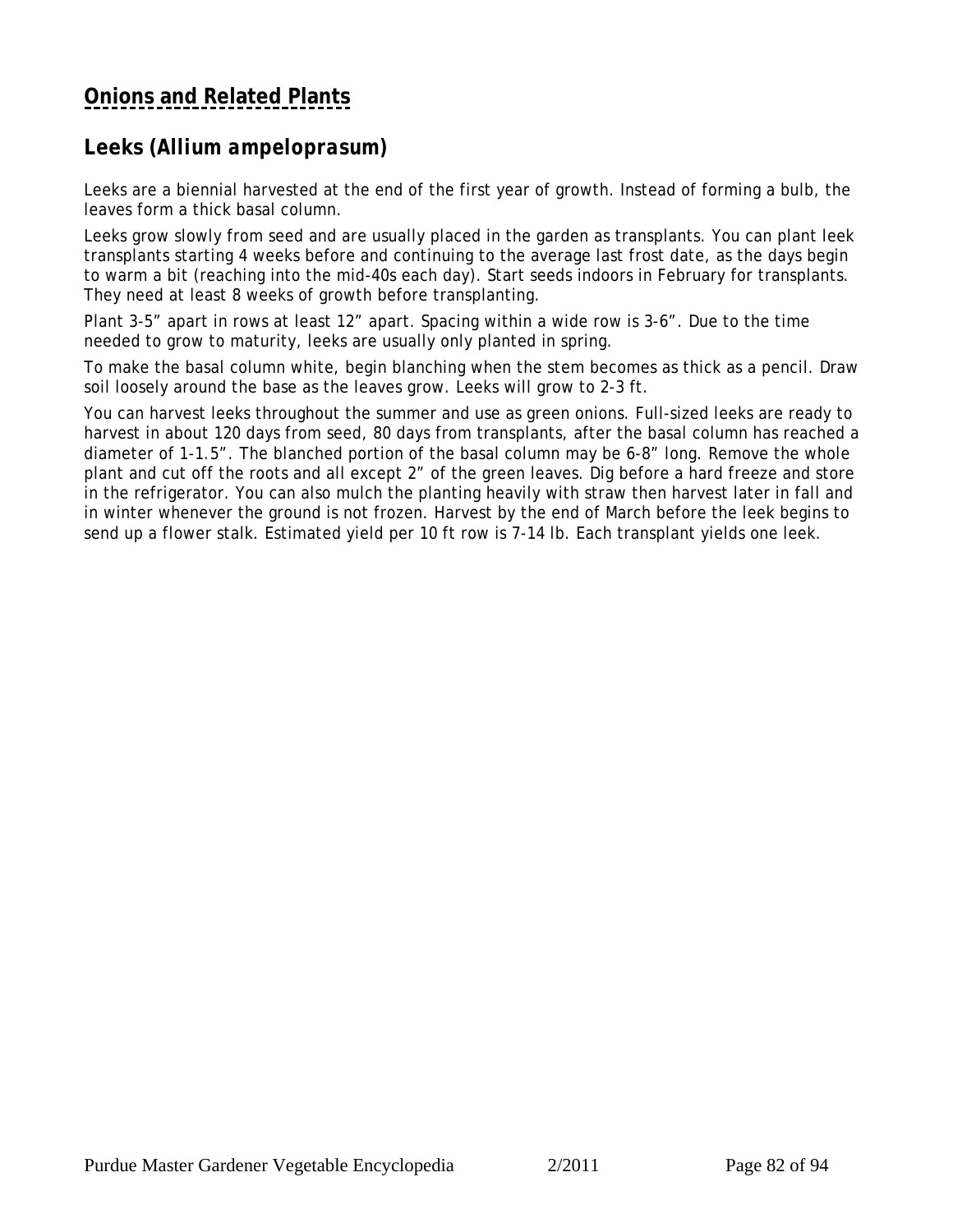# <span id="page-81-0"></span>**Leeks (***Allium ampeloprasum)*

Leeks are a biennial harvested at the end of the first year of growth. Instead of forming a bulb, the leaves form a thick basal column.

Leeks grow slowly from seed and are usually placed in the garden as transplants. You can plant leek transplants starting 4 weeks before and continuing to the average last frost date, as the days begin to warm a bit (reaching into the mid-40s each day). Start seeds indoors in February for transplants. They need at least 8 weeks of growth before transplanting.

Plant 3-5" apart in rows at least 12" apart. Spacing within a wide row is 3-6". Due to the time needed to grow to maturity, leeks are usually only planted in spring.

To make the basal column white, begin blanching when the stem becomes as thick as a pencil. Draw soil loosely around the base as the leaves grow. Leeks will grow to 2-3 ft.

You can harvest leeks throughout the summer and use as green onions. Full-sized leeks are ready to harvest in about 120 days from seed, 80 days from transplants, after the basal column has reached a diameter of 1-1.5". The blanched portion of the basal column may be 6-8" long. Remove the whole plant and cut off the roots and all except 2" of the green leaves. Dig before a hard freeze and store in the refrigerator. You can also mulch the planting heavily with straw then harvest later in fall and in winter whenever the ground is not frozen. Harvest by the end of March before the leek begins to send up a flower stalk. Estimated yield per 10 ft row is 7-14 lb. Each transplant yields one leek.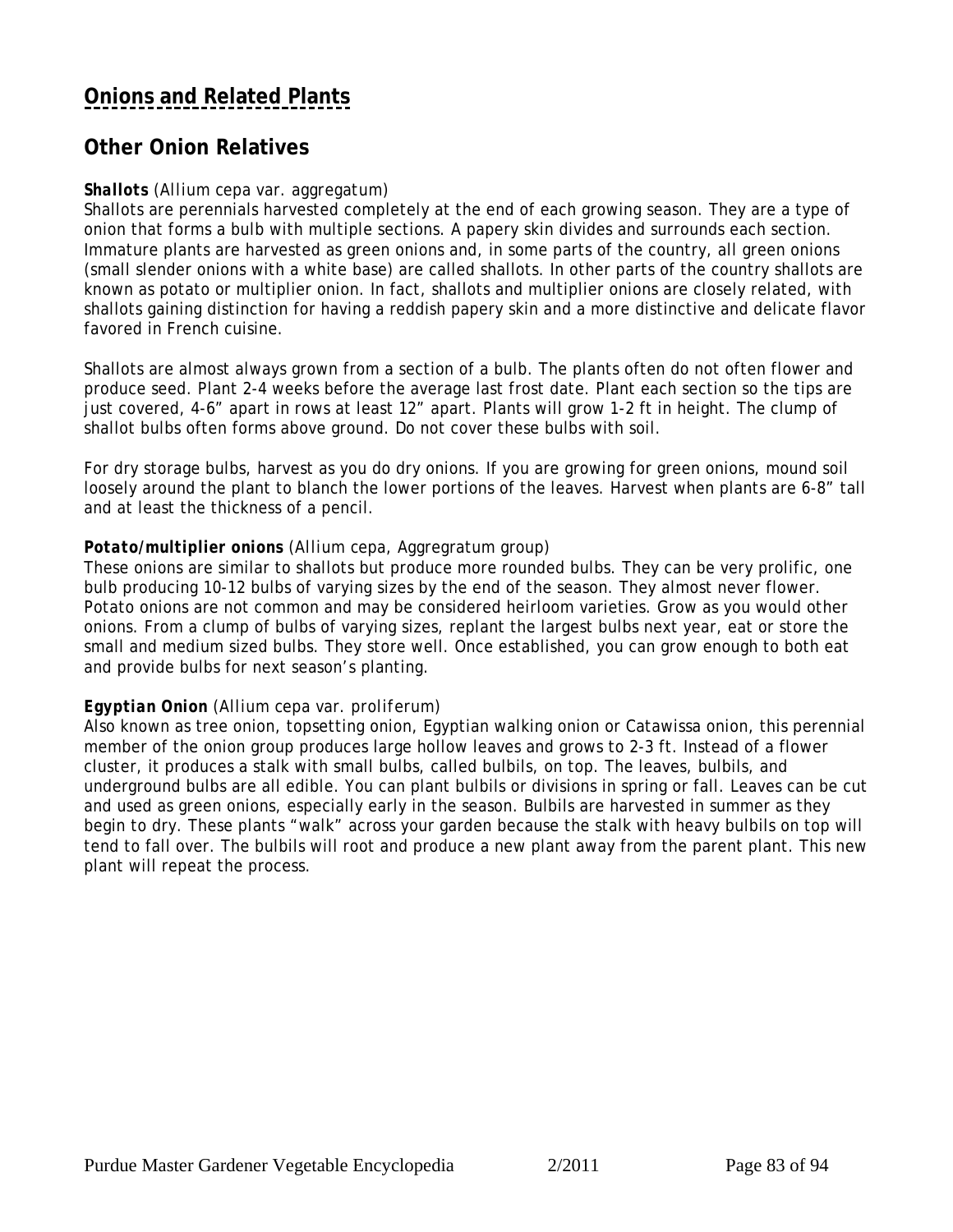## <span id="page-82-0"></span>**Other Onion Relatives**

### *Shallots (Allium cepa* var. *aggregatum)*

Shallots are perennials harvested completely at the end of each growing season. They are a type of onion that forms a bulb with multiple sections. A papery skin divides and surrounds each section. Immature plants are harvested as green onions and, in some parts of the country, all green onions (small slender onions with a white base) are called shallots. In other parts of the country shallots are known as potato or multiplier onion. In fact, shallots and multiplier onions are closely related, with shallots gaining distinction for having a reddish papery skin and a more distinctive and delicate flavor favored in French cuisine.

Shallots are almost always grown from a section of a bulb. The plants often do not often flower and produce seed. Plant 2-4 weeks before the average last frost date. Plant each section so the tips are just covered, 4-6" apart in rows at least 12" apart. Plants will grow 1-2 ft in height. The clump of shallot bulbs often forms above ground. Do not cover these bulbs with soil.

For dry storage bulbs, harvest as you do dry onions. If you are growing for green onions, mound soil loosely around the plant to blanch the lower portions of the leaves. Harvest when plants are 6-8" tall and at least the thickness of a pencil.

#### *Potato/multiplier onions* (*Allium cepa*, Aggregratum group)

These onions are similar to shallots but produce more rounded bulbs. They can be very prolific, one bulb producing 10-12 bulbs of varying sizes by the end of the season. They almost never flower. Potato onions are not common and may be considered heirloom varieties. Grow as you would other onions. From a clump of bulbs of varying sizes, replant the largest bulbs next year, eat or store the small and medium sized bulbs. They store well. Once established, you can grow enough to both eat and provide bulbs for next season's planting.

#### *Egyptian Onion* (*Allium cepa* var. *proliferum)*

Also known as tree onion, topsetting onion, Egyptian walking onion or Catawissa onion, this perennial member of the onion group produces large hollow leaves and grows to 2-3 ft. Instead of a flower cluster, it produces a stalk with small bulbs, called bulbils, on top. The leaves, bulbils, and underground bulbs are all edible. You can plant bulbils or divisions in spring or fall. Leaves can be cut and used as green onions, especially early in the season. Bulbils are harvested in summer as they begin to dry. These plants "walk" across your garden because the stalk with heavy bulbils on top will tend to fall over. The bulbils will root and produce a new plant away from the parent plant. This new plant will repeat the process.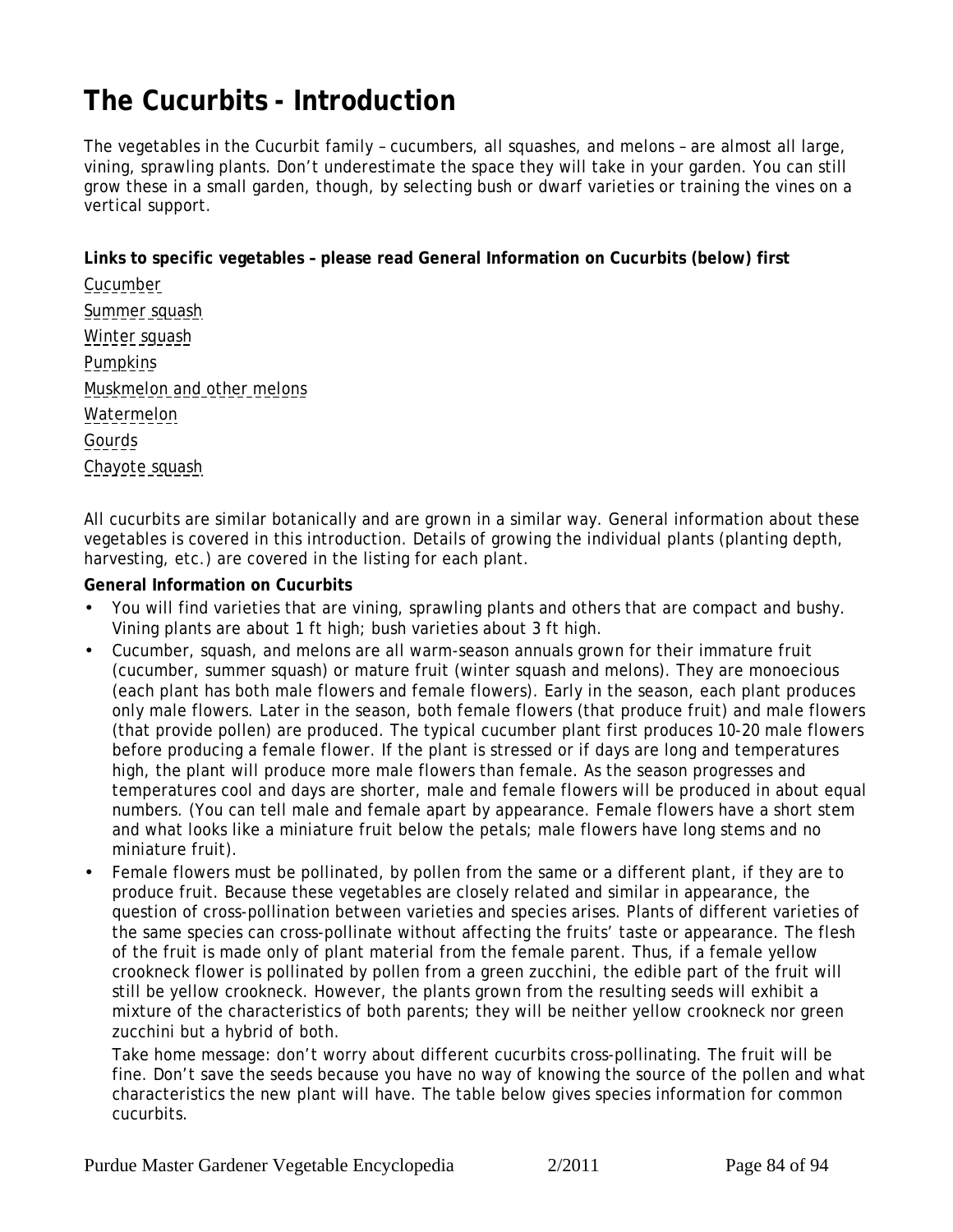# <span id="page-83-0"></span>**The Cucurbits - Introduction**

The vegetables in the Cucurbit family – cucumbers, all squashes, and melons – are almost all large, vining, sprawling plants. Don't underestimate the space they will take in your garden. You can still grow these in a small garden, though, by selecting bush or dwarf varieties or training the vines on a vertical support.

**Links to specific vegetables – please read General Information on Cucurbits (below) first**

[Cucumber](#page-87-0) [Summer squash](#page-88-0) [Winter squash](#page-88-0) **[Pumpkins](#page-89-0)** [Muskmelon and other melons](#page-90-0) [Watermelon](#page-91-0) **[Gourds](#page-92-0)** [Chayote squash](#page-93-0)

All cucurbits are similar botanically and are grown in a similar way. General information about these vegetables is covered in this introduction. Details of growing the individual plants (planting depth, harvesting, etc.) are covered in the listing for each plant.

**General Information on Cucurbits**

- You will find varieties that are vining, sprawling plants and others that are compact and bushy. Vining plants are about 1 ft high; bush varieties about 3 ft high.
- Cucumber, squash, and melons are all warm-season annuals grown for their immature fruit (cucumber, summer squash) or mature fruit (winter squash and melons). They are monoecious (each plant has both male flowers and female flowers). Early in the season, each plant produces only male flowers. Later in the season, both female flowers (that produce fruit) and male flowers (that provide pollen) are produced. The typical cucumber plant first produces 10-20 male flowers before producing a female flower. If the plant is stressed or if days are long and temperatures high, the plant will produce more male flowers than female. As the season progresses and temperatures cool and days are shorter, male and female flowers will be produced in about equal numbers. (You can tell male and female apart by appearance. Female flowers have a short stem and what looks like a miniature fruit below the petals; male flowers have long stems and no miniature fruit).
- Female flowers must be pollinated, by pollen from the same or a different plant, if they are to produce fruit. Because these vegetables are closely related and similar in appearance, the question of cross-pollination between varieties and species arises. Plants of different varieties of the same species can cross-pollinate without affecting the fruits' taste or appearance. The flesh of the fruit is made only of plant material from the female parent. Thus, if a female yellow crookneck flower is pollinated by pollen from a green zucchini, the edible part of the fruit will still be yellow crookneck. However, the plants grown from the resulting seeds will exhibit a mixture of the characteristics of both parents; they will be neither yellow crookneck nor green zucchini but a hybrid of both.

*Take home message:* don't worry about different cucurbits cross-pollinating. The fruit will be fine. Don't save the seeds because you have no way of knowing the source of the pollen and what characteristics the new plant will have. The table below gives species information for common cucurbits.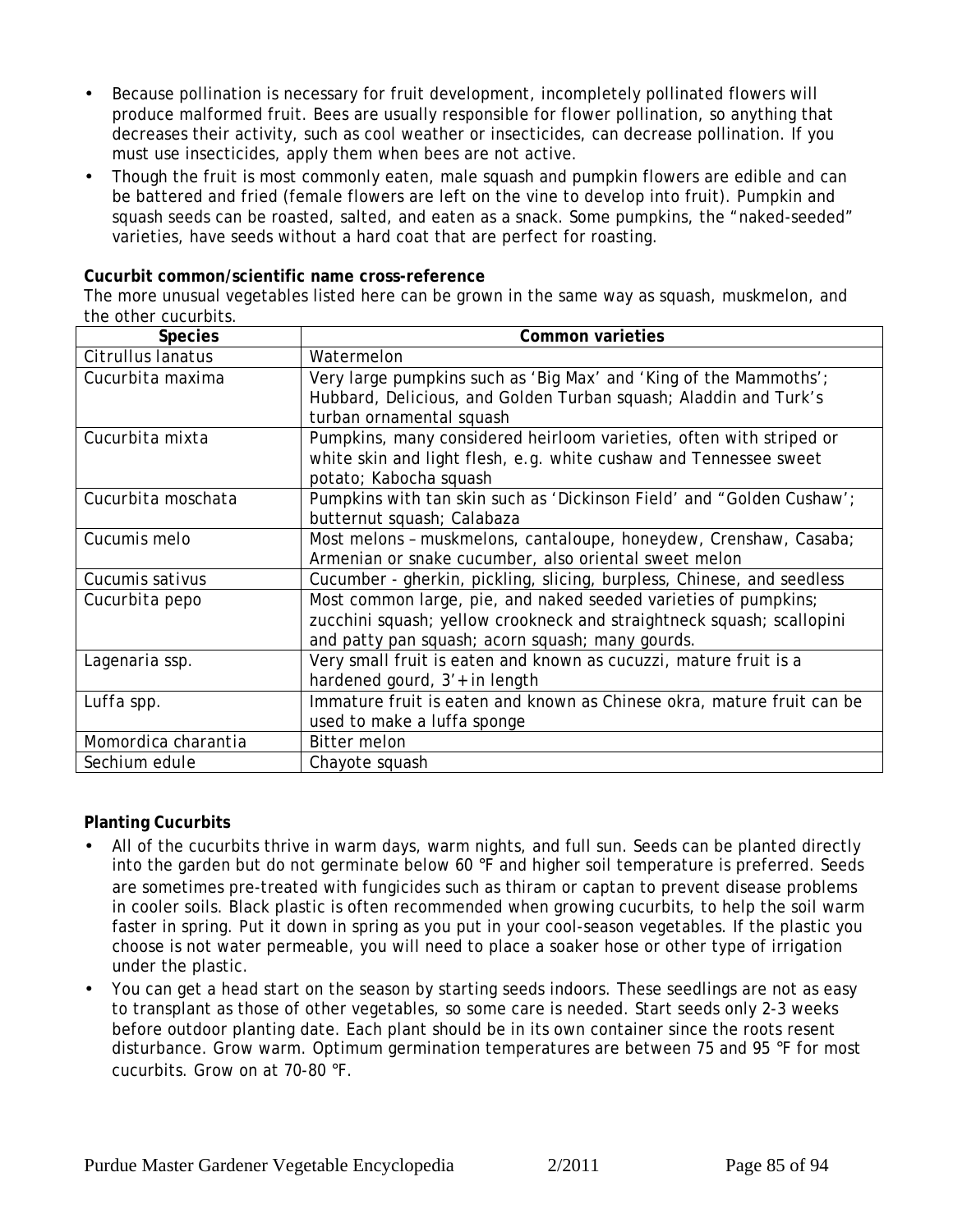- Because pollination is necessary for fruit development, incompletely pollinated flowers will produce malformed fruit. Bees are usually responsible for flower pollination, so anything that decreases their activity, such as cool weather or insecticides, can decrease pollination. If you must use insecticides, apply them when bees are not active.
- Though the fruit is most commonly eaten, male squash and pumpkin flowers are edible and can be battered and fried (female flowers are left on the vine to develop into fruit). Pumpkin and squash seeds can be roasted, salted, and eaten as a snack. Some pumpkins, the "naked-seeded" varieties, have seeds without a hard coat that are perfect for roasting.

**Cucurbit common/scientific name cross-reference** 

The more unusual vegetables listed here can be grown in the same way as squash, muskmelon, and the other cucurbits.

| <b>Species</b>      | Common varieties                                                                                                                                                                             |
|---------------------|----------------------------------------------------------------------------------------------------------------------------------------------------------------------------------------------|
| Citrullus lanatus   | Watermelon                                                                                                                                                                                   |
| Cucurbita maxima    | Very large pumpkins such as 'Big Max' and 'King of the Mammoths';<br>Hubbard, Delicious, and Golden Turban squash; Aladdin and Turk's<br>turban ornamental squash                            |
| Cucurbita mixta     | Pumpkins, many considered heirloom varieties, often with striped or<br>white skin and light flesh, e.g. white cushaw and Tennessee sweet<br>potato; Kabocha squash                           |
| Cucurbita moschata  | Pumpkins with tan skin such as 'Dickinson Field' and "Golden Cushaw';<br>butternut squash; Calabaza                                                                                          |
| Cucumis melo        | Most melons - muskmelons, cantaloupe, honeydew, Crenshaw, Casaba;<br>Armenian or snake cucumber, also oriental sweet melon                                                                   |
| Cucumis sativus     | Cucumber - gherkin, pickling, slicing, burpless, Chinese, and seedless                                                                                                                       |
| Cucurbita pepo      | Most common large, pie, and naked seeded varieties of pumpkins;<br>zucchini squash; yellow crookneck and straightneck squash; scallopini<br>and patty pan squash; acorn squash; many gourds. |
| Lagenaria ssp.      | Very small fruit is eaten and known as cucuzzi, mature fruit is a<br>hardened gourd, 3'+ in length                                                                                           |
| Luffa spp.          | Immature fruit is eaten and known as Chinese okra, mature fruit can be<br>used to make a luffa sponge                                                                                        |
| Momordica charantia | <b>Bitter melon</b>                                                                                                                                                                          |
| Sechium edule       | Chayote squash                                                                                                                                                                               |

**Planting Cucurbits**

- All of the cucurbits thrive in warm days, warm nights, and full sun. Seeds can be planted directly into the garden but do not germinate below 60 °F and higher soil temperature is preferred. Seeds are sometimes pre-treated with fungicides such as thiram or captan to prevent disease problems in cooler soils. Black plastic is often recommended when growing cucurbits, to help the soil warm faster in spring. Put it down in spring as you put in your cool-season vegetables. If the plastic you choose is not water permeable, you will need to place a soaker hose or other type of irrigation under the plastic.
- You can get a head start on the season by starting seeds indoors. These seedlings are not as easy to transplant as those of other vegetables, so some care is needed. Start seeds only 2-3 weeks before outdoor planting date. Each plant should be in its own container since the roots resent disturbance. Grow warm. Optimum germination temperatures are between 75 and 95 °F for most cucurbits. Grow on at 70-80 °F.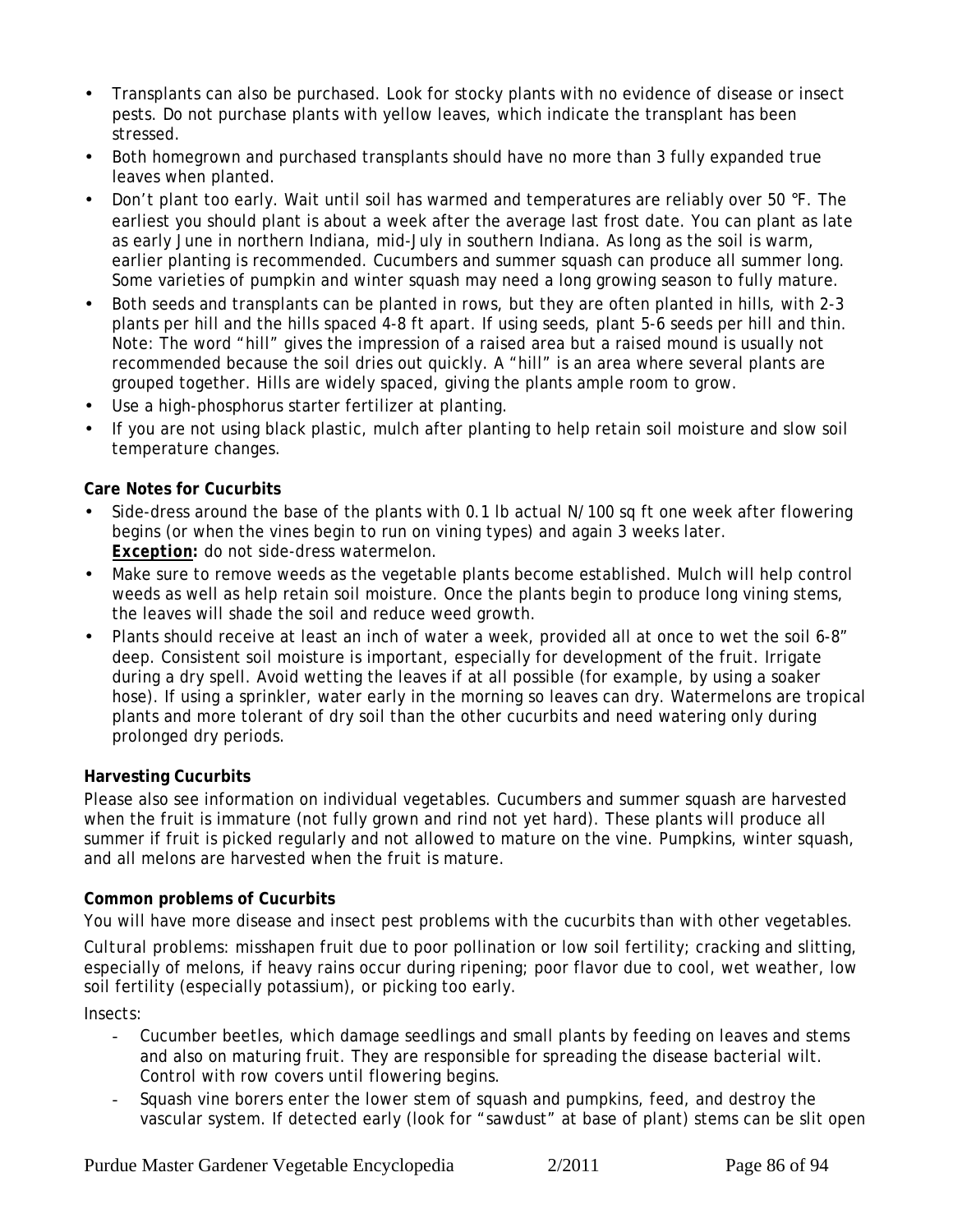- Transplants can also be purchased. Look for stocky plants with no evidence of disease or insect pests. Do not purchase plants with yellow leaves, which indicate the transplant has been stressed.
- Both homegrown and purchased transplants should have no more than 3 fully expanded true leaves when planted.
- Don't plant too early. Wait until soil has warmed and temperatures are reliably over 50 °F. The earliest you should plant is about a week after the average last frost date. You can plant as late as early June in northern Indiana, mid-July in southern Indiana. As long as the soil is warm, earlier planting is recommended. Cucumbers and summer squash can produce all summer long. Some varieties of pumpkin and winter squash may need a long growing season to fully mature.
- Both seeds and transplants can be planted in rows, but they are often planted in hills, with 2-3 plants per hill and the hills spaced 4-8 ft apart. If using seeds, plant 5-6 seeds per hill and thin. Note: The word "hill" gives the impression of a raised area but a raised mound is usually not recommended because the soil dries out quickly. A "hill" is an area where several plants are grouped together. Hills are widely spaced, giving the plants ample room to grow.
- Use a high-phosphorus starter fertilizer at planting.
- If you are not using black plastic, mulch after planting to help retain soil moisture and slow soil temperature changes.

### **Care Notes for Cucurbits**

- Side-dress around the base of the plants with 0.1 lb actual N/100 sq ft one week after flowering begins (or when the vines begin to run on vining types) and again 3 weeks later. *Exception:* do not side-dress watermelon.
- Make sure to remove weeds as the vegetable plants become established. Mulch will help control weeds as well as help retain soil moisture. Once the plants begin to produce long vining stems, the leaves will shade the soil and reduce weed growth.
- Plants should receive at least an inch of water a week, provided all at once to wet the soil 6-8" deep. Consistent soil moisture is important, especially for development of the fruit. Irrigate during a dry spell. Avoid wetting the leaves if at all possible (for example, by using a soaker hose). If using a sprinkler, water early in the morning so leaves can dry. Watermelons are tropical plants and more tolerant of dry soil than the other cucurbits and need watering only during prolonged dry periods.

### **Harvesting Cucurbits**

Please also see information on individual vegetables. Cucumbers and summer squash are harvested when the fruit is immature (not fully grown and rind not yet hard). These plants will produce all summer if fruit is picked regularly and not allowed to mature on the vine. Pumpkins, winter squash, and all melons are harvested when the fruit is mature.

### **Common problems of Cucurbits**

You will have more disease and insect pest problems with the cucurbits than with other vegetables.

*Cultural problems:* misshapen fruit due to poor pollination or low soil fertility; cracking and slitting, especially of melons, if heavy rains occur during ripening; poor flavor due to cool, wet weather, low soil fertility (especially potassium), or picking too early.

*Insects:*

- Cucumber beetles, which damage seedlings and small plants by feeding on leaves and stems and also on maturing fruit. They are responsible for spreading the disease bacterial wilt. Control with row covers until flowering begins.
- Squash vine borers enter the lower stem of squash and pumpkins, feed, and destroy the vascular system. If detected early (look for "sawdust" at base of plant) stems can be slit open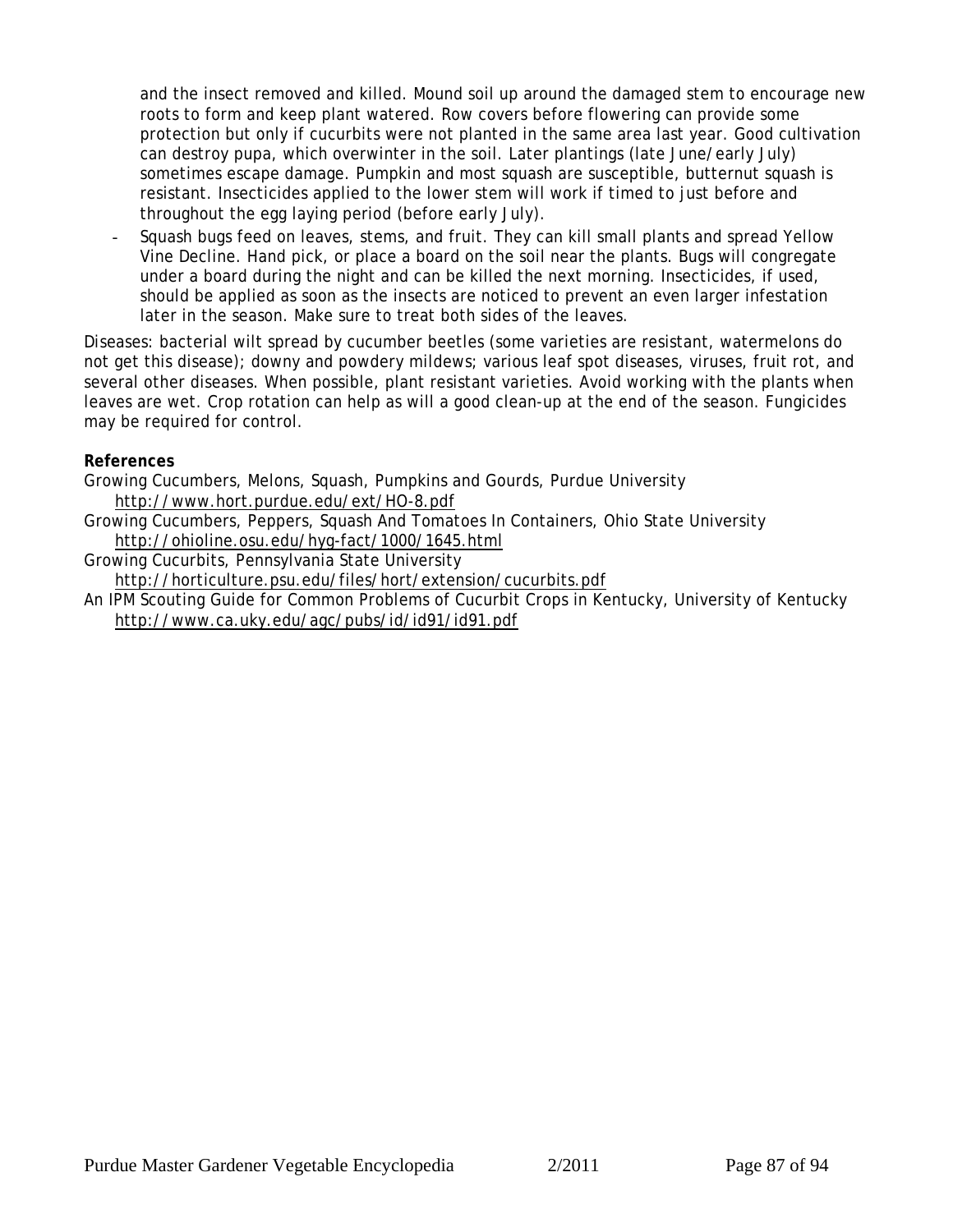and the insect removed and killed. Mound soil up around the damaged stem to encourage new roots to form and keep plant watered. Row covers before flowering can provide some protection but only if cucurbits were not planted in the same area last year. Good cultivation can destroy pupa, which overwinter in the soil. Later plantings (late June/early July) sometimes escape damage. Pumpkin and most squash are susceptible, butternut squash is resistant. Insecticides applied to the lower stem will work if timed to just before and throughout the egg laying period (before early July).

Squash bugs feed on leaves, stems, and fruit. They can kill small plants and spread Yellow Vine Decline. Hand pick, or place a board on the soil near the plants. Bugs will congregate under a board during the night and can be killed the next morning. Insecticides, if used, should be applied as soon as the insects are noticed to prevent an even larger infestation later in the season. Make sure to treat both sides of the leaves.

*Diseases:* bacterial wilt spread by cucumber beetles (some varieties are resistant, watermelons do not get this disease); downy and powdery mildews; various leaf spot diseases, viruses, fruit rot, and several other diseases. When possible, plant resistant varieties. Avoid working with the plants when leaves are wet. Crop rotation can help as will a good clean-up at the end of the season. Fungicides may be required for control.

**References**

Growing Cucumbers, Melons, Squash, Pumpkins and Gourds, Purdue University http://www.hort.purdue.edu/ext/HO-8.pdf

- Growing Cucumbers, Peppers, Squash And Tomatoes In Containers, Ohio State University http://ohioline.osu.edu/hyg-fact/1000/1645.html
- Growing Cucurbits, Pennsylvania State University

 http://horticulture.psu.edu/files/hort/extension/cucurbits.pdf An IPM Scouting Guide for Common Problems of Cucurbit Crops in Kentucky, University of Kentucky http://www.ca.uky.edu/agc/pubs/id/id91/id91.pdf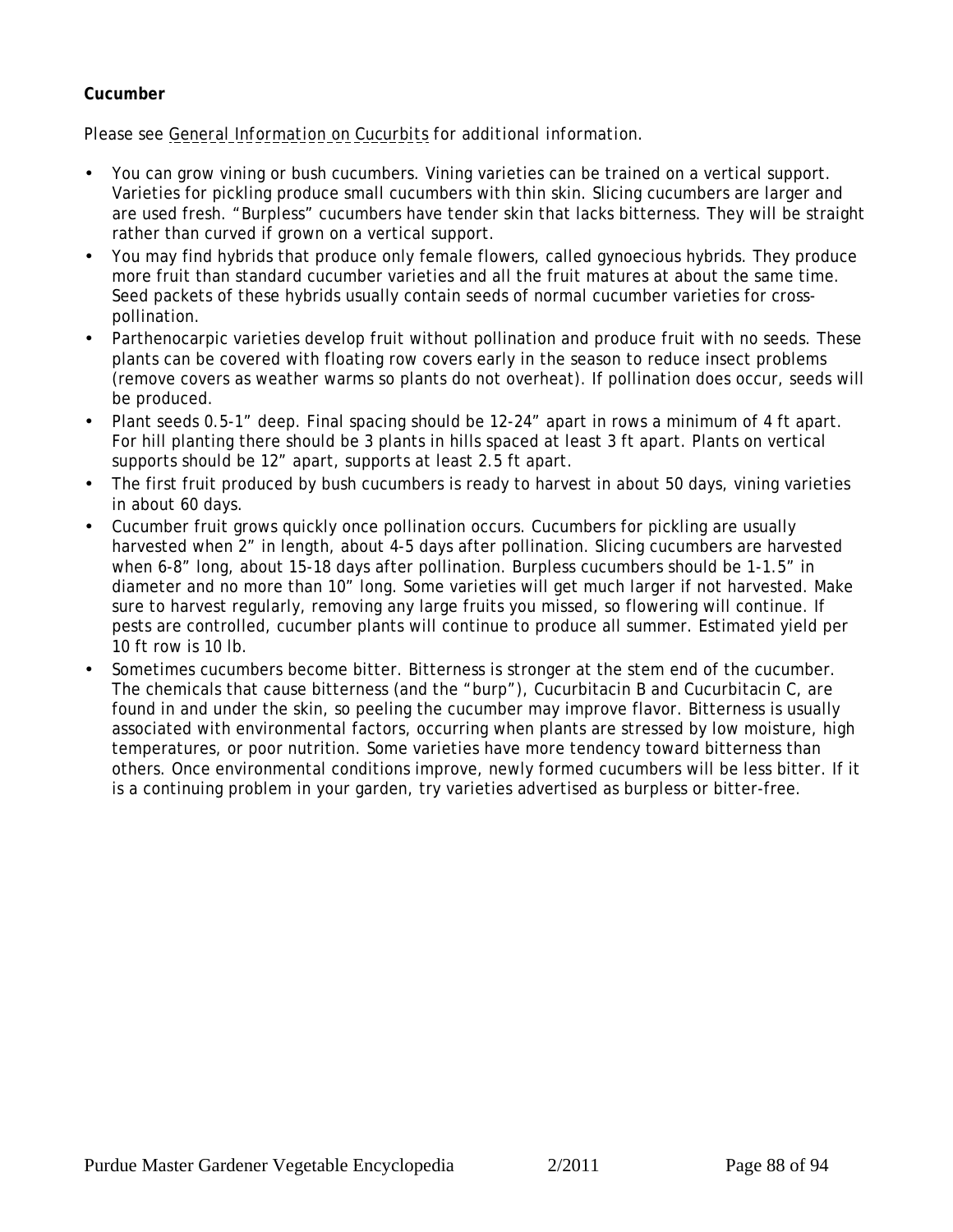### <span id="page-87-0"></span>**Cucumber**

- You can grow vining or bush cucumbers. Vining varieties can be trained on a vertical support. Varieties for pickling produce small cucumbers with thin skin. Slicing cucumbers are larger and are used fresh. "Burpless" cucumbers have tender skin that lacks bitterness. They will be straight rather than curved if grown on a vertical support.
- You may find hybrids that produce only female flowers, called gynoecious hybrids. They produce more fruit than standard cucumber varieties and all the fruit matures at about the same time. Seed packets of these hybrids usually contain seeds of normal cucumber varieties for crosspollination.
- Parthenocarpic varieties develop fruit without pollination and produce fruit with no seeds. These plants can be covered with floating row covers early in the season to reduce insect problems (remove covers as weather warms so plants do not overheat). If pollination does occur, seeds will be produced.
- Plant seeds 0.5-1" deep. Final spacing should be 12-24" apart in rows a minimum of 4 ft apart. For hill planting there should be 3 plants in hills spaced at least 3 ft apart. Plants on vertical supports should be 12" apart, supports at least 2.5 ft apart.
- The first fruit produced by bush cucumbers is ready to harvest in about 50 days, vining varieties in about 60 days.
- Cucumber fruit grows quickly once pollination occurs. Cucumbers for pickling are usually harvested when 2" in length, about 4-5 days after pollination. Slicing cucumbers are harvested when 6-8" long, about 15-18 days after pollination. Burpless cucumbers should be 1-1.5" in diameter and no more than 10" long. Some varieties will get much larger if not harvested. Make sure to harvest regularly, removing any large fruits you missed, so flowering will continue. If pests are controlled, cucumber plants will continue to produce all summer. Estimated yield per 10 ft row is 10 lb.
- Sometimes cucumbers become bitter. Bitterness is stronger at the stem end of the cucumber. The chemicals that cause bitterness (and the "burp"), Cucurbitacin B and Cucurbitacin C, are found in and under the skin, so peeling the cucumber may improve flavor. Bitterness is usually associated with environmental factors, occurring when plants are stressed by low moisture, high temperatures, or poor nutrition. Some varieties have more tendency toward bitterness than others. Once environmental conditions improve, newly formed cucumbers will be less bitter. If it is a continuing problem in your garden, try varieties advertised as burpless or bitter-free.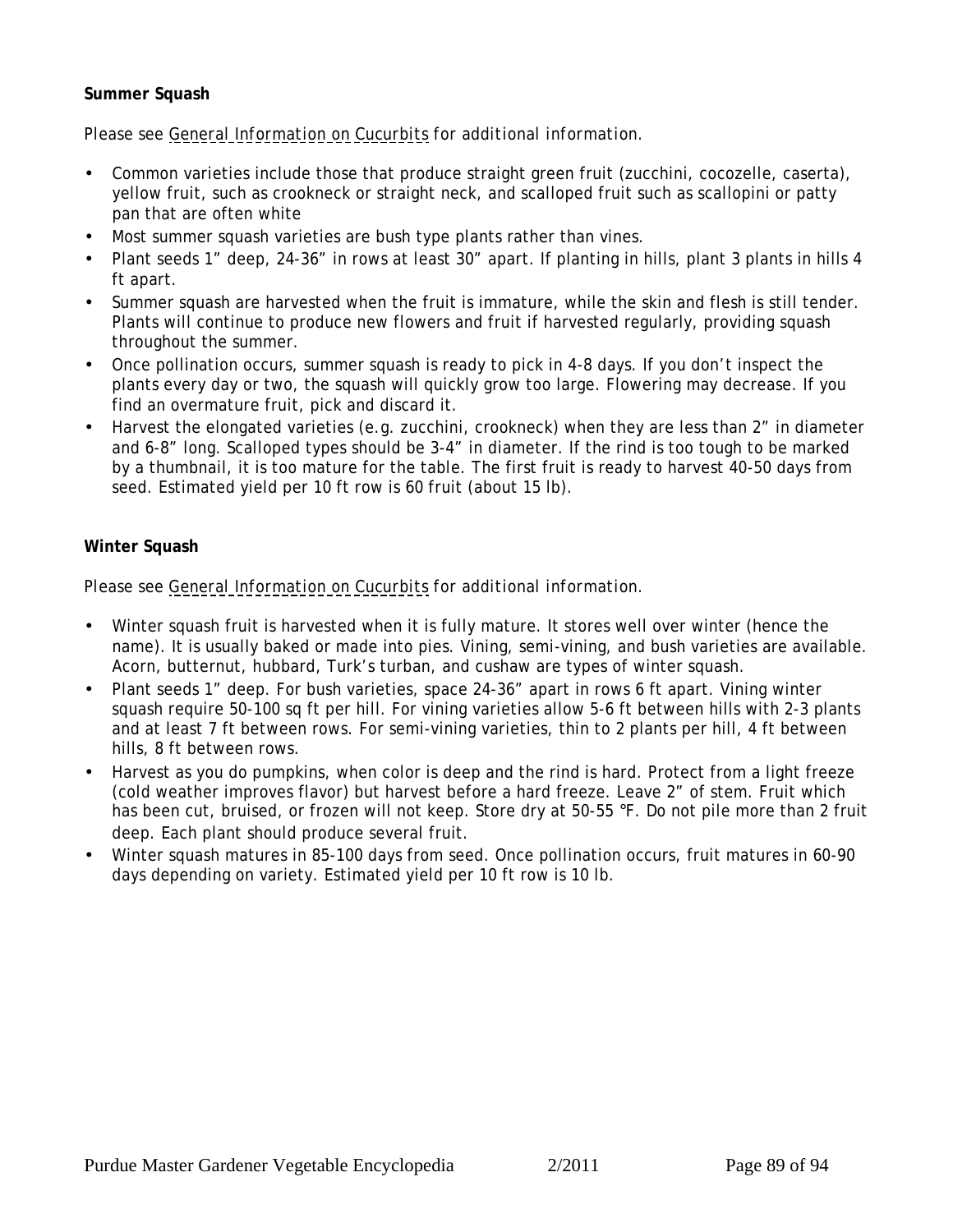### <span id="page-88-0"></span>**Summer Squash**

*Please see [General Information on Cucurbits](#page-83-0) for additional information.*

- Common varieties include those that produce straight green fruit (zucchini, cocozelle, caserta), yellow fruit, such as crookneck or straight neck, and scalloped fruit such as scallopini or patty pan that are often white
- Most summer squash varieties are bush type plants rather than vines.
- Plant seeds 1" deep, 24-36" in rows at least 30" apart. If planting in hills, plant 3 plants in hills 4 ft apart.
- Summer squash are harvested when the fruit is immature, while the skin and flesh is still tender. Plants will continue to produce new flowers and fruit if harvested regularly, providing squash throughout the summer.
- Once pollination occurs, summer squash is ready to pick in 4-8 days. If you don't inspect the plants every day or two, the squash will quickly grow too large. Flowering may decrease. If you find an overmature fruit, pick and discard it.
- Harvest the elongated varieties (e.g. zucchini, crookneck) when they are less than 2" in diameter and 6-8" long. Scalloped types should be 3-4" in diameter. If the rind is too tough to be marked by a thumbnail, it is too mature for the table. The first fruit is ready to harvest 40-50 days from seed. Estimated yield per 10 ft row is 60 fruit (about 15 lb).

### **Winter Squash**

- Winter squash fruit is harvested when it is fully mature. It stores well over winter (hence the name). It is usually baked or made into pies. Vining, semi-vining, and bush varieties are available. Acorn, butternut, hubbard, Turk's turban, and cushaw are types of winter squash.
- Plant seeds 1" deep. For bush varieties, space 24-36" apart in rows 6 ft apart. Vining winter squash require 50-100 sq ft per hill. For vining varieties allow 5-6 ft between hills with 2-3 plants and at least 7 ft between rows. For semi-vining varieties, thin to 2 plants per hill, 4 ft between hills, 8 ft between rows.
- Harvest as you do pumpkins, when color is deep and the rind is hard. Protect from a light freeze (cold weather improves flavor) but harvest before a hard freeze. Leave 2" of stem. Fruit which has been cut, bruised, or frozen will not keep. Store dry at 50-55 °F. Do not pile more than 2 fruit deep. Each plant should produce several fruit.
- Winter squash matures in 85-100 days from seed. Once pollination occurs, fruit matures in 60-90 days depending on variety. Estimated yield per 10 ft row is 10 lb.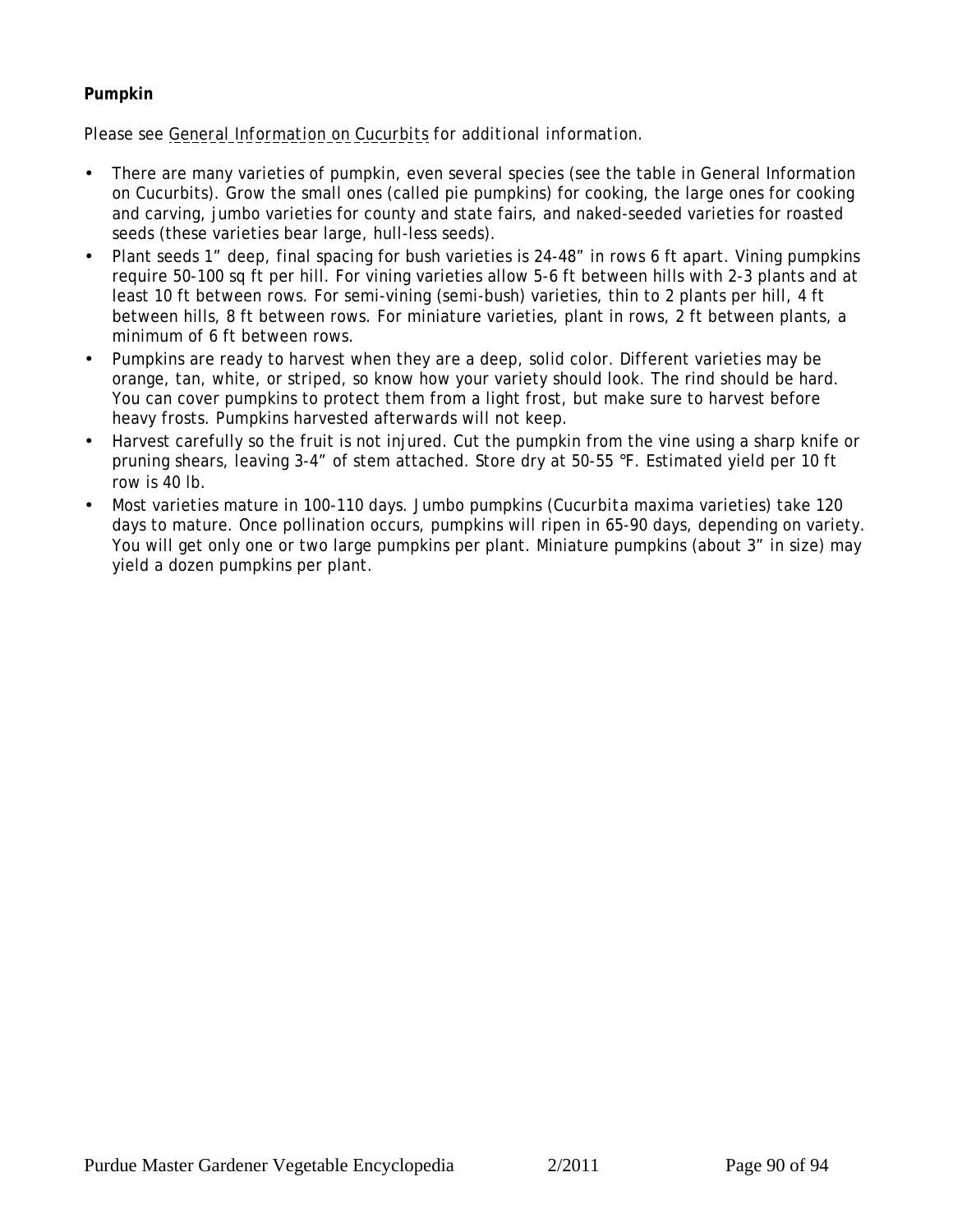## <span id="page-89-0"></span>**Pumpkin**

- There are many varieties of pumpkin, even several species (see the table in General Information on Cucurbits). Grow the small ones (called pie pumpkins) for cooking, the large ones for cooking and carving, jumbo varieties for county and state fairs, and naked-seeded varieties for roasted seeds (these varieties bear large, hull-less seeds).
- Plant seeds 1" deep, final spacing for bush varieties is 24-48" in rows 6 ft apart. Vining pumpkins require 50-100 sq ft per hill. For vining varieties allow 5-6 ft between hills with 2-3 plants and at least 10 ft between rows. For semi-vining (semi-bush) varieties, thin to 2 plants per hill, 4 ft between hills, 8 ft between rows. For miniature varieties, plant in rows, 2 ft between plants, a minimum of 6 ft between rows.
- Pumpkins are ready to harvest when they are a deep, solid color. Different varieties may be orange, tan, white, or striped, so know how your variety should look. The rind should be hard. You can cover pumpkins to protect them from a light frost, but make sure to harvest before heavy frosts. Pumpkins harvested afterwards will not keep.
- Harvest carefully so the fruit is not injured. Cut the pumpkin from the vine using a sharp knife or pruning shears, leaving 3-4" of stem attached. Store dry at 50-55 °F. Estimated yield per 10 ft row is 40 lb.
- Most varieties mature in 100-110 days. Jumbo pumpkins (*Cucurbita maxima* varieties) take 120 days to mature. Once pollination occurs, pumpkins will ripen in 65-90 days, depending on variety. You will get only one or two large pumpkins per plant. Miniature pumpkins (about 3" in size) may yield a dozen pumpkins per plant.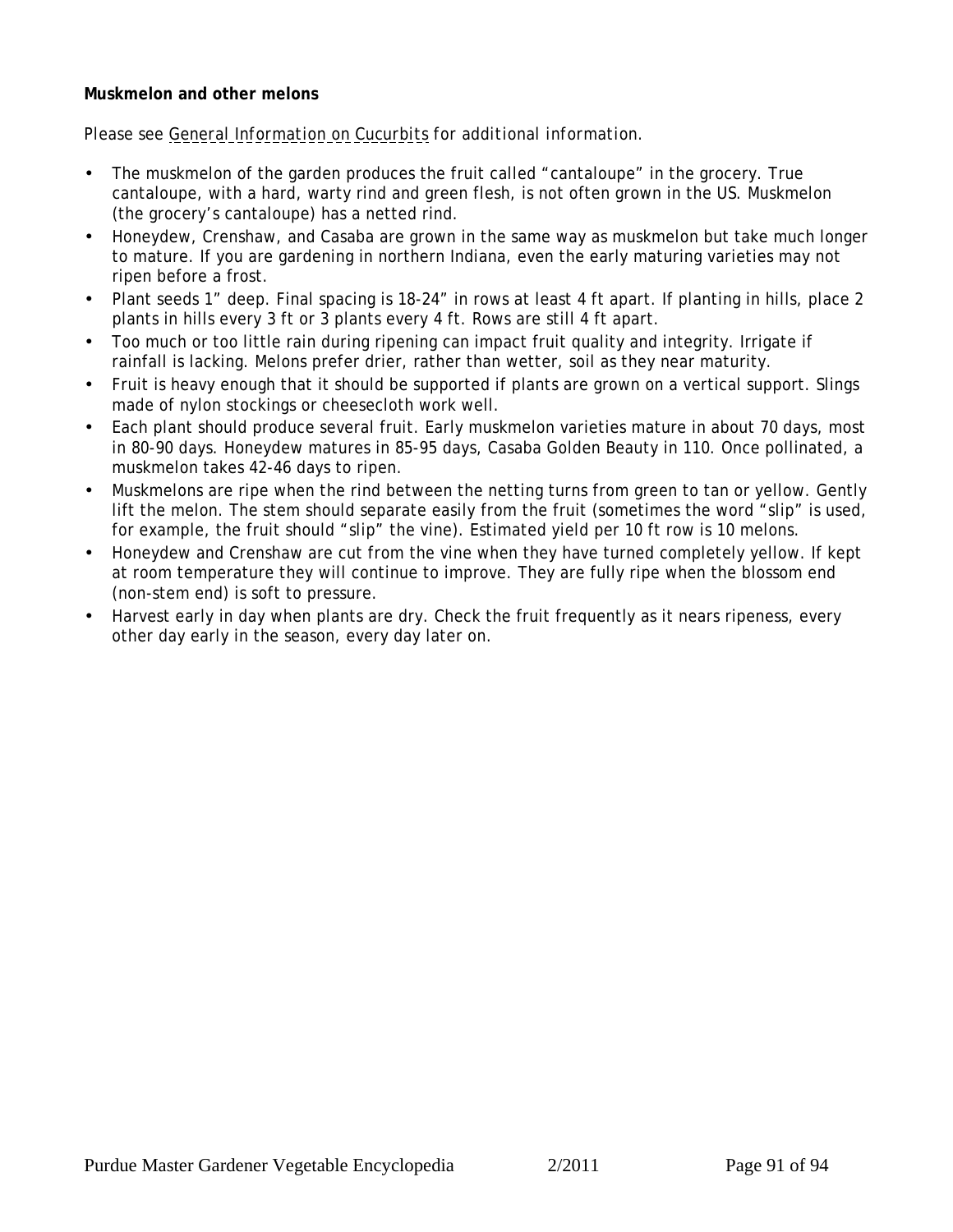<span id="page-90-0"></span>**Muskmelon and other melons**

- The muskmelon of the garden produces the fruit called "cantaloupe" in the grocery. True cantaloupe, with a hard, warty rind and green flesh, is not often grown in the US. Muskmelon (the grocery's cantaloupe) has a netted rind.
- Honeydew, Crenshaw, and Casaba are grown in the same way as muskmelon but take much longer to mature. If you are gardening in northern Indiana, even the early maturing varieties may not ripen before a frost.
- Plant seeds 1" deep. Final spacing is 18-24" in rows at least 4 ft apart. If planting in hills, place 2 plants in hills every 3 ft or 3 plants every 4 ft. Rows are still 4 ft apart.
- Too much or too little rain during ripening can impact fruit quality and integrity. Irrigate if rainfall is lacking. Melons prefer drier, rather than wetter, soil as they near maturity.
- Fruit is heavy enough that it should be supported if plants are grown on a vertical support. Slings made of nylon stockings or cheesecloth work well.
- Each plant should produce several fruit. Early muskmelon varieties mature in about 70 days, most in 80-90 days. Honeydew matures in 85-95 days, Casaba Golden Beauty in 110. Once pollinated, a muskmelon takes 42-46 days to ripen.
- Muskmelons are ripe when the rind between the netting turns from green to tan or yellow. Gently lift the melon. The stem should separate easily from the fruit (sometimes the word "slip" is used, for example, the fruit should "slip" the vine). Estimated yield per 10 ft row is 10 melons.
- Honeydew and Crenshaw are cut from the vine when they have turned completely yellow. If kept at room temperature they will continue to improve. They are fully ripe when the blossom end (non-stem end) is soft to pressure.
- Harvest early in day when plants are dry. Check the fruit frequently as it nears ripeness, every other day early in the season, every day later on.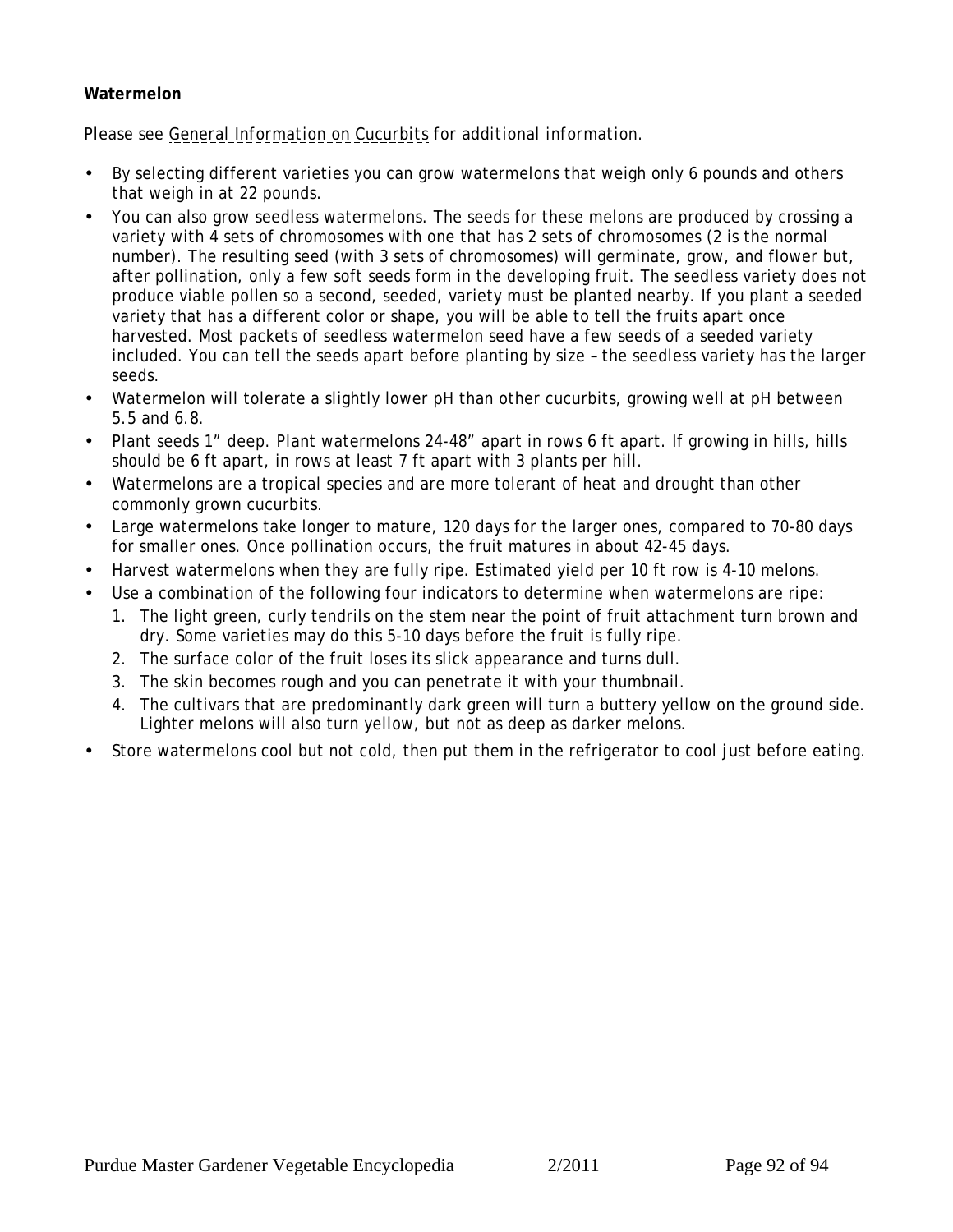## <span id="page-91-0"></span>**Watermelon**

- By selecting different varieties you can grow watermelons that weigh only 6 pounds and others that weigh in at 22 pounds.
- You can also grow seedless watermelons. The seeds for these melons are produced by crossing a variety with 4 sets of chromosomes with one that has 2 sets of chromosomes (2 is the normal number). The resulting seed (with 3 sets of chromosomes) will germinate, grow, and flower but, after pollination, only a few soft seeds form in the developing fruit. The seedless variety does not produce viable pollen so a second, seeded, variety must be planted nearby. If you plant a seeded variety that has a different color or shape, you will be able to tell the fruits apart once harvested. Most packets of seedless watermelon seed have a few seeds of a seeded variety included. You can tell the seeds apart before planting by size – the seedless variety has the larger seeds.
- Watermelon will tolerate a slightly lower pH than other cucurbits, growing well at pH between 5.5 and 6.8.
- Plant seeds 1" deep. Plant watermelons 24-48" apart in rows 6 ft apart. If growing in hills, hills should be 6 ft apart, in rows at least 7 ft apart with 3 plants per hill.
- Watermelons are a tropical species and are more tolerant of heat and drought than other commonly grown cucurbits.
- Large watermelons take longer to mature, 120 days for the larger ones, compared to 70-80 days for smaller ones. Once pollination occurs, the fruit matures in about 42-45 days.
- Harvest watermelons when they are fully ripe. Estimated yield per 10 ft row is 4-10 melons.
- Use a combination of the following four indicators to determine when watermelons are ripe:
	- 1. The light green, curly tendrils on the stem near the point of fruit attachment turn brown and dry. Some varieties may do this 5-10 days before the fruit is fully ripe.
	- 2. The surface color of the fruit loses its slick appearance and turns dull.
	- 3. The skin becomes rough and you can penetrate it with your thumbnail.
	- 4. The cultivars that are predominantly dark green will turn a buttery yellow on the ground side. Lighter melons will also turn yellow, but not as deep as darker melons.
- Store watermelons cool but not cold, then put them in the refrigerator to cool just before eating.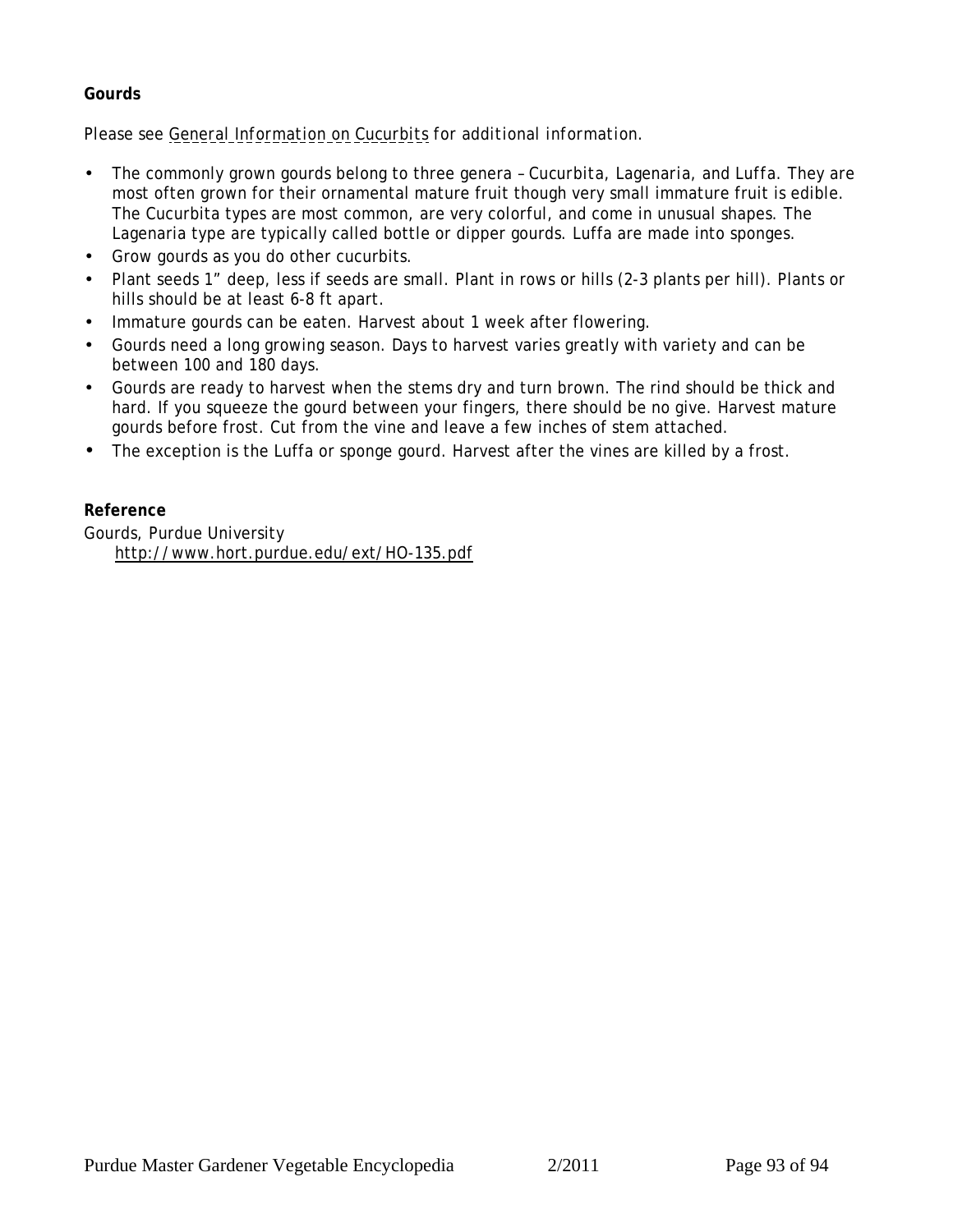## <span id="page-92-0"></span>**Gourds**

*Please see [General Information on Cucurbits](#page-83-0) for additional information.*

- The commonly grown gourds belong to three genera *Cucurbita*, *Lagenaria*, and *Luffa.* They are most often grown for their ornamental mature fruit though very small immature fruit is edible. The Cucurbita types are most common, are very colorful, and come in unusual shapes. The Lagenaria type are typically called bottle or dipper gourds. Luffa are made into sponges.
- Grow gourds as you do other cucurbits.
- Plant seeds 1" deep, less if seeds are small. Plant in rows or hills (2-3 plants per hill). Plants or hills should be at least 6-8 ft apart.
- Immature gourds can be eaten. Harvest about 1 week after flowering.
- Gourds need a long growing season. Days to harvest varies greatly with variety and can be between 100 and 180 days.
- Gourds are ready to harvest when the stems dry and turn brown. The rind should be thick and hard. If you squeeze the gourd between your fingers, there should be no give. Harvest mature gourds before frost. Cut from the vine and leave a few inches of stem attached.
- The exception is the Luffa or sponge gourd. Harvest after the vines are killed by a frost.

**Reference** Gourds, Purdue University http://www.hort.purdue.edu/ext/HO-135.pdf